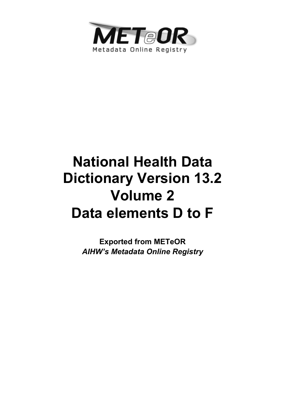

# **National Health Data Dictionary Version 13.2 Volume 2 Data elements D to F**

**Exported from METeOR**  *AIHW's Metadata Online Registry*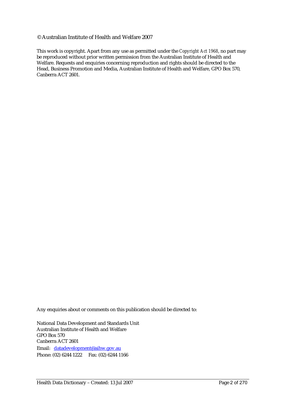#### © Australian Institute of Health and Welfare 2007

This work is copyright. Apart from any use as permitted under the *Copyright Act 1968*, no part may be reproduced without prior written permission from the Australian Institute of Health and Welfare. Requests and enquiries concerning reproduction and rights should be directed to the Head, Business Promotion and Media, Australian Institute of Health and Welfare, GPO Box 570, Canberra ACT 2601.

Any enquiries about or comments on this publication should be directed to:

National Data Development and Standards Unit Australian Institute of Health and Welfare GPO Box 570 Canberra ACT 2601 Email: datadevelopment@aihw.gov.au Phone: (02) 6244 1222 Fax: (02) 6244 1166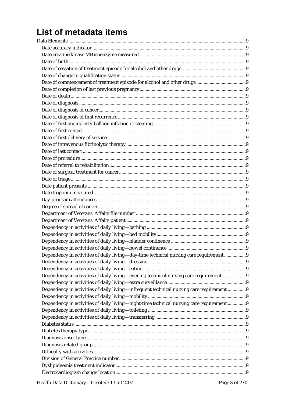## List of metadata items

| Dependency in activities of daily living—day-time technical nursing care requirement9    |  |
|------------------------------------------------------------------------------------------|--|
|                                                                                          |  |
|                                                                                          |  |
| Dependency in activities of daily living—evening technical nursing care requirement9     |  |
|                                                                                          |  |
| Dependency in activities of daily living-infrequent technical nursing care requirement 9 |  |
|                                                                                          |  |
| Dependency in activities of daily living—night-time technical nursing care requirement 9 |  |
|                                                                                          |  |
|                                                                                          |  |
|                                                                                          |  |
|                                                                                          |  |
|                                                                                          |  |
|                                                                                          |  |
|                                                                                          |  |
|                                                                                          |  |
|                                                                                          |  |
|                                                                                          |  |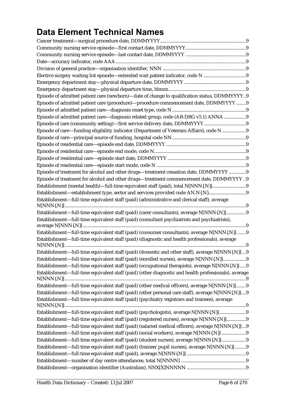## **Data Element Technical Names**

| Elective surgery waiting list episode—extended wait patient indicator, code N 9                      |  |
|------------------------------------------------------------------------------------------------------|--|
|                                                                                                      |  |
|                                                                                                      |  |
| Episode of admitted patient care (newborn)-date of change to qualification status, DDMMYYYY9         |  |
| Episode of admitted patient care (procedure)-procedure commencement date, DDMMYYYY 9                 |  |
|                                                                                                      |  |
| Episode of admitted patient care-diagnosis related group, code (AR-DRG v5.1) ANNA 9                  |  |
|                                                                                                      |  |
| Episode of care—funding eligibility indicator (Department of Veterans Affairs), code N9              |  |
|                                                                                                      |  |
|                                                                                                      |  |
|                                                                                                      |  |
|                                                                                                      |  |
|                                                                                                      |  |
| Episode of treatment for alcohol and other drugs—treatment cessation date, DDMMYYYY 9                |  |
| Episode of treatment for alcohol and other drugs-treatment commencement date, DDMMYYYY 9             |  |
| Establishment (mental health)-full-time equivalent staff (paid), total N[NNN{.N}]9                   |  |
|                                                                                                      |  |
| Establishment-full-time equivalent staff (paid) (administrative and clerical staff), average         |  |
|                                                                                                      |  |
| Establishment-full-time equivalent staff (paid) (carer consultants), average N[NNN{.N}]9             |  |
| Establishment-full-time equivalent staff (paid) (consultant psychiatrists and psychiatrists),        |  |
|                                                                                                      |  |
| Establishment-full-time equivalent staff (paid) (consumer consultants), average N[NNN{.N}] 9         |  |
| Establishment-full-time equivalent staff (paid) (diagnostic and health professionals), average       |  |
|                                                                                                      |  |
| Establishment-full-time equivalent staff (paid) (domestic and other staff), average N[NNN{.N}] 9     |  |
| Establishment—full-time equivalent staff (paid) (enrolled nurses), average N[NNN{.N}]9               |  |
| Establishment-full-time equivalent staff (paid) (occupational therapists), average N[NNN{.N}]9       |  |
| Establishment—full-time equivalent staff (paid) (other diagnostic and health professionals), average |  |
|                                                                                                      |  |
| Establishment—full-time equivalent staff (paid) (other medical officers), average N[NNN{.N}]9        |  |
| Establishment—full-time equivalent staff (paid) (other personal care staff), average N[NNN{.N}]9     |  |
| Establishment-full-time equivalent staff (paid) (psychiatry registrars and trainees), average        |  |
| Establishment-full-time equivalent staff (paid) (psychologists), average N[NNN{.N}]9                 |  |
| Establishment—full-time equivalent staff (paid) (registered nurses), average N[NNN{.N}]9             |  |
| Establishment—full-time equivalent staff (paid) (salaried medical officers), average N[NNN{.N}]  9   |  |
| Establishment-full-time equivalent staff (paid) (social workers), average N[NNN{.N}] 9               |  |
| Establishment—full-time equivalent staff (paid) (student nurses), average N[NNN{.N}] 9               |  |
| Establishment-full-time equivalent staff (paid) (trainee/pupil nurses), average N[NNN{.N}] 9         |  |
|                                                                                                      |  |
|                                                                                                      |  |
|                                                                                                      |  |
|                                                                                                      |  |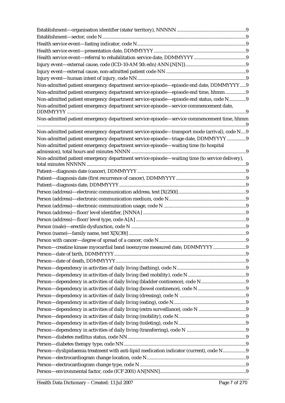| Non-admitted patient emergency department service episode—episode end date, DDMMYYYY9         |  |
|-----------------------------------------------------------------------------------------------|--|
| Non-admitted patient emergency department service episode—episode end time, hhmm9             |  |
| Non-admitted patient emergency department service episode—episode end status, code N9         |  |
| Non-admitted patient emergency department service episode-service commencement date,          |  |
|                                                                                               |  |
| Non-admitted patient emergency department service episode-service commencement time, hhmm     |  |
| Non-admitted patient emergency department service episode-transport mode (arrival), code N9   |  |
| Non-admitted patient emergency department service episode—triage date, DDMMYYYY9              |  |
| Non-admitted patient emergency department service episode-waiting time (to hospital           |  |
| Non-admitted patient emergency department service episode—waiting time (to service delivery), |  |
|                                                                                               |  |
|                                                                                               |  |
|                                                                                               |  |
|                                                                                               |  |
|                                                                                               |  |
|                                                                                               |  |
|                                                                                               |  |
|                                                                                               |  |
|                                                                                               |  |
|                                                                                               |  |
|                                                                                               |  |
| Person—creatine kinase myocardial band isoenzyme measured date, DDMMYYYY 9                    |  |
|                                                                                               |  |
|                                                                                               |  |
|                                                                                               |  |
|                                                                                               |  |
|                                                                                               |  |
|                                                                                               |  |
|                                                                                               |  |
|                                                                                               |  |
|                                                                                               |  |
|                                                                                               |  |
|                                                                                               |  |
|                                                                                               |  |
|                                                                                               |  |
|                                                                                               |  |
|                                                                                               |  |
| Person-dyslipidaemia treatment with anti-lipid medication indicator (current), code N9        |  |
|                                                                                               |  |
|                                                                                               |  |
|                                                                                               |  |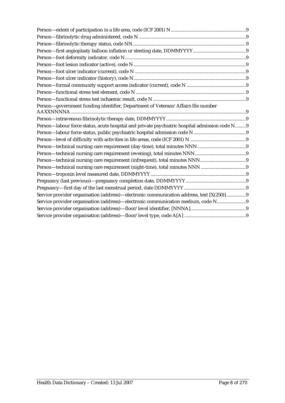| Person-government funding identifier, Department of Veterans' Affairs file number              |  |
|------------------------------------------------------------------------------------------------|--|
|                                                                                                |  |
|                                                                                                |  |
| Person-labour force status, acute hospital and private psychiatric hospital admission code N 9 |  |
|                                                                                                |  |
|                                                                                                |  |
|                                                                                                |  |
|                                                                                                |  |
|                                                                                                |  |
|                                                                                                |  |
|                                                                                                |  |
|                                                                                                |  |
|                                                                                                |  |
| Service provider organisation (address)—electronic communication address, text [X(250)]9       |  |
| Service provider organisation (address)-electronic communication medium, code N9               |  |
|                                                                                                |  |
|                                                                                                |  |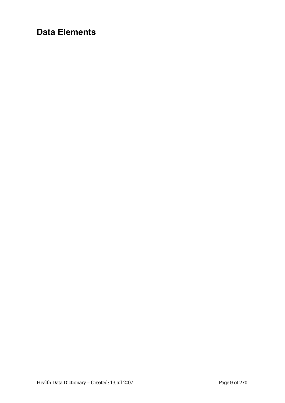## **Data Elements**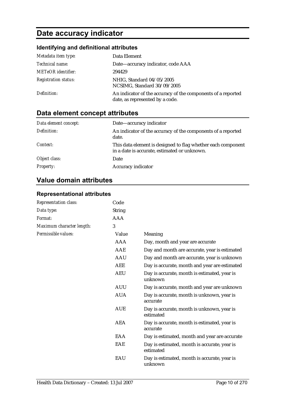## **Date accuracy indicator**

## **Identifying and definitional attributes**

| Metadata item type:         | Data Element                                                                                    |
|-----------------------------|-------------------------------------------------------------------------------------------------|
| Technical name:             | Date-accuracy indicator, code AAA                                                               |
| <b>METeOR</b> identifier:   | 294429                                                                                          |
| <b>Registration status:</b> | NHIG, Standard 04/05/2005<br>NCSIMG, Standard 30/09/2005                                        |
| Definition:                 | An indicator of the accuracy of the components of a reported<br>date, as represented by a code. |

## **Data element concept attributes**

| Data element concept: | Date-accuracy indicator                                                                                      |
|-----------------------|--------------------------------------------------------------------------------------------------------------|
| Definition:           | An indicator of the accuracy of the components of a reported<br>date.                                        |
| Context:              | This data element is designed to flag whether each component<br>in a date is accurate, estimated or unknown. |
| Object class:         | Date                                                                                                         |
| <b>Property:</b>      | Accuracy indicator                                                                                           |

## **Value domain attributes**

## **Representational attributes**

| Representation class:     | Code          |                                                           |
|---------------------------|---------------|-----------------------------------------------------------|
| Data type:                | <b>String</b> |                                                           |
| Format:                   | <b>AAA</b>    |                                                           |
| Maximum character length: | 3             |                                                           |
| Permissible values:       | Value         | Meaning                                                   |
|                           | AAA           | Day, month and year are accurate                          |
|                           | AAE           | Day and month are accurate, year is estimated             |
|                           | <b>AAU</b>    | Day and month are accurate, year is unknown               |
|                           | <b>AEE</b>    | Day is accurate, month and year are estimated             |
|                           | <b>AEU</b>    | Day is accurate, month is estimated, year is<br>unknown   |
|                           | <b>AUU</b>    | Day is accurate, month and year are unknown               |
|                           | <b>AUA</b>    | Day is accurate, month is unknown, year is<br>accurate    |
|                           | <b>AUE</b>    | Day is accurate, month is unknown, year is<br>estimated   |
|                           | <b>AEA</b>    | Day is accurate, month is estimated, year is<br>accurate  |
|                           | EAA           | Day is estimated, month and year are accurate             |
|                           | EAE           | Day is estimated, month is accurate, year is<br>estimated |
|                           | EAU           | Day is estimated, month is accurate, year is<br>unknown   |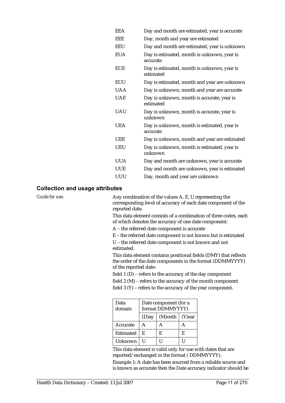| <b>EEA</b> | Day and month are estimated, year is accurate            |
|------------|----------------------------------------------------------|
| EEE        | Day, month and year are estimated                        |
| <b>EEU</b> | Day and month are estimated, year is unknown             |
| <b>EUA</b> | Day is estimated, month is unknown, year is<br>accurate  |
| <b>EUE</b> | Day is estimated, month is unknown, year is<br>estimated |
| <b>EUU</b> | Day is estimated, month and year are unknown             |
| <b>UAA</b> | Day is unknown, month and year are accurate              |
| <b>UAE</b> | Day is unknown, month is accurate, year is<br>estimated  |
| <b>UAU</b> | Day is unknown, month is accurate, year is<br>unknown    |
| <b>UEA</b> | Day is unknown, month is estimated, year is<br>accurate  |
| <b>UEE</b> | Day is unknown, month and year are estimated             |
| <b>UEU</b> | Day is unknown, month is estimated, year is<br>unknown   |
| <b>UUA</b> | Day and month are unknown, year is accurate              |
| <b>UUE</b> | Day and month are unknown, year is estimated             |
| UUU        | Day, month and year are unknown                          |
|            |                                                          |

#### **Collection and usage attributes**

*Guide for use:* Any combination of the values A, E, U representing the corresponding level of accuracy of each date component of the reported date.

> This data element consists of a combination of three codes, each of which denotes the accuracy of one date component:

A – the referred date component is accurate

E – the referred date component is not known but is estimated

U – the referred date component is not known and not estimated.

This data element contains positional fields (DMY) that reflects the order of the date components in the format (DDMMYYYY) of the reported date:

field 1 (D) – refers to the accuracy of the day component

field 2 (M) – refers to the accuracy of the month component

field 3 (Y) – refers to the accuracy of the year component.

| Data<br>domain | Date component (for a<br>format DDMMYYYY) |                        |   |
|----------------|-------------------------------------------|------------------------|---|
|                | (D)ay                                     | $(M)$ onth   $(Y)$ ear |   |
| Accurate       | А                                         | A                      | А |
| Estimated      | F.                                        | E                      | E |
| Unknown        |                                           |                        |   |

This data element is valid only for use with dates that are reported/exchanged in the format ( DDMMYYYY).

Example 1: A date has been sourced from a reliable source and is known as accurate then the Date accuracy indicator should be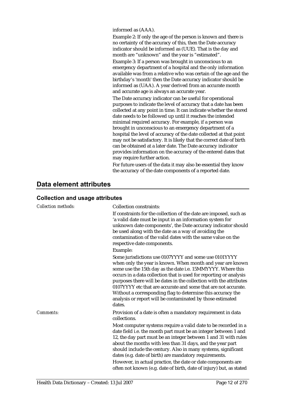informed as (AAA).

Example 2: If only the age of the person is known and there is no certainty of the accuracy of this, then the Date accuracy indicator should be informed as (UUE). That is the day and month are "unknown" and the year is "estimated".

Example 3: If a person was brought in unconscious to an emergency department of a hospital and the only information available was from a relative who was certain of the age and the birthday's 'month' then the Date accuracy indicator should be informed as (UAA). A year derived from an accurate month and accurate age is always an accurate year.

The Date accuracy indicator can be useful for operational purposes to indicate the level of accuracy that a date has been collected at any point in time. It can indicate whether the stored date needs to be followed up until it reaches the intended minimal required accuracy. For example, if a person was brought in unconscious to an emergency department of a hospital the level of accuracy of the date collected at that point may not be satisfactory. It is likely that the correct date of birth can be obtained at a later date. The Date accuracy indicator provides information on the accuracy of the entered dates that may require further action.

For future users of the data it may also be essential they know the accuracy of the date components of a reported date.

### **Data element attributes**

#### **Collection and usage attributes**

| <b>Collection methods:</b> | <b>Collection constraints:</b><br>If constraints for the collection of the date are imposed, such as<br>'a valid date must be input in an information system for<br>unknown date components', the Date accuracy indicator should<br>be used along with the date as a way of avoiding the<br>contamination of the valid dates with the same value on the<br>respective date components.<br>Example:                                                                                                                                      |  |
|----------------------------|-----------------------------------------------------------------------------------------------------------------------------------------------------------------------------------------------------------------------------------------------------------------------------------------------------------------------------------------------------------------------------------------------------------------------------------------------------------------------------------------------------------------------------------------|--|
|                            | Some jurisdictions use 0107YYYY and some use 0101YYYY<br>when only the year is known. When month and year are known<br>some use the 15th day as the date i.e. 15MMYYYY. Where this<br>occurs in a data collection that is used for reporting or analysis<br>purposes there will be dates in the collection with the attributes<br>0107YYYY etc that are accurate and some that are not accurate.<br>Without a corresponding flag to determine this accuracy the<br>analysis or report will be contaminated by those estimated<br>dates. |  |
| Comments:                  | Provision of a date is often a mandatory requirement in data<br>collections.                                                                                                                                                                                                                                                                                                                                                                                                                                                            |  |
|                            | Most computer systems require a valid date to be recorded in a<br>date field i.e. the month part must be an integer between 1 and<br>12, the day part must be an integer between 1 and 31 with rules<br>about the months with less than 31 days, and the year part<br>should include the century. Also in many systems, significant<br>dates (e.g. date of birth) are mandatory requirements.<br>However, in actual practice, the date or date components are<br>often not known (e.g. date of birth, date of injury) but, as stated    |  |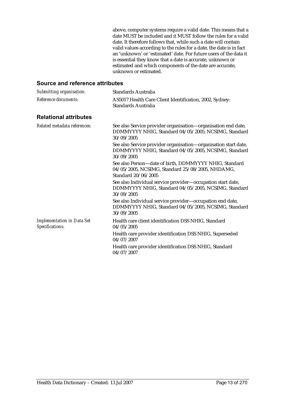above, computer systems require a valid date. This means that a date MUST be included and it MUST follow the rules for a valid date. It therefore follows that, while such a date will contain valid values according to the rules for a date, the date is in fact an 'unknown' or 'estimated' date. For future users of the data it is essential they know that a date is accurate, unknown or estimated and which components of the date are accurate, unknown or estimated.

| Submitting organisation:                             | Standards Australia                                                                                                                   |
|------------------------------------------------------|---------------------------------------------------------------------------------------------------------------------------------------|
| Reference documents:                                 | AS5017 Health Care Client Identification, 2002, Sydney:<br><b>Standards Australia</b>                                                 |
| <b>Relational attributes</b>                         |                                                                                                                                       |
| Related metadata references:                         | See also Service provider organisation-organisation end date,<br>DDMMYYYY NHIG, Standard 04/05/2005, NCSIMG, Standard<br>30/09/2005   |
|                                                      | See also Service provider organisation-organisation start date,<br>DDMMYYYY NHIG, Standard 04/05/2005, NCSIMG, Standard<br>30/09/2005 |
|                                                      | See also Person-date of birth, DDMMYYYY NHIG, Standard<br>04/05/2005, NCSIMG, Standard 25/08/2005, NHDAMG,<br>Standard 20/06/2005     |
|                                                      | See also Individual service provider-occupation start date,<br>DDMMYYYY NHIG, Standard 04/05/2005, NCSIMG, Standard<br>30/09/2005     |
|                                                      | See also Individual service provider-occupation end date,<br>DDMMYYYY NHIG, Standard 04/05/2005, NCSIMG, Standard<br>30/09/2005       |
| <b>Implementation in Data Set</b><br>Specifications: | Health care client identification DSS NHIG, Standard<br>04/05/2005                                                                    |
|                                                      | Health care provider identification DSS NHIG, Superseded<br>04/07/2007                                                                |
|                                                      | Health care provider identification DSS NHIG, Standard<br>04/07/2007                                                                  |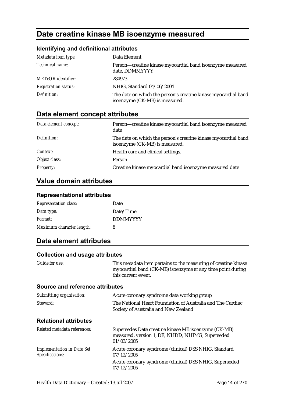## **Date creatine kinase MB isoenzyme measured**

### **Identifying and definitional attributes**

| Metadata item type:         | Data Element                                                                                     |
|-----------------------------|--------------------------------------------------------------------------------------------------|
| Technical name:             | Person-creatine kinase myocardial band isoenzyme measured<br>date, DDMMYYYY                      |
| <b>METeOR</b> identifier:   | 284973                                                                                           |
| <b>Registration status:</b> | NHIG, Standard 04/06/2004                                                                        |
| Definition:                 | The date on which the person's creatine kinase myocardial band<br>isoenzyme (CK-MB) is measured. |

## **Data element concept attributes**

| Data element concept: | Person-creatine kinase myocardial band isoenzyme measured<br>date                                |
|-----------------------|--------------------------------------------------------------------------------------------------|
| Definition:           | The date on which the person's creatine kinase myocardial band<br>isoenzyme (CK-MB) is measured. |
| Context:              | Health care and clinical settings.                                                               |
| Object class:         | Person                                                                                           |
| <b>Property:</b>      | Creatine kinase myocardial band isoenzyme measured date                                          |

## **Value domain attributes**

#### **Representational attributes**

| <b>Representation class:</b> | Date            |
|------------------------------|-----------------|
| Data type:                   | Date/Time       |
| Format:                      | <b>DDMMYYYY</b> |
| Maximum character length:    | 8               |

## **Data element attributes**

#### **Collection and usage attributes**

| Guide for use:                                       | This metadata item pertains to the measuring of creatine kinase<br>myocardial band (CK-MB) isoenzyme at any time point during<br>this current event. |
|------------------------------------------------------|------------------------------------------------------------------------------------------------------------------------------------------------------|
| <b>Source and reference attributes</b>               |                                                                                                                                                      |
| Submitting organisation:                             | Acute coronary syndrome data working group                                                                                                           |
| Steward:                                             | The National Heart Foundation of Australia and The Cardiac<br>Society of Australia and New Zealand                                                   |
| <b>Relational attributes</b>                         |                                                                                                                                                      |
| Related metadata references:                         | Supersedes Date creatine kinase MB isoenzyme (CK-MB)<br>measured, version 1, DE, NHDD, NHIMG, Superseded<br>01/03/2005                               |
| <b>Implementation in Data Set</b><br>Specifications: | Acute coronary syndrome (clinical) DSS NHIG, Standard<br>07/12/2005                                                                                  |
|                                                      | Acute coronary syndrome (clinical) DSS NHIG, Superseded<br>07/12/2005                                                                                |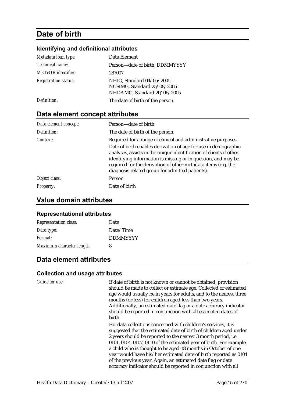## **Date of birth**

#### **Identifying and definitional attributes**

| Metadata item type:         | Data Element                                                                            |
|-----------------------------|-----------------------------------------------------------------------------------------|
| Technical name:             | Person-date of birth, DDMMYYYY                                                          |
| <b>METeOR</b> identifier:   | 287007                                                                                  |
| <b>Registration status:</b> | NHIG, Standard 04/05/2005<br>NCSIMG, Standard 25/08/2005<br>NHDAMG, Standard 20/06/2005 |
| Definition:                 | The date of birth of the person.                                                        |

## **Data element concept attributes**

| Data element concept: | Person-date of birth                                                                                                                                                                                                                                                                                                      |
|-----------------------|---------------------------------------------------------------------------------------------------------------------------------------------------------------------------------------------------------------------------------------------------------------------------------------------------------------------------|
| Definition:           | The date of birth of the person.                                                                                                                                                                                                                                                                                          |
| Context:              | Required for a range of clinical and administrative purposes.                                                                                                                                                                                                                                                             |
|                       | Date of birth enables derivation of age for use in demographic<br>analyses, assists in the unique identification of clients if other<br>identifying information is missing or in question, and may be<br>required for the derivation of other metadata items (e.g. the<br>diagnosis related group for admitted patients). |
| Object class:         | Person                                                                                                                                                                                                                                                                                                                    |
| <b>Property:</b>      | Date of birth                                                                                                                                                                                                                                                                                                             |

### **Value domain attributes**

#### **Representational attributes**

| <b>Representation class:</b> | Date            |
|------------------------------|-----------------|
| Data type:                   | Date/Time       |
| Format:                      | <b>DDMMYYYY</b> |
| Maximum character length:    | 8               |

## **Data element attributes**

#### **Collection and usage attributes**

*Guide for use:* If date of birth is not known or cannot be obtained, provision should be made to collect or estimate age. Collected or estimated age would usually be in years for adults, and to the nearest three months (or less) for children aged less than two years. Additionally, an estimated date flag or a date accuracy indicator should be reported in conjunction with all estimated dates of birth.

> For data collections concerned with children's services, it is suggested that the estimated date of birth of children aged under 2 years should be reported to the nearest 3 month period, i.e. 0101, 0104, 0107, 0110 of the estimated year of birth. For example, a child who is thought to be aged 18 months in October of one year would have his/her estimated date of birth reported as 0104 of the previous year. Again, an estimated date flag or date accuracy indicator should be reported in conjunction with all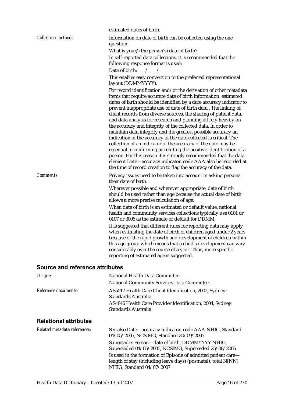|                            | estimated dates of birth.                                                                                                                                                                                                                                                                                                                                                                                                                                                                                                                                                                                                                                                                                                                                                                                                                                                                                                                                                     |
|----------------------------|-------------------------------------------------------------------------------------------------------------------------------------------------------------------------------------------------------------------------------------------------------------------------------------------------------------------------------------------------------------------------------------------------------------------------------------------------------------------------------------------------------------------------------------------------------------------------------------------------------------------------------------------------------------------------------------------------------------------------------------------------------------------------------------------------------------------------------------------------------------------------------------------------------------------------------------------------------------------------------|
| <b>Collection methods:</b> | Information on date of birth can be collected using the one<br>question:                                                                                                                                                                                                                                                                                                                                                                                                                                                                                                                                                                                                                                                                                                                                                                                                                                                                                                      |
|                            | What is your/(the person's) date of birth?                                                                                                                                                                                                                                                                                                                                                                                                                                                                                                                                                                                                                                                                                                                                                                                                                                                                                                                                    |
|                            | In self-reported data collections, it is recommended that the<br>following response format is used:                                                                                                                                                                                                                                                                                                                                                                                                                                                                                                                                                                                                                                                                                                                                                                                                                                                                           |
|                            | Date of birth: _ _ / _ _ / _ _ _ _                                                                                                                                                                                                                                                                                                                                                                                                                                                                                                                                                                                                                                                                                                                                                                                                                                                                                                                                            |
|                            | This enables easy conversion to the preferred representational<br>layout (DDMMYYYY).                                                                                                                                                                                                                                                                                                                                                                                                                                                                                                                                                                                                                                                                                                                                                                                                                                                                                          |
|                            | For record identification and/or the derivation of other metadata<br>items that require accurate date of birth information, estimated<br>dates of birth should be identified by a date accuracy indicator to<br>prevent inappropriate use of date of birth data. The linking of<br>client records from diverse sources, the sharing of patient data,<br>and data analysis for research and planning all rely heavily on<br>the accuracy and integrity of the collected data. In order to<br>maintain data integrity and the greatest possible accuracy an<br>indication of the accuracy of the date collected is critical. The<br>collection of an indicator of the accuracy of the date may be<br>essential in confirming or refuting the positive identification of a<br>person. For this reason it is strongly recommended that the data<br>element Date-accuracy indicator, code AAA also be recorded at<br>the time of record creation to flag the accuracy of the data. |
| <b>Comments:</b>           | Privacy issues need to be taken into account in asking persons<br>their date of birth.<br>Wherever possible and wherever appropriate, date of birth<br>should be used rather than age because the actual date of birth<br>allows a more precise calculation of age.<br>When date of birth is an estimated or default value, national<br>health and community services collections typically use 0101 or<br>0107 or 3006 as the estimate or default for DDMM.<br>It is suggested that different rules for reporting data may apply<br>when estimating the date of birth of children aged under 2 years<br>because of the rapid growth and development of children within<br>this age group which means that a child's development can vary                                                                                                                                                                                                                                     |
|                            | considerably over the course of a year. Thus, more specific<br>reporting of estimated age is suggested.                                                                                                                                                                                                                                                                                                                                                                                                                                                                                                                                                                                                                                                                                                                                                                                                                                                                       |

| Origin:                      | National Health Data Committee                                                   |
|------------------------------|----------------------------------------------------------------------------------|
|                              | <b>National Community Services Data Committee</b>                                |
| Reference documents:         | AS5017 Health Care Client Identification, 2002, Sydney:<br>Standards Australia   |
|                              | AS4846 Health Care Provider Identification, 2004, Sydney:<br>Standards Australia |
| <b>Relational attributes</b> |                                                                                  |

| Related metadata references: | See also Date-accuracy indicator, code AAA NHIG, Standard<br>04/05/2005, NCSIMG, Standard 30/09/2005<br>Supersedes Person-date of birth, DDMMYYYY NHIG,      |
|------------------------------|--------------------------------------------------------------------------------------------------------------------------------------------------------------|
|                              | Superseded 04/05/2005, NCSIMG, Superseded 25/08/2005                                                                                                         |
|                              | Is used in the formation of Episode of admitted patient care-<br>length of stay (including leave days) (postnatal), total N[NN]<br>NHIG, Standard 04/07/2007 |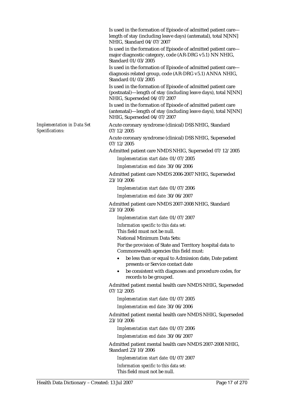Is used in the formation of Episode of admitted patient care length of stay (including leave days) (antenatal), total N[NN] NHIG, Standard 04/07/2007

Is used in the formation of Episode of admitted patient care major diagnostic category, code (AR-DRG v5.1) NN NHIG, Standard 01/03/2005

Is used in the formation of Episode of admitted patient care diagnosis related group, code (AR-DRG v5.1) ANNA NHIG, Standard 01/03/2005

Is used in the formation of Episode of admitted patient care (postnatal)—length of stay (including leave days), total N[NN] NHIG, Superseded 04/07/2007

Is used in the formation of Episode of admitted patient care (antenatal)—length of stay (including leave days), total N[NN] NHIG, Superseded 04/07/2007

Acute coronary syndrome (clinical) DSS NHIG, Standard 07/12/2005

Acute coronary syndrome (clinical) DSS NHIG, Superseded 07/12/2005

Admitted patient care NMDS NHIG, Superseded 07/12/2005

*Implementation start date:* 01/07/2005

*Implementation end date:* 30/06/2006

Admitted patient care NMDS 2006-2007 NHIG, Superseded 23/10/2006

*Implementation start date:* 01/07/2006

*Implementation end date:* 30/06/2007

Admitted patient care NMDS 2007-2008 NHIG, Standard 23/10/2006

*Implementation start date:* 01/07/2007

*Information specific to this data set:* This field must not be null.

National Minimum Data Sets:

For the provision of State and Territory hospital data to Commonwealth agencies this field must:

- be less than or equal to Admission date, Date patient presents or Service contact date
- be consistent with diagnoses and procedure codes, for records to be grouped.

Admitted patient mental health care NMDS NHIG, Superseded 07/12/2005

*Implementation start date:* 01/07/2005

*Implementation end date:* 30/06/2006

Admitted patient mental health care NMDS NHIG, Superseded 23/10/2006

*Implementation start date:* 01/07/2006

*Implementation end date:* 30/06/2007

Admitted patient mental health care NMDS 2007-2008 NHIG, Standard 23/10/2006

*Implementation start date:* 01/07/2007

*Information specific to this data set:* This field must not be null.

*Implementation in Data Set* 

*Specifications:*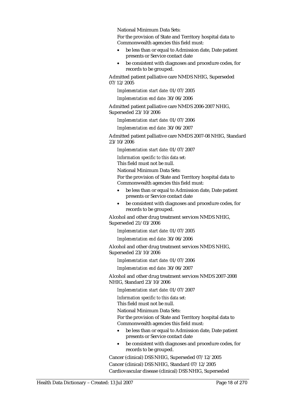National Minimum Data Sets:

For the provision of State and Territory hospital data to Commonwealth agencies this field must:

- be less than or equal to Admission date, Date patient presents or Service contact date
- be consistent with diagnoses and procedure codes, for records to be grouped.

Admitted patient palliative care NMDS NHIG, Superseded 07/12/2005

*Implementation start date:* 01/07/2005

*Implementation end date:* 30/06/2006

Admitted patient palliative care NMDS 2006-2007 NHIG, Superseded 23/10/2006

*Implementation start date:* 01/07/2006

*Implementation end date:* 30/06/2007

Admitted patient palliative care NMDS 2007-08 NHIG, Standard 23/10/2006

*Implementation start date:* 01/07/2007

*Information specific to this data set:*

This field must not be null.

National Minimum Data Sets:

For the provision of State and Territory hospital data to Commonwealth agencies this field must:

- be less than or equal to Admission date, Date patient presents or Service contact date
- be consistent with diagnoses and procedure codes, for records to be grouped.

Alcohol and other drug treatment services NMDS NHIG, Superseded 21/03/2006

*Implementation start date:* 01/07/2005

*Implementation end date:* 30/06/2006

Alcohol and other drug treatment services NMDS NHIG, Superseded 23/10/2006

*Implementation start date:* 01/07/2006

*Implementation end date:* 30/06/2007

Alcohol and other drug treatment services NMDS 2007-2008 NHIG, Standard 23/10/2006

*Implementation start date:* 01/07/2007

*Information specific to this data set:*

This field must not be null.

National Minimum Data Sets:

For the provision of State and Territory hospital data to Commonwealth agencies this field must:

- be less than or equal to Admission date, Date patient presents or Service contact date
- be consistent with diagnoses and procedure codes, for records to be grouped.

Cancer (clinical) DSS NHIG, Superseded 07/12/2005 Cancer (clinical) DSS NHIG, Standard 07/12/2005 Cardiovascular disease (clinical) DSS NHIG, Superseded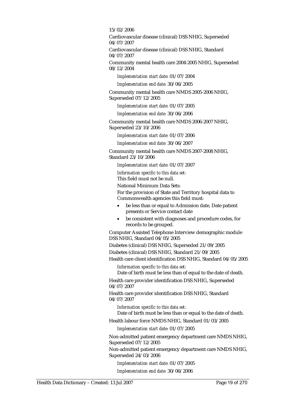15/02/2006

Cardiovascular disease (clinical) DSS NHIG, Superseded 04/07/2007

Cardiovascular disease (clinical) DSS NHIG, Standard 04/07/2007

Community mental health care 2004-2005 NHIG, Superseded 08/12/2004

*Implementation start date:* 01/07/2004

*Implementation end date:* 30/06/2005

Community mental health care NMDS 2005-2006 NHIG, Superseded 07/12/2005

*Implementation start date:* 01/07/2005

*Implementation end date:* 30/06/2006

Community mental health care NMDS 2006-2007 NHIG, Superseded 23/10/2006

*Implementation start date:* 01/07/2006

*Implementation end date:* 30/06/2007

Community mental health care NMDS 2007-2008 NHIG, Standard 23/10/2006

*Implementation start date:* 01/07/2007

*Information specific to this data set:*

This field must not be null.

National Minimum Data Sets:

For the provision of State and Territory hospital data to Commonwealth agencies this field must:

- be less than or equal to Admission date, Date patient presents or Service contact date
- be consistent with diagnoses and procedure codes, for records to be grouped.

Computer Assisted Telephone Interview demographic module DSS NHIG, Standard 04/05/2005

Diabetes (clinical) DSS NHIG, Superseded 21/09/2005

Diabetes (clinical) DSS NHIG, Standard 21/09/2005

Health care client identification DSS NHIG, Standard 04/05/2005 *Information specific to this data set:*

Date of birth must be less than of equal to the date of death.

Health care provider identification DSS NHIG, Superseded 04/07/2007

Health care provider identification DSS NHIG, Standard 04/07/2007

*Information specific to this data set:*

Date of birth must be less than or equal to the date of death.

Health labour force NMDS NHIG, Standard 01/03/2005

*Implementation start date:* 01/07/2005

Non-admitted patient emergency department care NMDS NHIG, Superseded 07/12/2005

Non-admitted patient emergency department care NMDS NHIG, Superseded 24/03/2006

*Implementation start date:* 01/07/2005

*Implementation end date:* 30/06/2006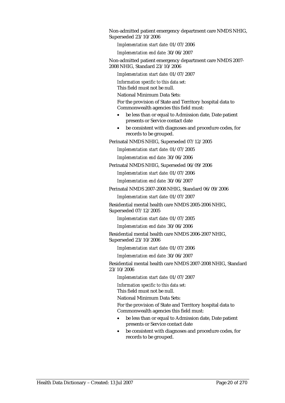Non-admitted patient emergency department care NMDS NHIG, Superseded 23/10/2006

*Implementation start date:* 01/07/2006

*Implementation end date:* 30/06/2007

Non-admitted patient emergency department care NMDS 2007- 2008 NHIG, Standard 23/10/2006

*Implementation start date:* 01/07/2007

*Information specific to this data set:*

This field must not be null.

National Minimum Data Sets:

For the provision of State and Territory hospital data to Commonwealth agencies this field must:

- be less than or equal to Admission date, Date patient presents or Service contact date
- be consistent with diagnoses and procedure codes, for records to be grouped.

Perinatal NMDS NHIG, Superseded 07/12/2005

*Implementation start date:* 01/07/2005

*Implementation end date:* 30/06/2006

Perinatal NMDS NHIG, Superseded 06/09/2006

*Implementation start date:* 01/07/2006

*Implementation end date:* 30/06/2007

Perinatal NMDS 2007-2008 NHIG, Standard 06/09/2006

*Implementation start date:* 01/07/2007

Residential mental health care NMDS 2005-2006 NHIG, Superseded 07/12/2005

*Implementation start date:* 01/07/2005

*Implementation end date:* 30/06/2006

Residential mental health care NMDS 2006-2007 NHIG, Superseded 23/10/2006

*Implementation start date:* 01/07/2006

*Implementation end date:* 30/06/2007

Residential mental health care NMDS 2007-2008 NHIG, Standard 23/10/2006

*Implementation start date:* 01/07/2007

*Information specific to this data set:*

This field must not be null.

National Minimum Data Sets:

For the provision of State and Territory hospital data to Commonwealth agencies this field must:

- be less than or equal to Admission date, Date patient presents or Service contact date
- be consistent with diagnoses and procedure codes, for records to be grouped.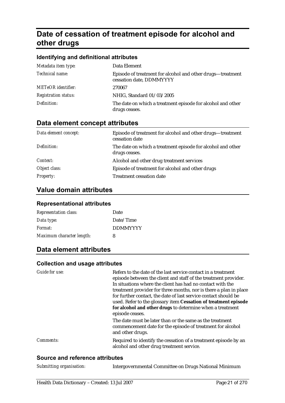## **Date of cessation of treatment episode for alcohol and other drugs**

#### **Identifying and definitional attributes**

| Metadata item type:         | Data Element                                                                           |
|-----------------------------|----------------------------------------------------------------------------------------|
| Technical name:             | Episode of treatment for alcohol and other drugs—treatment<br>cessation date, DDMMYYYY |
| <b>METeOR</b> identifier:   | 270067                                                                                 |
| <b>Registration status:</b> | NHIG, Standard 01/03/2005                                                              |
| Definition:                 | The date on which a treatment episode for alcohol and other<br>drugs ceases.           |

### **Data element concept attributes**

| Data element concept: | Episode of treatment for alcohol and other drugs—treatment<br>cessation date |
|-----------------------|------------------------------------------------------------------------------|
| Definition:           | The date on which a treatment episode for alcohol and other<br>drugs ceases. |
| Context:              | Alcohol and other drug treatment services                                    |
| Object class:         | Episode of treatment for alcohol and other drugs                             |
| <b>Property:</b>      | Treatment cessation date                                                     |

### **Value domain attributes**

#### **Representational attributes**

| <b>Representation class:</b> | Date            |
|------------------------------|-----------------|
| Data type:                   | Date/Time       |
| Format:                      | <b>DDMMYYYY</b> |
| Maximum character length:    | 8               |

## **Data element attributes**

#### **Collection and usage attributes**

| Guide for use: | Refers to the date of the last service contact in a treatment<br>episode between the client and staff of the treatment provider.<br>In situations where the client has had no contact with the<br>treatment provider for three months, nor is there a plan in place<br>for further contact, the date of last service contact should be<br>used. Refer to the glossary item Cessation of treatment episode<br>for alcohol and other drugs to determine when a treatment<br>episode ceases.<br>The date must be later than or the same as the treatment<br>commencement date for the episode of treatment for alcohol<br>and other drugs. |
|----------------|-----------------------------------------------------------------------------------------------------------------------------------------------------------------------------------------------------------------------------------------------------------------------------------------------------------------------------------------------------------------------------------------------------------------------------------------------------------------------------------------------------------------------------------------------------------------------------------------------------------------------------------------|
| Comments:      | Required to identify the cessation of a treatment episode by an<br>alcohol and other drug treatment service.                                                                                                                                                                                                                                                                                                                                                                                                                                                                                                                            |

| Submitting organisation: | Intergovernmental Committee on Drugs National Minimum |
|--------------------------|-------------------------------------------------------|
|--------------------------|-------------------------------------------------------|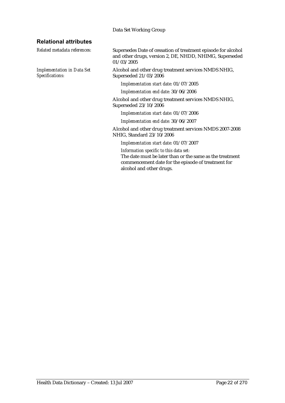#### Data Set Working Group

#### **Relational attributes**

*Implementation in Data Set Specifications:*

*Related metadata references:* Supersedes Date of cessation of treatment episode for alcohol and other drugs, version 2, DE, NHDD, NHIMG, Superseded 01/03/2005

> Alcohol and other drug treatment services NMDS NHIG, Superseded 21/03/2006

*Implementation start date:* 01/07/2005

*Implementation end date:* 30/06/2006

Alcohol and other drug treatment services NMDS NHIG, Superseded 23/10/2006

*Implementation start date:* 01/07/2006

*Implementation end date:* 30/06/2007

Alcohol and other drug treatment services NMDS 2007-2008 NHIG, Standard 23/10/2006

*Implementation start date:* 01/07/2007

*Information specific to this data set:* The date must be later than or the same as the treatment commencement date for the episode of treatment for alcohol and other drugs.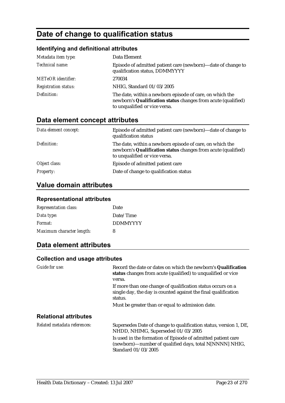## **Date of change to qualification status**

## **Identifying and definitional attributes**

| Metadata item type:         | Data Element                                                                                                                                               |
|-----------------------------|------------------------------------------------------------------------------------------------------------------------------------------------------------|
| Technical name:             | Episode of admitted patient care (newborn)—date of change to<br>qualification status, DDMMYYYY                                                             |
| <b>METeOR</b> identifier:   | 270034                                                                                                                                                     |
| <b>Registration status:</b> | NHIG, Standard 01/03/2005                                                                                                                                  |
| Definition:                 | The date, within a newborn episode of care, on which the<br>newborn's Qualification status changes from acute (qualified)<br>to unqualified or vice versa. |

## **Data element concept attributes**

| Data element concept: | Episode of admitted patient care (newborn)—date of change to<br>qualification status                                                                       |
|-----------------------|------------------------------------------------------------------------------------------------------------------------------------------------------------|
| Definition:           | The date, within a newborn episode of care, on which the<br>newborn's Qualification status changes from acute (qualified)<br>to unqualified or vice versa. |
| Object class:         | Episode of admitted patient care                                                                                                                           |
| <b>Property:</b>      | Date of change to qualification status                                                                                                                     |

## **Value domain attributes**

#### **Representational attributes**

| <b>Representation class:</b> | Date            |
|------------------------------|-----------------|
| Data type:                   | Date/Time       |
| Format:                      | <b>DDMMYYYY</b> |
| Maximum character length:    | 8               |

### **Data element attributes**

#### **Collection and usage attributes**

| Guide for use:               | Record the date or dates on which the newborn's Qualification<br>status changes from acute (qualified) to unqualified or vice<br>versa.        |
|------------------------------|------------------------------------------------------------------------------------------------------------------------------------------------|
|                              | If more than one change of qualification status occurs on a<br>single day, the day is counted against the final qualification<br>status.       |
|                              | Must be greater than or equal to admission date.                                                                                               |
| <b>Relational attributes</b> |                                                                                                                                                |
| Related metadata references: | Supersedes Date of change to qualification status, version 1, DE,<br>NHDD, NHIMG, Superseded 01/03/2005                                        |
|                              | Is used in the formation of Episode of admitted patient care<br>(newborn)—number of qualified days, total N[NNNN] NHIG,<br>Standard 01/03/2005 |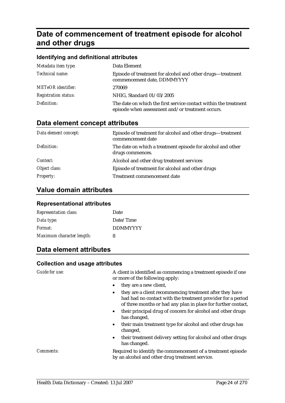## **Date of commencement of treatment episode for alcohol and other drugs**

| Identifying and definitional attributes |                                                                                                                      |  |
|-----------------------------------------|----------------------------------------------------------------------------------------------------------------------|--|
| Metadata item type:                     | Data Element                                                                                                         |  |
| Technical name:                         | Episode of treatment for alcohol and other drugs-treatment<br>commencement date, DDMMYYYY                            |  |
| <b>METeOR</b> identifier:               | 270069                                                                                                               |  |
| <i>Registration status:</i>             | NHIG, Standard 01/03/2005                                                                                            |  |
| Definition:                             | The date on which the first service contact within the treatment<br>episode when assessment and/or treatment occurs. |  |

## **Data element concept attributes**

| Data element concept: | Episode of treatment for alcohol and other drugs—treatment<br>commencement date |
|-----------------------|---------------------------------------------------------------------------------|
| Definition:           | The date on which a treatment episode for alcohol and other<br>drugs commences. |
| Context:              | Alcohol and other drug treatment services                                       |
| Object class:         | Episode of treatment for alcohol and other drugs                                |
| <b>Property:</b>      | Treatment commencement date                                                     |

## **Value domain attributes**

#### **Representational attributes**

| <b>Representation class:</b> | Date            |
|------------------------------|-----------------|
| Data type:                   | Date/Time       |
| Format:                      | <b>DDMMYYYY</b> |
| Maximum character length:    | 8               |

## **Data element attributes**

#### **Collection and usage attributes**

*Guide for use:* A client is identified as commencing a treatment episode if one or more of the following apply:

- they are a new client,
- they are a client recommencing treatment after they have had had no contact with the treatment provider for a period of three months or had any plan in place for further contact,
- their principal drug of concern for alcohol and other drugs has changed,
- their main treatment type for alcohol and other drugs has changed,
- their treatment delivery setting for alcohol and other drugs has changed.

*Comments:* Required to identify the commencement of a treatment episode by an alcohol and other drug treatment service.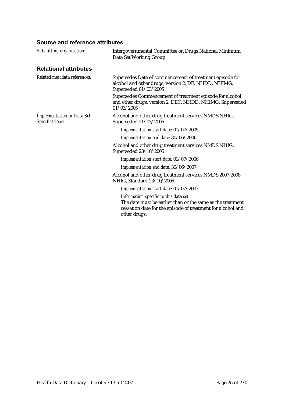| Submitting organisation:                             | Intergovernmental Committee on Drugs National Minimum<br>Data Set Working Group                                                                                                     |
|------------------------------------------------------|-------------------------------------------------------------------------------------------------------------------------------------------------------------------------------------|
| <b>Relational attributes</b>                         |                                                                                                                                                                                     |
| Related metadata references:                         | Supersedes Date of commencement of treatment episode for<br>alcohol and other drugs, version 2, DE, NHDD, NHIMG,<br>Superseded 01/03/2005                                           |
|                                                      | Supersedes Commencement of treatment episode for alcohol<br>and other drugs, version 2, DEC, NHDD, NHIMG, Superseded<br>01/03/2005                                                  |
| <b>Implementation in Data Set</b><br>Specifications: | Alcohol and other drug treatment services NMDS NHIG,<br>Superseded 21/03/2006                                                                                                       |
|                                                      | Implementation start date: 01/07/2005                                                                                                                                               |
|                                                      | Implementation end date: 30/06/2006                                                                                                                                                 |
|                                                      | Alcohol and other drug treatment services NMDS NHIG,<br>Superseded 23/10/2006                                                                                                       |
|                                                      | Implementation start date: 01/07/2006                                                                                                                                               |
|                                                      | Implementation end date: 30/06/2007                                                                                                                                                 |
|                                                      | Alcohol and other drug treatment services NMDS 2007-2008<br>NHIG, Standard 23/10/2006                                                                                               |
|                                                      | Implementation start date: 01/07/2007                                                                                                                                               |
|                                                      | Information specific to this data set:<br>The date must be earlier than or the same as the treatment<br>cessation date for the episode of treatment for alcohol and<br>other drugs. |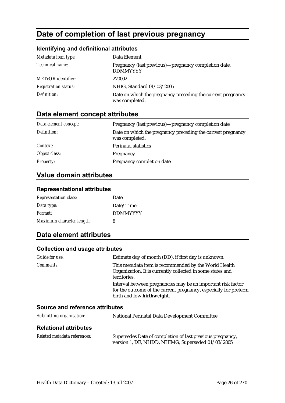## **Date of completion of last previous pregnancy**

### **Identifying and definitional attributes**

| Metadata item type:         | Data Element                                                                  |
|-----------------------------|-------------------------------------------------------------------------------|
| Technical name:             | Pregnancy (last previous)—pregnancy completion date,<br><b>DDMMYYYY</b>       |
| <b>METeOR</b> identifier:   | 270002                                                                        |
| <i>Registration status:</i> | NHIG, Standard 01/03/2005                                                     |
| Definition:                 | Date on which the pregnancy preceding the current pregnancy<br>was completed. |

## **Data element concept attributes**

| Data element concept: | Pregnancy (last previous)—pregnancy completion date                           |
|-----------------------|-------------------------------------------------------------------------------|
| Definition:           | Date on which the pregnancy preceding the current pregnancy<br>was completed. |
| Context:              | <b>Perinatal statistics</b>                                                   |
| Object class:         | Pregnancy                                                                     |
| <b>Property:</b>      | Pregnancy completion date                                                     |

## **Value domain attributes**

#### **Representational attributes**

| <b>Representation class:</b> | Date            |
|------------------------------|-----------------|
| Data type:                   | Date/Time       |
| Format:                      | <b>DDMMYYYY</b> |
| Maximum character length:    | 8               |

## **Data element attributes**

#### **Collection and usage attributes**

| Guide for use:   | Estimate day of month (DD), if first day is unknown.                                                                                                           |
|------------------|----------------------------------------------------------------------------------------------------------------------------------------------------------------|
| <i>Comments:</i> | This metadata item is recommended by the World Health<br>Organization. It is currently collected in some states and<br>territories.                            |
|                  | Interval between pregnancies may be an important risk factor<br>for the outcome of the current pregnancy, especially for preterm<br>birth and low birthweight. |
|                  |                                                                                                                                                                |

| Submitting organisation:     | <b>National Perinatal Data Development Committee</b>                                                           |
|------------------------------|----------------------------------------------------------------------------------------------------------------|
| <b>Relational attributes</b> |                                                                                                                |
| Related metadata references: | Supersedes Date of completion of last previous pregnancy,<br>version 1, DE, NHDD, NHIMG, Superseded 01/03/2005 |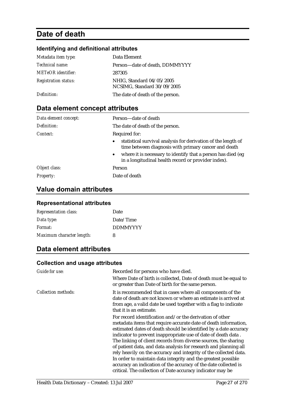## **Date of death**

## **Identifying and definitional attributes**

| Metadata item type:         | Data Element                                             |
|-----------------------------|----------------------------------------------------------|
| <i>Technical name:</i>      | Person-date of death, DDMMYYYY                           |
| <b>METeOR</b> identifier:   | 287305                                                   |
| <b>Registration status:</b> | NHIG, Standard 04/05/2005<br>NCSIMG, Standard 30/09/2005 |
| Definition:                 | The date of death of the person.                         |

## **Data element concept attributes**

| Data element concept: | Person-date of death                                                                                                               |
|-----------------------|------------------------------------------------------------------------------------------------------------------------------------|
| Definition:           | The date of death of the person.                                                                                                   |
| Context:              | Required for:                                                                                                                      |
|                       | statistical survival analysis for derivation of the length of<br>$\bullet$<br>time between diagnosis with primary cancer and death |
|                       | • where it is necessary to identify that a person has died (eg)<br>in a longitudinal health record or provider index).             |
| Object class:         | Person                                                                                                                             |
| <b>Property:</b>      | Date of death                                                                                                                      |

## **Value domain attributes**

#### **Representational attributes**

| <b>Representation class:</b> | Date            |
|------------------------------|-----------------|
| Data type:                   | Date/Time       |
| Format:                      | <b>DDMMYYYY</b> |
| Maximum character length:    | 8               |

## **Data element attributes**

#### **Collection and usage attributes**

| Guide for use:             | Recorded for persons who have died.<br>Where Date of birth is collected, Date of death must be equal to<br>or greater than Date of birth for the same person.                                                                                                                                                                                                                                                                                                                                                                                                                                                                                                                  |
|----------------------------|--------------------------------------------------------------------------------------------------------------------------------------------------------------------------------------------------------------------------------------------------------------------------------------------------------------------------------------------------------------------------------------------------------------------------------------------------------------------------------------------------------------------------------------------------------------------------------------------------------------------------------------------------------------------------------|
| <b>Collection methods:</b> | It is recommended that in cases where all components of the<br>date of death are not known or where an estimate is arrived at<br>from age, a valid date be used together with a flag to indicate<br>that it is an estimate.                                                                                                                                                                                                                                                                                                                                                                                                                                                    |
|                            | For record identification and/or the derivation of other<br>metadata items that require accurate date of death information,<br>estimated dates of death should be identified by a date accuracy<br>indicator to prevent inappropriate use of date of death data.<br>The linking of client records from diverse sources, the sharing<br>of patient data, and data analysis for research and planning all<br>rely heavily on the accuracy and integrity of the collected data.<br>In order to maintain data integrity and the greatest possible<br>accuracy an indication of the accuracy of the date collected is<br>critical. The collection of Date accuracy indicator may be |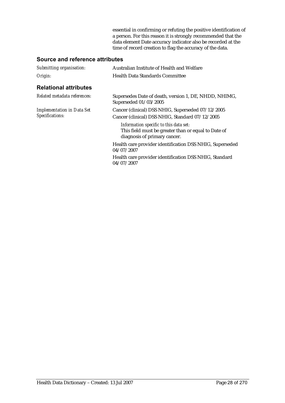essential in confirming or refuting the positive identification of a person. For this reason it is strongly recommended that the data element Date accuracy indicator also be recorded at the time of record creation to flag the accuracy of the data.

| Submitting organisation:                             | Australian Institute of Health and Welfare                                                                                    |
|------------------------------------------------------|-------------------------------------------------------------------------------------------------------------------------------|
| Origin:                                              | Health Data Standards Committee                                                                                               |
| <b>Relational attributes</b>                         |                                                                                                                               |
| Related metadata references:                         | Supersedes Date of death, version 1, DE, NHDD, NHIMG,<br>Superseded 01/03/2005                                                |
| <b>Implementation in Data Set</b><br>Specifications: | Cancer (clinical) DSS NHIG, Superseded 07/12/2005<br>Cancer (clinical) DSS NHIG, Standard 07/12/2005                          |
|                                                      | Information specific to this data set:<br>This field must be greater than or equal to Date of<br>diagnosis of primary cancer. |
|                                                      | Health care provider identification DSS NHIG, Superseded<br>04/07/2007                                                        |
|                                                      | Health care provider identification DSS NHIG, Standard<br>04/07/2007                                                          |
|                                                      |                                                                                                                               |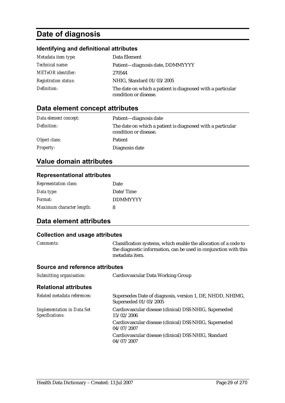## **Date of diagnosis**

## **Identifying and definitional attributes**

| Metadata item type:         | Data Element                                                                        |
|-----------------------------|-------------------------------------------------------------------------------------|
| <i>Technical name:</i>      | Patient-diagnosis date, DDMMYYYY                                                    |
| <b>METeOR</b> identifier:   | 270544                                                                              |
| <b>Registration status:</b> | NHIG, Standard 01/03/2005                                                           |
| Definition:                 | The date on which a patient is diagnosed with a particular<br>condition or disease. |

## **Data element concept attributes**

| Data element concept: | Patient—diagnosis date                                                              |
|-----------------------|-------------------------------------------------------------------------------------|
| Definition:           | The date on which a patient is diagnosed with a particular<br>condition or disease. |
| Object class:         | <b>Patient</b>                                                                      |
| <i>Property:</i>      | Diagnosis date                                                                      |

## **Value domain attributes**

#### **Representational attributes**

| <b>Representation class:</b> | Date            |
|------------------------------|-----------------|
| Data type:                   | Date/Time       |
| Format:                      | <b>DDMMYYYY</b> |
| Maximum character length:    | 8               |

### **Data element attributes**

#### **Collection and usage attributes**

| <i>Comments:</i> | Classification systems, which enable the allocation of a code to |
|------------------|------------------------------------------------------------------|
|                  | the diagnostic information, can be used in conjunction with this |
|                  | metadata item.                                                   |

| Submitting organisation:                             | Cardiovascular Data Working Group                                                  |
|------------------------------------------------------|------------------------------------------------------------------------------------|
| <b>Relational attributes</b>                         |                                                                                    |
| Related metadata references:                         | Supersedes Date of diagnosis, version 1, DE, NHDD, NHIMG,<br>Superseded 01/03/2005 |
| <b>Implementation in Data Set</b><br>Specifications: | Cardiovascular disease (clinical) DSS NHIG, Superseded<br>15/02/2006               |
|                                                      | Cardiovascular disease (clinical) DSS NHIG, Superseded<br>04/07/2007               |
|                                                      | Cardiovascular disease (clinical) DSS NHIG, Standard<br>04/07/2007                 |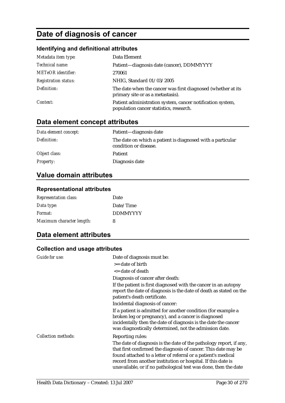## **Date of diagnosis of cancer**

## **Identifying and definitional attributes**

| Metadata item type:         | Data Element                                                                                          |
|-----------------------------|-------------------------------------------------------------------------------------------------------|
| Technical name:             | Patient-diagnosis date (cancer), DDMMYYYY                                                             |
| <b>METeOR</b> identifier:   | 270061                                                                                                |
| <b>Registration status:</b> | NHIG, Standard 01/03/2005                                                                             |
| Definition:                 | The date when the cancer was first diagnosed (whether at its<br>primary site or as a metastasis).     |
| Context:                    | Patient administration system, cancer notification system,<br>population cancer statistics, research. |

## **Data element concept attributes**

| Data element concept: | Patient-diagnosis date                                                              |
|-----------------------|-------------------------------------------------------------------------------------|
| Definition:           | The date on which a patient is diagnosed with a particular<br>condition or disease. |
| Object class:         | <b>Patient</b>                                                                      |
| <i>Property:</i>      | Diagnosis date                                                                      |

## **Value domain attributes**

#### **Representational attributes**

| <b>Representation class:</b> | Date            |
|------------------------------|-----------------|
| Data type:                   | Date/Time       |
| Format:                      | <b>DDMMYYYY</b> |
| Maximum character length:    | 8               |

## **Data element attributes**

#### **Collection and usage attributes**

| <b>Guide for use:</b>      | Date of diagnosis must be:<br>>= date of birth                                                                                                                                                                                                                                                                                           |
|----------------------------|------------------------------------------------------------------------------------------------------------------------------------------------------------------------------------------------------------------------------------------------------------------------------------------------------------------------------------------|
|                            | <= date of death                                                                                                                                                                                                                                                                                                                         |
|                            | Diagnosis of cancer after death:                                                                                                                                                                                                                                                                                                         |
|                            | If the patient is first diagnosed with the cancer in an autopsy<br>report the date of diagnosis is the date of death as stated on the<br>patient's death certificate.                                                                                                                                                                    |
|                            | Incidental diagnosis of cancer:                                                                                                                                                                                                                                                                                                          |
|                            | If a patient is admitted for another condition (for example a<br>broken leg or pregnancy), and a cancer is diagnosed<br>incidentally then the date of diagnosis is the date the cancer<br>was diagnostically determined, not the admission date.                                                                                         |
| <b>Collection methods:</b> | Reporting rules:                                                                                                                                                                                                                                                                                                                         |
|                            | The date of diagnosis is the date of the pathology report, if any,<br>that first confirmed the diagnosis of cancer. This date may be<br>found attached to a letter of referral or a patient's medical<br>record from another institution or hospital. If this date is<br>unavailable, or if no pathological test was done, then the date |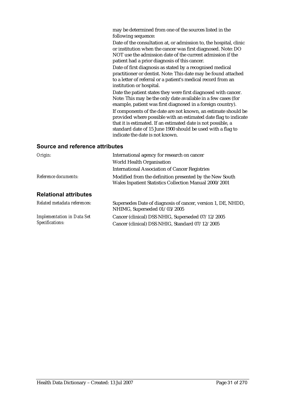may be determined from one of the sources listed in the following sequence:

Date of the consultation at, or admission to, the hospital, clinic or institution when the cancer was first diagnosed. Note: DO NOT use the admission date of the current admission if the patient had a prior diagnosis of this cancer.

Date of first diagnosis as stated by a recognised medical practitioner or dentist. Note: This date may be found attached to a letter of referral or a patient's medical record from an institution or hospital.

Date the patient states they were first diagnosed with cancer. Note: This may be the only date available in a few cases (for example, patient was first diagnosed in a foreign country). If components of the date are not known, an estimate should be provided where possible with an estimated date flag to indicate that it is estimated. If an estimated date is not possible, a standard date of 15 June 1900 should be used with a flag to indicate the date is not known.

| Origin:                                              | International agency for research on cancer                                                                       |
|------------------------------------------------------|-------------------------------------------------------------------------------------------------------------------|
|                                                      | World Health Organisation                                                                                         |
|                                                      | <b>International Association of Cancer Registries</b>                                                             |
| Reference documents:                                 | Modified from the definition presented by the New South<br>Wales Inpatient Statistics Collection Manual 2000/2001 |
| <b>Relational attributes</b>                         |                                                                                                                   |
| Related metadata references:                         | Supersedes Date of diagnosis of cancer, version 1, DE, NHDD,<br>NHIMG, Superseded 01/03/2005                      |
| <b>Implementation in Data Set</b><br>Specifications: | Cancer (clinical) DSS NHIG, Superseded 07/12/2005<br>Cancer (clinical) DSS NHIG, Standard 07/12/2005              |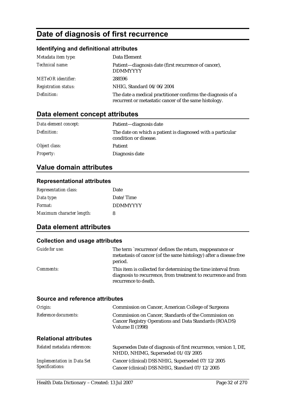## **Date of diagnosis of first recurrence**

### **Identifying and definitional attributes**

| Metadata item type:         | Data Element                                                                                                         |
|-----------------------------|----------------------------------------------------------------------------------------------------------------------|
| Technical name:             | Patient—diagnosis date (first recurrence of cancer),<br><b>DDMMYYYY</b>                                              |
| <b>METeOR</b> identifier:   | 288596                                                                                                               |
| <b>Registration status:</b> | NHIG, Standard 04/06/2004                                                                                            |
| Definition:                 | The date a medical practitioner confirms the diagnosis of a<br>recurrent or metastatic cancer of the same histology. |

## **Data element concept attributes**

| Data element concept: | Patient—diagnosis date                                                              |
|-----------------------|-------------------------------------------------------------------------------------|
| Definition:           | The date on which a patient is diagnosed with a particular<br>condition or disease. |
| Object class:         | <b>Patient</b>                                                                      |
| <i>Property:</i>      | Diagnosis date                                                                      |

## **Value domain attributes**

#### **Representational attributes**

| <b>Representation class:</b> | Date            |
|------------------------------|-----------------|
| Data type:                   | Date/Time       |
| Format:                      | <b>DDMMYYYY</b> |
| Maximum character length:    | 8               |

## **Data element attributes**

#### **Collection and usage attributes**

| Guide for use:   | The term `recurrence' defines the return, reappearance or<br>metastasis of cancer (of the same histology) after a disease free<br>period.               |
|------------------|---------------------------------------------------------------------------------------------------------------------------------------------------------|
| <i>Comments:</i> | This item is collected for determining the time interval from<br>diagnosis to recurrence, from treatment to recurrence and from<br>recurrence to death. |

| Origin:                                              | Commission on Cancer, American College of Surgeons                                                                                |
|------------------------------------------------------|-----------------------------------------------------------------------------------------------------------------------------------|
| Reference documents:                                 | Commission on Cancer, Standards of the Commission on<br>Cancer Registry Operations and Data Standards (ROADS)<br>Volume II (1998) |
| <b>Relational attributes</b>                         |                                                                                                                                   |
| Related metadata references:                         | Supersedes Date of diagnosis of first recurrence, version 1, DE,<br>NHDD, NHIMG, Superseded 01/03/2005                            |
| <b>Implementation in Data Set</b><br>Specifications: | Cancer (clinical) DSS NHIG, Superseded 07/12/2005<br>Cancer (clinical) DSS NHIG, Standard 07/12/2005                              |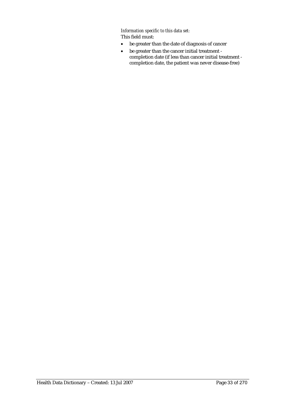*Information specific to this data set:* This field must:

- be greater than the date of diagnosis of cancer
- be greater than the cancer initial treatment completion date (if less than cancer initial treatment completion date, the patient was never disease-free)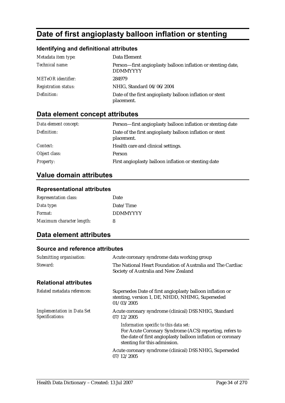## **Date of first angioplasty balloon inflation or stenting**

### **Identifying and definitional attributes**

| Metadata item type:         | Data Element                                                                    |
|-----------------------------|---------------------------------------------------------------------------------|
| Technical name:             | Person—first angioplasty balloon inflation or stenting date,<br><b>DDMMYYYY</b> |
| <b>METeOR</b> identifier:   | 284979                                                                          |
| <b>Registration status:</b> | NHIG, Standard 04/06/2004                                                       |
| Definition:                 | Date of the first angioplasty balloon inflation or stent<br>placement.          |

## **Data element concept attributes**

| Data element concept: | Person-first angioplasty balloon inflation or stenting date            |
|-----------------------|------------------------------------------------------------------------|
| Definition:           | Date of the first angioplasty balloon inflation or stent<br>placement. |
| <i>Context:</i>       | Health care and clinical settings.                                     |
| Object class:         | Person                                                                 |
| <b>Property:</b>      | First angioplasty balloon inflation or stenting date                   |

## **Value domain attributes**

#### **Representational attributes**

| <b>Representation class:</b> | Date            |
|------------------------------|-----------------|
| Data type:                   | Date/Time       |
| Format:                      | <b>DDMMYYYY</b> |
| Maximum character length:    | 8               |

## **Data element attributes**

| Submitting organisation:                             | Acute coronary syndrome data working group                                                                                                                                                                                                                               |
|------------------------------------------------------|--------------------------------------------------------------------------------------------------------------------------------------------------------------------------------------------------------------------------------------------------------------------------|
| Steward:                                             | The National Heart Foundation of Australia and The Cardiac<br>Society of Australia and New Zealand                                                                                                                                                                       |
| <b>Relational attributes</b>                         |                                                                                                                                                                                                                                                                          |
| Related metadata references:                         | Supersedes Date of first angioplasty balloon inflation or<br>stenting, version 1, DE, NHDD, NHIMG, Superseded<br>01/03/2005                                                                                                                                              |
| <b>Implementation in Data Set</b><br>Specifications: | Acute coronary syndrome (clinical) DSS NHIG, Standard<br>07/12/2005                                                                                                                                                                                                      |
|                                                      | Information specific to this data set:<br>For Acute Coronary Syndrome (ACS) reporting, refers to<br>the date of first angioplasty balloon inflation or coronary<br>stenting for this admission.<br>Acute coronary syndrome (clinical) DSS NHIG, Superseded<br>07/12/2005 |
|                                                      |                                                                                                                                                                                                                                                                          |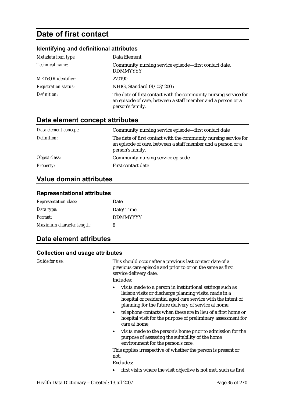## **Date of first contact**

### **Identifying and definitional attributes**

| Metadata item type:         | Data Element                                                                                                                                         |
|-----------------------------|------------------------------------------------------------------------------------------------------------------------------------------------------|
| Technical name:             | Community nursing service episode-first contact date,<br><b>DDMMYYYY</b>                                                                             |
| <b>METeOR</b> identifier:   | 270190                                                                                                                                               |
| <b>Registration status:</b> | NHIG, Standard 01/03/2005                                                                                                                            |
| Definition:                 | The date of first contact with the community nursing service for<br>an episode of care, between a staff member and a person or a<br>person's family. |

## **Data element concept attributes**

| Data element concept: | Community nursing service episode-first contact date                                                                                                 |
|-----------------------|------------------------------------------------------------------------------------------------------------------------------------------------------|
| Definition:           | The date of first contact with the community nursing service for<br>an episode of care, between a staff member and a person or a<br>person's family. |
| Object class:         | Community nursing service episode                                                                                                                    |
| <b>Property:</b>      | First contact date                                                                                                                                   |

## **Value domain attributes**

#### **Representational attributes**

| <b>Representation class:</b> | Date            |
|------------------------------|-----------------|
| Data type:                   | Date/Time       |
| Format:                      | <b>DDMMYYYY</b> |
| Maximum character length:    | 8               |

### **Data element attributes**

#### **Collection and usage attributes**

| Guide for use: | This should occur after a previous last contact date of a<br>previous care episode and prior to or on the same as first<br>service delivery date.                                                                                                                                                                                                                                                                      |
|----------------|------------------------------------------------------------------------------------------------------------------------------------------------------------------------------------------------------------------------------------------------------------------------------------------------------------------------------------------------------------------------------------------------------------------------|
|                | Includes:                                                                                                                                                                                                                                                                                                                                                                                                              |
|                | visits made to a person in institutional settings such as<br>$\bullet$<br>liaison visits or discharge planning visits, made in a<br>hospital or residential aged care service with the intent of<br>planning for the future delivery of service at home;<br>telephone contacts when these are in lieu of a first home or<br>$\bullet$<br>hospital visit for the purpose of preliminary assessment for<br>care at home; |
|                | visits made to the person's home prior to admission for the<br>$\bullet$<br>purpose of assessing the suitability of the home<br>environment for the person's care.                                                                                                                                                                                                                                                     |
|                | This applies irrespective of whether the person is present or                                                                                                                                                                                                                                                                                                                                                          |
|                | not.                                                                                                                                                                                                                                                                                                                                                                                                                   |
|                | Excludes:                                                                                                                                                                                                                                                                                                                                                                                                              |
|                | first visits where the visit objective is not met, such as first                                                                                                                                                                                                                                                                                                                                                       |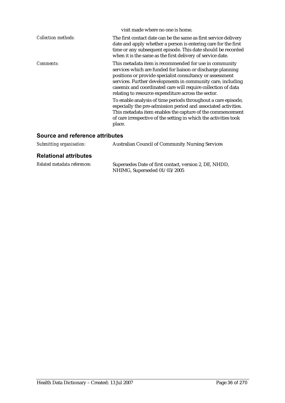|                            | visit made where no one is home.                                                                                                                                                                                                                                                                                                                                                                                                                                                                                                                                                                                                                        |
|----------------------------|---------------------------------------------------------------------------------------------------------------------------------------------------------------------------------------------------------------------------------------------------------------------------------------------------------------------------------------------------------------------------------------------------------------------------------------------------------------------------------------------------------------------------------------------------------------------------------------------------------------------------------------------------------|
| <b>Collection methods:</b> | The first contact date can be the same as first service delivery<br>date and apply whether a person is entering care for the first<br>time or any subsequent episode. This date should be recorded<br>when it is the same as the first delivery of service date.                                                                                                                                                                                                                                                                                                                                                                                        |
| <i>Comments:</i>           | This metadata item is recommended for use in community<br>services which are funded for liaison or discharge planning<br>positions or provide specialist consultancy or assessment<br>services. Further developments in community care, including<br>casemix and coordinated care will require collection of data<br>relating to resource expenditure across the sector.<br>To enable analysis of time periods throughout a care episode,<br>especially the pre-admission period and associated activities.<br>This metadata item enables the capture of the commencement<br>of care irrespective of the setting in which the activities took<br>place. |

| Submitting organisation:     | <b>Australian Council of Community Nursing Services</b>                                |
|------------------------------|----------------------------------------------------------------------------------------|
| <b>Relational attributes</b> |                                                                                        |
| Related metadata references: | Supersedes Date of first contact, version 2, DE, NHDD,<br>NHIMG, Superseded 01/03/2005 |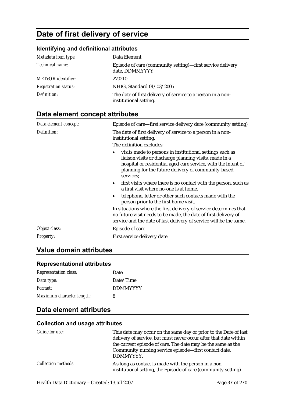# **Date of first delivery of service**

### **Identifying and definitional attributes**

| Metadata item type:         | Data Element                                                                          |
|-----------------------------|---------------------------------------------------------------------------------------|
| Technical name:             | Episode of care (community setting)—first service delivery<br>date, DDMMYYYY          |
| <b>METeOR</b> identifier:   | 270210                                                                                |
| <b>Registration status:</b> | NHIG, Standard 01/03/2005                                                             |
| Definition:                 | The date of first delivery of service to a person in a non-<br>institutional setting. |

# **Data element concept attributes**

| Data element concept: | Episode of care—first service delivery date (community setting)                                                                                                                                                                                         |
|-----------------------|---------------------------------------------------------------------------------------------------------------------------------------------------------------------------------------------------------------------------------------------------------|
| Definition:           | The date of first delivery of service to a person in a non-<br>institutional setting.<br>The definition excludes:                                                                                                                                       |
|                       | visits made to persons in institutional settings such as<br>liaison visits or discharge planning visits, made in a<br>hospital or residential aged care service, with the intent of<br>planning for the future delivery of community-based<br>services: |
|                       | first visits where there is no contact with the person, such as<br>$\bullet$<br>a first visit where no-one is at home.                                                                                                                                  |
|                       | telephone, letter or other such contacts made with the<br>person prior to the first home visit.                                                                                                                                                         |
|                       | In situations where the first delivery of service determines that<br>no future visit needs to be made, the date of first delivery of<br>service and the date of last delivery of service will be the same.                                              |
| Object class:         | Episode of care                                                                                                                                                                                                                                         |
| <b>Property:</b>      | First service delivery date                                                                                                                                                                                                                             |

# **Value domain attributes**

#### **Representational attributes**

| <b>Representation class:</b> | Date            |
|------------------------------|-----------------|
| Data type:                   | Date/Time       |
| Format:                      | <b>DDMMYYYY</b> |
| Maximum character length:    | 8               |

## **Data element attributes**

| Guide for use:             | This date may occur on the same day or prior to the Date of last<br>delivery of service, but must never occur after that date within<br>the current episode of care. The date may be the same as the<br>Community nursing service episode—first contact date,<br>DDMMYYYY. |
|----------------------------|----------------------------------------------------------------------------------------------------------------------------------------------------------------------------------------------------------------------------------------------------------------------------|
| <b>Collection methods:</b> | As long as contact is made with the person in a non-<br>institutional setting, the Episode of care (community setting)-                                                                                                                                                    |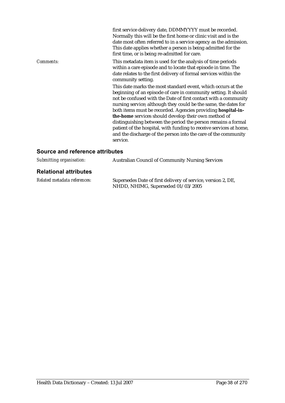|                  | first service delivery date, DDMMYYYY must be recorded.<br>Normally this will be the first home or clinic visit and is the<br>date most often referred to in a service agency as the admission.<br>This date applies whether a person is being admitted for the<br>first time, or is being re-admitted for care.                                                                                                                                                                                                                                                                                       |
|------------------|--------------------------------------------------------------------------------------------------------------------------------------------------------------------------------------------------------------------------------------------------------------------------------------------------------------------------------------------------------------------------------------------------------------------------------------------------------------------------------------------------------------------------------------------------------------------------------------------------------|
| <i>Comments:</i> | This metadata item is used for the analysis of time periods<br>within a care episode and to locate that episode in time. The<br>date relates to the first delivery of formal services within the<br>community setting.                                                                                                                                                                                                                                                                                                                                                                                 |
|                  | This date marks the most standard event, which occurs at the<br>beginning of an episode of care in community setting. It should<br>not be confused with the Date of first contact with a community<br>nursing service; although they could be the same, the dates for<br>both items must be recorded. Agencies providing hospital-in-<br>the-home services should develop their own method of<br>distinguishing between the period the person remains a formal<br>patient of the hospital, with funding to receive services at home,<br>and the discharge of the person into the care of the community |
|                  | service.                                                                                                                                                                                                                                                                                                                                                                                                                                                                                                                                                                                               |

# **Source and reference attributes**

| Submitting organisation:     | <b>Australian Council of Community Nursing Services</b>                                            |
|------------------------------|----------------------------------------------------------------------------------------------------|
| <b>Relational attributes</b> |                                                                                                    |
| Related metadata references: | Supersedes Date of first delivery of service, version 2, DE,<br>NHDD, NHIMG, Superseded 01/03/2005 |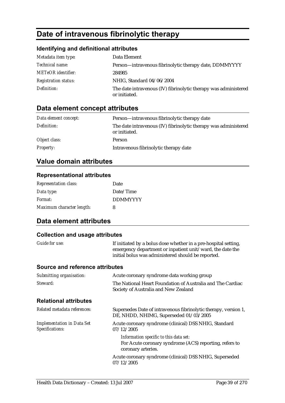# **Date of intravenous fibrinolytic therapy**

## **Identifying and definitional attributes**

| Metadata item type:         | Data Element                                                                     |
|-----------------------------|----------------------------------------------------------------------------------|
| Technical name:             | Person-intravenous fibrinolytic therapy date, DDMMYYYY                           |
| <b>METeOR</b> identifier:   | 284985                                                                           |
| <b>Registration status:</b> | NHIG, Standard 04/06/2004                                                        |
| Definition:                 | The date intravenous (IV) fibrinolytic therapy was administered<br>or initiated. |

# **Data element concept attributes**

| Data element concept: | Person—intravenous fibrinolytic therapy date                                     |
|-----------------------|----------------------------------------------------------------------------------|
| Definition:           | The date intravenous (IV) fibrinolytic therapy was administered<br>or initiated. |
| Object class:         | Person                                                                           |
| <b>Property:</b>      | Intravenous fibrinolytic therapy date                                            |

# **Value domain attributes**

#### **Representational attributes**

| <b>Representation class:</b> | Date            |
|------------------------------|-----------------|
| Data type:                   | Date/Time       |
| Format:                      | <b>DDMMYYYY</b> |
| Maximum character length:    | 8               |

## **Data element attributes**

| Guide for use:                                       | If initiated by a bolus dose whether in a pre-hospital setting,<br>emergency department or inpatient unit/ward, the date the<br>initial bolus was administered should be reported. |
|------------------------------------------------------|------------------------------------------------------------------------------------------------------------------------------------------------------------------------------------|
| Source and reference attributes                      |                                                                                                                                                                                    |
| Submitting organisation:                             | Acute coronary syndrome data working group                                                                                                                                         |
| Steward:                                             | The National Heart Foundation of Australia and The Cardiac<br>Society of Australia and New Zealand                                                                                 |
| <b>Relational attributes</b>                         |                                                                                                                                                                                    |
| Related metadata references:                         | Supersedes Date of intravenous fibrinolytic therapy, version 1,<br>DE, NHDD, NHIMG, Superseded 01/03/2005                                                                          |
| <b>Implementation in Data Set</b><br>Specifications: | Acute coronary syndrome (clinical) DSS NHIG, Standard<br>07/12/2005                                                                                                                |
|                                                      | Information specific to this data set:<br>For Acute coronary syndrome (ACS) reporting, refers to<br>coronary arteries.                                                             |
|                                                      | Acute coronary syndrome (clinical) DSS NHIG, Superseded<br>07/12/2005                                                                                                              |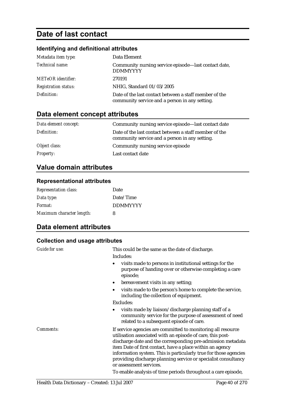# **Date of last contact**

## **Identifying and definitional attributes**

| Metadata item type:         | Data Element                                                                                             |
|-----------------------------|----------------------------------------------------------------------------------------------------------|
| Technical name:             | Community nursing service episode-last contact date,<br><b>DDMMYYYY</b>                                  |
| <b>METeOR</b> identifier:   | 270191                                                                                                   |
| <b>Registration status:</b> | NHIG, Standard 01/03/2005                                                                                |
| Definition:                 | Date of the last contact between a staff member of the<br>community service and a person in any setting. |

# **Data element concept attributes**

| Data element concept: | Community nursing service episode—last contact date                                                      |
|-----------------------|----------------------------------------------------------------------------------------------------------|
| Definition:           | Date of the last contact between a staff member of the<br>community service and a person in any setting. |
| Object class:         | Community nursing service episode                                                                        |
| <b>Property:</b>      | Last contact date                                                                                        |

# **Value domain attributes**

#### **Representational attributes**

| <b>Representation class:</b> | Date            |
|------------------------------|-----------------|
| Data type:                   | Date/Time       |
| Format:                      | <b>DDMMYYYY</b> |
| Maximum character length:    | 8               |

# **Data element attributes**

| Guide for use:                       | This could be the same as the date of discharge.                                                                                                                                                                                                                                                                                                                                             |
|--------------------------------------|----------------------------------------------------------------------------------------------------------------------------------------------------------------------------------------------------------------------------------------------------------------------------------------------------------------------------------------------------------------------------------------------|
|                                      | Includes:                                                                                                                                                                                                                                                                                                                                                                                    |
|                                      | visits made to persons in institutional settings for the<br>٠<br>purpose of handing over or otherwise completing a care<br>episode;                                                                                                                                                                                                                                                          |
|                                      | bereavement visits in any setting;<br>٠                                                                                                                                                                                                                                                                                                                                                      |
|                                      | visits made to the person's home to complete the service,<br>٠<br>including the collection of equipment.                                                                                                                                                                                                                                                                                     |
|                                      | Excludes:                                                                                                                                                                                                                                                                                                                                                                                    |
|                                      | visits made by liaison/discharge planning staff of a<br>٠<br>community service for the purpose of assessment of need<br>related to a subsequent episode of care.                                                                                                                                                                                                                             |
| Comments:<br>or assessment services. | If service agencies are committed to monitoring all resource<br>utilisation associated with an episode of care, this post-<br>discharge date and the corresponding pre-admission metadata<br>item Date of first contact, have a place within an agency<br>information system. This is particularly true for those agencies<br>providing discharge planning service or specialist consultancy |
|                                      | To enable analysis of time periods throughout a care episode,                                                                                                                                                                                                                                                                                                                                |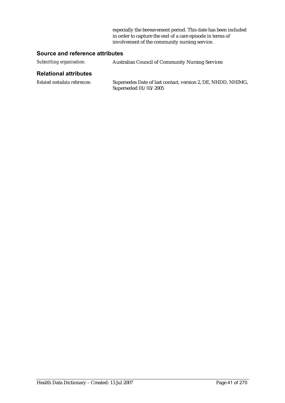especially the bereavement period. This date has been included in order to capture the end of a care episode in terms of involvement of the community nursing service.

### **Source and reference attributes**

| Submitting organisation:     | <b>Australian Council of Community Nursing Services</b>                               |
|------------------------------|---------------------------------------------------------------------------------------|
| <b>Relational attributes</b> |                                                                                       |
| Related metadata references: | Supersedes Date of last contact, version 2, DE, NHDD, NHIMG,<br>Superseded 01/03/2005 |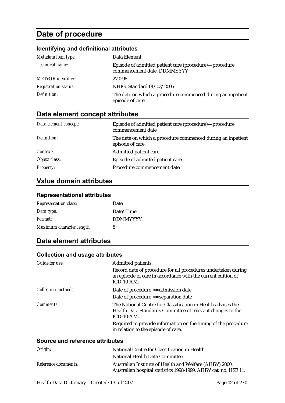# **Date of procedure**

## **Identifying and definitional attributes**

| Metadata item type:         | Data Element                                                                          |
|-----------------------------|---------------------------------------------------------------------------------------|
| Technical name:             | Episode of admitted patient care (procedure)—procedure<br>commencement date, DDMMYYYY |
| <b>METeOR</b> identifier:   | 270298                                                                                |
| <b>Registration status:</b> | NHIG, Standard 01/03/2005                                                             |
| Definition:                 | The date on which a procedure commenced during an inpatient<br>episode of care.       |

# **Data element concept attributes**

| Data element concept: | Episode of admitted patient care (procedure)—procedure<br>commencement date     |
|-----------------------|---------------------------------------------------------------------------------|
| Definition:           | The date on which a procedure commenced during an inpatient<br>episode of care. |
| Context:              | Admitted patient care                                                           |
| Object class:         | Episode of admitted patient care                                                |
| <b>Property:</b>      | Procedure commencement date                                                     |

# **Value domain attributes**

#### **Representational attributes**

| <b>Representation class:</b> | Date            |
|------------------------------|-----------------|
| Data type:                   | Date/Time       |
| Format:                      | <b>DDMMYYYY</b> |
| Maximum character length:    | 8               |

# **Data element attributes**

#### **Collection and usage attributes**

| <b>Admitted patients:</b>                                                                                                                      |
|------------------------------------------------------------------------------------------------------------------------------------------------|
| Record date of procedure for all procedures undertaken during<br>an episode of care in accordance with the current edition of<br>$ICD-10-AM$ . |
| Date of procedure >= admission date                                                                                                            |
| Date of procedure <= separation date                                                                                                           |
| The National Centre for Classification in Health advises the<br>Health Data Standards Committee of relevant changes to the<br>$ICD-10-AM$ .    |
| Required to provide information on the timing of the procedure<br>in relation to the episode of care.                                          |
|                                                                                                                                                |

#### **Source and reference attributes**

| Origin:              | National Centre for Classification in Health                                                                               |  |
|----------------------|----------------------------------------------------------------------------------------------------------------------------|--|
|                      | National Health Data Committee                                                                                             |  |
| Reference documents: | Australian Institute of Health and Welfare (AIHW) 2000.<br>Australian hospital statistics 1998-1999. AIHW cat. no. HSE 11. |  |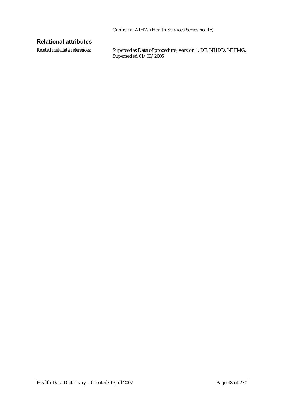#### **Relational attributes**

*Related metadata references:* Supersedes Date of procedure, version 1, DE, NHDD, NHIMG, Superseded 01/03/2005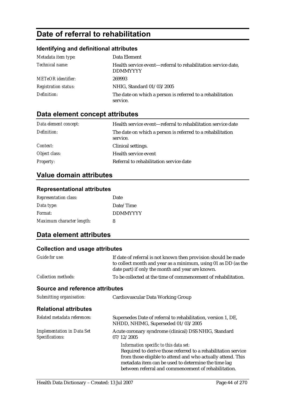# **Date of referral to rehabilitation**

## **Identifying and definitional attributes**

| Metadata item type:         | Data Element                                                                     |
|-----------------------------|----------------------------------------------------------------------------------|
| Technical name:             | Health service event—referral to rehabilitation service date,<br><b>DDMMYYYY</b> |
| <b>METeOR</b> identifier:   | 269993                                                                           |
| <b>Registration status:</b> | NHIG, Standard 01/03/2005                                                        |
| Definition:                 | The date on which a person is referred to a rehabilitation<br>service.           |

# **Data element concept attributes**

| Data element concept: | Health service event—referral to rehabilitation service date           |
|-----------------------|------------------------------------------------------------------------|
| Definition:           | The date on which a person is referred to a rehabilitation<br>service. |
| <i>Context:</i>       | Clinical settings.                                                     |
| Object class:         | Health service event                                                   |
| <b>Property:</b>      | Referral to rehabilitation service date                                |

# **Value domain attributes**

#### **Representational attributes**

| <b>Representation class:</b> | Date            |
|------------------------------|-----------------|
| Data type:                   | Date/Time       |
| Format:                      | <b>DDMMYYYY</b> |
| Maximum character length:    | 8               |

# **Data element attributes**

| Guide for use:                                       | If date of referral is not known then provision should be made<br>to collect month and year as a minimum, using 01 as DD (as the<br>date part) if only the month and year are known.                                                                                                  |
|------------------------------------------------------|---------------------------------------------------------------------------------------------------------------------------------------------------------------------------------------------------------------------------------------------------------------------------------------|
| <b>Collection methods:</b>                           | To be collected at the time of commencement of rehabilitation.                                                                                                                                                                                                                        |
| <b>Source and reference attributes</b>               |                                                                                                                                                                                                                                                                                       |
| Submitting organisation:                             | Cardiovascular Data Working Group                                                                                                                                                                                                                                                     |
| <b>Relational attributes</b>                         |                                                                                                                                                                                                                                                                                       |
| Related metadata references:                         | Supersedes Date of referral to rehabilitation, version 1, DE,<br>NHDD, NHIMG, Superseded 01/03/2005                                                                                                                                                                                   |
| <b>Implementation in Data Set</b><br>Specifications: | Acute coronary syndrome (clinical) DSS NHIG, Standard<br>07/12/2005                                                                                                                                                                                                                   |
|                                                      | Information specific to this data set:<br>Required to derive those referred to a rehabilitation service<br>from those eligible to attend and who actually attend. This<br>metadata item can be used to determine the time lag<br>between referral and commencement of rehabilitation. |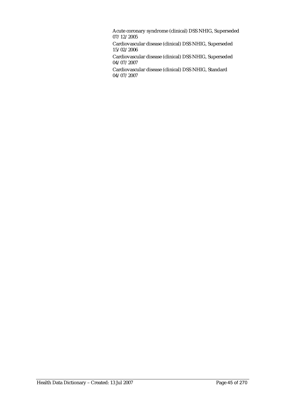Acute coronary syndrome (clinical) DSS NHIG, Superseded 07/12/2005

Cardiovascular disease (clinical) DSS NHIG, Superseded 15/02/2006

Cardiovascular disease (clinical) DSS NHIG, Superseded 04/07/2007

Cardiovascular disease (clinical) DSS NHIG, Standard 04/07/2007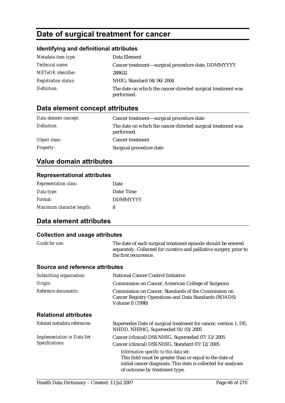# **Date of surgical treatment for cancer**

## **Identifying and definitional attributes**

| Metadata item type:         | Data Element                                                               |
|-----------------------------|----------------------------------------------------------------------------|
| Technical name:             | Cancer treatment—surgical procedure date, DDMMYYYY                         |
| <b>METeOR</b> identifier:   | 288632                                                                     |
| <b>Registration status:</b> | NHIG, Standard 04/06/2004                                                  |
| Definition:                 | The date on which the cancer-directed surgical treatment was<br>performed. |

# **Data element concept attributes**

| Data element concept: | Cancer treatment—surgical procedure date                                   |
|-----------------------|----------------------------------------------------------------------------|
| Definition:           | The date on which the cancer-directed surgical treatment was<br>performed. |
| Object class:         | <b>Cancer treatment</b>                                                    |
| <b>Property:</b>      | Surgical procedure date                                                    |

# **Value domain attributes**

#### **Representational attributes**

| <b>Representation class:</b> | Date            |
|------------------------------|-----------------|
| Data type:                   | Date/Time       |
| Format:                      | <b>DDMMYYYY</b> |
| Maximum character length:    | 8               |

## **Data element attributes**

### **Collection and usage attributes**

| <b>Guide for use:</b> | The date of each surgical treatment episode should be entered      |
|-----------------------|--------------------------------------------------------------------|
|                       | separately. Collected for curative and palliative surgery prior to |
|                       | the first recurrence.                                              |

#### **Source and reference attributes**

| Submitting organisation:                             | <b>National Cancer Control Initiative</b>                                                                                                                                                                                                                                                                   |
|------------------------------------------------------|-------------------------------------------------------------------------------------------------------------------------------------------------------------------------------------------------------------------------------------------------------------------------------------------------------------|
| Origin:                                              | <b>Commission on Cancer, American College of Surgeons</b>                                                                                                                                                                                                                                                   |
| Reference documents:                                 | Commission on Cancer, Standards of the Commission on<br>Cancer Registry Operations and Data Standards (ROADS)<br>Volume II (1998)                                                                                                                                                                           |
| <b>Relational attributes</b>                         |                                                                                                                                                                                                                                                                                                             |
| Related metadata references:                         | Supersedes Date of surgical treatment for cancer, version 1, DE,<br>NHDD, NHIMG, Superseded 01/03/2005                                                                                                                                                                                                      |
| <b>Implementation in Data Set</b><br>Specifications: | Cancer (clinical) DSS NHIG, Superseded 07/12/2005<br>Cancer (clinical) DSS NHIG, Standard 07/12/2005<br>Information specific to this data set:<br>This field must be greater than or equal to the date of<br>initial cancer diagnosis. This item is collected for analyses<br>of outcome by treatment type. |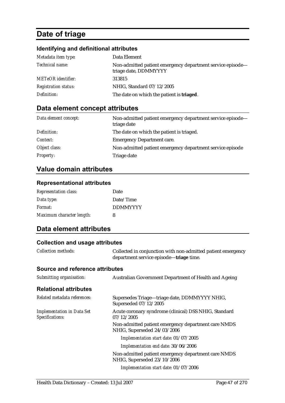# **Date of triage**

# **Identifying and definitional attributes**

| Metadata item type:         | Data Element                                                                        |
|-----------------------------|-------------------------------------------------------------------------------------|
| Technical name:             | Non-admitted patient emergency department service episode-<br>triage date, DDMMYYYY |
| <b>METeOR</b> identifier:   | 313815                                                                              |
| <b>Registration status:</b> | NHIG, Standard 07/12/2005                                                           |
| Definition:                 | The date on which the patient is <b>triaged</b> .                                   |

# **Data element concept attributes**

| Data element concept: | Non-admitted patient emergency department service episode-<br>triage date |
|-----------------------|---------------------------------------------------------------------------|
| Definition:           | The date on which the patient is triaged.                                 |
| Context:              | <b>Emergency Department care.</b>                                         |
| Object class:         | Non-admitted patient emergency department service episode                 |
| <b>Property:</b>      | Triage date                                                               |

## **Value domain attributes**

#### **Representational attributes**

| <b>Representation class:</b> | Date            |
|------------------------------|-----------------|
| Data type:                   | Date/Time       |
| Format:                      | <b>DDMMYYYY</b> |
| Maximum character length:    | 8               |

# **Data element attributes**

| <b>Collection methods:</b>                           | Collected in conjunction with non-admitted patient emergency<br>department service episode—triage time. |
|------------------------------------------------------|---------------------------------------------------------------------------------------------------------|
| Source and reference attributes                      |                                                                                                         |
| Submitting organisation:                             | Australian Government Department of Health and Ageing                                                   |
| <b>Relational attributes</b>                         |                                                                                                         |
| Related metadata references:                         | Supersedes Triage-triage date, DDMMYYYY NHIG,<br>Superseded 07/12/2005                                  |
| <b>Implementation in Data Set</b><br>Specifications: | Acute coronary syndrome (clinical) DSS NHIG, Standard<br>07/12/2005                                     |
|                                                      | Non-admitted patient emergency department care NMDS<br>NHIG, Superseded 24/03/2006                      |
|                                                      | Implementation start date: 01/07/2005                                                                   |
|                                                      | Implementation end date: 30/06/2006                                                                     |
|                                                      | Non-admitted patient emergency department care NMDS<br>NHIG, Superseded 23/10/2006                      |
|                                                      | Implementation start date: 01/07/2006                                                                   |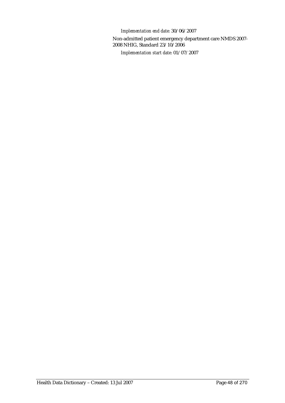*Implementation end date:* 30/06/2007

Non-admitted patient emergency department care NMDS 2007- 2008 NHIG, Standard 23/10/2006 *Implementation start date:* 01/07/2007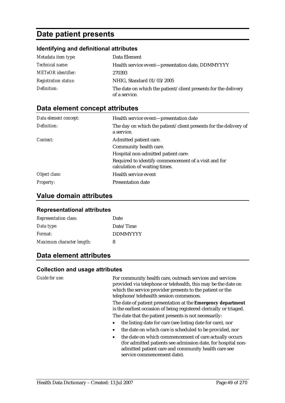# **Date patient presents**

#### **Identifying and definitional attributes**

| Metadata item type:         | Data Element                                                                    |
|-----------------------------|---------------------------------------------------------------------------------|
| Technical name:             | Health service event-presentation date, DDMMYYYY                                |
| <b>METeOR</b> identifier:   | 270393                                                                          |
| <b>Registration status:</b> | NHIG, Standard 01/03/2005                                                       |
| Definition:                 | The date on which the patient/client presents for the delivery<br>of a service. |

### **Data element concept attributes**

| Data element concept: | Health service event-presentation date                                                |
|-----------------------|---------------------------------------------------------------------------------------|
| Definition:           | The day on which the patient/client presents for the delivery of<br>a service.        |
| Context:              | Admitted patient care.                                                                |
|                       | Community health care.                                                                |
|                       | Hospital non-admitted patient care:                                                   |
|                       | Required to identify commencement of a visit and for<br>calculation of waiting times. |
| Object class:         | Health service event                                                                  |
| <i>Property:</i>      | <b>Presentation date</b>                                                              |

#### **Value domain attributes**

#### **Representational attributes**

| <b>Representation class:</b> | Date            |
|------------------------------|-----------------|
| Data type:                   | Date/Time       |
| Format:                      | <b>DDMMYYYY</b> |
| Maximum character length:    | 8               |

## **Data element attributes**

#### **Collection and usage attributes**

*Guide for use:* For community health care, outreach services and services provided via telephone or telehealth, this may be the date on which the service provider presents to the patient or the telephone/telehealth session commences.

> The date of patient presentation at the **Emergency department**  is the earliest occasion of being registered clerically or triaged. The date that the patient presents is not necessarily:

- the listing date for care (see listing date for care), nor
- the date on which care is scheduled to be provided, nor
- the date on which commencement of care actually occurs (for admitted patients see admission date, for hospital nonadmitted patient care and community health care see service commencement date).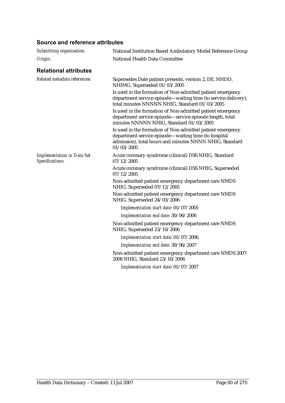## **Source and reference attributes**

| Submitting organisation:                             | National Institution Based Ambulatory Model Reference Group                                                                                                                                 |
|------------------------------------------------------|---------------------------------------------------------------------------------------------------------------------------------------------------------------------------------------------|
| Origin:                                              | National Health Data Committee                                                                                                                                                              |
| <b>Relational attributes</b>                         |                                                                                                                                                                                             |
| Related metadata references:                         | Supersedes Date patient presents, version 2, DE, NHDD,<br>NHIMG, Superseded 01/03/2005                                                                                                      |
|                                                      | Is used in the formation of Non-admitted patient emergency<br>department service episode—waiting time (to service delivery),<br>total minutes NNNNN NHIG, Standard 01/03/2005               |
|                                                      | Is used in the formation of Non-admitted patient emergency<br>department service episode-service episode length, total<br>minutes NNNNN NHIG, Standard 01/03/2005                           |
|                                                      | Is used in the formation of Non-admitted patient emergency<br>department service episode—waiting time (to hospital<br>admission), total hours and minutes NNNN NHIG, Standard<br>01/03/2005 |
| <b>Implementation in Data Set</b><br>Specifications: | Acute coronary syndrome (clinical) DSS NHIG, Standard<br>07/12/2005                                                                                                                         |
|                                                      | Acute coronary syndrome (clinical) DSS NHIG, Superseded<br>07/12/2005                                                                                                                       |
|                                                      | Non-admitted patient emergency department care NMDS<br>NHIG, Superseded 07/12/2005                                                                                                          |
|                                                      | Non-admitted patient emergency department care NMDS<br>NHIG, Superseded 24/03/2006                                                                                                          |
|                                                      | Implementation start date: 01/07/2005                                                                                                                                                       |
|                                                      | Implementation end date: 30/06/2006                                                                                                                                                         |
|                                                      | Non-admitted patient emergency department care NMDS<br>NHIG, Superseded 23/10/2006                                                                                                          |
|                                                      | Implementation start date: 01/07/2006                                                                                                                                                       |
|                                                      | Implementation end date: 30/06/2007                                                                                                                                                         |
|                                                      | Non-admitted patient emergency department care NMDS 2007-<br>2008 NHIG, Standard 23/10/2006                                                                                                 |
|                                                      | Implementation start date: 01/07/2007                                                                                                                                                       |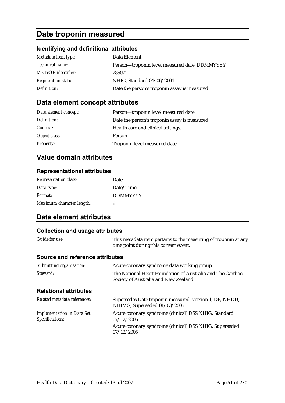# **Date troponin measured**

#### **Identifying and definitional attributes**

| Metadata item type:         | Data Element                                  |
|-----------------------------|-----------------------------------------------|
| <i>Technical name:</i>      | Person-troponin level measured date, DDMMYYYY |
| <b>METeOR</b> identifier:   | 285021                                        |
| <b>Registration status:</b> | NHIG, Standard 04/06/2004                     |
| Definition:                 | Date the person's troponin assay is measured. |

## **Data element concept attributes**

| Data element concept: | Person-troponin level measured date           |
|-----------------------|-----------------------------------------------|
| Definition:           | Date the person's troponin assay is measured. |
| Context:              | Health care and clinical settings.            |
| Object class:         | Person                                        |
| <b>Property:</b>      | Troponin level measured date                  |

## **Value domain attributes**

#### **Representational attributes**

| <b>Representation class:</b> | Date            |
|------------------------------|-----------------|
| Data type:                   | Date/Time       |
| Format:                      | <b>DDMMYYYY</b> |
| Maximum character length:    | 8               |

## **Data element attributes**

#### **Collection and usage attributes**  *Guide for use:* This metadata item pertains to the measuring of troponin at any time point during this current event. **Source and reference attributes**  *Submitting organisation:* Acute coronary syndrome data working group *Steward:* The National Heart Foundation of Australia and The Cardiac Society of Australia and New Zealand **Relational attributes**  *Related metadata references:* Supersedes Date troponin measured, version 1, DE, NHDD, NHIMG, Superseded 01/03/2005 *Implementation in Data Set Specifications:* Acute coronary syndrome (clinical) DSS NHIG, Standard 07/12/2005 Acute coronary syndrome (clinical) DSS NHIG, Superseded 07/12/2005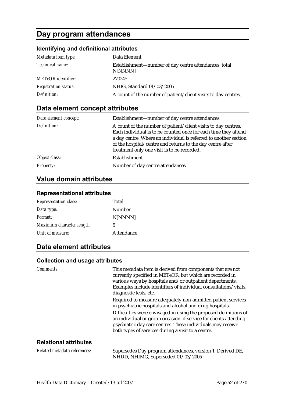# **Day program attendances**

## **Identifying and definitional attributes**

| Metadata item type:         | Data Element                                                     |
|-----------------------------|------------------------------------------------------------------|
| <i>Technical name:</i>      | Establishment—number of day centre attendances, total<br>N[NNNN] |
| <b>METeOR</b> identifier:   | 270245                                                           |
| <b>Registration status:</b> | NHIG, Standard 01/03/2005                                        |
| Definition:                 | A count of the number of patient/client visits to day centres.   |

# **Data element concept attributes**

| Data element concept: | Establishment-number of day centre attendances                                                                                                                                                                                                                                                                     |
|-----------------------|--------------------------------------------------------------------------------------------------------------------------------------------------------------------------------------------------------------------------------------------------------------------------------------------------------------------|
| Definition:           | A count of the number of patient/client visits to day centres.<br>Each individual is to be counted once for each time they attend<br>a day centre. Where an individual is referred to another section<br>of the hospital/centre and returns to the day centre after<br>treatment only one visit is to be recorded. |
| Object class:         | Establishment                                                                                                                                                                                                                                                                                                      |
| <b>Property:</b>      | Number of day centre attendances                                                                                                                                                                                                                                                                                   |

# **Value domain attributes**

#### **Representational attributes**

| <b>Representation class:</b> | Total      |
|------------------------------|------------|
| Data type:                   | Number     |
| Format:                      | N[NNNN]    |
| Maximum character length:    | 5          |
| Unit of measure:             | Attendance |

## **Data element attributes**

| <i>Comments:</i>             | This metadata item is derived from components that are not<br>currently specified in METeOR, but which are recorded in<br>various ways by hospitals and/or outpatient departments.<br>Examples include identifiers of individual consultations/visits,<br>diagnostic tests, etc. |
|------------------------------|----------------------------------------------------------------------------------------------------------------------------------------------------------------------------------------------------------------------------------------------------------------------------------|
|                              | Required to measure adequately non-admitted patient services<br>in psychiatric hospitals and alcohol and drug hospitals.                                                                                                                                                         |
|                              | Difficulties were envisaged in using the proposed definitions of<br>an individual or group occasion of service for clients attending<br>psychiatric day care centres. These individuals may receive<br>both types of services during a visit to a centre.                        |
| <b>Relational attributes</b> |                                                                                                                                                                                                                                                                                  |

| Related metadata references: | Supersedes Day program attendances, version 1, Derived DE, |
|------------------------------|------------------------------------------------------------|
|                              | NHDD, NHIMG, Superseded 01/03/2005                         |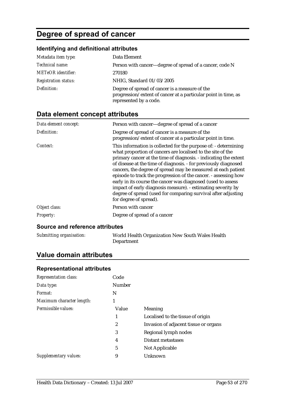# **Degree of spread of cancer**

# **Identifying and definitional attributes**

| Metadata item type:         | Data Element                                                                                                                               |
|-----------------------------|--------------------------------------------------------------------------------------------------------------------------------------------|
| Technical name:             | Person with cancer—degree of spread of a cancer, code N                                                                                    |
| <b>METeOR</b> identifier:   | 270180                                                                                                                                     |
| <b>Registration status:</b> | NHIG, Standard 01/03/2005                                                                                                                  |
| Definition:                 | Degree of spread of cancer is a measure of the<br>progression/extent of cancer at a particular point in time, as<br>represented by a code. |

# **Data element concept attributes**

| Data element concept: | Person with cancer—degree of spread of a cancer                                                                                                                                                                                                                                                                                                                                                                                                                                                                                                                                                                                      |
|-----------------------|--------------------------------------------------------------------------------------------------------------------------------------------------------------------------------------------------------------------------------------------------------------------------------------------------------------------------------------------------------------------------------------------------------------------------------------------------------------------------------------------------------------------------------------------------------------------------------------------------------------------------------------|
| Definition:           | Degree of spread of cancer is a measure of the<br>progression/extent of cancer at a particular point in time.                                                                                                                                                                                                                                                                                                                                                                                                                                                                                                                        |
| Context:              | This information is collected for the purpose of: - determining<br>what proportion of cancers are localised to the site of the<br>primary cancer at the time of diagnosis. - indicating the extent<br>of disease at the time of diagnosis. - for previously diagnosed<br>cancers, the degree of spread may be measured at each patient<br>episode to track the progression of the cancer. - assessing how<br>early in its course the cancer was diagnosed (used to assess<br>impact of early diagnosis measure). - estimating severity by<br>degree of spread (used for comparing survival after adjusting<br>for degree of spread). |
| Object class:         | Person with cancer                                                                                                                                                                                                                                                                                                                                                                                                                                                                                                                                                                                                                   |
| <b>Property:</b>      | Degree of spread of a cancer                                                                                                                                                                                                                                                                                                                                                                                                                                                                                                                                                                                                         |

#### **Source and reference attributes**

| Submitting organisation: | World Health Organization New South Wales Health |
|--------------------------|--------------------------------------------------|
|                          | Department                                       |

## **Value domain attributes**

#### **Representational attributes**

| <b>Representation class:</b> | Code          |                                       |
|------------------------------|---------------|---------------------------------------|
| Data type:                   | <b>Number</b> |                                       |
| Format:                      | N             |                                       |
| Maximum character length:    | 1             |                                       |
| Permissible values:          | Value         | <b>Meaning</b>                        |
|                              | 1             | Localised to the tissue of origin     |
|                              | 2             | Invasion of adjacent tissue or organs |
|                              | 3             | Regional lymph nodes                  |
|                              | 4             | Distant metastases                    |
|                              | 5             | Not Applicable                        |
| Supplementary values:        | 9             | Unknown                               |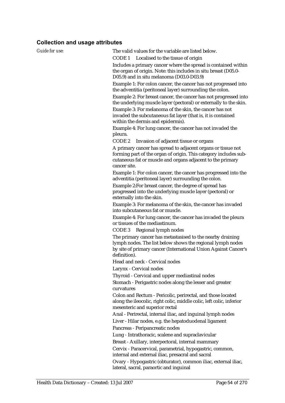| <b>Guide for use:</b> | The valid values for the variable are listed below.                                                                                                                                                            |
|-----------------------|----------------------------------------------------------------------------------------------------------------------------------------------------------------------------------------------------------------|
|                       | CODE <sub>1</sub>                                                                                                                                                                                              |
|                       | Localised to the tissue of origin                                                                                                                                                                              |
|                       | Includes a primary cancer where the spread is contained within<br>the organ of origin. Note: this includes in situ breast (D05.0-<br>D05.9) and in situ melanoma (D03.0-D03.9)                                 |
|                       | Example 1: For colon cancer, the cancer has not progressed into                                                                                                                                                |
|                       | the adventitia (peritoneal layer) surrounding the colon.                                                                                                                                                       |
|                       | Example 2: For breast cancer, the cancer has not progressed into<br>the underlying muscle layer (pectoral) or externally to the skin.                                                                          |
|                       | Example 3: For melanoma of the skin, the cancer has not<br>invaded the subcutaneous fat layer (that is, it is contained<br>within the dermis and epidermis).                                                   |
|                       | Example 4: For lung cancer, the cancer has not invaded the                                                                                                                                                     |
|                       | pleura.                                                                                                                                                                                                        |
|                       | CODE 2<br>Invasion of adjacent tissue or organs                                                                                                                                                                |
|                       | A primary cancer has spread to adjacent organs or tissue not<br>forming part of the organ of origin. This category includes sub-<br>cutaneous fat or muscle and organs adjacent to the primary<br>cancer site. |
|                       | Example 1: For colon cancer, the cancer has progressed into the<br>adventitia (peritoneal layer) surrounding the colon.                                                                                        |
|                       | Example 2: For breast cancer, the degree of spread has<br>progressed into the underlying muscle layer (pectoral) or<br>externally into the skin.                                                               |
|                       | Example 3: For melanoma of the skin, the cancer has invaded<br>into subcutaneous fat or muscle.                                                                                                                |
|                       | Example 4: For lung cancer, the cancer has invaded the pleura<br>or tissues of the mediastinum.                                                                                                                |
|                       | CODE 3<br>Regional lymph nodes                                                                                                                                                                                 |
|                       | The primary cancer has metastasised to the nearby draining<br>lymph nodes. The list below shows the regional lymph nodes<br>by site of primary cancer (International Union Against Cancer's<br>definition).    |
|                       | Head and neck - Cervical nodes                                                                                                                                                                                 |
|                       | Larynx - Cervical nodes                                                                                                                                                                                        |
|                       | Thyroid - Cervical and upper mediastinal nodes                                                                                                                                                                 |
|                       | Stomach - Perigastric nodes along the lesser and greater<br>curvatures                                                                                                                                         |
|                       | Colon and Rectum - Pericolic, perirectal, and those located<br>along the ileocolic, right colic, middle colic, left colic, inferior<br>mesenteric and superior rectal                                          |
|                       | Anal - Perirectal, internal iliac, and inguinal lymph nodes                                                                                                                                                    |
|                       | Liver - Hilar nodes, e.g. the hepatoduodenal ligament                                                                                                                                                          |
|                       | Pancreas - Peripancreatic nodes                                                                                                                                                                                |
|                       | Lung - Intrathoracic, scalene and supraclavicular<br>Breast - Axillary, interpectoral, internal mammary                                                                                                        |
|                       | Cervix - Paracervical, parametrial, hypogastric, common,<br>internal and external iliac, presacral and sacral                                                                                                  |
|                       | Ovary - Hypogastric (obturator), common iliac, external iliac,<br>lateral, sacral, paraortic and inguinal                                                                                                      |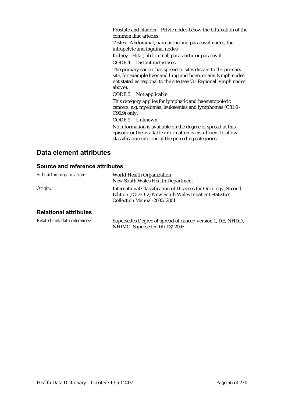Prostate and bladder - Pelvic nodes below the bifurcation of the common iliac arteries

Testes - Abdominal, para-aortic and paracaval nodes, the intrapelvic and inguinal nodes

Kidney - Hilar, abdominal, para-aortic or paracaval.

CODE 4 Distant metastases

The primary cancer has spread to sites distant to the primary site, for example liver and lung and bone, or any lymph nodes not stated as regional to the site (see '3 - Regional lymph nodes' above).

CODE 5 Not applicable

This category applies for lymphatic and haematopoietic cancers, e.g. myelomas, leukaemias and lymphomas (C81.0 - C96.9) only.

CODE 9 Unknown

No information is available on the degree of spread at this episode or the available information is insufficient to allow classification into one of the preceding categories.

# **Data element attributes**

#### **Source and reference attributes**

| Submitting organisation:     | World Health Organization<br>New South Wales Health Department                                                                                         |
|------------------------------|--------------------------------------------------------------------------------------------------------------------------------------------------------|
| Origin:                      | International Classification of Diseases for Oncology, Second<br>Edition (ICD-O-2) New South Wales Inpatient Statistics<br>Collection Manual-2000/2001 |
| <b>Relational attributes</b> |                                                                                                                                                        |
| Related metadata references: | Supersedes Degree of spread of cancer, version 1, DE, NHDD,                                                                                            |

NHIMG, Superseded 01/03/2005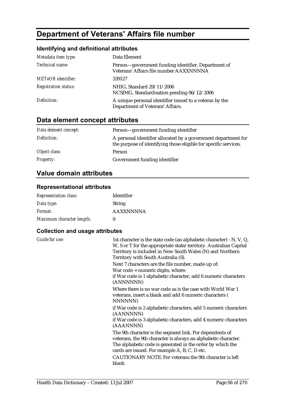# **Department of Veterans' Affairs file number**

### **Identifying and definitional attributes**

| Metadata item type:         | Data Element                                                                                   |
|-----------------------------|------------------------------------------------------------------------------------------------|
| Technical name:             | Person—government funding identifier, Department of<br>Veterans' Affairs file number AAXXNNNNA |
| <b>METeOR</b> identifier:   | 339127                                                                                         |
| <b>Registration status:</b> | NHIG, Standard 29/11/2006<br>NCSIMG, Standardisation pending 06/12/2006                        |
| Definition:                 | A unique personal identifier issued to a veteran by the<br>Department of Veterans' Affairs.    |

# **Data element concept attributes**

| Data element concept: | Person—government funding identifier                                                                                               |
|-----------------------|------------------------------------------------------------------------------------------------------------------------------------|
| Definition:           | A personal identifier allocated by a government department for<br>the purpose of identifying those eligible for specific services. |
| Object class:         | Person                                                                                                                             |
| <b>Property:</b>      | Government funding identifier                                                                                                      |

## **Value domain attributes**

#### **Representational attributes**

| <b>Representation class:</b> | Identifier       |
|------------------------------|------------------|
| Data type:                   | <b>String</b>    |
| <i>Format:</i>               | <b>AAXXNNNNA</b> |
| Maximum character length:    | 9                |

| <b>Guide for use:</b> | 1st character is the state code (an alphabetic character) - N, V, Q,<br>W, S or T for the appropriate state/territory. Australian Capital<br>Territory is included in New South Wales (N) and Northern<br>Territory with South Australia (S).                                                                 |
|-----------------------|---------------------------------------------------------------------------------------------------------------------------------------------------------------------------------------------------------------------------------------------------------------------------------------------------------------|
|                       | Next 7 characters are the file number, made up of:<br>War code + numeric digits, where:<br>if War code is 1 alphabetic character, add 6 numeric characters<br>(ANNNNNN)                                                                                                                                       |
|                       | Where there is no war code as is the case with World War 1<br>veterans, insert a blank and add 6 numeric characters (<br>NNNNNN)                                                                                                                                                                              |
|                       | if War code is 2 alphabetic characters, add 5 numeric characters<br>(AANNNNN)<br>if War code is 3 alphabetic characters, add 4 numeric characters<br>(AAANNNN)                                                                                                                                                |
|                       | The 9th character is the segment link. For dependents of<br>veterans, the 9th character is always an alphabetic character.<br>The alphabetic code is generated in the order by which the<br>cards are issued. For example A, B, C, D etc.<br>CAUTIONARY NOTE: For veterans the 9th character is left<br>blank |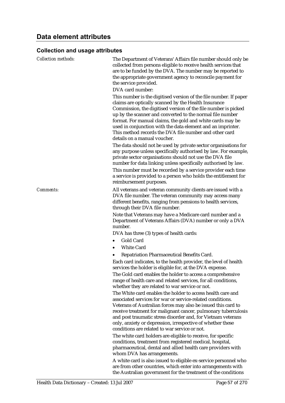| <b>Collection methods:</b> | The Department of Veterans' Affairs file number should only be<br>collected from persons eligible to receive health services that<br>are to be funded by the DVA. The number may be reported to<br>the appropriate government agency to reconcile payment for<br>the service provided.<br>DVA card number:                                                                                                                                                                                                                                                                                                                                                                                                                                                                                                                                                                                                        |
|----------------------------|-------------------------------------------------------------------------------------------------------------------------------------------------------------------------------------------------------------------------------------------------------------------------------------------------------------------------------------------------------------------------------------------------------------------------------------------------------------------------------------------------------------------------------------------------------------------------------------------------------------------------------------------------------------------------------------------------------------------------------------------------------------------------------------------------------------------------------------------------------------------------------------------------------------------|
|                            | This number is the digitised version of the file number. If paper<br>claims are optically scanned by the Health Insurance<br>Commission, the digitised version of the file number is picked<br>up by the scanner and converted to the normal file number<br>format. For manual claims, the gold and white cards may be<br>used in conjunction with the data element and an imprinter.<br>This method records the DVA file number and other card<br>details on a manual voucher.<br>The data should not be used by private sector organisations for<br>any purpose unless specifically authorised by law. For example,<br>private sector organisations should not use the DVA file<br>number for data linking unless specifically authorised by law.<br>This number must be recorded by a service provider each time<br>a service is provided to a person who holds the entitlement for<br>reimbursement purposes. |
| Comments:                  | All veterans and veteran community clients are issued with a<br>DVA file number. The veteran community may access many<br>different benefits, ranging from pensions to health services,<br>through their DVA file number.                                                                                                                                                                                                                                                                                                                                                                                                                                                                                                                                                                                                                                                                                         |
|                            | Note that Veterans may have a Medicare card number and a<br>Department of Veterans Affairs (DVA) number or only a DVA<br>number.                                                                                                                                                                                                                                                                                                                                                                                                                                                                                                                                                                                                                                                                                                                                                                                  |
|                            | DVA has three (3) types of health cards:<br><b>Gold Card</b><br>$\bullet$                                                                                                                                                                                                                                                                                                                                                                                                                                                                                                                                                                                                                                                                                                                                                                                                                                         |
|                            | <b>White Card</b>                                                                                                                                                                                                                                                                                                                                                                                                                                                                                                                                                                                                                                                                                                                                                                                                                                                                                                 |
|                            | Repatriation Pharmaceutical Benefits Card.                                                                                                                                                                                                                                                                                                                                                                                                                                                                                                                                                                                                                                                                                                                                                                                                                                                                        |
|                            | Each card indicates, to the health provider, the level of health<br>services the holder is eligible for, at the DVA expense.                                                                                                                                                                                                                                                                                                                                                                                                                                                                                                                                                                                                                                                                                                                                                                                      |
|                            | The Gold card enables the holder to access a comprehensive<br>range of health care and related services, for all conditions,<br>whether they are related to war service or not.                                                                                                                                                                                                                                                                                                                                                                                                                                                                                                                                                                                                                                                                                                                                   |
|                            | The White card enables the holder to access health care and<br>associated services for war or service-related conditions.<br>Veterans of Australian forces may also be issued this card to<br>receive treatment for malignant cancer, pulmonary tuberculosis<br>and post traumatic stress disorder and, for Vietnam veterans<br>only, anxiety or depression, irrespective of whether these<br>conditions are related to war service or not.                                                                                                                                                                                                                                                                                                                                                                                                                                                                       |
|                            | The white card holders are eligible to receive, for specific<br>conditions, treatment from registered medical, hospital,<br>pharmaceutical, dental and allied health care providers with<br>whom DVA has arrangements.                                                                                                                                                                                                                                                                                                                                                                                                                                                                                                                                                                                                                                                                                            |
|                            | A white card is also issued to eligible ex-service personnel who<br>are from other countries, which enter into arrangements with<br>the Australian government for the treatment of the conditions                                                                                                                                                                                                                                                                                                                                                                                                                                                                                                                                                                                                                                                                                                                 |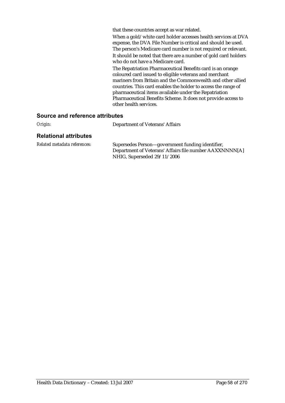that these countries accept as war related.

When a gold/white card holder accesses health services at DVA expense, the DVA File Number is critical and should be used. The person's Medicare card number is not required or relevant. It should be noted that there are a number of gold card holders who do not have a Medicare card.

The Repatriation Pharmaceutical Benefits card is an orange coloured card issued to eligible veterans and merchant mariners from Britain and the Commonwealth and other allied countries. This card enables the holder to access the range of pharmaceutical items available under the Repatriation Pharmaceutical Benefits Scheme. It does not provide access to other health services.

#### **Source and reference attributes**

*Origin:* Department of Veterans' Affairs

#### **Relational attributes**

*Related metadata references:* Supersedes Person—government funding identifier, Department of Veterans' Affairs file number AAXXNNNN[A] NHIG, Superseded 29/11/2006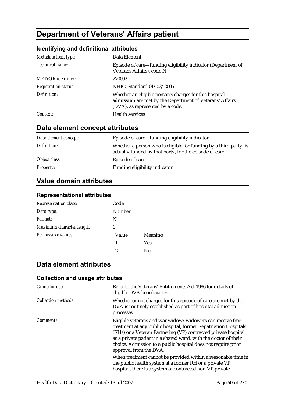# **Department of Veterans' Affairs patient**

### **Identifying and definitional attributes**

| Metadata item type:         | Data Element                                                                                                                                           |
|-----------------------------|--------------------------------------------------------------------------------------------------------------------------------------------------------|
| Technical name:             | Episode of care—funding eligibility indicator (Department of<br>Veterans Affairs), code N                                                              |
| <b>METeOR</b> identifier:   | 270092                                                                                                                                                 |
| <b>Registration status:</b> | NHIG, Standard 01/03/2005                                                                                                                              |
| Definition:                 | Whether an eligible person's charges for this hospital<br>admission are met by the Department of Veterans' Affairs<br>(DVA), as represented by a code. |
| Context:                    | <b>Health services</b>                                                                                                                                 |

# **Data element concept attributes**

| Data element concept: | Episode of care—funding eligibility indicator                                                                                |
|-----------------------|------------------------------------------------------------------------------------------------------------------------------|
| Definition:           | Whether a person who is eligible for funding by a third party, is<br>actually funded by that party, for the episode of care. |
| Object class:         | Episode of care                                                                                                              |
| <i>Property:</i>      | Funding eligibility indicator                                                                                                |

# **Value domain attributes**

#### **Representational attributes**

| Representation class:     | Code   |                |
|---------------------------|--------|----------------|
| Data type:                | Number |                |
| Format:                   | N      |                |
| Maximum character length: |        |                |
| Permissible values:       | Value  | <b>Meaning</b> |
|                           | 1      | <b>Yes</b>     |
|                           | 2      | Nο             |

## **Data element attributes**

| Guide for use:      | Refer to the Veterans' Entitlements Act 1986 for details of<br>eligible DVA beneficiaries.                                                                                                                                                                                                                                                                   |
|---------------------|--------------------------------------------------------------------------------------------------------------------------------------------------------------------------------------------------------------------------------------------------------------------------------------------------------------------------------------------------------------|
| Collection methods: | Whether or not charges for this episode of care are met by the<br>DVA is routinely established as part of hospital admission<br>processes.                                                                                                                                                                                                                   |
| Comments:           | Eligible veterans and war widow/widowers can receive free<br>treatment at any public hospital, former Repatriation Hospitals<br>(RHs) or a Veteran Partnering (VP) contracted private hospital<br>as a private patient in a shared ward, with the doctor of their<br>choice. Admission to a public hospital does not require prior<br>approval from the DVA. |
|                     | When treatment cannot be provided within a reasonable time in<br>the public health system at a former RH or a private VP<br>hospital, there is a system of contracted non-VP private                                                                                                                                                                         |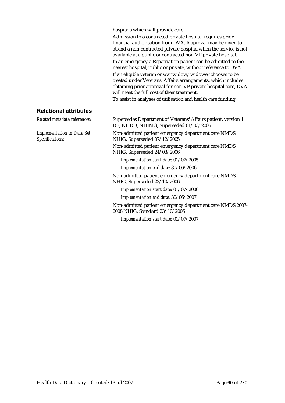hospitals which will provide care.

Admission to a contracted private hospital requires prior financial authorisation from DVA. Approval may be given to attend a non-contracted private hospital when the service is not available at a public or contracted non-VP private hospital.

In an emergency a Repatriation patient can be admitted to the nearest hospital, public or private, without reference to DVA.

If an eligible veteran or war widow/widower chooses to be treated under Veterans' Affairs arrangements, which includes obtaining prior approval for non-VP private hospital care, DVA will meet the full cost of their treatment.

To assist in analyses of utilisation and health care funding.

#### **Relational attributes**

*Implementation in Data Set Specifications:*

*Related metadata references:* Supersedes Department of Veterans' Affairs patient, version 1, DE, NHDD, NHIMG, Superseded 01/03/2005

> Non-admitted patient emergency department care NMDS NHIG, Superseded 07/12/2005

> Non-admitted patient emergency department care NMDS NHIG, Superseded 24/03/2006

*Implementation start date:* 01/07/2005

*Implementation end date:* 30/06/2006

Non-admitted patient emergency department care NMDS NHIG, Superseded 23/10/2006

*Implementation start date:* 01/07/2006

*Implementation end date:* 30/06/2007

Non-admitted patient emergency department care NMDS 2007- 2008 NHIG, Standard 23/10/2006

*Implementation start date:* 01/07/2007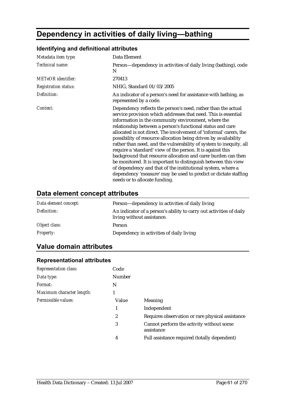# **Dependency in activities of daily living—bathing**

# *Metadata item type:* Data Element *Technical name:* Person—dependency in activities of daily living (bathing), code N *METeOR identifier:* 270413 *Registration status:* NHIG, Standard 01/03/2005 *Definition:* An indicator of a person's need for assistance with bathing, as represented by a code. *Context:* Dependency reflects the person's need, rather than the actual service provision which addresses that need. This is essential information in the community environment, where the

#### **Identifying and definitional attributes**

relationship between a person's functional status and care allocated is not direct. The involvement of 'informal' carers, the possibility of resource allocation being driven by availability rather than need, and the vulnerability of system to inequity, all require a 'standard' view of the person. It is against this background that resource allocation and carer burden can then be monitored. It is important to distinguish between this view of dependency and that of the institutional system, where a dependency 'measure' may be used to predict or dictate staffing needs or to allocate funding.

## **Data element concept attributes**

| Data element concept: | Person—dependency in activities of daily living                                                   |
|-----------------------|---------------------------------------------------------------------------------------------------|
| Definition:           | An indicator of a person's ability to carry out activities of daily<br>living without assistance. |
| Object class:         | Person                                                                                            |
| <i>Property:</i>      | Dependency in activities of daily living                                                          |

# **Value domain attributes**

| Code          |                                                        |
|---------------|--------------------------------------------------------|
| <b>Number</b> |                                                        |
| N             |                                                        |
|               |                                                        |
| Value         | <b>Meaning</b>                                         |
| 1             | Independent                                            |
| 2             | Requires observation or rare physical assistance       |
| 3             | Cannot perform the activity without some<br>assistance |
| 4             | Full assistance required (totally dependent)           |
|               |                                                        |

#### **Representational attributes**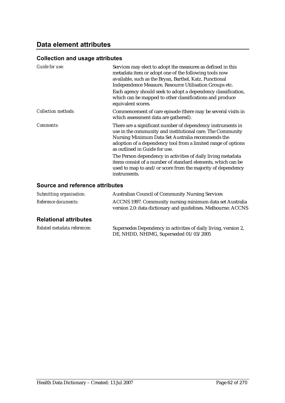#### **Collection and usage attributes**

| Guide for use:      | Services may elect to adopt the measures as defined in this<br>metadata item or adopt one of the following tools now<br>available, such as the Bryan, Barthel, Katz, Functional<br>Independence Measure, Resource Utilisation Groups etc.<br>Each agency should seek to adopt a dependency classification,<br>which can be mapped to other classifications and produce<br>equivalent scores. |
|---------------------|----------------------------------------------------------------------------------------------------------------------------------------------------------------------------------------------------------------------------------------------------------------------------------------------------------------------------------------------------------------------------------------------|
| Collection methods: | Commencement of care episode (there may be several visits in<br>which assessment data are gathered).                                                                                                                                                                                                                                                                                         |
| Comments:           | There are a significant number of dependency instruments in<br>use in the community and institutional care. The Community<br>Nursing Minimum Data Set Australia recommends the<br>adoption of a dependency tool from a limited range of options<br>as outlined in Guide for use.                                                                                                             |
|                     | The Person dependency in activities of daily living metadata<br>items consist of a number of standard elements, which can be<br>used to map to and/or score from the majority of dependency<br>instruments.                                                                                                                                                                                  |

### **Source and reference attributes**

| Submitting organisation:    | <b>Australian Council of Community Nursing Services</b>                                                                   |
|-----------------------------|---------------------------------------------------------------------------------------------------------------------------|
| <i>Reference documents:</i> | ACCNS 1997. Community nursing minimum data set Australia<br>version 2.0: data dictionary and guidelines. Melbourne: ACCNS |

## **Relational attributes**

| Related metadata references: | Supersedes Dependency in activities of daily living, version 2, |
|------------------------------|-----------------------------------------------------------------|
|                              | DE, NHDD, NHIMG, Superseded 01/03/2005                          |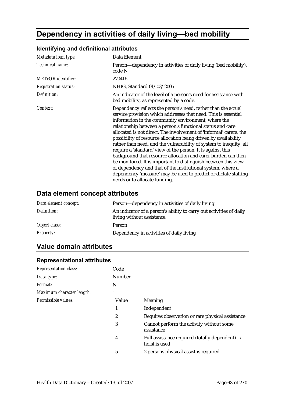# **Dependency in activities of daily living—bed mobility**

#### *Metadata item type:* Data Element *Technical name:* Person—dependency in activities of daily living (bed mobility), code N *METeOR identifier:* 270416 *Registration status:* NHIG, Standard 01/03/2005 *Definition:* An indicator of the level of a person's need for assistance with bed mobility, as represented by a code. *Context:* Dependency reflects the person's need, rather than the actual service provision which addresses that need. This is essential information in the community environment, where the relationship between a person's functional status and care allocated is not direct. The involvement of 'informal' carers, the possibility of resource allocation being driven by availability rather than need, and the vulnerability of system to inequity, all require a 'standard' view of the person. It is against this background that resource allocation and carer burden can then be monitored. It is important to distinguish between this view of dependency and that of the institutional system, where a dependency 'measure' may be used to predict or dictate staffing needs or to allocate funding.

#### **Identifying and definitional attributes**

#### **Data element concept attributes**

| Data element concept: | Person—dependency in activities of daily living                                                   |
|-----------------------|---------------------------------------------------------------------------------------------------|
| Definition:           | An indicator of a person's ability to carry out activities of daily<br>living without assistance. |
| Object class:         | Person                                                                                            |
| <b>Property:</b>      | Dependency in activities of daily living                                                          |

## **Value domain attributes**

| Code          |                                                                   |
|---------------|-------------------------------------------------------------------|
| <b>Number</b> |                                                                   |
| N             |                                                                   |
| 1             |                                                                   |
| Value         | Meaning                                                           |
| 1             | Independent                                                       |
| 2             | Requires observation or rare physical assistance                  |
| 3             | Cannot perform the activity without some<br>assistance            |
| 4             | Full assistance required (totally dependent) - a<br>hoist is used |
| 5             | 2 persons physical assist is required                             |
|               |                                                                   |

#### **Representational attributes**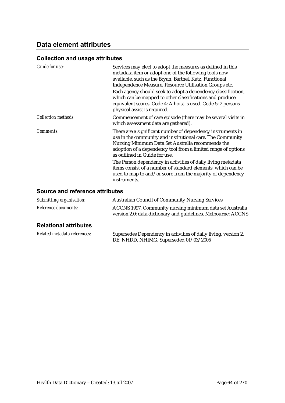#### **Collection and usage attributes**

| Guide for use:             | Services may elect to adopt the measures as defined in this<br>metadata item or adopt one of the following tools now<br>available, such as the Bryan, Barthel, Katz, Functional<br>Independence Measure, Resource Utilisation Groups etc.<br>Each agency should seek to adopt a dependency classification,<br>which can be mapped to other classifications and produce<br>equivalent scores. Code 4: A hoist is used. Code 5: 2 persons<br>physical assist is required. |
|----------------------------|-------------------------------------------------------------------------------------------------------------------------------------------------------------------------------------------------------------------------------------------------------------------------------------------------------------------------------------------------------------------------------------------------------------------------------------------------------------------------|
| <b>Collection methods:</b> | Commencement of care episode (there may be several visits in<br>which assessment data are gathered).                                                                                                                                                                                                                                                                                                                                                                    |
| Comments:                  | There are a significant number of dependency instruments in<br>use in the community and institutional care. The Community<br>Nursing Minimum Data Set Australia recommends the<br>adoption of a dependency tool from a limited range of options<br>as outlined in Guide for use.                                                                                                                                                                                        |
|                            | The Person dependency in activities of daily living metadata<br>items consist of a number of standard elements, which can be<br>used to map to and/or score from the majority of dependency<br>instruments.                                                                                                                                                                                                                                                             |

#### **Source and reference attributes**

| <b>Relational attributes</b> |                                                                                                                           |
|------------------------------|---------------------------------------------------------------------------------------------------------------------------|
| <i>Reference documents:</i>  | ACCNS 1997. Community nursing minimum data set Australia<br>version 2.0: data dictionary and guidelines. Melbourne: ACCNS |
| Submitting organisation:     | <b>Australian Council of Community Nursing Services</b>                                                                   |

*Related metadata references:* Supersedes Dependency in activities of daily living, version 2, DE, NHDD, NHIMG, Superseded 01/03/2005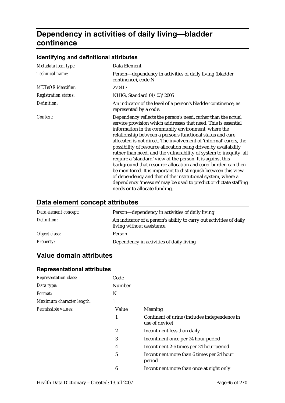# **Dependency in activities of daily living—bladder continence**

# **Identifying and definitional attributes**

| Metadata item type:         | Data Element                                                                                                                                                                                                                                                                                                                                                                                                                                                                                                                                                                                                                                                                                                                                                                                                                             |
|-----------------------------|------------------------------------------------------------------------------------------------------------------------------------------------------------------------------------------------------------------------------------------------------------------------------------------------------------------------------------------------------------------------------------------------------------------------------------------------------------------------------------------------------------------------------------------------------------------------------------------------------------------------------------------------------------------------------------------------------------------------------------------------------------------------------------------------------------------------------------------|
| Technical name:             | Person-dependency in activities of daily living (bladder<br>continence), code N                                                                                                                                                                                                                                                                                                                                                                                                                                                                                                                                                                                                                                                                                                                                                          |
| <b>METeOR</b> identifier:   | 270417                                                                                                                                                                                                                                                                                                                                                                                                                                                                                                                                                                                                                                                                                                                                                                                                                                   |
| <b>Registration status:</b> | NHIG, Standard 01/03/2005                                                                                                                                                                                                                                                                                                                                                                                                                                                                                                                                                                                                                                                                                                                                                                                                                |
| Definition:                 | An indicator of the level of a person's bladder continence, as<br>represented by a code.                                                                                                                                                                                                                                                                                                                                                                                                                                                                                                                                                                                                                                                                                                                                                 |
| Context:                    | Dependency reflects the person's need, rather than the actual<br>service provision which addresses that need. This is essential<br>information in the community environment, where the<br>relationship between a person's functional status and care<br>allocated is not direct. The involvement of 'informal' carers, the<br>possibility of resource allocation being driven by availability<br>rather than need, and the vulnerability of system to inequity, all<br>require a 'standard' view of the person. It is against this<br>background that resource allocation and carer burden can then<br>be monitored. It is important to distinguish between this view<br>of dependency and that of the institutional system, where a<br>dependency 'measure' may be used to predict or dictate staffing<br>needs or to allocate funding. |

# **Data element concept attributes**

| Data element concept: | Person—dependency in activities of daily living                                                   |
|-----------------------|---------------------------------------------------------------------------------------------------|
| Definition:           | An indicator of a person's ability to carry out activities of daily<br>living without assistance. |
| Object class:         | Person                                                                                            |
| <i>Property:</i>      | Dependency in activities of daily living                                                          |

# **Value domain attributes**

#### **Representational attributes**

| <b>Representation class:</b> | Code          |                                                                |
|------------------------------|---------------|----------------------------------------------------------------|
| Data type:                   | <b>Number</b> |                                                                |
| <i>Format:</i>               | N             |                                                                |
| Maximum character length:    |               |                                                                |
| Permissible values:          | Value         | <b>Meaning</b>                                                 |
|                              | 1             | Continent of urine (includes independence in<br>use of device) |
|                              | 2             | Incontinent less than daily                                    |
|                              | 3             | Incontinent once per 24 hour period                            |
|                              | 4             | Incontinent 2-6 times per 24 hour period                       |
|                              | 5             | Incontinent more than 6 times per 24 hour<br>period            |
|                              | 6             | Incontinent more than once at night only                       |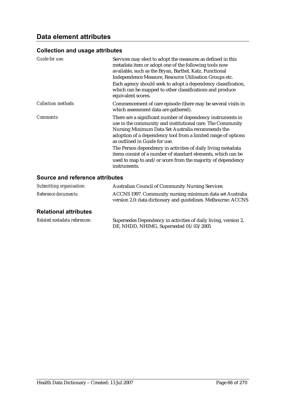#### **Collection and usage attributes**

| Guide for use:             | Services may elect to adopt the measures as defined in this<br>metadata item or adopt one of the following tools now<br>available, such as the Bryan, Barthel, Katz, Functional<br>Independence Measure, Resource Utilisation Groups etc.<br>Each agency should seek to adopt a dependency classification,<br>which can be mapped to other classifications and produce<br>equivalent scores.                                                                                                    |
|----------------------------|-------------------------------------------------------------------------------------------------------------------------------------------------------------------------------------------------------------------------------------------------------------------------------------------------------------------------------------------------------------------------------------------------------------------------------------------------------------------------------------------------|
| <b>Collection methods:</b> | Commencement of care episode (there may be several visits in<br>which assessment data are gathered).                                                                                                                                                                                                                                                                                                                                                                                            |
| <i>Comments:</i>           | There are a significant number of dependency instruments in<br>use in the community and institutional care. The Community<br>Nursing Minimum Data Set Australia recommends the<br>adoption of a dependency tool from a limited range of options<br>as outlined in Guide for use.<br>The Person dependency in activities of daily living metadata<br>items consist of a number of standard elements, which can be<br>used to map to and/or score from the majority of dependency<br>instruments. |

## **Source and reference attributes**

| Submitting organisation:    | <b>Australian Council of Community Nursing Services</b>                                                                   |
|-----------------------------|---------------------------------------------------------------------------------------------------------------------------|
| <i>Reference documents:</i> | ACCNS 1997. Community nursing minimum data set Australia<br>version 2.0: data dictionary and guidelines. Melbourne: ACCNS |

## **Relational attributes**

| Related metadata references: | Supersedes Dependency in activities of daily living, version 2, |
|------------------------------|-----------------------------------------------------------------|
|                              | DE, NHDD, NHIMG, Superseded 01/03/2005                          |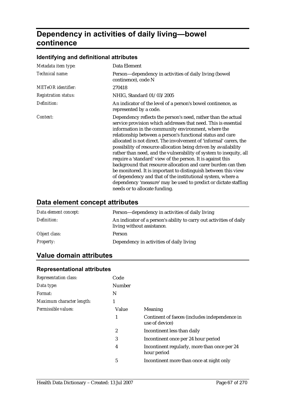# **Dependency in activities of daily living—bowel continence**

# **Identifying and definitional attributes**

| Metadata item type:         | Data Element                                                                                                                                                                                                                                                                                                                                                                                                                                                                                                                                                                                                                                                                                                                                                                                                                             |  |  |
|-----------------------------|------------------------------------------------------------------------------------------------------------------------------------------------------------------------------------------------------------------------------------------------------------------------------------------------------------------------------------------------------------------------------------------------------------------------------------------------------------------------------------------------------------------------------------------------------------------------------------------------------------------------------------------------------------------------------------------------------------------------------------------------------------------------------------------------------------------------------------------|--|--|
| Technical name:             | Person—dependency in activities of daily living (bowel<br>continence), code N                                                                                                                                                                                                                                                                                                                                                                                                                                                                                                                                                                                                                                                                                                                                                            |  |  |
| <b>METeOR</b> identifier:   | 270418                                                                                                                                                                                                                                                                                                                                                                                                                                                                                                                                                                                                                                                                                                                                                                                                                                   |  |  |
| <b>Registration status:</b> | NHIG, Standard 01/03/2005                                                                                                                                                                                                                                                                                                                                                                                                                                                                                                                                                                                                                                                                                                                                                                                                                |  |  |
| Definition:                 | An indicator of the level of a person's bowel continence, as<br>represented by a code.                                                                                                                                                                                                                                                                                                                                                                                                                                                                                                                                                                                                                                                                                                                                                   |  |  |
| Context:                    | Dependency reflects the person's need, rather than the actual<br>service provision which addresses that need. This is essential<br>information in the community environment, where the<br>relationship between a person's functional status and care<br>allocated is not direct. The involvement of 'informal' carers, the<br>possibility of resource allocation being driven by availability<br>rather than need, and the vulnerability of system to inequity, all<br>require a 'standard' view of the person. It is against this<br>background that resource allocation and carer burden can then<br>be monitored. It is important to distinguish between this view<br>of dependency and that of the institutional system, where a<br>dependency 'measure' may be used to predict or dictate staffing<br>needs or to allocate funding. |  |  |

# **Data element concept attributes**

| Data element concept: | Person—dependency in activities of daily living                                                   |  |
|-----------------------|---------------------------------------------------------------------------------------------------|--|
| Definition:           | An indicator of a person's ability to carry out activities of daily<br>living without assistance. |  |
| Object class:         | Person                                                                                            |  |
| <i>Property:</i>      | Dependency in activities of daily living                                                          |  |

# **Value domain attributes**

#### **Representational attributes**

| <b>Representation class:</b> | Code             |                                                                 |
|------------------------------|------------------|-----------------------------------------------------------------|
| Data type:                   | <b>Number</b>    |                                                                 |
| Format:                      | N                |                                                                 |
| Maximum character length:    |                  |                                                                 |
| Permissible values:          | Value            | Meaning                                                         |
|                              | 1                | Continent of faeces (includes independence in<br>use of device) |
|                              | $\boldsymbol{2}$ | Incontinent less than daily                                     |
|                              | 3                | Incontinent once per 24 hour period                             |
|                              | 4                | Incontinent regularly, more than once per 24<br>hour period     |
|                              | 5                | Incontinent more than once at night only                        |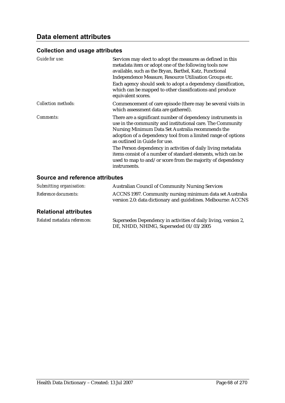#### **Collection and usage attributes**

| Guide for use:             | Services may elect to adopt the measures as defined in this<br>metadata item or adopt one of the following tools now<br>available, such as the Bryan, Barthel, Katz, Functional<br>Independence Measure, Resource Utilisation Groups etc.<br>Each agency should seek to adopt a dependency classification,<br>which can be mapped to other classifications and produce<br>equivalent scores.                                                                                                    |
|----------------------------|-------------------------------------------------------------------------------------------------------------------------------------------------------------------------------------------------------------------------------------------------------------------------------------------------------------------------------------------------------------------------------------------------------------------------------------------------------------------------------------------------|
| <b>Collection methods:</b> | Commencement of care episode (there may be several visits in<br>which assessment data are gathered).                                                                                                                                                                                                                                                                                                                                                                                            |
| <i>Comments:</i>           | There are a significant number of dependency instruments in<br>use in the community and institutional care. The Community<br>Nursing Minimum Data Set Australia recommends the<br>adoption of a dependency tool from a limited range of options<br>as outlined in Guide for use.<br>The Person dependency in activities of daily living metadata<br>items consist of a number of standard elements, which can be<br>used to map to and/or score from the majority of dependency<br>instruments. |

## **Source and reference attributes**

| Submitting organisation:    | <b>Australian Council of Community Nursing Services</b>                                                                   |
|-----------------------------|---------------------------------------------------------------------------------------------------------------------------|
| <i>Reference documents:</i> | ACCNS 1997. Community nursing minimum data set Australia<br>version 2.0: data dictionary and guidelines. Melbourne: ACCNS |

## **Relational attributes**

| Related metadata references: | Supersedes Dependency in activities of daily living, version 2, |
|------------------------------|-----------------------------------------------------------------|
|                              | DE, NHDD, NHIMG, Superseded 01/03/2005                          |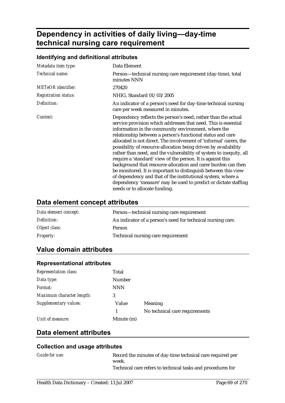# **Dependency in activities of daily living—day-time technical nursing care requirement**

### **Identifying and definitional attributes**

| Metadata item type:         | Data Element                                                                                                                                                                                                                                                                                                                                                                                                                                                                                                                                                                                                                                                                                                                                                                                                                             |
|-----------------------------|------------------------------------------------------------------------------------------------------------------------------------------------------------------------------------------------------------------------------------------------------------------------------------------------------------------------------------------------------------------------------------------------------------------------------------------------------------------------------------------------------------------------------------------------------------------------------------------------------------------------------------------------------------------------------------------------------------------------------------------------------------------------------------------------------------------------------------------|
| Technical name:             | Person—technical nursing care requirement (day-time), total<br>minutes NNN                                                                                                                                                                                                                                                                                                                                                                                                                                                                                                                                                                                                                                                                                                                                                               |
| <b>METeOR</b> identifier:   | 270420                                                                                                                                                                                                                                                                                                                                                                                                                                                                                                                                                                                                                                                                                                                                                                                                                                   |
| <b>Registration status:</b> | NHIG, Standard 01/03/2005                                                                                                                                                                                                                                                                                                                                                                                                                                                                                                                                                                                                                                                                                                                                                                                                                |
| Definition:                 | An indicator of a person's need for day-time technical nursing<br>care per week measured in minutes.                                                                                                                                                                                                                                                                                                                                                                                                                                                                                                                                                                                                                                                                                                                                     |
| Context:                    | Dependency reflects the person's need, rather than the actual<br>service provision which addresses that need. This is essential<br>information in the community environment, where the<br>relationship between a person's functional status and care<br>allocated is not direct. The involvement of 'informal' carers, the<br>possibility of resource allocation being driven by availability<br>rather than need, and the vulnerability of system to inequity, all<br>require a 'standard' view of the person. It is against this<br>background that resource allocation and carer burden can then<br>be monitored. It is important to distinguish between this view<br>of dependency and that of the institutional system, where a<br>dependency 'measure' may be used to predict or dictate staffing<br>needs or to allocate funding. |

## **Data element concept attributes**

| Data element concept: | Person—technical nursing care requirement                   |  |
|-----------------------|-------------------------------------------------------------|--|
| Definition:           | An indicator of a person's need for technical nursing care. |  |
| Object class:         | Person                                                      |  |
| <i>Property:</i>      | Technical nursing care requirement                          |  |

# **Value domain attributes**

| Total         |                                |
|---------------|--------------------------------|
| <b>Number</b> |                                |
| <b>NNN</b>    |                                |
| 3             |                                |
| Value         | Meaning                        |
|               | No technical care requirements |
| Minute (m)    |                                |
|               |                                |

#### **Representational attributes**

# **Data element attributes**

| Guide for use: | Record the minutes of day-time technical care required per  |
|----------------|-------------------------------------------------------------|
|                | week.                                                       |
|                | Technical care refers to technical tasks and procedures for |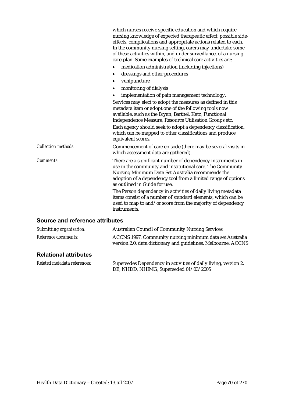|                                 | which nurses receive specific education and which require<br>nursing knowledge of expected therapeutic effect, possible side-<br>effects, complications and appropriate actions related to each.<br>In the community nursing setting, carers may undertake some<br>of these activities within, and under surveillance, of a nursing<br>care-plan. Some examples of technical care activities are:                |
|---------------------------------|------------------------------------------------------------------------------------------------------------------------------------------------------------------------------------------------------------------------------------------------------------------------------------------------------------------------------------------------------------------------------------------------------------------|
|                                 | medication administration (including injections)                                                                                                                                                                                                                                                                                                                                                                 |
|                                 | dressings and other procedures<br>٠                                                                                                                                                                                                                                                                                                                                                                              |
|                                 | venipuncture<br>$\bullet$                                                                                                                                                                                                                                                                                                                                                                                        |
|                                 | monitoring of dialysis                                                                                                                                                                                                                                                                                                                                                                                           |
|                                 | implementation of pain management technology.                                                                                                                                                                                                                                                                                                                                                                    |
|                                 | Services may elect to adopt the measures as defined in this<br>metadata item or adopt one of the following tools now<br>available, such as the Bryan, Barthel, Katz, Functional<br>Independence Measure, Resource Utilisation Groups etc.<br>Each agency should seek to adopt a dependency classification,<br>which can be mapped to other classifications and produce<br>equivalent scores.                     |
| <b>Collection methods:</b>      | Commencement of care episode (there may be several visits in<br>which assessment data are gathered).                                                                                                                                                                                                                                                                                                             |
| Comments:                       | There are a significant number of dependency instruments in<br>use in the community and institutional care. The Community<br>Nursing Minimum Data Set Australia recommends the<br>adoption of a dependency tool from a limited range of options<br>as outlined in Guide for use.<br>The Person dependency in activities of daily living metadata<br>items consist of a number of standard elements, which can be |
|                                 | used to map to and/or score from the majority of dependency<br>instruments.                                                                                                                                                                                                                                                                                                                                      |
| Source and reference attributes |                                                                                                                                                                                                                                                                                                                                                                                                                  |

#### **Source and reference attributes**

| <b>Relational attributes</b> |                                                                                                                           |
|------------------------------|---------------------------------------------------------------------------------------------------------------------------|
| <i>Reference documents:</i>  | ACCNS 1997. Community nursing minimum data set Australia<br>version 2.0: data dictionary and guidelines. Melbourne: ACCNS |
| Submitting organisation:     | <b>Australian Council of Community Nursing Services</b>                                                                   |

*Related metadata references:* Supersedes Dependency in activities of daily living, version 2, DE, NHDD, NHIMG, Superseded 01/03/2005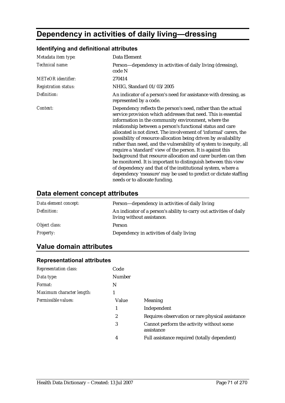# **Dependency in activities of daily living—dressing**

# **Identifying and definitional attributes**

| Metadata item type:         | Data Element                                                                                                                                                                                                                                                                                                                                                                                                                                                                                                                                                                                                                                                                                                                                                                                                                             |
|-----------------------------|------------------------------------------------------------------------------------------------------------------------------------------------------------------------------------------------------------------------------------------------------------------------------------------------------------------------------------------------------------------------------------------------------------------------------------------------------------------------------------------------------------------------------------------------------------------------------------------------------------------------------------------------------------------------------------------------------------------------------------------------------------------------------------------------------------------------------------------|
| Technical name:             | Person—dependency in activities of daily living (dressing),<br>code N                                                                                                                                                                                                                                                                                                                                                                                                                                                                                                                                                                                                                                                                                                                                                                    |
| <b>METeOR</b> identifier:   | 270414                                                                                                                                                                                                                                                                                                                                                                                                                                                                                                                                                                                                                                                                                                                                                                                                                                   |
| <b>Registration status:</b> | NHIG, Standard 01/03/2005                                                                                                                                                                                                                                                                                                                                                                                                                                                                                                                                                                                                                                                                                                                                                                                                                |
| Definition:                 | An indicator of a person's need for assistance with dressing, as<br>represented by a code.                                                                                                                                                                                                                                                                                                                                                                                                                                                                                                                                                                                                                                                                                                                                               |
| Context:                    | Dependency reflects the person's need, rather than the actual<br>service provision which addresses that need. This is essential<br>information in the community environment, where the<br>relationship between a person's functional status and care<br>allocated is not direct. The involvement of 'informal' carers, the<br>possibility of resource allocation being driven by availability<br>rather than need, and the vulnerability of system to inequity, all<br>require a 'standard' view of the person. It is against this<br>background that resource allocation and carer burden can then<br>be monitored. It is important to distinguish between this view<br>of dependency and that of the institutional system, where a<br>dependency 'measure' may be used to predict or dictate staffing<br>needs or to allocate funding. |

# **Data element concept attributes**

| Data element concept: | Person—dependency in activities of daily living                                                   |
|-----------------------|---------------------------------------------------------------------------------------------------|
| Definition:           | An indicator of a person's ability to carry out activities of daily<br>living without assistance. |
| Object class:         | Person                                                                                            |
| <i>Property:</i>      | Dependency in activities of daily living                                                          |

# **Value domain attributes**

| <b>Representation class:</b> | Code   |                                                        |
|------------------------------|--------|--------------------------------------------------------|
| Data type:                   | Number |                                                        |
| Format:                      | N      |                                                        |
| Maximum character length:    |        |                                                        |
| Permissible values:          | Value  | <b>Meaning</b>                                         |
|                              | 1      | Independent                                            |
|                              | 2      | Requires observation or rare physical assistance       |
|                              | 3      | Cannot perform the activity without some<br>assistance |
|                              | 4      | Full assistance required (totally dependent)           |
|                              |        |                                                        |

#### **Representational attributes**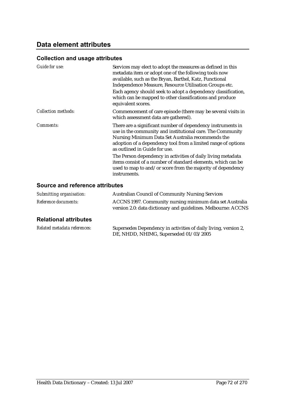#### **Collection and usage attributes**

| Guide for use:      | Services may elect to adopt the measures as defined in this<br>metadata item or adopt one of the following tools now<br>available, such as the Bryan, Barthel, Katz, Functional<br>Independence Measure, Resource Utilisation Groups etc.<br>Each agency should seek to adopt a dependency classification,<br>which can be mapped to other classifications and produce<br>equivalent scores. |
|---------------------|----------------------------------------------------------------------------------------------------------------------------------------------------------------------------------------------------------------------------------------------------------------------------------------------------------------------------------------------------------------------------------------------|
| Collection methods: | Commencement of care episode (there may be several visits in<br>which assessment data are gathered).                                                                                                                                                                                                                                                                                         |
| Comments:           | There are a significant number of dependency instruments in<br>use in the community and institutional care. The Community<br>Nursing Minimum Data Set Australia recommends the<br>adoption of a dependency tool from a limited range of options<br>as outlined in Guide for use.                                                                                                             |
|                     | The Person dependency in activities of daily living metadata<br>items consist of a number of standard elements, which can be<br>used to map to and/or score from the majority of dependency<br>instruments.                                                                                                                                                                                  |

### **Source and reference attributes**

| Submitting organisation:    | <b>Australian Council of Community Nursing Services</b>                                                                   |
|-----------------------------|---------------------------------------------------------------------------------------------------------------------------|
| <i>Reference documents:</i> | ACCNS 1997. Community nursing minimum data set Australia<br>version 2.0: data dictionary and guidelines. Melbourne: ACCNS |

## **Relational attributes**

| Related metadata references: | Supersedes Dependency in activities of daily living, version 2, |
|------------------------------|-----------------------------------------------------------------|
|                              | DE, NHDD, NHIMG, Superseded 01/03/2005                          |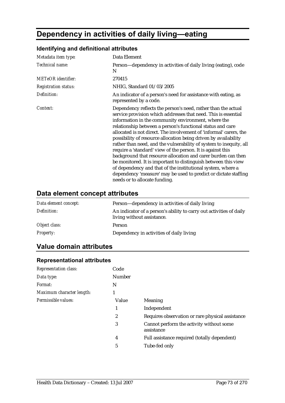# **Dependency in activities of daily living—eating**

## **Identifying and definitional attributes**

| Metadata item type:         | Data Element                                                                                                                                                                                                                                                                                                                                                                                                                                                                                                                                                                                                                                                                                                                                                                                                                             |
|-----------------------------|------------------------------------------------------------------------------------------------------------------------------------------------------------------------------------------------------------------------------------------------------------------------------------------------------------------------------------------------------------------------------------------------------------------------------------------------------------------------------------------------------------------------------------------------------------------------------------------------------------------------------------------------------------------------------------------------------------------------------------------------------------------------------------------------------------------------------------------|
| Technical name:             | Person—dependency in activities of daily living (eating), code<br>N                                                                                                                                                                                                                                                                                                                                                                                                                                                                                                                                                                                                                                                                                                                                                                      |
| <b>METeOR</b> identifier:   | 270415                                                                                                                                                                                                                                                                                                                                                                                                                                                                                                                                                                                                                                                                                                                                                                                                                                   |
| <b>Registration status:</b> | NHIG, Standard 01/03/2005                                                                                                                                                                                                                                                                                                                                                                                                                                                                                                                                                                                                                                                                                                                                                                                                                |
| Definition:                 | An indicator of a person's need for assistance with eating, as<br>represented by a code.                                                                                                                                                                                                                                                                                                                                                                                                                                                                                                                                                                                                                                                                                                                                                 |
| Context:                    | Dependency reflects the person's need, rather than the actual<br>service provision which addresses that need. This is essential<br>information in the community environment, where the<br>relationship between a person's functional status and care<br>allocated is not direct. The involvement of 'informal' carers, the<br>possibility of resource allocation being driven by availability<br>rather than need, and the vulnerability of system to inequity, all<br>require a 'standard' view of the person. It is against this<br>background that resource allocation and carer burden can then<br>be monitored. It is important to distinguish between this view<br>of dependency and that of the institutional system, where a<br>dependency 'measure' may be used to predict or dictate staffing<br>needs or to allocate funding. |

## **Data element concept attributes**

| Data element concept: | Person—dependency in activities of daily living                                                   |
|-----------------------|---------------------------------------------------------------------------------------------------|
| Definition:           | An indicator of a person's ability to carry out activities of daily<br>living without assistance. |
| Object class:         | Person                                                                                            |
| <b>Property:</b>      | Dependency in activities of daily living                                                          |

## **Value domain attributes**

| <b>Representation class:</b> | Code          |                                                        |
|------------------------------|---------------|--------------------------------------------------------|
| Data type:                   | <b>Number</b> |                                                        |
| <i>Format:</i>               | N             |                                                        |
| Maximum character length:    |               |                                                        |
| Permissible values:          | Value         | Meaning                                                |
|                              | 1             | Independent                                            |
|                              | 2             | Requires observation or rare physical assistance       |
|                              | 3             | Cannot perform the activity without some<br>assistance |
|                              | 4             | Full assistance required (totally dependent)           |
|                              | 5             | Tube-fed only                                          |
|                              |               |                                                        |

#### **Representational attributes**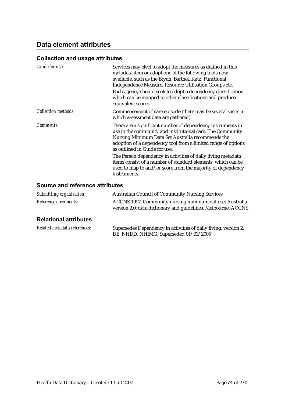### **Collection and usage attributes**

| Guide for use:      | Services may elect to adopt the measures as defined in this<br>metadata item or adopt one of the following tools now<br>available, such as the Bryan, Barthel, Katz, Functional<br>Independence Measure, Resource Utilisation Groups etc.<br>Each agency should seek to adopt a dependency classification,<br>which can be mapped to other classifications and produce<br>equivalent scores. |
|---------------------|----------------------------------------------------------------------------------------------------------------------------------------------------------------------------------------------------------------------------------------------------------------------------------------------------------------------------------------------------------------------------------------------|
| Collection methods: | Commencement of care episode (there may be several visits in<br>which assessment data are gathered).                                                                                                                                                                                                                                                                                         |
| Comments:           | There are a significant number of dependency instruments in<br>use in the community and institutional care. The Community<br>Nursing Minimum Data Set Australia recommends the<br>adoption of a dependency tool from a limited range of options<br>as outlined in Guide for use.                                                                                                             |
|                     | The Person dependency in activities of daily living metadata<br>items consist of a number of standard elements, which can be<br>used to map to and/or score from the majority of dependency<br>instruments.                                                                                                                                                                                  |

### **Source and reference attributes**

| Submitting organisation:    | <b>Australian Council of Community Nursing Services</b>                                                                   |
|-----------------------------|---------------------------------------------------------------------------------------------------------------------------|
| <i>Reference documents:</i> | ACCNS 1997. Community nursing minimum data set Australia<br>version 2.0: data dictionary and guidelines. Melbourne: ACCNS |

### **Relational attributes**

| Related metadata references: | Supersedes Dependency in activities of daily living, version 2, |
|------------------------------|-----------------------------------------------------------------|
|                              | DE, NHDD, NHIMG, Superseded 01/03/2005                          |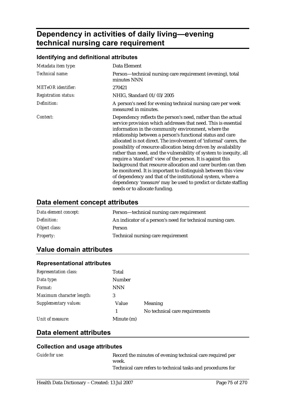# **Dependency in activities of daily living—evening technical nursing care requirement**

### **Identifying and definitional attributes**

| Metadata item type:         | Data Element                                                                                                                                                                                                                                                                                                                                                                                                                                                                                                                                                                                                                                                                                                                                                                                                                             |
|-----------------------------|------------------------------------------------------------------------------------------------------------------------------------------------------------------------------------------------------------------------------------------------------------------------------------------------------------------------------------------------------------------------------------------------------------------------------------------------------------------------------------------------------------------------------------------------------------------------------------------------------------------------------------------------------------------------------------------------------------------------------------------------------------------------------------------------------------------------------------------|
| Technical name:             | Person—technical nursing care requirement (evening), total<br>minutes NNN                                                                                                                                                                                                                                                                                                                                                                                                                                                                                                                                                                                                                                                                                                                                                                |
| <b>METeOR</b> identifier:   | 270421                                                                                                                                                                                                                                                                                                                                                                                                                                                                                                                                                                                                                                                                                                                                                                                                                                   |
| <b>Registration status:</b> | NHIG, Standard 01/03/2005                                                                                                                                                                                                                                                                                                                                                                                                                                                                                                                                                                                                                                                                                                                                                                                                                |
| Definition:                 | A person's need for evening technical nursing care per week<br>measured in minutes.                                                                                                                                                                                                                                                                                                                                                                                                                                                                                                                                                                                                                                                                                                                                                      |
| Context:                    | Dependency reflects the person's need, rather than the actual<br>service provision which addresses that need. This is essential<br>information in the community environment, where the<br>relationship between a person's functional status and care<br>allocated is not direct. The involvement of 'informal' carers, the<br>possibility of resource allocation being driven by availability<br>rather than need, and the vulnerability of system to inequity, all<br>require a 'standard' view of the person. It is against this<br>background that resource allocation and carer burden can then<br>be monitored. It is important to distinguish between this view<br>of dependency and that of the institutional system, where a<br>dependency 'measure' may be used to predict or dictate staffing<br>needs or to allocate funding. |

## **Data element concept attributes**

| Data element concept: | Person—technical nursing care requirement                   |
|-----------------------|-------------------------------------------------------------|
| Definition:           | An indicator of a person's need for technical nursing care. |
| Object class:         | Person                                                      |
| <i>Property:</i>      | Technical nursing care requirement                          |

## **Value domain attributes**

| Total         |                                |
|---------------|--------------------------------|
| <b>Number</b> |                                |
| <b>NNN</b>    |                                |
| 3             |                                |
| Value         | Meaning                        |
|               | No technical care requirements |
| Minute (m)    |                                |
|               |                                |

#### **Representational attributes**

## **Data element attributes**

| <i>Guide for use:</i> | Record the minutes of evening technical care required per   |
|-----------------------|-------------------------------------------------------------|
|                       | week.                                                       |
|                       | Technical care refers to technical tasks and procedures for |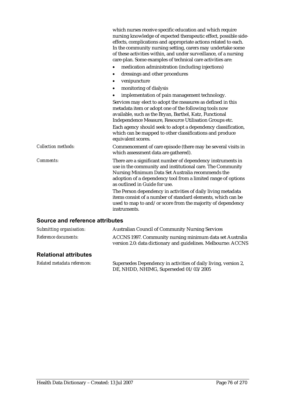|                                 | which nurses receive specific education and which require<br>nursing knowledge of expected therapeutic effect, possible side-<br>effects, complications and appropriate actions related to each.<br>In the community nursing setting, carers may undertake some<br>of these activities within, and under surveillance, of a nursing<br>care-plan. Some examples of technical care activities are:                |
|---------------------------------|------------------------------------------------------------------------------------------------------------------------------------------------------------------------------------------------------------------------------------------------------------------------------------------------------------------------------------------------------------------------------------------------------------------|
|                                 | medication administration (including injections)                                                                                                                                                                                                                                                                                                                                                                 |
|                                 | dressings and other procedures                                                                                                                                                                                                                                                                                                                                                                                   |
|                                 | venipuncture                                                                                                                                                                                                                                                                                                                                                                                                     |
|                                 | monitoring of dialysis<br>٠                                                                                                                                                                                                                                                                                                                                                                                      |
|                                 | implementation of pain management technology.                                                                                                                                                                                                                                                                                                                                                                    |
|                                 | Services may elect to adopt the measures as defined in this<br>metadata item or adopt one of the following tools now<br>available, such as the Bryan, Barthel, Katz, Functional<br>Independence Measure, Resource Utilisation Groups etc.<br>Each agency should seek to adopt a dependency classification,<br>which can be mapped to other classifications and produce<br>equivalent scores.                     |
| <b>Collection methods:</b>      | Commencement of care episode (there may be several visits in<br>which assessment data are gathered).                                                                                                                                                                                                                                                                                                             |
| <b>Comments:</b>                | There are a significant number of dependency instruments in<br>use in the community and institutional care. The Community<br>Nursing Minimum Data Set Australia recommends the<br>adoption of a dependency tool from a limited range of options<br>as outlined in Guide for use.<br>The Person dependency in activities of daily living metadata<br>items consist of a number of standard elements, which can be |
|                                 | used to map to and/or score from the majority of dependency<br>instruments.                                                                                                                                                                                                                                                                                                                                      |
| Source and reference attributes |                                                                                                                                                                                                                                                                                                                                                                                                                  |

|                              | ACCNS 1997. Community nursing minimum data set Australia<br>version 2.0: data dictionary and guidelines. Melbourne: ACCNS |
|------------------------------|---------------------------------------------------------------------------------------------------------------------------|
| <b>Relational attributes</b> |                                                                                                                           |

| Related metadata references: | Supersedes Dependency in activities of daily living, version 2, |
|------------------------------|-----------------------------------------------------------------|
|                              | DE, NHDD, NHIMG, Superseded 01/03/2005                          |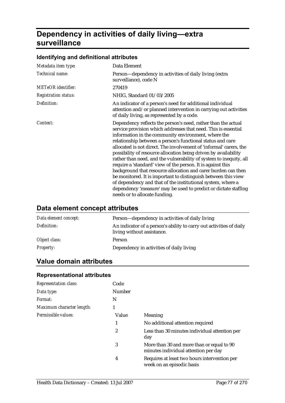# **Dependency in activities of daily living—extra surveillance**

### **Identifying and definitional attributes**

| Metadata item type:         | Data Element                                                                                                                                                                                                                                                                                                                                                                                                                                                                                                                                                                                                                                                                                                                                                                                                                             |
|-----------------------------|------------------------------------------------------------------------------------------------------------------------------------------------------------------------------------------------------------------------------------------------------------------------------------------------------------------------------------------------------------------------------------------------------------------------------------------------------------------------------------------------------------------------------------------------------------------------------------------------------------------------------------------------------------------------------------------------------------------------------------------------------------------------------------------------------------------------------------------|
| Technical name:             | Person—dependency in activities of daily living (extra<br>surveillance), code N                                                                                                                                                                                                                                                                                                                                                                                                                                                                                                                                                                                                                                                                                                                                                          |
| <b>METeOR</b> identifier:   | 270419                                                                                                                                                                                                                                                                                                                                                                                                                                                                                                                                                                                                                                                                                                                                                                                                                                   |
| <b>Registration status:</b> | NHIG, Standard 01/03/2005                                                                                                                                                                                                                                                                                                                                                                                                                                                                                                                                                                                                                                                                                                                                                                                                                |
| Definition:                 | An indicator of a person's need for additional individual<br>attention and/or planned intervention in carrying out activities<br>of daily living, as represented by a code.                                                                                                                                                                                                                                                                                                                                                                                                                                                                                                                                                                                                                                                              |
| Context:                    | Dependency reflects the person's need, rather than the actual<br>service provision which addresses that need. This is essential<br>information in the community environment, where the<br>relationship between a person's functional status and care<br>allocated is not direct. The involvement of 'informal' carers, the<br>possibility of resource allocation being driven by availability<br>rather than need, and the vulnerability of system to inequity, all<br>require a 'standard' view of the person. It is against this<br>background that resource allocation and carer burden can then<br>be monitored. It is important to distinguish between this view<br>of dependency and that of the institutional system, where a<br>dependency 'measure' may be used to predict or dictate staffing<br>needs or to allocate funding. |

## **Data element concept attributes**

| Data element concept: | Person—dependency in activities of daily living                                                   |
|-----------------------|---------------------------------------------------------------------------------------------------|
| Definition:           | An indicator of a person's ability to carry out activities of daily<br>living without assistance. |
| Object class:         | Person                                                                                            |
| <i>Property:</i>      | Dependency in activities of daily living                                                          |

## **Value domain attributes**

#### **Representational attributes**

| <b>Representation class:</b> | Code   |                                                                                   |
|------------------------------|--------|-----------------------------------------------------------------------------------|
| Data type:                   | Number |                                                                                   |
| <i>Format:</i>               | N      |                                                                                   |
| Maximum character length:    |        |                                                                                   |
| Permissible values:          | Value  | <b>Meaning</b>                                                                    |
|                              | 1      | No additional attention required                                                  |
|                              | 2      | Less than 30 minutes individual attention per<br>day                              |
|                              | 3      | More than 30 and more than or equal to 90<br>minutes individual attention per day |
|                              | 4      | Requires at least two hours intervention per<br>week on an episodic basis         |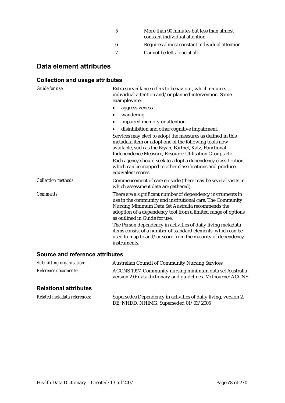| -5 | More than 90 minutes but less than almost<br>constant individual attention |
|----|----------------------------------------------------------------------------|
| 6  | Requires almost constant individual attention                              |
|    | Cannot be left alone at all                                                |

## **Data element attributes**

#### **Collection and usage attributes**

*Guide for use:* Extra surveillance refers to behaviour, which requires individual attention and/or planned intervention. Some examples are: • aggressiveness • wandering impaired memory or attention • disinhibition and other cognitive impairment. Services may elect to adopt the measures as defined in this metadata item or adopt one of the following tools now available, such as the Bryan, Barthel, Katz, Functional Independence Measure, Resource Utilisation Groups etc. Each agency should seek to adopt a dependency classification, which can be mapped to other classifications and produce equivalent scores. *Collection methods:* Commencement of care episode (there may be several visits in which assessment data are gathered). *Comments:* There are a significant number of dependency instruments in use in the community and institutional care. The Community Nursing Minimum Data Set Australia recommends the adoption of a dependency tool from a limited range of options as outlined in Guide for use. The Person dependency in activities of daily living metadata items consist of a number of standard elements, which can be used to map to and/or score from the majority of dependency instruments.

#### **Source and reference attributes**

| Submitting organisation:    | <b>Australian Council of Community Nursing Services</b>       |
|-----------------------------|---------------------------------------------------------------|
| <i>Reference documents:</i> | ACCNS 1997. Community nursing minimum data set Australia      |
|                             | version 2.0: data dictionary and guidelines. Melbourne: ACCNS |

#### **Relational attributes**

| Related metadata references: | Supersedes Dependency in activities of daily living, version 2, |
|------------------------------|-----------------------------------------------------------------|
|                              | DE, NHDD, NHIMG, Superseded 01/03/2005                          |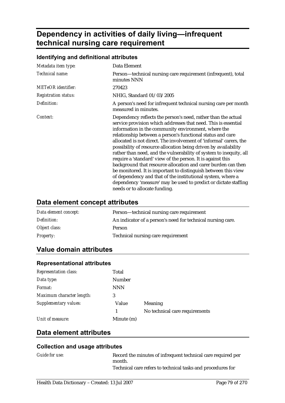# **Dependency in activities of daily living—infrequent technical nursing care requirement**

#### **Identifying and definitional attributes**

| Metadata item type:         | Data Element                                                                                                                                                                                                                                                                                                                                                                                                                                                                                                                                                                                                                                                                                                                                                                                                                             |
|-----------------------------|------------------------------------------------------------------------------------------------------------------------------------------------------------------------------------------------------------------------------------------------------------------------------------------------------------------------------------------------------------------------------------------------------------------------------------------------------------------------------------------------------------------------------------------------------------------------------------------------------------------------------------------------------------------------------------------------------------------------------------------------------------------------------------------------------------------------------------------|
| Technical name:             | Person—technical nursing care requirement (infrequent), total<br>minutes NNN                                                                                                                                                                                                                                                                                                                                                                                                                                                                                                                                                                                                                                                                                                                                                             |
| <b>METeOR</b> identifier:   | 270423                                                                                                                                                                                                                                                                                                                                                                                                                                                                                                                                                                                                                                                                                                                                                                                                                                   |
| <b>Registration status:</b> | NHIG, Standard 01/03/2005                                                                                                                                                                                                                                                                                                                                                                                                                                                                                                                                                                                                                                                                                                                                                                                                                |
| Definition:                 | A person's need for infrequent technical nursing care per month<br>measured in minutes.                                                                                                                                                                                                                                                                                                                                                                                                                                                                                                                                                                                                                                                                                                                                                  |
| Context:                    | Dependency reflects the person's need, rather than the actual<br>service provision which addresses that need. This is essential<br>information in the community environment, where the<br>relationship between a person's functional status and care<br>allocated is not direct. The involvement of 'informal' carers, the<br>possibility of resource allocation being driven by availability<br>rather than need, and the vulnerability of system to inequity, all<br>require a 'standard' view of the person. It is against this<br>background that resource allocation and carer burden can then<br>be monitored. It is important to distinguish between this view<br>of dependency and that of the institutional system, where a<br>dependency 'measure' may be used to predict or dictate staffing<br>needs or to allocate funding. |

### **Data element concept attributes**

| Data element concept: | Person—technical nursing care requirement                   |
|-----------------------|-------------------------------------------------------------|
| Definition:           | An indicator of a person's need for technical nursing care. |
| Object class:         | Person                                                      |
| <i>Property:</i>      | Technical nursing care requirement                          |

## **Value domain attributes**

| Total         |                                |
|---------------|--------------------------------|
| <b>Number</b> |                                |
| <b>NNN</b>    |                                |
| 3             |                                |
| Value         | Meaning                        |
|               | No technical care requirements |
| Minute (m)    |                                |
|               |                                |

#### **Representational attributes**

## **Data element attributes**

| <b>Guide for use:</b> | Record the minutes of infrequent technical care required per |
|-----------------------|--------------------------------------------------------------|
|                       | month.                                                       |
|                       | Technical care refers to technical tasks and procedures for  |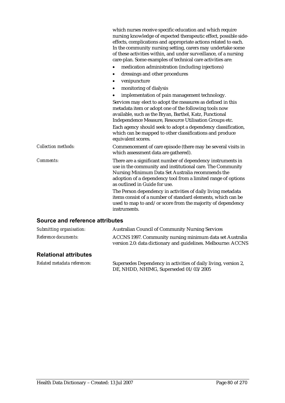|                                 | which nurses receive specific education and which require<br>nursing knowledge of expected therapeutic effect, possible side-<br>effects, complications and appropriate actions related to each.<br>In the community nursing setting, carers may undertake some<br>of these activities within, and under surveillance, of a nursing<br>care-plan. Some examples of technical care activities are:                |
|---------------------------------|------------------------------------------------------------------------------------------------------------------------------------------------------------------------------------------------------------------------------------------------------------------------------------------------------------------------------------------------------------------------------------------------------------------|
|                                 | medication administration (including injections)                                                                                                                                                                                                                                                                                                                                                                 |
|                                 | dressings and other procedures                                                                                                                                                                                                                                                                                                                                                                                   |
|                                 | venipuncture                                                                                                                                                                                                                                                                                                                                                                                                     |
|                                 | monitoring of dialysis<br>٠                                                                                                                                                                                                                                                                                                                                                                                      |
|                                 | implementation of pain management technology.                                                                                                                                                                                                                                                                                                                                                                    |
|                                 | Services may elect to adopt the measures as defined in this<br>metadata item or adopt one of the following tools now<br>available, such as the Bryan, Barthel, Katz, Functional<br>Independence Measure, Resource Utilisation Groups etc.<br>Each agency should seek to adopt a dependency classification,<br>which can be mapped to other classifications and produce<br>equivalent scores.                     |
| <b>Collection methods:</b>      | Commencement of care episode (there may be several visits in<br>which assessment data are gathered).                                                                                                                                                                                                                                                                                                             |
| <b>Comments:</b>                | There are a significant number of dependency instruments in<br>use in the community and institutional care. The Community<br>Nursing Minimum Data Set Australia recommends the<br>adoption of a dependency tool from a limited range of options<br>as outlined in Guide for use.<br>The Person dependency in activities of daily living metadata<br>items consist of a number of standard elements, which can be |
|                                 | used to map to and/or score from the majority of dependency<br>instruments.                                                                                                                                                                                                                                                                                                                                      |
| Source and reference attributes |                                                                                                                                                                                                                                                                                                                                                                                                                  |

|                              | ACCNS 1997. Community nursing minimum data set Australia<br>version 2.0: data dictionary and guidelines. Melbourne: ACCNS |
|------------------------------|---------------------------------------------------------------------------------------------------------------------------|
| <b>Relational attributes</b> |                                                                                                                           |

| Related metadata references: | Supersedes Dependency in activities of daily living, version 2, |
|------------------------------|-----------------------------------------------------------------|
|                              | DE, NHDD, NHIMG, Superseded 01/03/2005                          |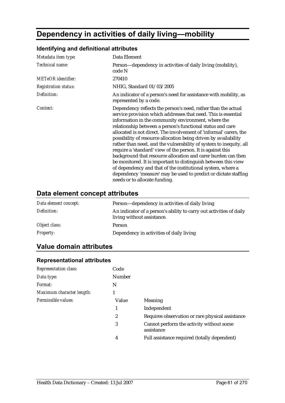# **Dependency in activities of daily living—mobility**

## **Identifying and definitional attributes**

| Metadata item type:         | Data Element                                                                                                                                                                                                                                                                                                                                                                                                                                                                                                                                                                                                                                                                                                                                                                                                                             |
|-----------------------------|------------------------------------------------------------------------------------------------------------------------------------------------------------------------------------------------------------------------------------------------------------------------------------------------------------------------------------------------------------------------------------------------------------------------------------------------------------------------------------------------------------------------------------------------------------------------------------------------------------------------------------------------------------------------------------------------------------------------------------------------------------------------------------------------------------------------------------------|
| Technical name:             | Person—dependency in activities of daily living (mobility),<br>code N                                                                                                                                                                                                                                                                                                                                                                                                                                                                                                                                                                                                                                                                                                                                                                    |
| <b>METeOR</b> identifier:   | 270410                                                                                                                                                                                                                                                                                                                                                                                                                                                                                                                                                                                                                                                                                                                                                                                                                                   |
| <b>Registration status:</b> | NHIG, Standard 01/03/2005                                                                                                                                                                                                                                                                                                                                                                                                                                                                                                                                                                                                                                                                                                                                                                                                                |
| Definition:                 | An indicator of a person's need for assistance with mobility, as<br>represented by a code.                                                                                                                                                                                                                                                                                                                                                                                                                                                                                                                                                                                                                                                                                                                                               |
| Context:                    | Dependency reflects the person's need, rather than the actual<br>service provision which addresses that need. This is essential<br>information in the community environment, where the<br>relationship between a person's functional status and care<br>allocated is not direct. The involvement of 'informal' carers, the<br>possibility of resource allocation being driven by availability<br>rather than need, and the vulnerability of system to inequity, all<br>require a 'standard' view of the person. It is against this<br>background that resource allocation and carer burden can then<br>be monitored. It is important to distinguish between this view<br>of dependency and that of the institutional system, where a<br>dependency 'measure' may be used to predict or dictate staffing<br>needs or to allocate funding. |

## **Data element concept attributes**

| Data element concept: | Person—dependency in activities of daily living                                                   |
|-----------------------|---------------------------------------------------------------------------------------------------|
| Definition:           | An indicator of a person's ability to carry out activities of daily<br>living without assistance. |
| Object class:         | Person                                                                                            |
| <i>Property:</i>      | Dependency in activities of daily living                                                          |

## **Value domain attributes**

| <b>Representation class:</b> | Code   |                                                        |
|------------------------------|--------|--------------------------------------------------------|
| Data type:                   | Number |                                                        |
| Format:                      | N      |                                                        |
| Maximum character length:    |        |                                                        |
| Permissible values:          | Value  | <b>Meaning</b>                                         |
|                              | 1      | Independent                                            |
|                              | 2      | Requires observation or rare physical assistance       |
|                              | 3      | Cannot perform the activity without some<br>assistance |
|                              | 4      | Full assistance required (totally dependent)           |

#### **Representational attributes**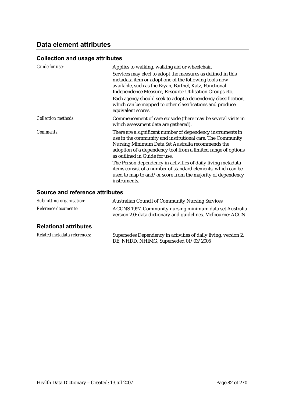### **Collection and usage attributes**

| Guide for use:             | Applies to walking, walking aid or wheelchair.<br>Services may elect to adopt the measures as defined in this<br>metadata item or adopt one of the following tools now<br>available, such as the Bryan, Barthel, Katz, Functional<br>Independence Measure, Resource Utilisation Groups etc.<br>Each agency should seek to adopt a dependency classification,<br>which can be mapped to other classifications and produce |
|----------------------------|--------------------------------------------------------------------------------------------------------------------------------------------------------------------------------------------------------------------------------------------------------------------------------------------------------------------------------------------------------------------------------------------------------------------------|
| <b>Collection methods:</b> | equivalent scores.<br>Commencement of care episode (there may be several visits in<br>which assessment data are gathered).                                                                                                                                                                                                                                                                                               |
| Comments:                  | There are a significant number of dependency instruments in<br>use in the community and institutional care. The Community<br>Nursing Minimum Data Set Australia recommends the<br>adoption of a dependency tool from a limited range of options<br>as outlined in Guide for use.                                                                                                                                         |
|                            | The Person dependency in activities of daily living metadata<br>items consist of a number of standard elements, which can be<br>used to map to and/or score from the majority of dependency<br>instruments.                                                                                                                                                                                                              |

#### **Source and reference attributes**

| Submitting organisation:     | <b>Australian Council of Community Nursing Services</b>                                                                  |
|------------------------------|--------------------------------------------------------------------------------------------------------------------------|
| Reference documents:         | ACCNS 1997. Community nursing minimum data set Australia<br>version 2.0: data dictionary and guidelines. Melbourne: ACCN |
| <b>Relational attributes</b> |                                                                                                                          |
| Related metadata references: | Supersedes Dependency in activities of daily living, version 2,                                                          |

DE, NHDD, NHIMG, Superseded 01/03/2005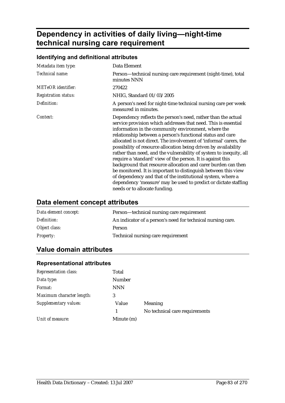# **Dependency in activities of daily living—night-time technical nursing care requirement**

## **Identifying and definitional attributes**

| Metadata item type:         | Data Element                                                                                                                                                                                                                                                                                                                                                                                                                                                                                                                                                                                                                                                                                                                                                                                                                             |
|-----------------------------|------------------------------------------------------------------------------------------------------------------------------------------------------------------------------------------------------------------------------------------------------------------------------------------------------------------------------------------------------------------------------------------------------------------------------------------------------------------------------------------------------------------------------------------------------------------------------------------------------------------------------------------------------------------------------------------------------------------------------------------------------------------------------------------------------------------------------------------|
| Technical name:             | Person—technical nursing care requirement (night-time), total<br>minutes NNN                                                                                                                                                                                                                                                                                                                                                                                                                                                                                                                                                                                                                                                                                                                                                             |
| METeOR identifier:          | 270422                                                                                                                                                                                                                                                                                                                                                                                                                                                                                                                                                                                                                                                                                                                                                                                                                                   |
| <b>Registration status:</b> | NHIG, Standard 01/03/2005                                                                                                                                                                                                                                                                                                                                                                                                                                                                                                                                                                                                                                                                                                                                                                                                                |
| Definition:                 | A person's need for night-time technical nursing care per week<br>measured in minutes.                                                                                                                                                                                                                                                                                                                                                                                                                                                                                                                                                                                                                                                                                                                                                   |
| Context:                    | Dependency reflects the person's need, rather than the actual<br>service provision which addresses that need. This is essential<br>information in the community environment, where the<br>relationship between a person's functional status and care<br>allocated is not direct. The involvement of 'informal' carers, the<br>possibility of resource allocation being driven by availability<br>rather than need, and the vulnerability of system to inequity, all<br>require a 'standard' view of the person. It is against this<br>background that resource allocation and carer burden can then<br>be monitored. It is important to distinguish between this view<br>of dependency and that of the institutional system, where a<br>dependency 'measure' may be used to predict or dictate staffing<br>needs or to allocate funding. |

### **Data element concept attributes**

| Data element concept: | Person—technical nursing care requirement                   |
|-----------------------|-------------------------------------------------------------|
| Definition:           | An indicator of a person's need for technical nursing care. |
| Object class:         | Person                                                      |
| <b>Property:</b>      | Technical nursing care requirement                          |

## **Value domain attributes**

| <b>Representation class:</b> | Total      |                                |
|------------------------------|------------|--------------------------------|
| Data type:                   | Number     |                                |
| Format:                      | <b>NNN</b> |                                |
| Maximum character length:    | 3          |                                |
| Supplementary values:        | Value      | Meaning                        |
|                              | 1          | No technical care requirements |
| Unit of measure:             | Minute (m) |                                |

### **Representational attributes**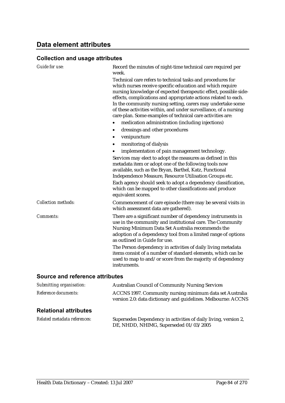### **Collection and usage attributes**

| <b>Guide for use:</b>      | Record the minutes of night-time technical care required per<br>week.                                                                                                                                                                                                                                                                                                                                                                                                           |
|----------------------------|---------------------------------------------------------------------------------------------------------------------------------------------------------------------------------------------------------------------------------------------------------------------------------------------------------------------------------------------------------------------------------------------------------------------------------------------------------------------------------|
|                            | Technical care refers to technical tasks and procedures for<br>which nurses receive specific education and which require<br>nursing knowledge of expected therapeutic effect, possible side-<br>effects, complications and appropriate actions related to each.<br>In the community nursing setting, carers may undertake some<br>of these activities within, and under surveillance, of a nursing<br>care-plan. Some examples of technical care activities are:                |
|                            | medication administration (including injections)                                                                                                                                                                                                                                                                                                                                                                                                                                |
|                            | dressings and other procedures<br>$\bullet$                                                                                                                                                                                                                                                                                                                                                                                                                                     |
|                            | venipuncture<br>٠                                                                                                                                                                                                                                                                                                                                                                                                                                                               |
|                            | monitoring of dialysis<br>$\bullet$                                                                                                                                                                                                                                                                                                                                                                                                                                             |
|                            | implementation of pain management technology.                                                                                                                                                                                                                                                                                                                                                                                                                                   |
|                            | Services may elect to adopt the measures as defined in this<br>metadata item or adopt one of the following tools now<br>available, such as the Bryan, Barthel, Katz, Functional<br>Independence Measure, Resource Utilisation Groups etc.                                                                                                                                                                                                                                       |
|                            | Each agency should seek to adopt a dependency classification,<br>which can be mapped to other classifications and produce<br>equivalent scores.                                                                                                                                                                                                                                                                                                                                 |
| <b>Collection methods:</b> | Commencement of care episode (there may be several visits in<br>which assessment data are gathered).                                                                                                                                                                                                                                                                                                                                                                            |
| <b>Comments:</b>           | There are a significant number of dependency instruments in<br>use in the community and institutional care. The Community<br>Nursing Minimum Data Set Australia recommends the<br>adoption of a dependency tool from a limited range of options<br>as outlined in Guide for use.<br>The Person dependency in activities of daily living metadata<br>items consist of a number of standard elements, which can be<br>used to map to and/or score from the majority of dependency |
|                            | instruments.                                                                                                                                                                                                                                                                                                                                                                                                                                                                    |

| Submitting organisation:     | <b>Australian Council of Community Nursing Services</b>                                                                   |
|------------------------------|---------------------------------------------------------------------------------------------------------------------------|
| Reference documents:         | ACCNS 1997. Community nursing minimum data set Australia<br>version 2.0: data dictionary and guidelines. Melbourne: ACCNS |
| <b>Relational attributes</b> |                                                                                                                           |
| Related metadata references: | Supersedes Dependency in activities of daily living, version 2,<br>DE, NHDD, NHIMG, Superseded 01/03/2005                 |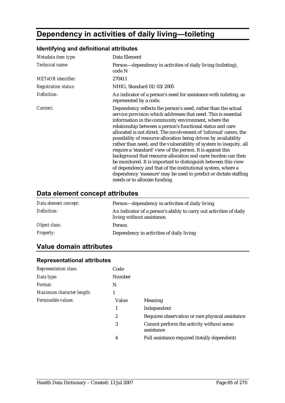# **Dependency in activities of daily living—toileting**

## **Identifying and definitional attributes**

| Metadata item type:         | Data Element                                                                                                                                                                                                                                                                                                                                                                                                                                                                                                                                                                                                                                                                                                                                                                                                                             |
|-----------------------------|------------------------------------------------------------------------------------------------------------------------------------------------------------------------------------------------------------------------------------------------------------------------------------------------------------------------------------------------------------------------------------------------------------------------------------------------------------------------------------------------------------------------------------------------------------------------------------------------------------------------------------------------------------------------------------------------------------------------------------------------------------------------------------------------------------------------------------------|
| Technical name:             | Person—dependency in activities of daily living (toileting),<br>code N                                                                                                                                                                                                                                                                                                                                                                                                                                                                                                                                                                                                                                                                                                                                                                   |
| <b>METeOR</b> identifier:   | 270411                                                                                                                                                                                                                                                                                                                                                                                                                                                                                                                                                                                                                                                                                                                                                                                                                                   |
| <b>Registration status:</b> | NHIG, Standard 01/03/2005                                                                                                                                                                                                                                                                                                                                                                                                                                                                                                                                                                                                                                                                                                                                                                                                                |
| Definition:                 | An indicator of a person's need for assistance with toileting, as<br>represented by a code.                                                                                                                                                                                                                                                                                                                                                                                                                                                                                                                                                                                                                                                                                                                                              |
| Context:                    | Dependency reflects the person's need, rather than the actual<br>service provision which addresses that need. This is essential<br>information in the community environment, where the<br>relationship between a person's functional status and care<br>allocated is not direct. The involvement of 'informal' carers, the<br>possibility of resource allocation being driven by availability<br>rather than need, and the vulnerability of system to inequity, all<br>require a 'standard' view of the person. It is against this<br>background that resource allocation and carer burden can then<br>be monitored. It is important to distinguish between this view<br>of dependency and that of the institutional system, where a<br>dependency 'measure' may be used to predict or dictate staffing<br>needs or to allocate funding. |

## **Data element concept attributes**

| Data element concept: | Person—dependency in activities of daily living                                                   |
|-----------------------|---------------------------------------------------------------------------------------------------|
| Definition:           | An indicator of a person's ability to carry out activities of daily<br>living without assistance. |
| Object class:         | Person                                                                                            |
| <i>Property:</i>      | Dependency in activities of daily living                                                          |

## **Value domain attributes**

| <b>Representation class:</b> | Code   |                                                        |
|------------------------------|--------|--------------------------------------------------------|
| Data type:                   | Number |                                                        |
| Format:                      | N      |                                                        |
| Maximum character length:    |        |                                                        |
| Permissible values:          | Value  | <b>Meaning</b>                                         |
|                              | 1      | Independent                                            |
|                              | 2      | Requires observation or rare physical assistance       |
|                              | 3      | Cannot perform the activity without some<br>assistance |
|                              | 4      | Full assistance required (totally dependent)           |
|                              |        |                                                        |

#### **Representational attributes**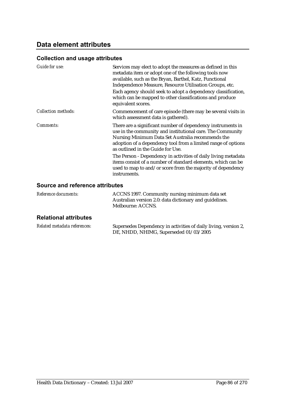## **Data element attributes**

### **Collection and usage attributes**

| Guide for use:             | Services may elect to adopt the measures as defined in this<br>metadata item or adopt one of the following tools now<br>available, such as the Bryan, Barthel, Katz, Functional<br>Independence Measure, Resource Utilisation Groups, etc.<br>Each agency should seek to adopt a dependency classification,<br>which can be mapped to other classifications and produce<br>equivalent scores.                                                                                                         |
|----------------------------|-------------------------------------------------------------------------------------------------------------------------------------------------------------------------------------------------------------------------------------------------------------------------------------------------------------------------------------------------------------------------------------------------------------------------------------------------------------------------------------------------------|
| <b>Collection methods:</b> | Commencement of care episode (there may be several visits in<br>which assessment data is gathered).                                                                                                                                                                                                                                                                                                                                                                                                   |
| Comments:                  | There are a significant number of dependency instruments in<br>use in the community and institutional care. The Community<br>Nursing Minimum Data Set Australia recommends the<br>adoption of a dependency tool from a limited range of options<br>as outlined in the Guide for Use.<br>The Person - Dependency in activities of daily living metadata<br>items consist of a number of standard elements, which can be<br>used to map to and/or score from the majority of dependency<br>instruments. |

### **Source and reference attributes**

| ACCNS 1997. Community nursing minimum data set          |
|---------------------------------------------------------|
| Australian version 2.0: data dictionary and guidelines. |
| Melbourne: ACCNS.                                       |
|                                                         |

### **Relational attributes**

| Related metadata references: | Supersedes Dependency in activities of daily living, version 2, |
|------------------------------|-----------------------------------------------------------------|
|                              | DE, NHDD, NHIMG, Superseded 01/03/2005                          |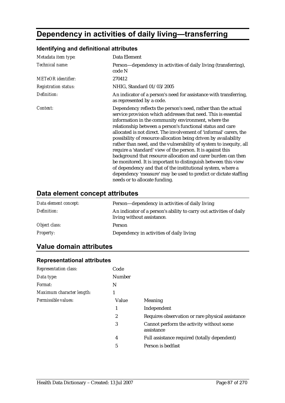# **Dependency in activities of daily living—transferring**

#### *Metadata item type:* Data Element *Technical name:* Person—dependency in activities of daily living (transferring), code N *METeOR identifier:* 270412 *Registration status:* NHIG, Standard 01/03/2005 *Definition:* An indicator of a person's need for assistance with transferring, as represented by a code. *Context:* Dependency reflects the person's need, rather than the actual service provision which addresses that need. This is essential information in the community environment, where the relationship between a person's functional status and care allocated is not direct. The involvement of 'informal' carers, the possibility of resource allocation being driven by availability rather than need, and the vulnerability of system to inequity, all require a 'standard' view of the person. It is against this background that resource allocation and carer burden can then be monitored. It is important to distinguish between this view of dependency and that of the institutional system, where a dependency 'measure' may be used to predict or dictate staffing needs or to allocate funding.

#### **Identifying and definitional attributes**

#### **Data element concept attributes**

| Data element concept: | Person—dependency in activities of daily living                                                   |
|-----------------------|---------------------------------------------------------------------------------------------------|
| Definition:           | An indicator of a person's ability to carry out activities of daily<br>living without assistance. |
| Object class:         | Person                                                                                            |
| <b>Property:</b>      | Dependency in activities of daily living                                                          |

### **Value domain attributes**

| <b>Representation class:</b> | Code          |                                                        |
|------------------------------|---------------|--------------------------------------------------------|
| Data type:                   | <b>Number</b> |                                                        |
| Format:                      | N             |                                                        |
| Maximum character length:    |               |                                                        |
| Permissible values:          | Value         | Meaning                                                |
|                              | 1             | Independent                                            |
|                              | 2             | Requires observation or rare physical assistance       |
|                              | 3             | Cannot perform the activity without some<br>assistance |
|                              | 4             | Full assistance required (totally dependent)           |
|                              | 5             | Person is bedfast                                      |
|                              |               |                                                        |

#### **Representational attributes**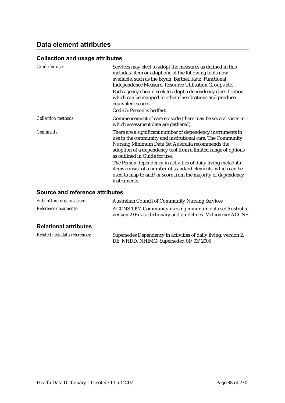### **Collection and usage attributes**

| Guide for use:             | Services may elect to adopt the measures as defined in this<br>metadata item or adopt one of the following tools now<br>available, such as the Bryan, Barthel, Katz, Functional<br>Independence Measure, Resource Utilisation Groups etc.<br>Each agency should seek to adopt a dependency classification,<br>which can be mapped to other classifications and produce<br>equivalent scores.                                                                                    |
|----------------------------|---------------------------------------------------------------------------------------------------------------------------------------------------------------------------------------------------------------------------------------------------------------------------------------------------------------------------------------------------------------------------------------------------------------------------------------------------------------------------------|
|                            | Code 5: Person is bedfast.                                                                                                                                                                                                                                                                                                                                                                                                                                                      |
| <b>Collection methods:</b> | Commencement of care episode (there may be several visits in<br>which assessment data are gathered).                                                                                                                                                                                                                                                                                                                                                                            |
| Comments:                  | There are a significant number of dependency instruments in<br>use in the community and institutional care. The Community<br>Nursing Minimum Data Set Australia recommends the<br>adoption of a dependency tool from a limited range of options<br>as outlined in Guide for use.<br>The Person dependency in activities of daily living metadata<br>items consist of a number of standard elements, which can be<br>used to map to and/or score from the majority of dependency |
|                            | instruments.                                                                                                                                                                                                                                                                                                                                                                                                                                                                    |

| Submitting organisation:     | <b>Australian Council of Community Nursing Services</b>                                                                   |
|------------------------------|---------------------------------------------------------------------------------------------------------------------------|
| Reference documents:         | ACCNS 1997. Community nursing minimum data set Australia<br>version 2.0: data dictionary and guidelines. Melbourne: ACCNS |
| <b>Relational attributes</b> |                                                                                                                           |
| Delated metadata references  | Supercedes Dependency in activities of daily living version ?                                                             |

| Related metadata references: | Supersedes Dependency in activities of daily living, version 2, |
|------------------------------|-----------------------------------------------------------------|
|                              | DE, NHDD, NHIMG, Superseded 01/03/2005                          |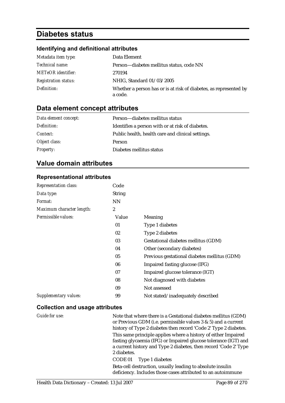# **Diabetes status**

#### **Identifying and definitional attributes**

| Metadata item type:         | Data Element                                                                 |
|-----------------------------|------------------------------------------------------------------------------|
| Technical name:             | Person-diabetes mellitus status, code NN                                     |
| <b>METeOR</b> identifier:   | 270194                                                                       |
| <b>Registration status:</b> | NHIG, Standard 01/03/2005                                                    |
| Definition:                 | Whether a person has or is at risk of diabetes, as represented by<br>a code. |

### **Data element concept attributes**

| Data element concept: | Person—diabetes mellitus status                   |
|-----------------------|---------------------------------------------------|
| Definition:           | Identifies a person with or at risk of diabetes.  |
| Context:              | Public health, health care and clinical settings. |
| Object class:         | <b>Person</b>                                     |
| <b>Property:</b>      | Diabetes mellitus status                          |

### **Value domain attributes**

#### **Representational attributes**

| Representation class:     | Code             |                                              |
|---------------------------|------------------|----------------------------------------------|
| Data type:                | <b>String</b>    |                                              |
| <i>Format:</i>            | <b>NN</b>        |                                              |
| Maximum character length: | $\boldsymbol{2}$ |                                              |
| Permissible values:       | Value            | Meaning                                      |
|                           | 01               | Type 1 diabetes                              |
|                           | 02               | Type 2 diabetes                              |
|                           | 03               | Gestational diabetes mellitus (GDM)          |
|                           | 04               | Other (secondary diabetes)                   |
|                           | 05               | Previous gestational diabetes mellitus (GDM) |
|                           | 06               | Impaired fasting glucose (IFG)               |
|                           | 07               | Impaired glucose tolerance (IGT)             |
|                           | 08               | Not diagnosed with diabetes                  |
|                           | 09               | Not assessed                                 |
| Supplementary values:     | 99               | Not stated/inadequately described            |

#### **Collection and usage attributes**

*Guide for use:* Note that where there is a Gestational diabetes mellitus (GDM) or Previous GDM (i.e. permissible values 3 & 5) and a current history of Type 2 diabetes then record 'Code 2' Type 2 diabetes. This same principle applies where a history of either Impaired fasting glycaemia (IFG) or Impaired glucose tolerance (IGT) and a current history and Type 2 diabetes, then record 'Code 2' Type 2 diabetes.

CODE 01 Type 1 diabetes

Beta-cell destruction, usually leading to absolute insulin deficiency. Includes those cases attributed to an autoimmune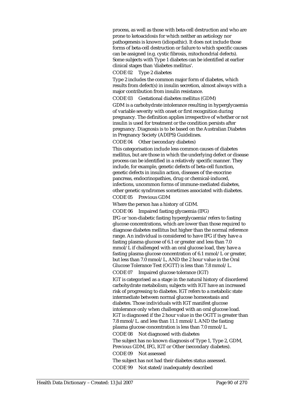process, as well as those with beta-cell destruction and who are prone to ketoacidosis for which neither an aetiology nor pathogenesis is known (idiopathic). It does not include those forms of beta-cell destruction or failure to which specific causes can be assigned (e.g. cystic fibrosis, mitochondrial defects). Some subjects with Type 1 diabetes can be identified at earlier clinical stages than 'diabetes mellitus'.

CODE 02 Type 2 diabetes

Type 2 includes the common major form of diabetes, which results from defect(s) in insulin secretion, almost always with a major contribution from insulin resistance.

CODE 03 Gestational diabetes mellitus (GDM)

GDM is a carbohydrate intolerance resulting in hyperglycaemia of variable severity with onset or first recognition during pregnancy. The definition applies irrespective of whether or not insulin is used for treatment or the condition persists after pregnancy. Diagnosis is to be based on the Australian Diabetes in Pregnancy Society (ADIPS) Guidelines.

CODE 04 Other (secondary diabetes)

This categorisation include less common causes of diabetes mellitus, but are those in which the underlying defect or disease process can be identified in a relatively specific manner. They include, for example, genetic defects of beta-cell function, genetic defects in insulin action, diseases of the exocrine pancreas, endocrinopathies, drug or chemical-induced, infections, uncommon forms of immune-mediated diabetes, other genetic syndromes sometimes associated with diabetes.

CODE 05 Previous GDM

Where the person has a history of GDM.

CODE 06 Impaired fasting glycaemia (IFG)

IFG or 'non-diabetic fasting hyperglycaemia' refers to fasting glucose concentrations, which are lower than those required to diagnose diabetes mellitus but higher than the normal reference range. An individual is considered to have IFG if they have a fasting plasma glucose of 6.1 or greater and less than 7.0 mmol/L if challenged with an oral glucose load, they have a fasting plasma glucose concentration of 6.1 mmol/L or greater, but less than 7.0 mmol/L, AND the 2 hour value in the Oral Glucose Tolerance Test (OGTT) is less than 7.8 mmol/L. CODE 07 Impaired glucose tolerance (IGT)

IGT is categorised as a stage in the natural history of disordered carbohydrate metabolism; subjects with IGT have an increased risk of progressing to diabetes. IGT refers to a metabolic state intermediate between normal glucose homeostasis and diabetes. Those individuals with IGT manifest glucose intolerance only when challenged with an oral glucose load. IGT is diagnosed if the 2 hour value in the OGTT is greater than 7.8 mmol/L. and less than 11.1 mmol/L AND the fasting plasma glucose concentration is less than 7.0 mmol/L. CODE 08 Not diagnosed with diabetes The subject has no known diagnosis of Type 1, Type 2, GDM,

Previous GDM, IFG, IGT or Other (secondary diabetes). CODE 09 Not assessed

The subject has not had their diabetes status assessed. CODE 99 Not stated/inadequately described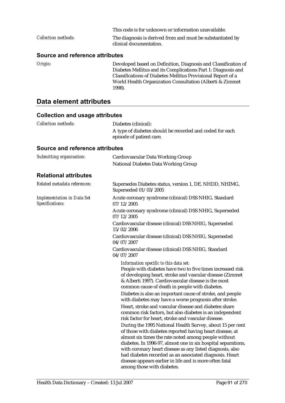|                     | This code is for unknown or information unavailable.                                  |
|---------------------|---------------------------------------------------------------------------------------|
| Collection methods: | The diagnosis is derived from and must be substantiated by<br>clinical documentation. |

#### **Source and reference attributes**

*Origin:* Developed based on Definition, Diagnosis and Classification of Diabetes Mellitus and its Complications Part 1: Diagnosis and Classifications of Diabetes Mellitus Provisional Report of a World Health Organization Consultation (Alberti & Zimmet 1998).

## **Data element attributes**

| <b>Collection methods:</b>                           | Diabetes (clinical):                                                                                                                                                                                                                                                                                                                                                                                                                                                                                                                                                                                                                                                                                                                                                                                                                                                                                                                                                                                                                            |  |
|------------------------------------------------------|-------------------------------------------------------------------------------------------------------------------------------------------------------------------------------------------------------------------------------------------------------------------------------------------------------------------------------------------------------------------------------------------------------------------------------------------------------------------------------------------------------------------------------------------------------------------------------------------------------------------------------------------------------------------------------------------------------------------------------------------------------------------------------------------------------------------------------------------------------------------------------------------------------------------------------------------------------------------------------------------------------------------------------------------------|--|
|                                                      | A type of diabetes should be recorded and coded for each<br>episode of patient care.                                                                                                                                                                                                                                                                                                                                                                                                                                                                                                                                                                                                                                                                                                                                                                                                                                                                                                                                                            |  |
| Source and reference attributes                      |                                                                                                                                                                                                                                                                                                                                                                                                                                                                                                                                                                                                                                                                                                                                                                                                                                                                                                                                                                                                                                                 |  |
| Submitting organisation:                             | Cardiovascular Data Working Group<br>National Diabetes Data Working Group                                                                                                                                                                                                                                                                                                                                                                                                                                                                                                                                                                                                                                                                                                                                                                                                                                                                                                                                                                       |  |
| <b>Relational attributes</b>                         |                                                                                                                                                                                                                                                                                                                                                                                                                                                                                                                                                                                                                                                                                                                                                                                                                                                                                                                                                                                                                                                 |  |
| Related metadata references:                         | Supersedes Diabetes status, version 1, DE, NHDD, NHIMG,<br>Superseded 01/03/2005                                                                                                                                                                                                                                                                                                                                                                                                                                                                                                                                                                                                                                                                                                                                                                                                                                                                                                                                                                |  |
| <b>Implementation in Data Set</b><br>Specifications: | Acute coronary syndrome (clinical) DSS NHIG, Standard<br>07/12/2005                                                                                                                                                                                                                                                                                                                                                                                                                                                                                                                                                                                                                                                                                                                                                                                                                                                                                                                                                                             |  |
|                                                      | Acute coronary syndrome (clinical) DSS NHIG, Superseded<br>07/12/2005                                                                                                                                                                                                                                                                                                                                                                                                                                                                                                                                                                                                                                                                                                                                                                                                                                                                                                                                                                           |  |
|                                                      | Cardiovascular disease (clinical) DSS NHIG, Superseded<br>15/02/2006                                                                                                                                                                                                                                                                                                                                                                                                                                                                                                                                                                                                                                                                                                                                                                                                                                                                                                                                                                            |  |
|                                                      | Cardiovascular disease (clinical) DSS NHIG, Superseded<br>04/07/2007                                                                                                                                                                                                                                                                                                                                                                                                                                                                                                                                                                                                                                                                                                                                                                                                                                                                                                                                                                            |  |
|                                                      | Cardiovascular disease (clinical) DSS NHIG, Standard<br>04/07/2007                                                                                                                                                                                                                                                                                                                                                                                                                                                                                                                                                                                                                                                                                                                                                                                                                                                                                                                                                                              |  |
|                                                      | Information specific to this data set:<br>People with diabetes have two to five times increased risk<br>of developing heart, stroke and vascular disease (Zimmet<br>& Alberti 1997). Cardiovascular disease is the most<br>common cause of death in people with diabetes.<br>Diabetes is also an important cause of stroke, and people<br>with diabetes may have a worse prognosis after stroke.<br>Heart, stroke and vascular disease and diabetes share<br>common risk factors, but also diabetes is an independent<br>risk factor for heart, stroke and vascular disease.<br>During the 1995 National Health Survey, about 15 per cent<br>of those with diabetes reported having heart disease, at<br>almost six times the rate noted among people without<br>diabetes. In 1996-97, almost one in six hospital separations,<br>with coronary heart disease as any listed diagnosis, also<br>had diabetes recorded as an associated diagnosis. Heart<br>disease appears earlier in life and is more often fatal<br>among those with diabetes. |  |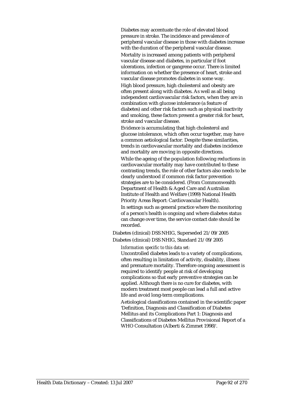Diabetes may accentuate the role of elevated blood pressure in stroke. The incidence and prevalence of peripheral vascular disease in those with diabetes increase with the duration of the peripheral vascular disease. Mortality is increased among patients with peripheral vascular disease and diabetes, in particular if foot ulcerations, infection or gangrene occur. There is limited information on whether the presence of heart, stroke and vascular disease promotes diabetes in some way. High blood pressure, high cholesterol and obesity are often present along with diabetes. As well as all being independent cardiovascular risk factors, when they are in combination with glucose intolerance (a feature of diabetes) and other risk factors such as physical inactivity and smoking, these factors present a greater risk for heart,

Evidence is accumulating that high cholesterol and glucose intolerance, which often occur together, may have a common aetiological factor. Despite these similarities, trends in cardiovascular mortality and diabetes incidence and mortality are moving in opposite directions. While the ageing of the population following reductions in cardiovascular mortality may have contributed to these contrasting trends, the role of other factors also needs to be clearly understood if common risk factor prevention strategies are to be considered. (From Commonwealth Department of Health & Aged Care and Australian Institute of Health and Welfare (1999) National Health Priority Areas Report: Cardiovascular Health).

In settings such as general practice where the monitoring of a person's health is ongoing and where diabetes status can change over time, the service contact date should be recorded.

Diabetes (clinical) DSS NHIG, Superseded 21/09/2005 Diabetes (clinical) DSS NHIG, Standard 21/09/2005

#### *Information specific to this data set:*

stroke and vascular disease.

Uncontrolled diabetes leads to a variety of complications, often resulting in limitation of activity, disability, illness and premature mortality. Therefore ongoing assessment is required to identify people at risk of developing complications so that early preventive strategies can be applied. Although there is no cure for diabetes, with modern treatment most people can lead a full and active life and avoid long-term complications.

Aetiological classifications contained in the scientific paper 'Definition, Diagnosis and Classification of Diabetes Mellitus and its Complications Part 1: Diagnosis and Classifications of Diabetes Mellitus Provisional Report of a WHO Consultation (Alberti & Zimmet 1998)'.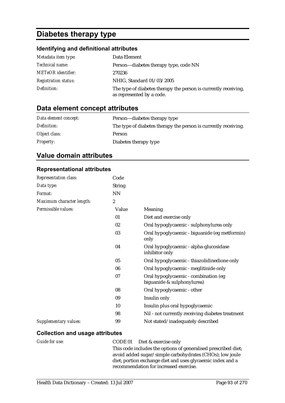# **Diabetes therapy type**

## **Identifying and definitional attributes**

| Metadata item type:         | Data Element                                                                                 |
|-----------------------------|----------------------------------------------------------------------------------------------|
| <i>Technical name:</i>      | Person—diabetes therapy type, code NN                                                        |
| <b>METeOR</b> identifier:   | 270236                                                                                       |
| <b>Registration status:</b> | NHIG, Standard 01/03/2005                                                                    |
| Definition:                 | The type of diabetes therapy the person is currently receiving,<br>as represented by a code. |

## **Data element concept attributes**

| Data element concept: | Person—diabetes therapy type                                    |
|-----------------------|-----------------------------------------------------------------|
| Definition:           | The type of diabetes therapy the person is currently receiving. |
| Object class:         | Person                                                          |
| <b>Property:</b>      | Diabetes therapy type                                           |

## **Value domain attributes**

### **Representational attributes**

| <b>Representation class:</b> | Code             |                                                                    |
|------------------------------|------------------|--------------------------------------------------------------------|
| Data type:                   | <b>String</b>    |                                                                    |
| Format:                      | <b>NN</b>        |                                                                    |
| Maximum character length:    | $\boldsymbol{2}$ |                                                                    |
| Permissible values:          | Value            | Meaning                                                            |
|                              | 01               | Diet and exercise only                                             |
|                              | 02               | Oral hypoglycaemic - sulphonylurea only                            |
|                              | 03               | Oral hypoglycaemic - biguanide (eg metformin)<br>only              |
|                              | 04               | Oral hypoglycaemic - alpha-glucosidase<br>inhibitor only           |
|                              | 05               | Oral hypoglycaemic - thiazolidinedione only                        |
|                              | 06               | Oral hypoglycaemic - meglitinide only                              |
|                              | 07               | Oral hypoglycaemic - combination (eg<br>biguanide & sulphonylurea) |
|                              | 08               | Oral hypoglycaemic - other                                         |
|                              | 09               | Insulin only                                                       |
|                              | 10               | Insulin plus oral hypoglycaemic                                    |
|                              | 98               | Nil - not currently receiving diabetes treatment                   |
| <b>Supplementary values:</b> | 99               | Not stated/inadequately described                                  |

| <i>Guide for use:</i> | $CODE 01$ Diet & exercise only                                 |
|-----------------------|----------------------------------------------------------------|
|                       | This code includes the options of generalised prescribed diet; |
|                       | avoid added sugar/simple carbohydrates (CHOs); low joule       |
|                       | diet; portion exchange diet and uses glycaemic index and a     |
|                       | recommendation for increased exercise.                         |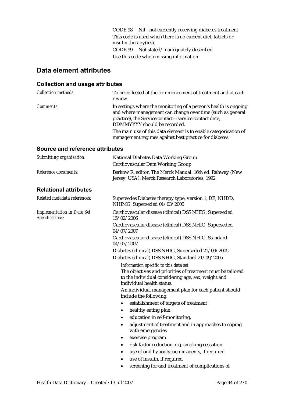CODE 98 Nil - not currently receiving diabetes treatment This code is used when there is no current diet, tablets or insulin therapy(ies). CODE 99 Not stated/inadequately described Use this code when missing information.

## **Data element attributes**

## **Collection and usage attributes**

| <b>Collection methods:</b> | To be collected at the commencement of treatment and at each<br>review.                                                                                                                                                                                                                    |
|----------------------------|--------------------------------------------------------------------------------------------------------------------------------------------------------------------------------------------------------------------------------------------------------------------------------------------|
| <i>Comments:</i>           | In settings where the monitoring of a person's health is ongoing<br>and where management can change over time (such as general<br>practice), the Service contact—service contact date,<br>DDMMYYYY should be recorded.<br>The main use of this data element is to enable categorisation of |
|                            | management regimes against best practice for diabetes.                                                                                                                                                                                                                                     |

#### **Source and reference attributes**

| Submitting organisation:                             | <b>National Diabetes Data Working Group</b><br><b>Cardiovascular Data Working Group</b>                                                                                                  |  |  |
|------------------------------------------------------|------------------------------------------------------------------------------------------------------------------------------------------------------------------------------------------|--|--|
| Reference documents:                                 | Berkow R, editor. The Merck Manual. 16th ed. Rahway (New<br>Jersey, USA): Merck Research Laboratories; 1992.                                                                             |  |  |
| <b>Relational attributes</b>                         |                                                                                                                                                                                          |  |  |
| Related metadata references:                         | Supersedes Diabetes therapy type, version 1, DE, NHDD,<br>NHIMG, Superseded 01/03/2005                                                                                                   |  |  |
| <b>Implementation in Data Set</b><br>Specifications: | Cardiovascular disease (clinical) DSS NHIG, Superseded<br>15/02/2006                                                                                                                     |  |  |
|                                                      | Cardiovascular disease (clinical) DSS NHIG, Superseded<br>04/07/2007                                                                                                                     |  |  |
|                                                      | Cardiovascular disease (clinical) DSS NHIG, Standard<br>04/07/2007                                                                                                                       |  |  |
|                                                      | Diabetes (clinical) DSS NHIG, Superseded 21/09/2005                                                                                                                                      |  |  |
|                                                      | Diabetes (clinical) DSS NHIG, Standard 21/09/2005                                                                                                                                        |  |  |
|                                                      | Information specific to this data set:<br>The objectives and priorities of treatment must be tailored<br>to the individual considering age, sex, weight and<br>individual health status. |  |  |
|                                                      | An individual management plan for each patient should<br>include the following:                                                                                                          |  |  |
|                                                      | establishment of targets of treatment                                                                                                                                                    |  |  |
|                                                      | healthy eating plan<br>٠                                                                                                                                                                 |  |  |
|                                                      | education in self-monitoring,<br>٠                                                                                                                                                       |  |  |
|                                                      | adjustment of treatment and in approaches to coping<br>٠<br>with emergencies                                                                                                             |  |  |
|                                                      | exercise program<br>٠                                                                                                                                                                    |  |  |
|                                                      | risk factor reduction, e.g. smoking cessation<br>٠                                                                                                                                       |  |  |
|                                                      | use of oral hypoglycaemic agents, if required<br>٠                                                                                                                                       |  |  |
|                                                      | use of insulin, if required                                                                                                                                                              |  |  |

• screening for and treatment of complications of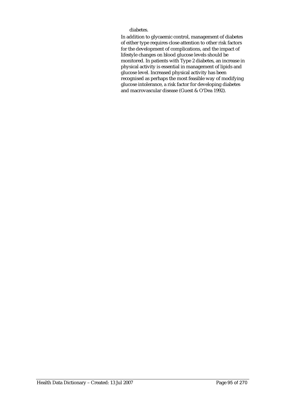diabetes.

In addition to glycaemic control, management of diabetes of either type requires close attention to other risk factors for the development of complications, and the impact of lifestyle changes on blood glucose levels should be monitored. In patients with Type 2 diabetes, an increase in physical activity is essential in management of lipids and glucose level. Increased physical activity has been recognised as perhaps the most feasible way of modifying glucose intolerance, a risk factor for developing diabetes and macrovascular disease (Guest & O'Dea 1992).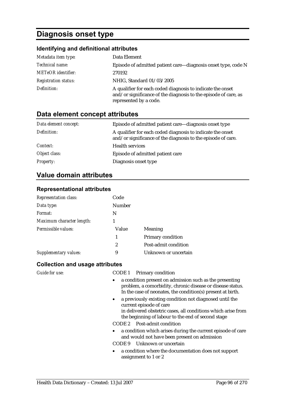# **Diagnosis onset type**

## **Identifying and definitional attributes**

| Metadata item type:         | Data Element                                                                                                                                            |
|-----------------------------|---------------------------------------------------------------------------------------------------------------------------------------------------------|
| Technical name:             | Episode of admitted patient care—diagnosis onset type, code N                                                                                           |
| <b>METeOR</b> identifier:   | 270192                                                                                                                                                  |
| <b>Registration status:</b> | NHIG, Standard 01/03/2005                                                                                                                               |
| Definition:                 | A qualifier for each coded diagnosis to indicate the onset<br>and/or significance of the diagnosis to the episode of care, as<br>represented by a code. |

## **Data element concept attributes**

| Data element concept: | Episode of admitted patient care—diagnosis onset type                                                                      |
|-----------------------|----------------------------------------------------------------------------------------------------------------------------|
| Definition:           | A qualifier for each coded diagnosis to indicate the onset<br>and/or significance of the diagnosis to the episode of care. |
| Context:              | <b>Health services</b>                                                                                                     |
| Object class:         | Episode of admitted patient care                                                                                           |
| <b>Property:</b>      | Diagnosis onset type                                                                                                       |

## **Value domain attributes**

#### **Representational attributes**

| Representation class:     | Code          |                      |
|---------------------------|---------------|----------------------|
| Data type:                | <b>Number</b> |                      |
| Format:                   | N             |                      |
| Maximum character length: |               |                      |
| Permissible values:       | Value         | Meaning              |
|                           | 1             | Primary condition    |
|                           | 2             | Post-admit condition |
| Supplementary values:     | 9             | Unknown or uncertain |

| <b>Guide for use:</b> | CODE 1 Primary condition                                                                                                                                                                                               |
|-----------------------|------------------------------------------------------------------------------------------------------------------------------------------------------------------------------------------------------------------------|
|                       | a condition present on admission such as the presenting<br>problem, a comorbidity, chronic disease or disease status.<br>In the case of neonates, the condition(s) present at birth.                                   |
|                       | a previously existing condition not diagnosed until the<br>$\bullet$<br>current episode of care<br>in delivered obstetric cases, all conditions which arise from<br>the beginning of labour to the end of second stage |
|                       | CODE 2 Post-admit condition                                                                                                                                                                                            |
|                       | • a condition which arises during the current episode of care<br>and would not have been present on admission<br>CODE 9 Unknown or uncertain                                                                           |
|                       |                                                                                                                                                                                                                        |
|                       | a condition where the documentation does not support<br>$\bullet$<br>assignment to 1 or 2                                                                                                                              |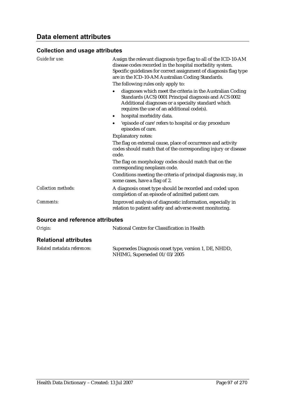### **Collection and usage attributes**

| <b>Guide for use:</b>           | Assign the relevant diagnosis type flag to all of the ICD-10-AM<br>disease codes recorded in the hospital morbidity system.<br>Specific guidelines for correct assignment of diagnosis flag type<br>are in the ICD-10-AM Australian Coding Standards.<br>The following rules only apply to:<br>diagnoses which meet the criteria in the Australian Coding<br>٠<br>Standards (ACS) 0001 Principal diagnosis and ACS 0002<br>Additional diagnoses or a specialty standard which<br>requires the use of an additional code(s).<br>hospital morbidity data.<br>٠<br>'episode of care' refers to hospital or day procedure<br>episodes of care.<br><b>Explanatory notes:</b> |
|---------------------------------|-------------------------------------------------------------------------------------------------------------------------------------------------------------------------------------------------------------------------------------------------------------------------------------------------------------------------------------------------------------------------------------------------------------------------------------------------------------------------------------------------------------------------------------------------------------------------------------------------------------------------------------------------------------------------|
|                                 | The flag on external cause, place of occurrence and activity<br>codes should match that of the corresponding injury or disease<br>code.<br>The flag on morphology codes should match that on the<br>corresponding neoplasm code.                                                                                                                                                                                                                                                                                                                                                                                                                                        |
|                                 | Conditions meeting the criteria of principal diagnosis may, in<br>some cases, have a flag of 2.                                                                                                                                                                                                                                                                                                                                                                                                                                                                                                                                                                         |
| <b>Collection methods:</b>      | A diagnosis onset type should be recorded and coded upon<br>completion of an episode of admitted patient care.                                                                                                                                                                                                                                                                                                                                                                                                                                                                                                                                                          |
| <b>Comments:</b>                | Improved analysis of diagnostic information, especially in<br>relation to patient safety and adverse event monitoring.                                                                                                                                                                                                                                                                                                                                                                                                                                                                                                                                                  |
| Causan and safasanan attsihutan |                                                                                                                                                                                                                                                                                                                                                                                                                                                                                                                                                                                                                                                                         |

| Origin:                      | National Centre for Classification in Health                                          |
|------------------------------|---------------------------------------------------------------------------------------|
| <b>Relational attributes</b> |                                                                                       |
| Related metadata references: | Supersedes Diagnosis onset type, version 1, DE, NHDD,<br>NHIMG, Superseded 01/03/2005 |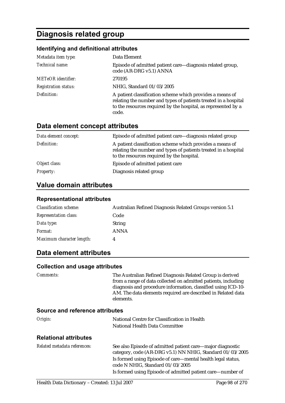# **Diagnosis related group**

### **Identifying and definitional attributes**

| Metadata item type:         | Data Element                                                                                                                                                                                            |
|-----------------------------|---------------------------------------------------------------------------------------------------------------------------------------------------------------------------------------------------------|
| Technical name:             | Episode of admitted patient care—diagnosis related group,<br>code (AR-DRG v5.1) ANNA                                                                                                                    |
| <b>METeOR</b> identifier:   | 270195                                                                                                                                                                                                  |
| <b>Registration status:</b> | NHIG, Standard 01/03/2005                                                                                                                                                                               |
| Definition:                 | A patient classification scheme which provides a means of<br>relating the number and types of patients treated in a hospital<br>to the resources required by the hospital, as represented by a<br>code. |

## **Data element concept attributes**

| Data element concept: | Episode of admitted patient care—diagnosis related group                                                                                                                   |
|-----------------------|----------------------------------------------------------------------------------------------------------------------------------------------------------------------------|
| Definition:           | A patient classification scheme which provides a means of<br>relating the number and types of patients treated in a hospital<br>to the resources required by the hospital. |
| Object class:         | Episode of admitted patient care                                                                                                                                           |
| <b>Property:</b>      | Diagnosis related group                                                                                                                                                    |

## **Value domain attributes**

#### **Representational attributes**

| <b>Classification scheme:</b> | Australian Refined Diagnosis Related Groups version 5.1 |
|-------------------------------|---------------------------------------------------------|
| <b>Representation class:</b>  | Code                                                    |
| Data type:                    | <b>String</b>                                           |
| <i>Format:</i>                | <b>ANNA</b>                                             |
| Maximum character length:     |                                                         |

## **Data element attributes**

#### **Collection and usage attributes**

| <i>Comments:</i>                   | The Australian Refined Diagnosis Related Group is derived      |
|------------------------------------|----------------------------------------------------------------|
|                                    | from a range of data collected on admitted patients, including |
|                                    | diagnosis and procedure information, classified using ICD-10-  |
|                                    | AM. The data elements required are described in Related data   |
|                                    | elements.                                                      |
| Carriage and reference effullaries |                                                                |

| Origin:                      | National Centre for Classification in Health |
|------------------------------|----------------------------------------------|
|                              | National Health Data Committee               |
| <b>Relational attributes</b> |                                              |

| Related metadata references: | See also Episode of admitted patient care—major diagnostic<br>category, code (AR-DRG v5.1) NN NHIG, Standard 01/03/2005 |
|------------------------------|-------------------------------------------------------------------------------------------------------------------------|
|                              | Is formed using Episode of care—mental health legal status,<br>code N NHIG, Standard 01/03/2005                         |
|                              | Is formed using Episode of admitted patient care—number of                                                              |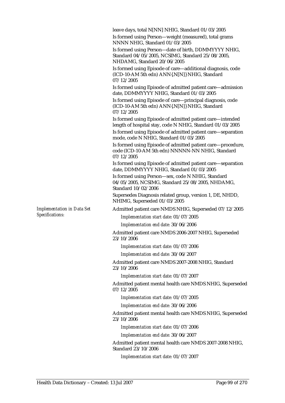leave days, total N[NN] NHIG, Standard 01/03/2005

Is formed using Person—weight (measured), total grams NNNN NHIG, Standard 01/03/2005

Is formed using Person—date of birth, DDMMYYYY NHIG, Standard 04/05/2005, NCSIMG, Standard 25/08/2005, NHDAMG, Standard 20/06/2005

Is formed using Episode of care—additional diagnosis, code (ICD-10-AM 5th edn) ANN{.N[N]} NHIG, Standard 07/12/2005

Is formed using Episode of admitted patient care—admission date, DDMMYYYY NHIG, Standard 01/03/2005

Is formed using Episode of care—principal diagnosis, code (ICD-10-AM 5th edn) ANN{.N[N]} NHIG, Standard 07/12/2005

Is formed using Episode of admitted patient care—intended length of hospital stay, code N NHIG, Standard 01/03/2005 Is formed using Episode of admitted patient care—separation mode, code N NHIG, Standard 01/03/2005

Is formed using Episode of admitted patient care—procedure, code (ICD-10-AM 5th edn) NNNNN-NN NHIG, Standard 07/12/2005

Is formed using Episode of admitted patient care—separation date, DDMMYYYY NHIG, Standard 01/03/2005

Is formed using Person—sex, code N NHIG, Standard 04/05/2005, NCSIMG, Standard 25/08/2005, NHDAMG, Standard 10/02/2006

Supersedes Diagnosis related group, version 1, DE, NHDD, NHIMG, Superseded 01/03/2005

Admitted patient care NMDS NHIG, Superseded 07/12/2005

*Implementation start date:* 01/07/2005

*Implementation end date:* 30/06/2006

Admitted patient care NMDS 2006-2007 NHIG, Superseded 23/10/2006

*Implementation start date:* 01/07/2006

*Implementation end date:* 30/06/2007

Admitted patient care NMDS 2007-2008 NHIG, Standard 23/10/2006

*Implementation start date:* 01/07/2007

Admitted patient mental health care NMDS NHIG, Superseded 07/12/2005

*Implementation start date:* 01/07/2005

*Implementation end date:* 30/06/2006

Admitted patient mental health care NMDS NHIG, Superseded 23/10/2006

*Implementation start date:* 01/07/2006

*Implementation end date:* 30/06/2007

Admitted patient mental health care NMDS 2007-2008 NHIG, Standard 23/10/2006

*Implementation start date:* 01/07/2007

*Implementation in Data Set Specifications:*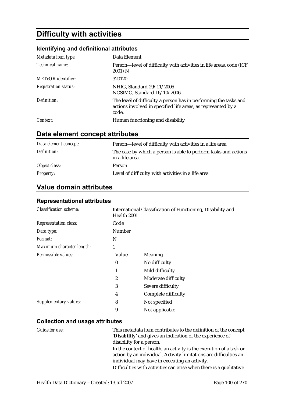# **Difficulty with activities**

### **Identifying and definitional attributes**

| Metadata item type:         | Data Element                                                                                                                               |
|-----------------------------|--------------------------------------------------------------------------------------------------------------------------------------------|
| Technical name:             | Person-level of difficulty with activities in life areas, code (ICF<br>2001) N                                                             |
| <b>METeOR</b> identifier:   | 320120                                                                                                                                     |
| <b>Registration status:</b> | NHIG, Standard 29/11/2006<br>NCSIMG, Standard 16/10/2006                                                                                   |
| Definition:                 | The level of difficulty a person has in performing the tasks and<br>actions involved in specified life areas, as represented by a<br>code. |
| Context:                    | Human functioning and disability                                                                                                           |

## **Data element concept attributes**

| Data element concept: | Person—level of difficulty with activities in a life area                          |
|-----------------------|------------------------------------------------------------------------------------|
| Definition:           | The ease by which a person is able to perform tasks and actions<br>in a life area. |
| Object class:         | Person                                                                             |
| <b>Property:</b>      | Level of difficulty with activities in a life area                                 |

## **Value domain attributes**

#### **Representational attributes**

| <b>Classification scheme:</b> | Health 2001      | International Classification of Functioning, Disability and |
|-------------------------------|------------------|-------------------------------------------------------------|
| <b>Representation class:</b>  | Code             |                                                             |
| Data type:                    | Number           |                                                             |
| <i>Format:</i>                | N                |                                                             |
| Maximum character length:     | 1                |                                                             |
| Permissible values:           | Value            | Meaning                                                     |
|                               | $\bf{0}$         | No difficulty                                               |
|                               | 1                | Mild difficulty                                             |
|                               | $\boldsymbol{2}$ | Moderate difficulty                                         |
|                               | 3                | Severe difficulty                                           |
|                               | 4                | Complete difficulty                                         |
| Supplementary values:         | 8                | Not specified                                               |
|                               | 9                | Not applicable                                              |

| Guide for use: | This metadata item contributes to the definition of the concept<br>'Disability' and gives an indication of the experience of                                         |
|----------------|----------------------------------------------------------------------------------------------------------------------------------------------------------------------|
|                | disability for a person.<br>In the context of health, an activity is the execution of a task or<br>action by an individual. Activity limitations are difficulties an |
|                | individual may have in executing an activity.                                                                                                                        |
|                | Difficulties with activities can arise when there is a qualitative                                                                                                   |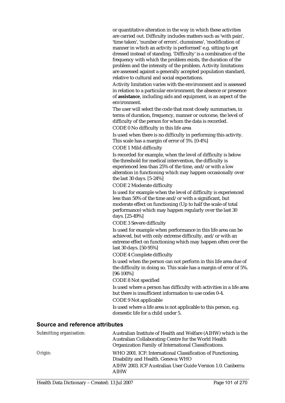or quantitative alteration in the way in which these activities are carried out. Difficulty includes matters such as 'with pain', 'time taken', 'number of errors', clumsiness', 'modification of manner in which an activity is performed' e.g. sitting to get dressed instead of standing. 'Difficulty' is a combination of the frequency with which the problem exists, the duration of the problem and the intensity of the problem. Activity limitations are assessed against a generally accepted population standard, relative to cultural and social expectations.

Activity limitation varies with the environment and is assessed in relation to a particular environment; the absence or presence of **assistance**, including aids and equipment, is an aspect of the environment.

The user will select the code that most closely summarises, in terms of duration, frequency, manner or outcome, the level of difficulty of the person for whom the data is recorded. CODE 0 No difficulty in this life area

Is used when there is no difficulty in performing this activity. This scale has a margin of error of 5%. [0-4%]

CODE 1 Mild difficulty

Is recorded for example, when the level of difficulty is below the threshold for medical intervention, the difficulty is experienced less than 25% of the time, and/or with a low alteration in functioning which may happen occasionally over the last 30 days. [5-24%]

#### CODE 2 Moderate difficulty

Is used for example when the level of difficulty is experienced less than 50% of the time and/or with a significant, but moderate effect on functioning (Up to half the scale of total performance) which may happen regularly over the last 30 days. [25-49%]

CODE 3 Severe difficulty

Is used for example when performance in this life area can be achieved, but with only extreme difficulty, and/or with an extreme effect on functioning which may happen often over the last 30 days. [50-95%]

CODE 4 Complete difficulty

Is used when the person can not perform in this life area due of the difficulty in doing so. This scale has a margin of error of 5%. [96-100%]

CODE 8 Not specified

Is used where a person has difficulty with activities in a life area but there is insufficient information to use codes 0-4.

CODE 9 Not applicable

Is used where a life area is not applicable to this person, e.g. domestic life for a child under 5.

| Submitting organisation: | Australian Institute of Health and Welfare (AIHW) which is the<br>Australian Collaborating Centre for the World Health<br>Organization Family of International Classifications. |
|--------------------------|---------------------------------------------------------------------------------------------------------------------------------------------------------------------------------|
| Origin:                  | WHO 2001. ICF: International Classification of Functioning,<br>Disability and Health. Geneva: WHO                                                                               |
|                          | AIHW 2003. ICF Australian User Guide Version 1.0. Canberra:<br><b>AIHW</b>                                                                                                      |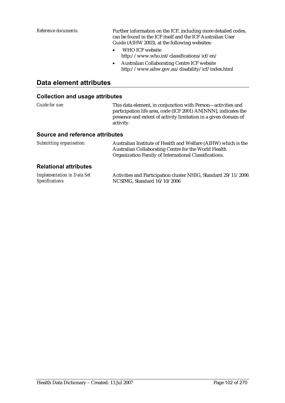*Reference documents:* Further information on the ICF, including more detailed codes, can be found in the ICF itself and the ICF Australian User Guide (AIHW 2003), at the following websites:

- WHO ICF website http://www.who.int/classifications/icf/en/
- Australian Collaborating Centre ICF website http://www.aihw.gov.au/disability/icf/index.html

### **Data element attributes**

| Guide for use:                                                                          | This data element, in conjunction with Person—activities and<br>participation life area, code (ICF 2001) AN[NNN], indicates the<br>presence and extent of activity limitation in a given domain of<br>activity.   |
|-----------------------------------------------------------------------------------------|-------------------------------------------------------------------------------------------------------------------------------------------------------------------------------------------------------------------|
| <b>Source and reference attributes</b>                                                  |                                                                                                                                                                                                                   |
| Submitting organisation:                                                                | Australian Institute of Health and Welfare (AIHW) which is the<br>Australian Collaborating Centre for the World Health<br>Organization Family of International Classifications.                                   |
| <b>Relational attributes</b>                                                            |                                                                                                                                                                                                                   |
| $\mathbf{r}$ , $\mathbf{r}$ , $\mathbf{r}$ , $\mathbf{r}$ , $\mathbf{r}$ , $\mathbf{r}$ | $\mathbf{1} \cdot \mathbf{n}$ $\mathbf{1} \cdot \mathbf{n}$ $\mathbf{1} \cdot \mathbf{n}$ $\mathbf{1} \cdot \mathbf{n}$ $\mathbf{1} \cdot \mathbf{n}$ $\mathbf{n} \cdot \mathbf{n}$ $\mathbf{n} \cdot \mathbf{n}$ |

| <b>Implementation in Data Set</b> | Activities and Participation cluster NHIG, Standard 29/11/2006 |
|-----------------------------------|----------------------------------------------------------------|
| Specifications:                   | NCSIMG, Standard 16/10/2006                                    |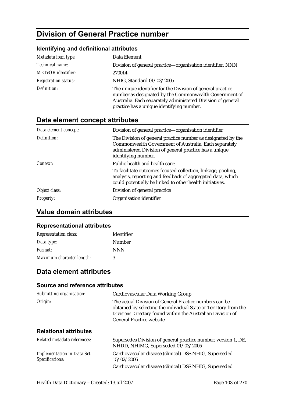# **Division of General Practice number**

#### **Identifying and definitional attributes**

| Metadata item type:         | Data Element                                                                                                                                                                                                                     |
|-----------------------------|----------------------------------------------------------------------------------------------------------------------------------------------------------------------------------------------------------------------------------|
| Technical name:             | Division of general practice—organisation identifier, NNN                                                                                                                                                                        |
| <b>METeOR</b> identifier:   | 270014                                                                                                                                                                                                                           |
| <b>Registration status:</b> | NHIG, Standard 01/03/2005                                                                                                                                                                                                        |
| Definition:                 | The unique identifier for the Division of general practice<br>number as designated by the Commonwealth Government of<br>Australia. Each separately administered Division of general<br>practice has a unique identifying number. |

## **Data element concept attributes**

| Data element concept: | Division of general practice-organisation identifier                                                                                                                                                   |
|-----------------------|--------------------------------------------------------------------------------------------------------------------------------------------------------------------------------------------------------|
| Definition:           | The Division of general practice number as designated by the<br>Commonwealth Government of Australia. Each separately<br>administered Division of general practice has a unique<br>identifying number. |
| Context:              | Public health and health care:                                                                                                                                                                         |
|                       | To facilitate outcomes focused collection, linkage, pooling,<br>analysis, reporting and feedback of aggregated data, which<br>could potentially be linked to other health initiatives.                 |
| Object class:         | Division of general practice                                                                                                                                                                           |
| <i>Property:</i>      | Organisation identifier                                                                                                                                                                                |

## **Value domain attributes**

#### **Representational attributes**

| <b>Representation class:</b> | <b>Identifier</b> |
|------------------------------|-------------------|
| Data type:                   | Number            |
| <i>Format:</i>               | <b>NNN</b>        |
| Maximum character length:    | 3                 |

### **Data element attributes**

#### **Source and reference attributes**  *Submitting organisation:* Cardiovascular Data Working Group *Origin:* The actual Division of General Practice numbers can be obtained by selecting the individual State or Territory from the *Divisions Directory* found within the Australian Division of General Practice website **Relational attributes**  *Related metadata references:* Supersedes Division of general practice number, version 1, DE, NHDD, NHIMG, Superseded 01/03/2005 *Implementation in Data Set Specifications:* Cardiovascular disease (clinical) DSS NHIG, Superseded 15/02/2006 Cardiovascular disease (clinical) DSS NHIG, Superseded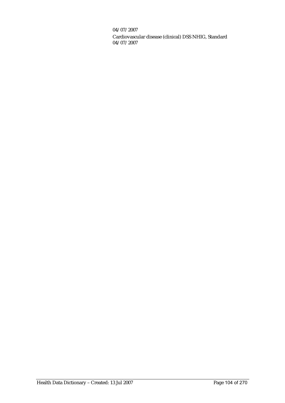04/07/2007

Cardiovascular disease (clinical) DSS NHIG, Standard 04/07/2007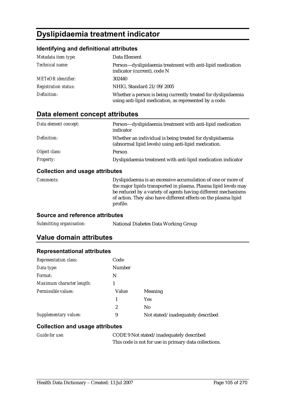# **Dyslipidaemia treatment indicator**

### **Identifying and definitional attributes**

| Metadata item type:         | Data Element                                                                                                            |
|-----------------------------|-------------------------------------------------------------------------------------------------------------------------|
| Technical name:             | Person-dyslipidaemia treatment with anti-lipid medication<br>indicator (current), code N                                |
| <b>METeOR</b> identifier:   | 302440                                                                                                                  |
| <b>Registration status:</b> | NHIG, Standard 21/09/2005                                                                                               |
| Definition:                 | Whether a person is being currently treated for dyslipidaemia<br>using anti-lipid medication, as represented by a code. |

## **Data element concept attributes**

| Data element concept: | Person—dyslipidaemia treatment with anti-lipid medication<br>indicator                                           |
|-----------------------|------------------------------------------------------------------------------------------------------------------|
| Definition:           | Whether an individual is being treated for dyslipidaemia<br>(abnormal lipid levels) using anti-lipid medication. |
| Object class:         | Person                                                                                                           |
| <b>Property:</b>      | Dyslipidaemia treatment with anti-lipid medication indicator                                                     |

### **Collection and usage attributes**

| <i>Comments:</i> | Dyslipidaemia is an excessive accumulation of one or more of    |
|------------------|-----------------------------------------------------------------|
|                  | the major lipids transported in plasma. Plasma lipid levels may |
|                  | be reduced by a variety of agents having different mechanisms   |
|                  | of action. They also have different effects on the plasma lipid |
|                  | profile.                                                        |

#### **Source and reference attributes**

| Submitting organisation: | National Diabetes Data Working Group |
|--------------------------|--------------------------------------|
|--------------------------|--------------------------------------|

## **Value domain attributes**

#### **Representational attributes**

| <b>Representation class:</b> | Code   |                                   |  |
|------------------------------|--------|-----------------------------------|--|
| Data type:                   | Number |                                   |  |
| Format:                      | N      |                                   |  |
| Maximum character length:    |        |                                   |  |
| Permissible values:          | Value  | Meaning                           |  |
|                              | 1      | <b>Yes</b>                        |  |
|                              | 2      | N <sub>0</sub>                    |  |
| Supplementary values:        | 9      | Not stated/inadequately described |  |

| <b>Guide for use:</b> | CODE 9 Not stated/inadequately described              |  |
|-----------------------|-------------------------------------------------------|--|
|                       | This code is not for use in primary data collections. |  |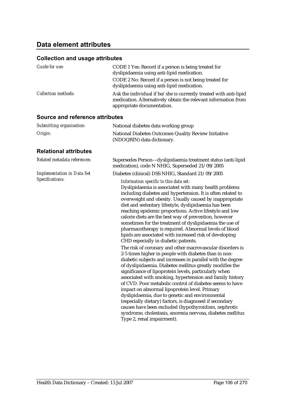## **Data element attributes**

| Guide for use:                                       | CODE 1 Yes: Record if a person is being treated for<br>dyslipidaemia using anti-lipid medication.<br>CODE 2 No: Record if a person is not being treated for<br>dyslipidaemia using anti-lipid medication.                                                                                                                                                                                                                                                                                                                                                                                                                                                                                                                                         |
|------------------------------------------------------|---------------------------------------------------------------------------------------------------------------------------------------------------------------------------------------------------------------------------------------------------------------------------------------------------------------------------------------------------------------------------------------------------------------------------------------------------------------------------------------------------------------------------------------------------------------------------------------------------------------------------------------------------------------------------------------------------------------------------------------------------|
| <b>Collection methods:</b>                           | Ask the individual if he/she is currently treated with anti-lipid<br>medication. Alternatively obtain the relevant information from<br>appropriate documentation.                                                                                                                                                                                                                                                                                                                                                                                                                                                                                                                                                                                 |
| <b>Source and reference attributes</b>               |                                                                                                                                                                                                                                                                                                                                                                                                                                                                                                                                                                                                                                                                                                                                                   |
| Submitting organisation:                             | National diabetes data working group                                                                                                                                                                                                                                                                                                                                                                                                                                                                                                                                                                                                                                                                                                              |
| Origin:                                              | National Diabetes Outcomes Quality Review Initiative<br>(NDOQRIN) data dictionary.                                                                                                                                                                                                                                                                                                                                                                                                                                                                                                                                                                                                                                                                |
| <b>Relational attributes</b>                         |                                                                                                                                                                                                                                                                                                                                                                                                                                                                                                                                                                                                                                                                                                                                                   |
| Related metadata references:                         | Supersedes Person-dyslipidaemia treatment status (anti-lipid<br>medication), code N NHIG, Superseded 21/09/2005                                                                                                                                                                                                                                                                                                                                                                                                                                                                                                                                                                                                                                   |
| <b>Implementation in Data Set</b><br>Specifications: | Diabetes (clinical) DSS NHIG, Standard 21/09/2005                                                                                                                                                                                                                                                                                                                                                                                                                                                                                                                                                                                                                                                                                                 |
|                                                      | Information specific to this data set:<br>Dyslipidaemia is associated with many health problems<br>including diabetes and hypertension. It is often related to<br>overweight and obesity. Usually caused by inappropriate<br>diet and sedentary lifestyle, dyslipidaemia has been<br>reaching epidemic proportions. Active lifestyle and low<br>calorie diets are the best way of prevention, however<br>sometimes for the treatment of dyslipidaemia the use of<br>pharmacotherapy is required. Abnormal levels of blood<br>lipids are associated with increased risk of developing<br>CHD especially in diabetic patients.                                                                                                                      |
|                                                      | The risk of coronary and other macrovascular disorders is<br>2-5 times higher in people with diabetes than in non-<br>diabetic subjects and increases in parallel with the degree<br>of dyslipidaemia. Diabetes mellitus greatly modifies the<br>significance of lipoprotein levels, particularly when<br>associated with smoking, hypertension and family history<br>of CVD. Poor metabolic control of diabetes seems to have<br>impact on abnormal lipoprotein level. Primary<br>dyslipidaemia, due to genetic and environmental<br>(especially dietary) factors, is diagnosed if secondary<br>causes have been excluded (hypothyroidism, nephrotic<br>syndrome, cholestasis, anorexia nervosa, diabetes mellitus<br>Type 2, renal impairment). |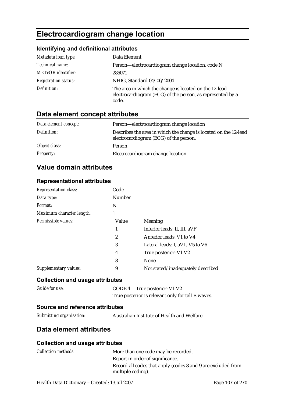# **Electrocardiogram change location**

## **Identifying and definitional attributes**

| Metadata item type:         | Data Element                                                                                                                  |
|-----------------------------|-------------------------------------------------------------------------------------------------------------------------------|
| Technical name:             | Person-electrocardiogram change location, code N                                                                              |
| <b>METeOR</b> identifier:   | 285071                                                                                                                        |
| <b>Registration status:</b> | NHIG, Standard 04/06/2004                                                                                                     |
| Definition:                 | The area in which the change is located on the 12-lead<br>electrocardiogram (ECG) of the person, as represented by a<br>code. |

## **Data element concept attributes**

| Data element concept: | Person—electrocardiogram change location                                                                   |
|-----------------------|------------------------------------------------------------------------------------------------------------|
| Definition:           | Describes the area in which the change is located on the 12-lead<br>electrocardiogram (ECG) of the person. |
| Object class:         | Person                                                                                                     |
| <i>Property:</i>      | Electrocardiogram change location                                                                          |

## **Value domain attributes**

| <b>Representational attributes</b>     |                                     |                                                   |
|----------------------------------------|-------------------------------------|---------------------------------------------------|
| Representation class:                  | Code                                |                                                   |
| Data type:                             | Number                              |                                                   |
| Format:                                | N                                   |                                                   |
| Maximum character length:              | 1                                   |                                                   |
| Permissible values:                    | Value                               | Meaning                                           |
|                                        | 1                                   | Inferior leads: II, III, aVF                      |
|                                        | $\overline{2}$                      | Anterior leads: V1 to V4                          |
|                                        | 3                                   | Lateral leads: I, aVL, V5 to V6                   |
|                                        | 4                                   | True posterior: V1 V2                             |
|                                        | 8                                   | <b>None</b>                                       |
| <b>Supplementary values:</b>           | 9                                   | Not stated/inadequately described                 |
| <b>Collection and usage attributes</b> |                                     |                                                   |
| <b>Guide for use:</b>                  | CODE <sub>4</sub>                   | True posterior: V1 V2                             |
|                                        |                                     | True posterior is relevant only for tall R waves. |
| Source and reference attributes        |                                     |                                                   |
| Submitting organisation:               |                                     | Australian Institute of Health and Welfare        |
| Data element attributes                |                                     |                                                   |
| <b>Collection and usage attributes</b> |                                     |                                                   |
| <b>Collection methods:</b>             | More than one code may be recorded. |                                                   |
| Report in order of significance.       |                                     |                                                   |

multiple coding).

Record all codes that apply (codes 8 and 9 are excluded from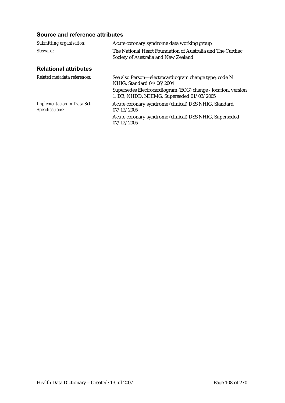| Submitting organisation:                             | Acute coronary syndrome data working group                                                                 |
|------------------------------------------------------|------------------------------------------------------------------------------------------------------------|
| Steward:                                             | The National Heart Foundation of Australia and The Cardiac<br>Society of Australia and New Zealand         |
| <b>Relational attributes</b>                         |                                                                                                            |
| Related metadata references:                         | See also Person—electrocardiogram change type, code N<br>NHIG, Standard 04/06/2004                         |
|                                                      | Supersedes Electrocardiogram (ECG) change - location, version<br>1, DE, NHDD, NHIMG, Superseded 01/03/2005 |
| <b>Implementation in Data Set</b><br>Specifications: | Acute coronary syndrome (clinical) DSS NHIG, Standard<br>07/12/2005                                        |
|                                                      | Acute coronary syndrome (clinical) DSS NHIG, Superseded<br>07/12/2005                                      |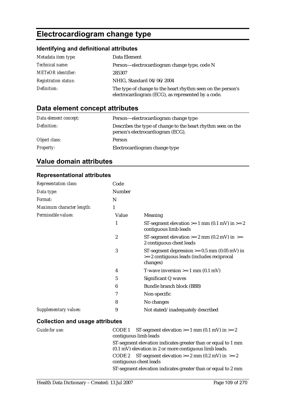# **Electrocardiogram change type**

# **Identifying and definitional attributes**

| Metadata item type:         | Data Element                                                                                                      |
|-----------------------------|-------------------------------------------------------------------------------------------------------------------|
| <i>Technical name:</i>      | Person-electrocardiogram change type, code N                                                                      |
| <b>METeOR</b> identifier:   | 285307                                                                                                            |
| <b>Registration status:</b> | NHIG, Standard 04/06/2004                                                                                         |
| Definition:                 | The type of change to the heart rhythm seen on the person's<br>electrocardiogram (ECG), as represented by a code. |

# **Data element concept attributes**

| Data element concept: | Person—electrocardiogram change type                                                              |
|-----------------------|---------------------------------------------------------------------------------------------------|
| Definition:           | Describes the type of change to the heart rhythm seen on the<br>person's electrocardiogram (ECG). |
| Object class:         | Person                                                                                            |
| <b>Property:</b>      | Electrocardiogram change type                                                                     |

# **Value domain attributes**

### **Representational attributes**

| <b>Representation class:</b> | Code             |                                                                                                             |
|------------------------------|------------------|-------------------------------------------------------------------------------------------------------------|
| Data type:                   | <b>Number</b>    |                                                                                                             |
| Format:                      | N                |                                                                                                             |
| Maximum character length:    | 1                |                                                                                                             |
| Permissible values:          | Value            | Meaning                                                                                                     |
|                              | 1                | ST-segment elevation $>= 1$ mm (0.1 mV) in $>= 2$<br>contiguous limb leads                                  |
|                              | $\boldsymbol{2}$ | ST-segment elevation $>= 2$ mm (0.2 mV) in $>=$<br>2 contiguous chest leads                                 |
|                              | 3                | ST-segment depression $\ge$ = 0.5 mm (0.05 mV) in<br>>= 2 contiguous leads (includes reciprocal<br>changes) |
|                              | 4                | T-wave inversion $>= 1$ mm (0.1 mV)                                                                         |
|                              | 5                | Significant Q waves                                                                                         |
|                              | 6                | Bundle branch block (BBB)                                                                                   |
|                              | 7                | Non-specific                                                                                                |
|                              | 8                | No changes                                                                                                  |
| Supplementary values:        | 9                | Not stated/inadequately described                                                                           |

### **Collection and usage attributes**

| Guide for use: | CODE 1 ST-segment elevation $>= 1$ mm (0.1 mV) in $>= 2$         |
|----------------|------------------------------------------------------------------|
|                | contiguous limb leads                                            |
|                | ST-segment elevation indicates greater than or equal to 1 mm     |
|                | $(0.1 \text{ mV})$ elevation in 2 or more contiguous limb leads. |
|                | CODE 2 ST-segment elevation $>= 2$ mm (0.2 mV) in $>= 2$         |
|                | contiguous chest leads                                           |
|                | ST-segment elevation indicates greater than or equal to 2 mm     |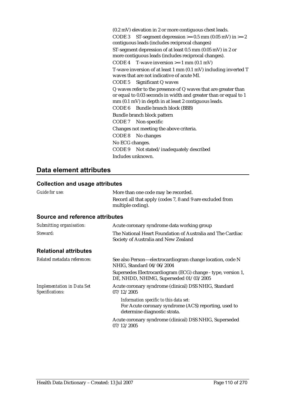(0.2 mV) elevation in 2 or more contiguous chest leads. CODE 3 ST-segment depression  $> = 0.5$  mm (0.05 mV) in  $>= 2$ contiguous leads (includes reciprocal changes) ST-segment depression of at least 0.5 mm (0.05 mV) in 2 or more contiguous leads (includes reciprocal changes). CODE 4 T-wave inversion  $\geq 1$  mm (0.1 mV) T-wave inversion of at least 1 mm (0.1 mV) including inverted T waves that are not indicative of acute MI. CODE 5 Significant Q waves Q waves refer to the presence of Q waves that are greater than or equal to 0.03 seconds in width and greater than or equal to 1 mm (0.1 mV) in depth in at least 2 contiguous leads. CODE 6 Bundle branch block (BBB) Bundle branch block pattern CODE 7 Non-specific Changes not meeting the above criteria. CODE 8 No changes No ECG changes. CODE 9 Not stated/inadequately described Includes unknown.

## **Data element attributes**

### **Collection and usage attributes**

| oonceaon and asage all noules                               |                                                                                                        |
|-------------------------------------------------------------|--------------------------------------------------------------------------------------------------------|
| Guide for use:                                              | More than one code may be recorded.                                                                    |
|                                                             | Record all that apply (codes 7, 8 and 9 are excluded from<br>multiple coding).                         |
| <b>Source and reference attributes</b>                      |                                                                                                        |
| Submitting organisation:                                    | Acute coronary syndrome data working group                                                             |
| Steward:                                                    | The National Heart Foundation of Australia and The Cardiac<br>Society of Australia and New Zealand     |
| <b>Relational attributes</b>                                |                                                                                                        |
| Related metadata references:                                | See also Person—electrocardiogram change location, code N<br>NHIG, Standard 04/06/2004                 |
|                                                             | Supersedes Electrocardiogram (ECG) change - type, version 1,<br>DE, NHDD, NHIMG, Superseded 01/03/2005 |
| <b>Implementation in Data Set</b><br><b>Specifications:</b> | Acute coronary syndrome (clinical) DSS NHIG, Standard<br>07/12/2005                                    |
|                                                             | Information specific to this data set:                                                                 |

For Acute coronary syndrome (ACS) reporting, used to determine diagnostic strata.

Acute coronary syndrome (clinical) DSS NHIG, Superseded 07/12/2005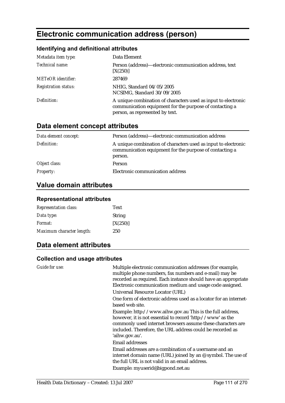# **Electronic communication address (person)**

## **Identifying and definitional attributes**

| Metadata item type:         | Data Element                                                                                                                                                 |
|-----------------------------|--------------------------------------------------------------------------------------------------------------------------------------------------------------|
| Technical name:             | Person (address)—electronic communication address, text<br>[X(250)]                                                                                          |
| <b>METeOR</b> identifier:   | 287469                                                                                                                                                       |
| <b>Registration status:</b> | NHIG, Standard 04/05/2005<br>NCSIMG, Standard 30/09/2005                                                                                                     |
| Definition:                 | A unique combination of characters used as input to electronic<br>communication equipment for the purpose of contacting a<br>person, as represented by text. |

# **Data element concept attributes**

| Data element concept: | Person (address)—electronic communication address                                                                                    |
|-----------------------|--------------------------------------------------------------------------------------------------------------------------------------|
| Definition:           | A unique combination of characters used as input to electronic<br>communication equipment for the purpose of contacting a<br>person. |
| Object class:         | Person                                                                                                                               |
| <b>Property:</b>      | Electronic communication address                                                                                                     |

# **Value domain attributes**

#### **Representational attributes**

| <b>Representation class:</b> | <b>Text</b> |
|------------------------------|-------------|
| Data type:                   | String      |
| <i>Format:</i>               | [X(250)]    |
| Maximum character length:    | 250         |

## **Data element attributes**

#### **Collection and usage attributes**

| Guide for use: | Multiple electronic communication addresses (for example,<br>multiple phone numbers, fax numbers and e-mail) may be<br>recorded as required. Each instance should have an appropriate<br>Electronic communication medium and usage code assigned.                     |
|----------------|-----------------------------------------------------------------------------------------------------------------------------------------------------------------------------------------------------------------------------------------------------------------------|
|                | Universal Resource Locator (URL)                                                                                                                                                                                                                                      |
|                | One form of electronic address used as a locator for an internet-<br>based web site.                                                                                                                                                                                  |
|                | Example: http://www.aihw.gov.au This is the full address,<br>however, it is not essential to record 'http://www' as the<br>commonly used internet browsers assume these characters are<br>included. Therefore, the URL address could be recorded as<br>'aihw.gov.au'. |
|                | <b>Email addresses</b>                                                                                                                                                                                                                                                |
|                | Email addresses are a combination of a username and an<br>internet domain name (URL) joined by an $\mathcal Q$ symbol. The use of<br>the full URL is not valid in an email address.                                                                                   |
|                | Example: myuserid@bigpond.net.au                                                                                                                                                                                                                                      |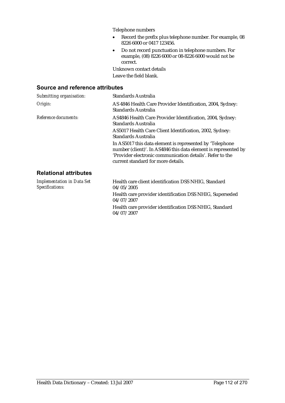Telephone numbers

- Record the prefix plus telephone number. For example, 08 8226 6000 or 0417 123456.
- Do not record punctuation in telephone numbers. For example, (08) 8226 6000 or 08-8226 6000 would not be correct.

Unknown contact details Leave the field blank.

#### **Source and reference attributes**

| Submitting organisation:                             | <b>Standards Australia</b>                                                                                                                                                                                                     |
|------------------------------------------------------|--------------------------------------------------------------------------------------------------------------------------------------------------------------------------------------------------------------------------------|
| Origin:                                              | AS 4846 Health Care Provider Identification, 2004, Sydney:<br>Standards Australia                                                                                                                                              |
| Reference documents:                                 | AS4846 Health Care Provider Identification, 2004, Sydney:<br>Standards Australia                                                                                                                                               |
|                                                      | AS5017 Health Care Client Identification, 2002, Sydney:<br>Standards Australia                                                                                                                                                 |
|                                                      | In AS5017 this data element is represented by 'Telephone<br>number (client)'. In AS4846 this data element is represented by<br>'Provider electronic communication details'. Refer to the<br>current standard for more details. |
| <b>Relational attributes</b>                         |                                                                                                                                                                                                                                |
| <b>Implementation in Data Set</b><br>Specifications: | Health care client identification DSS NHIG, Standard<br>04/05/2005                                                                                                                                                             |
|                                                      | Health care provider identification DSS NHIG, Superseded<br>04/07/2007                                                                                                                                                         |

Health care provider identification DSS NHIG, Standard 04/07/2007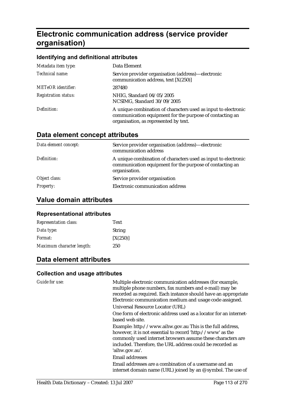# **Electronic communication address (service provider organisation)**

#### **Identifying and definitional attributes**

| Metadata item type:         | Data Element                                                                                                                                                        |
|-----------------------------|---------------------------------------------------------------------------------------------------------------------------------------------------------------------|
| Technical name:             | Service provider organisation (address)—electronic<br>communication address, text [X(250)]                                                                          |
| <b>METeOR</b> identifier:   | 287480                                                                                                                                                              |
| <b>Registration status:</b> | NHIG, Standard 04/05/2005<br>NCSIMG, Standard 30/09/2005                                                                                                            |
| Definition:                 | A unique combination of characters used as input to electronic<br>communication equipment for the purpose of contacting an<br>organisation, as represented by text. |

# **Data element concept attributes**

| Data element concept: | Service provider organisation (address)—electronic<br>communication address                                                                 |
|-----------------------|---------------------------------------------------------------------------------------------------------------------------------------------|
| Definition:           | A unique combination of characters used as input to electronic<br>communication equipment for the purpose of contacting an<br>organisation. |
| Object class:         | Service provider organisation                                                                                                               |
| <b>Property:</b>      | Electronic communication address                                                                                                            |

### **Value domain attributes**

#### **Representational attributes**

| <b>Representation class:</b> | <b>Text</b>   |
|------------------------------|---------------|
| Data type:                   | <b>String</b> |
| <i>Format:</i>               | [X(250)]      |
| Maximum character length:    | 250           |

## **Data element attributes**

#### **Collection and usage attributes**

*Guide for use:* Multiple electronic communication addresses (for example, multiple phone numbers, fax numbers and e-mail) may be recorded as required. Each instance should have an appropriate Electronic communication medium and usage code assigned. Universal Resource Locator (URL) One form of electronic address used as a locator for an internetbased web site. Example: http://www.aihw.gov.au This is the full address, however, it is not essential to record 'http://www' as the commonly used internet browsers assume these characters are included. Therefore, the URL address could be recorded as 'aihw.gov.au'. Email addresses Email addresses are a combination of a username and an internet domain name (URL) joined by an @ symbol. The use of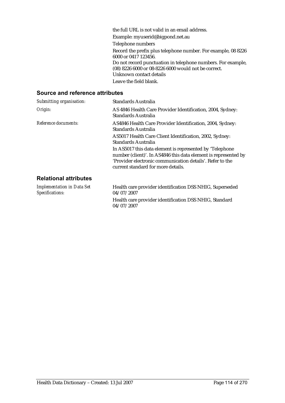the full URL is not valid in an email address. Example: myuserid@bigpond.net.au Telephone numbers Record the prefix plus telephone number. For example, 08 8226 6000 or 0417 123456. Do not record punctuation in telephone numbers. For example, (08) 8226 6000 or 08-8226 6000 would not be correct. Unknown contact details Leave the field blank.

#### **Source and reference attributes**

| Submitting organisation:                             | Standards Australia                                                                                                                                                                                                                                   |
|------------------------------------------------------|-------------------------------------------------------------------------------------------------------------------------------------------------------------------------------------------------------------------------------------------------------|
| Origin:                                              | AS 4846 Health Care Provider Identification, 2004, Sydney:<br>Standards Australia                                                                                                                                                                     |
| Reference documents:                                 | AS4846 Health Care Provider Identification, 2004, Sydney:<br>Standards Australia<br>AS5017 Health Care Client Identification, 2002, Sydney:                                                                                                           |
|                                                      | Standards Australia<br>In AS5017 this data element is represented by 'Telephone<br>number (client)'. In AS4846 this data element is represented by<br>'Provider electronic communication details'. Refer to the<br>current standard for more details. |
| <b>Relational attributes</b>                         |                                                                                                                                                                                                                                                       |
| <b>Implementation in Data Set</b><br>Specifications: | Health care provider identification DSS NHIG, Superseded<br>04/07/2007                                                                                                                                                                                |

Health care provider identification DSS NHIG, Standard 04/07/2007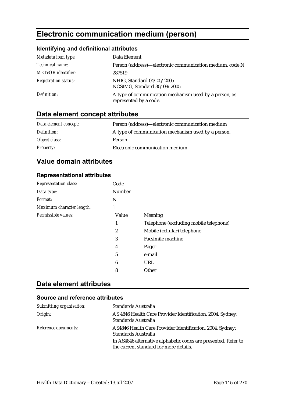# **Electronic communication medium (person)**

## **Identifying and definitional attributes**

| Metadata item type:         | Data Element                                                                     |
|-----------------------------|----------------------------------------------------------------------------------|
| Technical name:             | Person (address)—electronic communication medium, code N                         |
| <b>METeOR</b> identifier:   | 287519                                                                           |
| <b>Registration status:</b> | NHIG, Standard 04/05/2005<br>NCSIMG, Standard 30/09/2005                         |
| Definition:                 | A type of communication mechanism used by a person, as<br>represented by a code. |

# **Data element concept attributes**

| Data element concept: | Person (address)—electronic communication medium    |
|-----------------------|-----------------------------------------------------|
| Definition:           | A type of communication mechanism used by a person. |
| Object class:         | <b>Person</b>                                       |
| <b>Property:</b>      | Electronic communication medium                     |

# **Value domain attributes**

### **Representational attributes**

| <b>Representation class:</b> | Code   |                                        |
|------------------------------|--------|----------------------------------------|
| Data type:                   | Number |                                        |
| Format:                      | N      |                                        |
| Maximum character length:    | 1      |                                        |
| Permissible values:          | Value  | <b>Meaning</b>                         |
|                              | 1      | Telephone (excluding mobile telephone) |
|                              | 2      | Mobile (cellular) telephone            |
|                              | 3      | Facsimile machine                      |
|                              | 4      | Pager                                  |
|                              | 5      | e-mail                                 |
|                              | 6      | URL                                    |
|                              | 8      | Other                                  |

## **Data element attributes**

| Submitting organisation: | Standards Australia                                                                                      |
|--------------------------|----------------------------------------------------------------------------------------------------------|
| Origin:                  | AS 4846 Health Care Provider Identification, 2004, Sydney:<br>Standards Australia                        |
| Reference documents:     | AS4846 Health Care Provider Identification, 2004, Sydney:<br>Standards Australia                         |
|                          | In AS4846 alternative alphabetic codes are presented. Refer to<br>the current standard for more details. |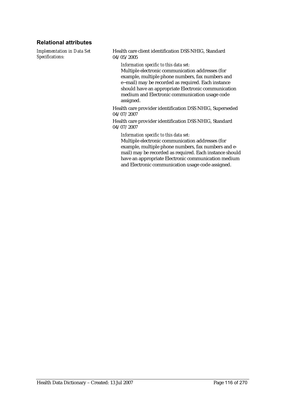### **Relational attributes**

*Implementation in Data Set Specifications:*

Health care client identification DSS NHIG, Standard 04/05/2005

*Information specific to this data set:*

Multiple electronic communication addresses (for example, multiple phone numbers, fax numbers and e−mail) may be recorded as required. Each instance should have an appropriate Electronic communication medium and Electronic communication usage code assigned.

Health care provider identification DSS NHIG, Superseded 04/07/2007

Health care provider identification DSS NHIG, Standard 04/07/2007

*Information specific to this data set:*

Multiple electronic communication addresses (for example, multiple phone numbers, fax numbers and email) may be recorded as required. Each instance should have an appropriate Electronic communication medium and Electronic communication usage code assigned.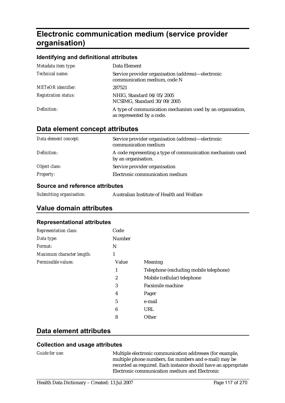# **Electronic communication medium (service provider organisation)**

#### **Identifying and definitional attributes**

| Metadata item type:         | Data Element                                                                            |
|-----------------------------|-----------------------------------------------------------------------------------------|
| Technical name:             | Service provider organisation (address)—electronic<br>communication medium, code N      |
| <b>METeOR</b> identifier:   | 287521                                                                                  |
| <b>Registration status:</b> | NHIG, Standard 04/05/2005<br>NCSIMG, Standard 30/09/2005                                |
| Definition:                 | A type of communication mechanism used by an organisation,<br>as represented by a code. |

## **Data element concept attributes**

| Data element concept: | Service provider organisation (address)—electronic<br>communication medium        |
|-----------------------|-----------------------------------------------------------------------------------|
| Definition:           | A code representing a type of communication mechanism used<br>by an organisation. |
| Object class:         | Service provider organisation                                                     |
| <b>Property:</b>      | Electronic communication medium                                                   |

#### **Source and reference attributes**

| Submitting organisation: |  | Australian Institute of Health and Welfare |
|--------------------------|--|--------------------------------------------|
|--------------------------|--|--------------------------------------------|

## **Value domain attributes**

#### **Representational attributes**

| Code          |                                        |
|---------------|----------------------------------------|
| <b>Number</b> |                                        |
| N             |                                        |
| 1             |                                        |
| Value         | Meaning                                |
| 1             | Telephone (excluding mobile telephone) |
| 2             | Mobile (cellular) telephone            |
| 3             | <b>Facsimile machine</b>               |
| 4             | Pager                                  |
| 5             | e-mail                                 |
| 6             | URL                                    |
| 8             | Other                                  |
|               |                                        |

### **Data element attributes**

#### **Collection and usage attributes**

*Guide for use:* Multiple electronic communication addresses (for example, multiple phone numbers, fax numbers and e-mail) may be recorded as required. Each instance should have an appropriate Electronic communication medium and Electronic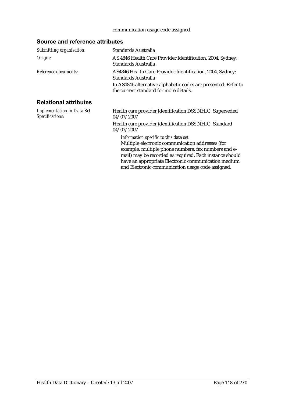### communication usage code assigned.

| Submitting organisation:                             | <b>Standards Australia</b>                                                                                                                                                                                                                                                                                               |
|------------------------------------------------------|--------------------------------------------------------------------------------------------------------------------------------------------------------------------------------------------------------------------------------------------------------------------------------------------------------------------------|
| Origin:                                              | AS 4846 Health Care Provider Identification, 2004, Sydney:<br>Standards Australia                                                                                                                                                                                                                                        |
| Reference documents:                                 | AS4846 Health Care Provider Identification, 2004, Sydney:<br>Standards Australia                                                                                                                                                                                                                                         |
|                                                      | In AS4846 alternative alphabetic codes are presented. Refer to<br>the current standard for more details.                                                                                                                                                                                                                 |
| <b>Relational attributes</b>                         |                                                                                                                                                                                                                                                                                                                          |
| <b>Implementation in Data Set</b><br>Specifications: | Health care provider identification DSS NHIG, Superseded<br>04/07/2007                                                                                                                                                                                                                                                   |
|                                                      | Health care provider identification DSS NHIG, Standard<br>04/07/2007                                                                                                                                                                                                                                                     |
|                                                      | Information specific to this data set:<br>Multiple electronic communication addresses (for<br>example, multiple phone numbers, fax numbers and e-<br>mail) may be recorded as required. Each instance should<br>have an appropriate Electronic communication medium<br>and Electronic communication usage code assigned. |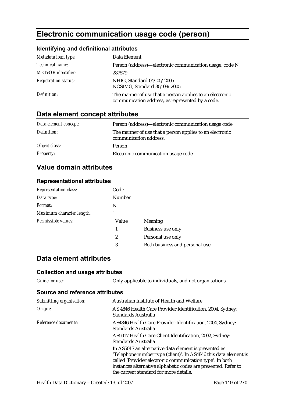# **Electronic communication usage code (person)**

## **Identifying and definitional attributes**

| Metadata item type:         | Data Element                                                                                                 |
|-----------------------------|--------------------------------------------------------------------------------------------------------------|
| Technical name:             | Person (address)—electronic communication usage, code N                                                      |
| METeOR identifier:          | 287579                                                                                                       |
| <b>Registration status:</b> | NHIG, Standard 04/05/2005<br>NCSIMG, Standard 30/09/2005                                                     |
| Definition:                 | The manner of use that a person applies to an electronic<br>communication address, as represented by a code. |

# **Data element concept attributes**

| Data element concept: | Person (address)—electronic communication usage code                               |
|-----------------------|------------------------------------------------------------------------------------|
| Definition:           | The manner of use that a person applies to an electronic<br>communication address. |
| Object class:         | <b>Person</b>                                                                      |
| <b>Property:</b>      | Electronic communication usage code                                                |

# **Value domain attributes**

#### **Representational attributes**

| Representation class:     | Code             |                                |
|---------------------------|------------------|--------------------------------|
| Data type:                | <b>Number</b>    |                                |
| Format:                   | N                |                                |
| Maximum character length: |                  |                                |
| Permissible values:       | Value            | <b>Meaning</b>                 |
|                           | 1                | <b>Business use only</b>       |
|                           | $\boldsymbol{2}$ | Personal use only              |
|                           | 3                | Both business and personal use |
|                           |                  |                                |

## **Data element attributes**

### **Collection and usage attributes**

*Guide for use:* Only applicable to individuals, and not organisations.

| Submitting organisation: | Australian Institute of Health and Welfare                                                                                                                                                                                                                                                        |
|--------------------------|---------------------------------------------------------------------------------------------------------------------------------------------------------------------------------------------------------------------------------------------------------------------------------------------------|
| Origin:                  | AS 4846 Health Care Provider Identification, 2004, Sydney:<br>Standards Australia                                                                                                                                                                                                                 |
| Reference documents:     | AS4846 Health Care Provider Identification, 2004, Sydney:<br>Standards Australia                                                                                                                                                                                                                  |
|                          | AS5017 Health Care Client Identification, 2002, Sydney:<br>Standards Australia                                                                                                                                                                                                                    |
|                          | In AS5017 an alternative data element is presented as<br>'Telephone number type (client)'. In AS4846 this data element is<br>called 'Provider electronic communication type'. In both<br>instances alternative alphabetic codes are presented. Refer to<br>the current standard for more details. |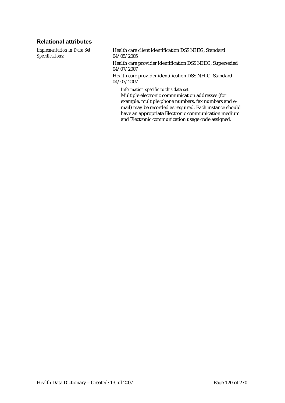### **Relational attributes**

*Implementation in Data Set Specifications:*

Health care client identification DSS NHIG, Standard 04/05/2005

Health care provider identification DSS NHIG, Superseded 04/07/2007

Health care provider identification DSS NHIG, Standard 04/07/2007

*Information specific to this data set:*

Multiple electronic communication addresses (for example, multiple phone numbers, fax numbers and email) may be recorded as required. Each instance should have an appropriate Electronic communication medium and Electronic communication usage code assigned.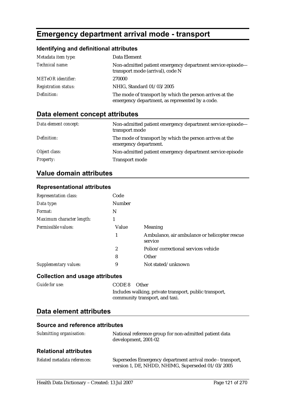# **Emergency department arrival mode - transport**

## **Identifying and definitional attributes**

| Metadata item type:         | Data Element                                                                                                |
|-----------------------------|-------------------------------------------------------------------------------------------------------------|
| Technical name:             | Non-admitted patient emergency department service episode-<br>transport mode (arrival), code N              |
| <b>METeOR</b> identifier:   | 270000                                                                                                      |
| <b>Registration status:</b> | NHIG, Standard 01/03/2005                                                                                   |
| Definition:                 | The mode of transport by which the person arrives at the<br>emergency department, as represented by a code. |

# **Data element concept attributes**

| Data element concept: | Non-admitted patient emergency department service episode-<br>transport mode      |
|-----------------------|-----------------------------------------------------------------------------------|
| Definition:           | The mode of transport by which the person arrives at the<br>emergency department. |
| Object class:         | Non-admitted patient emergency department service episode                         |
| <b>Property:</b>      | <b>Transport mode</b>                                                             |

# **Value domain attributes**

### **Representational attributes**

| <b>Representation class:</b> | Code          |                                                          |
|------------------------------|---------------|----------------------------------------------------------|
| Data type:                   | <b>Number</b> |                                                          |
| Format:                      | N             |                                                          |
| Maximum character length:    |               |                                                          |
| Permissible values:          | Value         | <b>Meaning</b>                                           |
|                              | 1             | Ambulance, air ambulance or helicopter rescue<br>service |
|                              | 2             | Police/correctional services vehicle                     |
|                              | 8             | Other                                                    |
| <b>Supplementary values:</b> | 9             | Not stated/unknown                                       |

#### **Collection and usage attributes**

| <b>Guide for use:</b> | CODE 8 Other                                           |
|-----------------------|--------------------------------------------------------|
|                       | Includes walking, private transport, public transport, |
|                       | community transport, and taxi.                         |

### **Data element attributes**

| Submitting organisation:     | National reference group for non-admitted patient data<br>development, 2001-02                                 |
|------------------------------|----------------------------------------------------------------------------------------------------------------|
| <b>Relational attributes</b> |                                                                                                                |
| Related metadata references: | Supersedes Emergency department arrival mode - transport,<br>version 1, DE, NHDD, NHIMG, Superseded 01/03/2005 |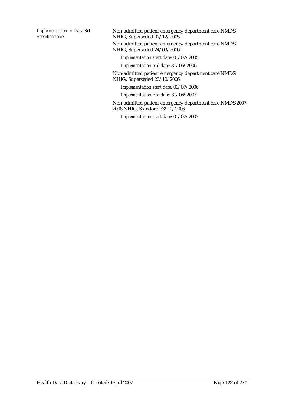*Implementation in Data Set Specifications:*

Non-admitted patient emergency department care NMDS NHIG, Superseded 07/12/2005 Non-admitted patient emergency department care NMDS NHIG, Superseded 24/03/2006

*Implementation start date:* 01/07/2005

*Implementation end date:* 30/06/2006

Non-admitted patient emergency department care NMDS NHIG, Superseded 23/10/2006

*Implementation start date:* 01/07/2006

*Implementation end date:* 30/06/2007

Non-admitted patient emergency department care NMDS 2007- 2008 NHIG, Standard 23/10/2006

*Implementation start date:* 01/07/2007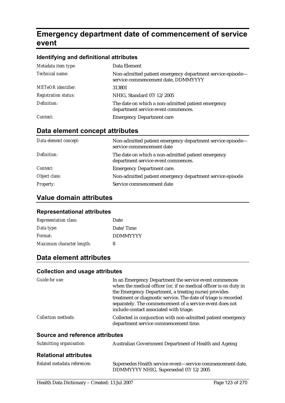# **Emergency department date of commencement of service event**

#### **Identifying and definitional attributes**

| Metadata item type:         | Data Element                                                                                      |
|-----------------------------|---------------------------------------------------------------------------------------------------|
| Technical name:             | Non-admitted patient emergency department service episode-<br>service commencement date, DDMMYYYY |
| <b>METeOR</b> identifier:   | 313801                                                                                            |
| <b>Registration status:</b> | NHIG, Standard 07/12/2005                                                                         |
| Definition:                 | The date on which a non-admitted patient emergency<br>department service event commences.         |
| Context:                    | <b>Emergency Department care</b>                                                                  |

# **Data element concept attributes**

| Data element concept: | Non-admitted patient emergency department service episode—<br>service commencement date   |
|-----------------------|-------------------------------------------------------------------------------------------|
| Definition:           | The date on which a non-admitted patient emergency<br>department service event commences. |
| Context:              | <b>Emergency Department care.</b>                                                         |
| Object class:         | Non-admitted patient emergency department service episode                                 |
| <b>Property:</b>      | Service commencement date                                                                 |

# **Value domain attributes**

#### **Representational attributes**

| <b>Representation class:</b> | Date            |
|------------------------------|-----------------|
| Data type:                   | Date/Time       |
| Format:                      | <b>DDMMYYYY</b> |
| Maximum character length:    | 8               |

## **Data element attributes**

#### **Collection and usage attributes**

| Guide for use:             | In an Emergency Department the service event commences<br>when the medical officer (or, if no medical officer is on duty in<br>the Emergency Department, a treating nurse) provides<br>treatment or diagnostic service. The date of triage is recorded<br>separately. The commencement of a service event does not<br>include contact associated with triage. |
|----------------------------|---------------------------------------------------------------------------------------------------------------------------------------------------------------------------------------------------------------------------------------------------------------------------------------------------------------------------------------------------------------|
| <b>Collection methods:</b> | Collected in conjunction with non-admitted patient emergency<br>department service commencement time.                                                                                                                                                                                                                                                         |

| Submitting organisation:     | Australian Government Department of Health and Ageing                                              |
|------------------------------|----------------------------------------------------------------------------------------------------|
| <b>Relational attributes</b> |                                                                                                    |
| Related metadata references: | Supersedes Health service event—service commencement date,<br>DDMMYYYY NHIG, Superseded 07/12/2005 |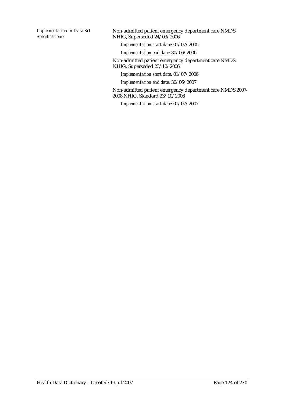*Implementation in Data Set Specifications:*

Non-admitted patient emergency department care NMDS NHIG, Superseded 24/03/2006

*Implementation start date:* 01/07/2005

*Implementation end date:* 30/06/2006

Non-admitted patient emergency department care NMDS NHIG, Superseded 23/10/2006

*Implementation start date:* 01/07/2006

*Implementation end date:* 30/06/2007

Non-admitted patient emergency department care NMDS 2007- 2008 NHIG, Standard 23/10/2006

*Implementation start date:* 01/07/2007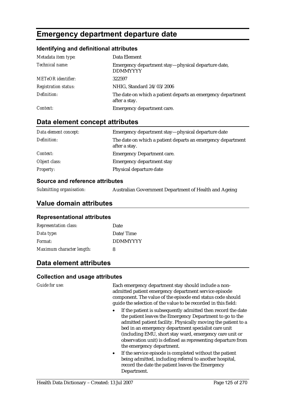# **Emergency department departure date**

#### **Identifying and definitional attributes**

| Metadata item type:         | Data Element                                                                 |
|-----------------------------|------------------------------------------------------------------------------|
| Technical name:             | Emergency department stay—physical departure date,<br><b>DDMMYYYY</b>        |
| <b>METeOR</b> identifier:   | 322597                                                                       |
| <b>Registration status:</b> | NHIG, Standard 24/03/2006                                                    |
| Definition:                 | The date on which a patient departs an emergency department<br>after a stay. |
| Context:                    | Emergency department care.                                                   |

# **Data element concept attributes**

| Data element concept: | Emergency department stay—physical departure date                            |
|-----------------------|------------------------------------------------------------------------------|
| Definition:           | The date on which a patient departs an emergency department<br>after a stay. |
| Context:              | <b>Emergency Department care.</b>                                            |
| Object class:         | <b>Emergency department stay</b>                                             |
| <b>Property:</b>      | Physical departure date                                                      |

#### **Source and reference attributes**

| Submitting organisation: | Australian Government Department of Health and Ageing |
|--------------------------|-------------------------------------------------------|
|                          |                                                       |

## **Value domain attributes**

#### **Representational attributes**

| <b>Representation class:</b> | Date            |
|------------------------------|-----------------|
| Data type:                   | Date/Time       |
| Format:                      | <b>DDMMYYYY</b> |
| Maximum character length:    | 8               |

## **Data element attributes**

#### **Collection and usage attributes**

*Guide for use:* Each emergency department stay should include a nonadmitted patient emergency department service episode component. The value of the episode end status code should guide the selection of the value to be recorded in this field:

- If the patient is subsequently admitted then record the date the patient leaves the Emergency Department to go to the admitted patient facility. Physically moving the patient to a bed in an emergency department specialist care unit (including EMU, short stay ward, emergency care unit or observation unit) is defined as representing departure from the emergency department.
- If the service episode is completed without the patient being admitted, including referral to another hospital, record the date the patient leaves the Emergency Department.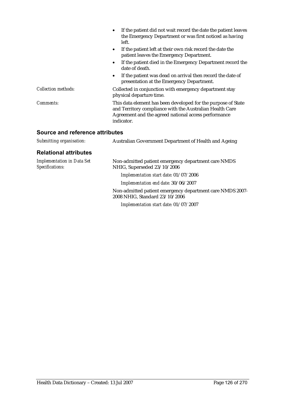|                            | If the patient did not wait record the date the patient leaves<br>the Emergency Department or was first noticed as having<br>left.                                                              |
|----------------------------|-------------------------------------------------------------------------------------------------------------------------------------------------------------------------------------------------|
|                            | If the patient left at their own risk record the date the<br>$\bullet$<br>patient leaves the Emergency Department.                                                                              |
|                            | If the patient died in the Emergency Department record the<br>date of death.                                                                                                                    |
|                            | If the patient was dead on arrival then record the date of<br>presentation at the Emergency Department.                                                                                         |
| <b>Collection methods:</b> | Collected in conjunction with emergency department stay<br>physical departure time.                                                                                                             |
| Comments:                  | This data element has been developed for the purpose of State<br>and Territory compliance with the Australian Health Care<br>Agreement and the agreed national access performance<br>indicator. |
|                            |                                                                                                                                                                                                 |

| Submitting organisation:                      | Australian Government Department of Health and Ageing                                       |
|-----------------------------------------------|---------------------------------------------------------------------------------------------|
| <b>Relational attributes</b>                  |                                                                                             |
| Implementation in Data Set<br>Specifications: | Non-admitted patient emergency department care NMDS<br>NHIG, Superseded 23/10/2006          |
|                                               | Implementation start date: 01/07/2006                                                       |
|                                               | Implementation end date: 30/06/2007                                                         |
|                                               | Non-admitted patient emergency department care NMDS 2007-<br>2008 NHIG, Standard 23/10/2006 |
|                                               | Implementation start date: 01/07/2007                                                       |
|                                               |                                                                                             |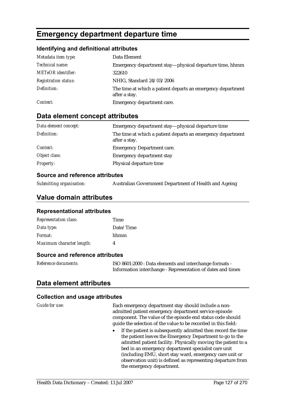# **Emergency department departure time**

### **Identifying and definitional attributes**

| Metadata item type:         | Data Element                                                                 |
|-----------------------------|------------------------------------------------------------------------------|
| Technical name:             | Emergency department stay—physical departure time, hhmm                      |
| <b>METeOR</b> identifier:   | 322610                                                                       |
| <b>Registration status:</b> | NHIG, Standard 24/03/2006                                                    |
| Definition:                 | The time at which a patient departs an emergency department<br>after a stay. |
| Context:                    | Emergency department care.                                                   |

## **Data element concept attributes**

| Data element concept: | Emergency department stay—physical departure time                            |
|-----------------------|------------------------------------------------------------------------------|
| Definition:           | The time at which a patient departs an emergency department<br>after a stay. |
| Context:              | <b>Emergency Department care.</b>                                            |
| Object class:         | <b>Emergency department stay</b>                                             |
| <b>Property:</b>      | Physical departure time                                                      |

#### **Source and reference attributes**

*Submitting organisation:* Australian Government Department of Health and Ageing

## **Value domain attributes**

#### **Representational attributes**

| <b>Representation class:</b> | Time      |
|------------------------------|-----------|
| Data type:                   | Date/Time |
| Format:                      | hhmm      |
| Maximum character length:    | 4         |
|                              |           |

### **Source and reference attributes**

| Reference documents: | ISO 8601:2000 : Data elements and interchange formats -     |
|----------------------|-------------------------------------------------------------|
|                      | Information interchange - Representation of dates and times |

# **Data element attributes**

#### **Collection and usage attributes**

*Guide for use:* Each emergency department stay should include a nonadmitted patient emergency department service episode component. The value of the episode end status code should guide the selection of the value to be recorded in this field:

• If the patient is subsequently admitted then record the time the patient leaves the Emergency Department to go to the admitted patient facility. Physically moving the patient to a bed in an emergency department specialist care unit (including EMU, short stay ward, emergency care unit or observation unit) is defined as representing departure from the emergency department.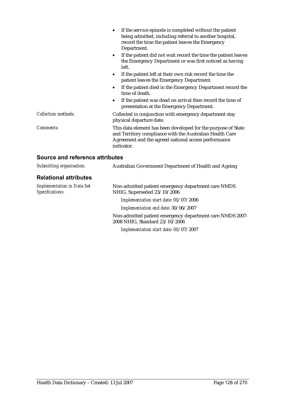|                                 | If the service episode is completed without the patient<br>being admitted, including referral to another hospital,<br>record the time the patient leaves the Emergency<br>Department.           |
|---------------------------------|-------------------------------------------------------------------------------------------------------------------------------------------------------------------------------------------------|
|                                 | If the patient did not wait record the time the patient leaves<br>$\bullet$<br>the Emergency Department or was first noticed as having<br>left.                                                 |
|                                 | If the patient left at their own risk record the time the<br>$\bullet$<br>patient leaves the Emergency Department.                                                                              |
|                                 | If the patient died in the Emergency Department record the<br>time of death.                                                                                                                    |
|                                 | If the patient was dead on arrival then record the time of<br>presentation at the Emergency Department.                                                                                         |
| <b>Collection methods:</b>      | Collected in conjunction with emergency department stay<br>physical departure date.                                                                                                             |
| Comments:                       | This data element has been developed for the purpose of State<br>and Territory compliance with the Australian Health Care<br>Agreement and the agreed national access performance<br>indicator. |
| Source and reference attributes |                                                                                                                                                                                                 |

| Submitting organisation:                             | Australian Government Department of Health and Ageing                                       |
|------------------------------------------------------|---------------------------------------------------------------------------------------------|
| <b>Relational attributes</b>                         |                                                                                             |
| <b>Implementation in Data Set</b><br>Specifications: | Non-admitted patient emergency department care NMDS<br>NHIG, Superseded 23/10/2006          |
|                                                      | Implementation start date: 01/07/2006                                                       |
|                                                      | Implementation end date: 30/06/2007                                                         |
|                                                      | Non-admitted patient emergency department care NMDS 2007-<br>2008 NHIG, Standard 23/10/2006 |
|                                                      | Implementation start date: 01/07/2007                                                       |
|                                                      |                                                                                             |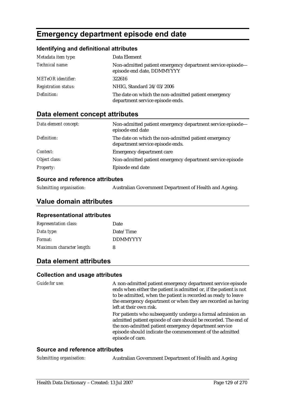# **Emergency department episode end date**

#### **Identifying and definitional attributes**

| Metadata item type:         | Data Element                                                                             |
|-----------------------------|------------------------------------------------------------------------------------------|
| Technical name:             | Non-admitted patient emergency department service episode-<br>episode end date, DDMMYYYY |
| <b>METeOR</b> identifier:   | 322616                                                                                   |
| <b>Registration status:</b> | NHIG, Standard 24/03/2006                                                                |
| Definition:                 | The date on which the non-admitted patient emergency<br>department service episode ends. |

# **Data element concept attributes**

| Data element concept: | Non-admitted patient emergency department service episode-<br>episode end date           |
|-----------------------|------------------------------------------------------------------------------------------|
| Definition:           | The date on which the non-admitted patient emergency<br>department service episode ends. |
| Context:              | <b>Emergency department care</b>                                                         |
| Object class:         | Non-admitted patient emergency department service episode                                |
| <b>Property:</b>      | Episode end date                                                                         |

#### **Source and reference attributes**

| Submitting organisation: | Australian Government Department of Health and Ageing. |  |
|--------------------------|--------------------------------------------------------|--|
|                          |                                                        |  |

## **Value domain attributes**

#### **Representational attributes**

| <b>Representation class:</b> | Date            |
|------------------------------|-----------------|
| Data type:                   | Date/Time       |
| Format:                      | <b>DDMMYYYY</b> |
| Maximum character length:    | 8               |

## **Data element attributes**

#### **Collection and usage attributes**

Guide for use: A non-admitted patient emergency department service episode ends when either the patient is admitted or, if the patient is not to be admitted, when the patient is recorded as ready to leave the emergency department or when they are recorded as having left at their own risk.

> For patients who subsequently undergo a formal admission an admitted patient episode of care should be recorded. The end of the non-admitted patient emergency department service episode should indicate the commencement of the admitted episode of care.

#### **Source and reference attributes**

*Submitting organisation:* Australian Government Department of Health and Ageing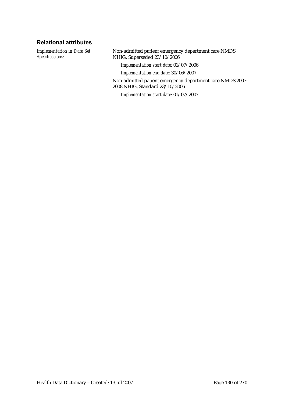### **Relational attributes**

*Implementation in Data Set Specifications:*

Non-admitted patient emergency department care NMDS NHIG, Superseded 23/10/2006

*Implementation start date:* 01/07/2006

*Implementation end date:* 30/06/2007

Non-admitted patient emergency department care NMDS 2007- 2008 NHIG, Standard 23/10/2006

*Implementation start date:* 01/07/2007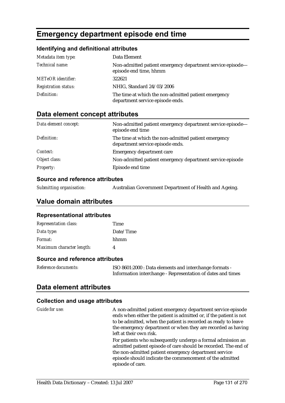# **Emergency department episode end time**

#### **Identifying and definitional attributes**

| Metadata item type:         | Data Element                                                                             |
|-----------------------------|------------------------------------------------------------------------------------------|
| Technical name:             | Non-admitted patient emergency department service episode-<br>episode end time, hhmm     |
| <b>METeOR</b> identifier:   | 322621                                                                                   |
| <b>Registration status:</b> | NHIG, Standard 24/03/2006                                                                |
| Definition:                 | The time at which the non-admitted patient emergency<br>department service episode ends. |

# **Data element concept attributes**

| Data element concept: | Non-admitted patient emergency department service episode-<br>episode end time           |
|-----------------------|------------------------------------------------------------------------------------------|
| Definition:           | The time at which the non-admitted patient emergency<br>department service episode ends. |
| Context:              | Emergency department care                                                                |
| Object class:         | Non-admitted patient emergency department service episode                                |
| <b>Property:</b>      | Episode end time                                                                         |

#### **Source and reference attributes**

| Submitting organisation: | Australian Government Department of Health and Ageing. |  |
|--------------------------|--------------------------------------------------------|--|
|                          |                                                        |  |

## **Value domain attributes**

#### **Representational attributes**

| <b>Representation class:</b> | Time      |
|------------------------------|-----------|
| Data type:                   | Date/Time |
| Format:                      | hhmm      |
| Maximum character length:    |           |

#### **Source and reference attributes**

| Reference documents: | ISO 8601:2000 : Data elements and interchange formats -     |
|----------------------|-------------------------------------------------------------|
|                      | Information interchange - Representation of dates and times |

## **Data element attributes**

#### **Collection and usage attributes**

*Guide for use:* A non-admitted patient emergency department service episode ends when either the patient is admitted or, if the patient is not to be admitted, when the patient is recorded as ready to leave the emergency department or when they are recorded as having left at their own risk.

> For patients who subsequently undergo a formal admission an admitted patient episode of care should be recorded. The end of the non-admitted patient emergency department service episode should indicate the commencement of the admitted episode of care.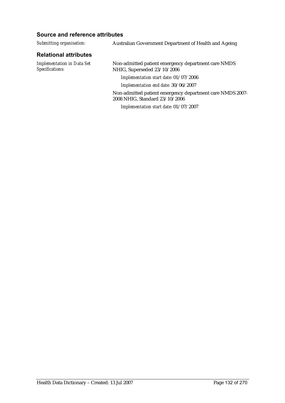| Submitting organisation:                             | Australian Government Department of Health and Ageing                                       |
|------------------------------------------------------|---------------------------------------------------------------------------------------------|
| <b>Relational attributes</b>                         |                                                                                             |
| <b>Implementation in Data Set</b><br>Specifications: | Non-admitted patient emergency department care NMDS<br>NHIG, Superseded 23/10/2006          |
|                                                      | Implementation start date: 01/07/2006                                                       |
|                                                      | Implementation end date: 30/06/2007                                                         |
|                                                      | Non-admitted patient emergency department care NMDS 2007-<br>2008 NHIG, Standard 23/10/2006 |
|                                                      | Implementation start date: 01/07/2007                                                       |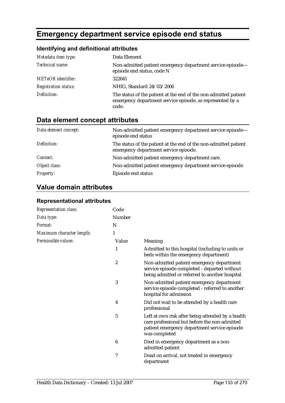# **Emergency department service episode end status**

# **Identifying and definitional attributes**

| Metadata item type:         | Data Element                                                                                                                           |
|-----------------------------|----------------------------------------------------------------------------------------------------------------------------------------|
| Technical name:             | Non-admitted patient emergency department service episode-<br>episode end status, code N                                               |
| <b>METeOR</b> identifier:   | 322641                                                                                                                                 |
| <b>Registration status:</b> | NHIG, Standard 24/03/2006                                                                                                              |
| Definition:                 | The status of the patient at the end of the non-admitted patient<br>emergency department service episode, as represented by a<br>code. |

# **Data element concept attributes**

| Data element concept: | Non-admitted patient emergency department service episode-<br>episode end status                          |
|-----------------------|-----------------------------------------------------------------------------------------------------------|
| Definition:           | The status of the patient at the end of the non-admitted patient<br>emergency department service episode. |
| Context:              | Non-admitted patient emergency department care.                                                           |
| Object class:         | Non-admitted patient emergency department service episode                                                 |
| <b>Property:</b>      | Episode end status                                                                                        |

# **Value domain attributes**

| Representation class:     | Code             |                                                                                                                                                                     |
|---------------------------|------------------|---------------------------------------------------------------------------------------------------------------------------------------------------------------------|
| Data type:                | Number           |                                                                                                                                                                     |
| Format:                   | N                |                                                                                                                                                                     |
| Maximum character length: | 1                |                                                                                                                                                                     |
| Permissible values:       | Value            | Meaning                                                                                                                                                             |
|                           | 1                | Admitted to this hospital (including to units or<br>beds within the emergency department)                                                                           |
|                           | $\boldsymbol{2}$ | Non-admitted patient emergency department<br>service episode completed - departed without<br>being admitted or referred to another hospital                         |
|                           | 3                | Non-admitted patient emergency department<br>service episode completed - referred to another<br>hospital for admission                                              |
|                           | 4                | Did not wait to be attended by a health care<br>professional                                                                                                        |
|                           | 5                | Left at own risk after being attended by a health<br>care professional but before the non-admitted<br>patient emergency department service episode<br>was completed |
|                           | 6                | Died in emergency department as a non-<br>admitted patient                                                                                                          |
|                           | 7                | Dead on arrival, not treated in emergency<br>department                                                                                                             |

#### **Representational attributes**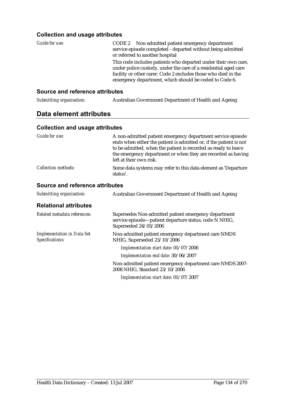### **Collection and usage attributes**

| Guide for use: | CODE 2 Non-admitted patient emergency department<br>service episode completed - departed without being admitted<br>or referred to another hospital                                                                                                            |
|----------------|---------------------------------------------------------------------------------------------------------------------------------------------------------------------------------------------------------------------------------------------------------------|
|                | This code includes patients who departed under their own care,<br>under police custody, under the care of a residential aged care<br>facility or other carer. Code 2 excludes those who died in the<br>emergency department, which should be coded to Code 6. |

## **Source and reference attributes**

| Submitting organisation: | Australian Government Department of Health and Ageing |
|--------------------------|-------------------------------------------------------|
|                          |                                                       |

## **Data element attributes**

#### **Collection and usage attributes**

| Guide for use:                                       | A non-admitted patient emergency department service episode<br>ends when either the patient is admitted or, if the patient is not<br>to be admitted, when the patient is recorded as ready to leave<br>the emergency department or when they are recorded as having<br>left at their own risk. |
|------------------------------------------------------|------------------------------------------------------------------------------------------------------------------------------------------------------------------------------------------------------------------------------------------------------------------------------------------------|
| <b>Collection methods:</b>                           | Some data systems may refer to this data element as 'Departure<br>status'.                                                                                                                                                                                                                     |
| <b>Source and reference attributes</b>               |                                                                                                                                                                                                                                                                                                |
| Submitting organisation:                             | <b>Australian Government Department of Health and Ageing</b>                                                                                                                                                                                                                                   |
| <b>Relational attributes</b>                         |                                                                                                                                                                                                                                                                                                |
| Related metadata references:                         | Supersedes Non-admitted patient emergency department<br>service episode-patient departure status, code N NHIG,<br>Superseded 24/03/2006                                                                                                                                                        |
| <b>Implementation in Data Set</b><br>Specifications: | Non-admitted patient emergency department care NMDS<br>NHIG, Superseded 23/10/2006                                                                                                                                                                                                             |
|                                                      | Implementation start date: 01/07/2006                                                                                                                                                                                                                                                          |
|                                                      | Implementation end date: 30/06/2007                                                                                                                                                                                                                                                            |

Non-admitted patient emergency department care NMDS 2007- 2008 NHIG, Standard 23/10/2006

*Implementation start date:* 01/07/2007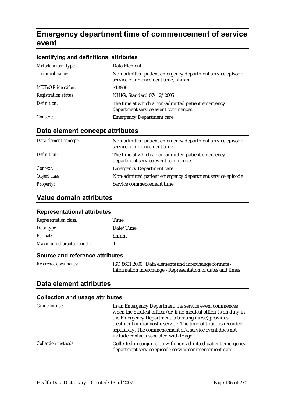# **Emergency department time of commencement of service event**

#### **Identifying and definitional attributes**

| Metadata item type:         | Data Element                                                                                  |
|-----------------------------|-----------------------------------------------------------------------------------------------|
| Technical name:             | Non-admitted patient emergency department service episode-<br>service commencement time, hhmm |
| <b>METeOR</b> identifier:   | 313806                                                                                        |
| <b>Registration status:</b> | NHIG, Standard 07/12/2005                                                                     |
| Definition:                 | The time at which a non-admitted patient emergency<br>department service event commences.     |
| Context:                    | <b>Emergency Department care</b>                                                              |

# **Data element concept attributes**

| Data element concept: | Non-admitted patient emergency department service episode—<br>service commencement time   |
|-----------------------|-------------------------------------------------------------------------------------------|
| Definition:           | The time at which a non-admitted patient emergency<br>department service event commences. |
| Context:              | <b>Emergency Department care.</b>                                                         |
| Object class:         | Non-admitted patient emergency department service episode                                 |
| <b>Property:</b>      | Service commencement time                                                                 |

# **Value domain attributes**

#### **Representational attributes**

| <b>Representation class:</b> | Time      |
|------------------------------|-----------|
| Data type:                   | Date/Time |
| <i>Format:</i>               | hhmm      |
| Maximum character length:    | 4         |

### **Source and reference attributes**

| Reference documents: | ISO 8601:2000 : Data elements and interchange formats -     |
|----------------------|-------------------------------------------------------------|
|                      | Information interchange - Representation of dates and times |

## **Data element attributes**

### **Collection and usage attributes**

| Guide for use:             | In an Emergency Department the service event commences<br>when the medical officer (or, if no medical officer is on duty in<br>the Emergency Department, a treating nurse) provides<br>treatment or diagnostic service. The time of triage is recorded<br>separately. The commencement of a service event does not<br>include contact associated with triage. |
|----------------------------|---------------------------------------------------------------------------------------------------------------------------------------------------------------------------------------------------------------------------------------------------------------------------------------------------------------------------------------------------------------|
| <b>Collection methods:</b> | Collected in conjunction with non-admitted patient emergency<br>department service episode service commencement date.                                                                                                                                                                                                                                         |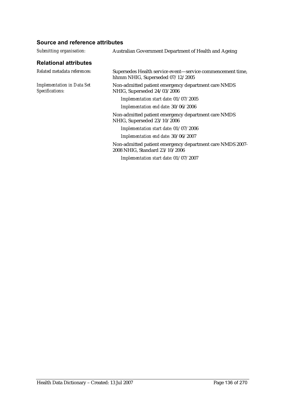| Submitting organisation:                             | Australian Government Department of Health and Ageing                                          |
|------------------------------------------------------|------------------------------------------------------------------------------------------------|
| <b>Relational attributes</b>                         |                                                                                                |
| Related metadata references:                         | Supersedes Health service event—service commencement time,<br>hhmm NHIG, Superseded 07/12/2005 |
| <b>Implementation in Data Set</b><br>Specifications: | Non-admitted patient emergency department care NMDS<br>NHIG, Superseded 24/03/2006             |
|                                                      | Implementation start date: 01/07/2005                                                          |
|                                                      | Implementation end date: 30/06/2006                                                            |
|                                                      | Non-admitted patient emergency department care NMDS<br>NHIG, Superseded 23/10/2006             |
|                                                      | Implementation start date: 01/07/2006                                                          |
|                                                      | Implementation end date: 30/06/2007                                                            |
|                                                      | Non-admitted patient emergency department care NMDS 2007-<br>2008 NHIG, Standard 23/10/2006    |
|                                                      | Implementation start date: 01/07/2007                                                          |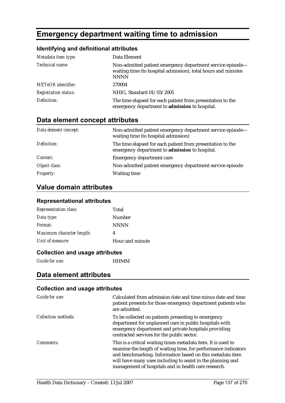# **Emergency department waiting time to admission**

## **Identifying and definitional attributes**

| Metadata item type:         | Data Element                                                                                                                               |
|-----------------------------|--------------------------------------------------------------------------------------------------------------------------------------------|
| Technical name:             | Non-admitted patient emergency department service episode-<br>waiting time (to hospital admission), total hours and minutes<br><b>NNNN</b> |
| <b>METeOR</b> identifier:   | 270004                                                                                                                                     |
| <b>Registration status:</b> | NHIG, Standard 01/03/2005                                                                                                                  |
| Definition:                 | The time elapsed for each patient from presentation to the<br>emergency department to admission to hospital.                               |

# **Data element concept attributes**

| Data element concept: | Non-admitted patient emergency department service episode-<br>waiting time (to hospital admission)           |
|-----------------------|--------------------------------------------------------------------------------------------------------------|
| Definition:           | The time elapsed for each patient from presentation to the<br>emergency department to admission to hospital. |
| Context:              | Emergency department care                                                                                    |
| Object class:         | Non-admitted patient emergency department service episode                                                    |
| <b>Property:</b>      | <b>Waiting time</b>                                                                                          |

# **Value domain attributes**

#### **Representational attributes**

| Total           |
|-----------------|
| Number          |
| <b>NNNN</b>     |
| 4               |
| Hour and minute |
|                 |

#### **Collection and usage attributes**

*Guide for use:* HHMM

### **Data element attributes**

#### **Collection and usage attributes**

| Guide for use:             | Calculated from admission date and time minus date and time<br>patient presents for those emergency department patients who<br>are admitted.                                                                                                                                                                        |
|----------------------------|---------------------------------------------------------------------------------------------------------------------------------------------------------------------------------------------------------------------------------------------------------------------------------------------------------------------|
| <b>Collection methods:</b> | To be collected on patients presenting to emergency<br>department for unplanned care in public hospitals with<br>emergency department and private hospitals providing<br>contracted services for the public sector.                                                                                                 |
| Comments:                  | This is a critical waiting times metadata item. It is used to<br>examine the length of waiting time, for performance indicators<br>and benchmarking. Information based on this metadata item<br>will have many uses including to assist in the planning and<br>management of hospitals and in health care research. |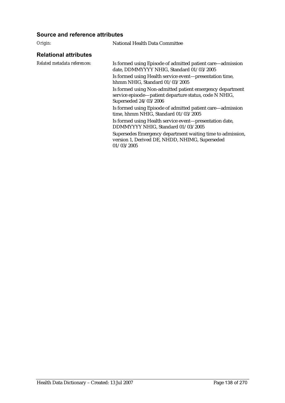#### **Source and reference attributes**

*Origin:* National Health Data Committee

#### **Relational attributes**

*Related metadata references:* Is formed using Episode of admitted patient care—admission date, DDMMYYYY NHIG, Standard 01/03/2005

> Is formed using Health service event—presentation time, hhmm NHIG, Standard 01/03/2005

Is formed using Non-admitted patient emergency department service episode—patient departure status, code N NHIG, Superseded 24/03/2006

Is formed using Episode of admitted patient care—admission time, hhmm NHIG, Standard 01/03/2005

Is formed using Health service event—presentation date, DDMMYYYY NHIG, Standard 01/03/2005

Supersedes Emergency department waiting time to admission, version 1, Derived DE, NHDD, NHIMG, Superseded 01/03/2005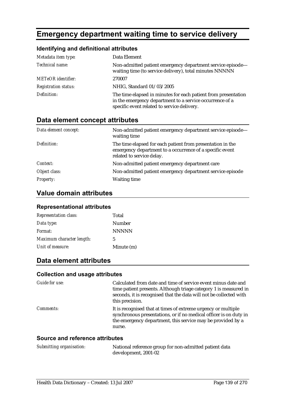# **Emergency department waiting time to service delivery**

## **Identifying and definitional attributes**

| Metadata item type:         | Data Element                                                                                                                                                              |
|-----------------------------|---------------------------------------------------------------------------------------------------------------------------------------------------------------------------|
| Technical name:             | Non-admitted patient emergency department service episode-<br>waiting time (to service delivery), total minutes NNNNN                                                     |
| <b>METeOR</b> identifier:   | 270007                                                                                                                                                                    |
| <b>Registration status:</b> | NHIG, Standard 01/03/2005                                                                                                                                                 |
| Definition:                 | The time elapsed in minutes for each patient from presentation<br>in the emergency department to a service occurrence of a<br>specific event related to service delivery. |

## **Data element concept attributes**

| Data element concept: | Non-admitted patient emergency department service episode-<br>waiting time                                                                          |
|-----------------------|-----------------------------------------------------------------------------------------------------------------------------------------------------|
| Definition:           | The time elapsed for each patient from presentation in the<br>emergency department to a occurrence of a specific event<br>related to service delay. |
| Context:              | Non-admitted patient emergency department care                                                                                                      |
| Object class:         | Non-admitted patient emergency department service episode                                                                                           |
| <b>Property:</b>      | <b>Waiting time</b>                                                                                                                                 |

# **Value domain attributes**

#### **Representational attributes**

| <b>Representation class:</b> | Total        |
|------------------------------|--------------|
| Data type:                   | Number       |
| Format:                      | <b>NNNNN</b> |
| Maximum character length:    | 5            |
| Unit of measure:             | Minute (m)   |

# **Data element attributes**

#### **Collection and usage attributes**

| <i>Guide for use:</i> | Calculated from date and time of service event minus date and<br>time patient presents. Although triage category 1 is measured in<br>seconds, it is recognised that the data will not be collected with<br>this precision. |
|-----------------------|----------------------------------------------------------------------------------------------------------------------------------------------------------------------------------------------------------------------------|
| <i>Comments:</i>      | It is recognised that at times of extreme urgency or multiple<br>synchronous presentations, or if no medical officer is on duty in<br>the emergency department, this service may be provided by a<br>nurse.                |

| Submitting organisation: | National reference group for non-admitted patient data |
|--------------------------|--------------------------------------------------------|
|                          | development, 2001-02                                   |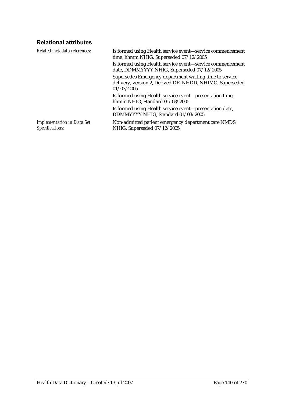## **Relational attributes**

| Related metadata references:                         | Is formed using Health service event-service commencement<br>time, hhmm NHIG, Superseded 07/12/2005                               |
|------------------------------------------------------|-----------------------------------------------------------------------------------------------------------------------------------|
|                                                      | Is formed using Health service event-service commencement<br>date, DDMMYYYY NHIG, Superseded 07/12/2005                           |
|                                                      | Supersedes Emergency department waiting time to service<br>delivery, version 2, Derived DE, NHDD, NHIMG, Superseded<br>01/03/2005 |
|                                                      | Is formed using Health service event—presentation time,<br>hhmm NHIG, Standard 01/03/2005                                         |
|                                                      | Is formed using Health service event—presentation date,<br>DDMMYYYY NHIG, Standard 01/03/2005                                     |
| <b>Implementation in Data Set</b><br>Specifications: | Non-admitted patient emergency department care NMDS<br>NHIG, Superseded 07/12/2005                                                |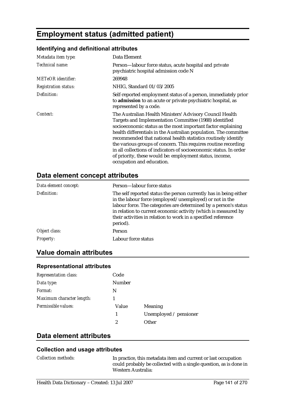# **Employment status (admitted patient)**

### **Identifying and definitional attributes**

| Metadata item type:         | Data Element                                                                                                                                                                                                                                                                                                                                                                                                                                                                                                                                             |  |
|-----------------------------|----------------------------------------------------------------------------------------------------------------------------------------------------------------------------------------------------------------------------------------------------------------------------------------------------------------------------------------------------------------------------------------------------------------------------------------------------------------------------------------------------------------------------------------------------------|--|
| <i>Technical name:</i>      | Person-labour force status, acute hospital and private<br>psychiatric hospital admission code N                                                                                                                                                                                                                                                                                                                                                                                                                                                          |  |
| <b>METeOR</b> identifier:   | 269948                                                                                                                                                                                                                                                                                                                                                                                                                                                                                                                                                   |  |
| <b>Registration status:</b> | NHIG, Standard 01/03/2005                                                                                                                                                                                                                                                                                                                                                                                                                                                                                                                                |  |
| Definition:                 | Self-reported employment status of a person, immediately prior<br>to admission to an acute or private psychiatric hospital, as<br>represented by a code.                                                                                                                                                                                                                                                                                                                                                                                                 |  |
| Context:                    | The Australian Health Ministers' Advisory Council Health<br>Targets and Implementation Committee (1988) identified<br>socioeconomic status as the most important factor explaining<br>health differentials in the Australian population. The committee<br>recommended that national health statistics routinely identify<br>the various groups of concern. This requires routine recording<br>in all collections of indicators of socioeconomic status. In order<br>of priority, these would be: employment status, income,<br>occupation and education. |  |

## **Data element concept attributes**

| Data element concept: | Person—labour force status                                                                                                                                                                                                                                                                                                                      |
|-----------------------|-------------------------------------------------------------------------------------------------------------------------------------------------------------------------------------------------------------------------------------------------------------------------------------------------------------------------------------------------|
| Definition:           | The self reported status the person currently has in being either<br>in the labour force (employed/unemployed) or not in the<br>labour force. The categories are determined by a person's status<br>in relation to current economic activity (which is measured by<br>their activities in relation to work in a specified reference<br>period). |
| Object class:         | <b>Person</b>                                                                                                                                                                                                                                                                                                                                   |
| <b>Property:</b>      | Labour force status                                                                                                                                                                                                                                                                                                                             |

## **Value domain attributes**

### **Representational attributes**

| <b>Representation class:</b> | Code          |                        |
|------------------------------|---------------|------------------------|
| Data type:                   | <b>Number</b> |                        |
| Format:                      | N             |                        |
| Maximum character length:    |               |                        |
| Permissible values:          | Value         | Meaning                |
|                              | 1             | Unemployed / pensioner |
|                              | 2             | Other                  |

# **Data element attributes**

#### **Collection and usage attributes**

*Collection methods:* In practice, this metadata item and current or last occupation could probably be collected with a single question, as is done in Western Australia: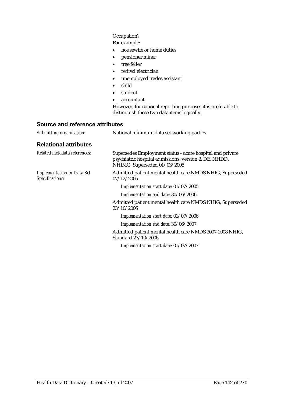#### Occupation?

For example:

- housewife or home duties
- pensioner miner
- tree feller
- retired electrician
- unemployed trades assistant
- child
- student
- accountant

However, for national reporting purposes it is preferable to distinguish these two data items logically.

| Submitting organisation:                             | National minimum data set working parties                                                                                                          |
|------------------------------------------------------|----------------------------------------------------------------------------------------------------------------------------------------------------|
| <b>Relational attributes</b>                         |                                                                                                                                                    |
| Related metadata references:                         | Supersedes Employment status - acute hospital and private<br>psychiatric hospital admissions, version 2, DE, NHDD,<br>NHIMG, Superseded 01/03/2005 |
| <b>Implementation in Data Set</b><br>Specifications: | Admitted patient mental health care NMDS NHIG, Superseded<br>07/12/2005                                                                            |
|                                                      | Implementation start date: 01/07/2005                                                                                                              |
|                                                      | Implementation end date: 30/06/2006                                                                                                                |
|                                                      | Admitted patient mental health care NMDS NHIG, Superseded<br>23/10/2006                                                                            |
|                                                      | Implementation start date: 01/07/2006                                                                                                              |
|                                                      | Implementation end date: 30/06/2007                                                                                                                |
|                                                      | Admitted patient mental health care NMDS 2007-2008 NHIG,<br>Standard 23/10/2006                                                                    |
|                                                      | Implementation start date: 01/07/2007                                                                                                              |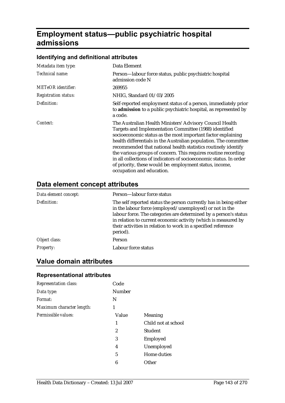# **Employment status—public psychiatric hospital admissions**

# **Identifying and definitional attributes**

| Metadata item type:         | Data Element                                                                                                                                                                                                                                                                                                                                                                                                                                                                                                                                             |
|-----------------------------|----------------------------------------------------------------------------------------------------------------------------------------------------------------------------------------------------------------------------------------------------------------------------------------------------------------------------------------------------------------------------------------------------------------------------------------------------------------------------------------------------------------------------------------------------------|
| Technical name:             | Person-labour force status, public psychiatric hospital<br>admission code N                                                                                                                                                                                                                                                                                                                                                                                                                                                                              |
| <b>METeOR</b> identifier:   | 269955                                                                                                                                                                                                                                                                                                                                                                                                                                                                                                                                                   |
| <b>Registration status:</b> | NHIG, Standard 01/03/2005                                                                                                                                                                                                                                                                                                                                                                                                                                                                                                                                |
| Definition:                 | Self-reported employment status of a person, immediately prior<br>to admission to a public psychiatric hospital, as represented by<br>a code.                                                                                                                                                                                                                                                                                                                                                                                                            |
| Context:                    | The Australian Health Ministers' Advisory Council Health<br>Targets and Implementation Committee (1988) identified<br>socioeconomic status as the most important factor explaining<br>health differentials in the Australian population. The committee<br>recommended that national health statistics routinely identify<br>the various groups of concern. This requires routine recording<br>in all collections of indicators of socioeconomic status. In order<br>of priority, these would be: employment status, income,<br>occupation and education. |

# **Data element concept attributes**

| Data element concept: | Person-labour force status                                                                                                                                                                                                                                                                                                                      |
|-----------------------|-------------------------------------------------------------------------------------------------------------------------------------------------------------------------------------------------------------------------------------------------------------------------------------------------------------------------------------------------|
| Definition:           | The self reported status the person currently has in being either<br>in the labour force (employed/unemployed) or not in the<br>labour force. The categories are determined by a person's status<br>in relation to current economic activity (which is measured by<br>their activities in relation to work in a specified reference<br>period). |
| Object class:         | Person                                                                                                                                                                                                                                                                                                                                          |
| <b>Property:</b>      | Labour force status                                                                                                                                                                                                                                                                                                                             |

## **Value domain attributes**

#### **Representational attributes**

| <b>Representation class:</b> | Code          |                     |
|------------------------------|---------------|---------------------|
| Data type:                   | <b>Number</b> |                     |
| Format:                      | N             |                     |
| Maximum character length:    | 1             |                     |
| Permissible values:          | Value         | Meaning             |
|                              | 1             | Child not at school |
|                              | 2             | <b>Student</b>      |
|                              | 3             | Employed            |
|                              | 4             | Unemployed          |
|                              | 5             | Home duties         |
|                              | 6             | Other               |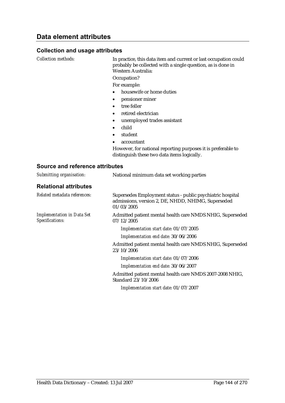#### **Collection and usage attributes**

*Collection methods:* In practice, this data item and current or last occupation could probably be collected with a single question, as is done in Western Australia:

Occupation?

For example:

- housewife or home duties
- pensioner miner
- tree feller
- retired electrician
- unemployed trades assistant
- child
- student
- accountant

However, for national reporting purposes it is preferable to distinguish these two data items logically.

| Submitting organisation:                             | National minimum data set working parties                                                                                      |
|------------------------------------------------------|--------------------------------------------------------------------------------------------------------------------------------|
| <b>Relational attributes</b>                         |                                                                                                                                |
| Related metadata references:                         | Supersedes Employment status - public psychiatric hospital<br>admissions, version 2, DE, NHDD, NHIMG, Superseded<br>01/03/2005 |
| <b>Implementation in Data Set</b><br>Specifications: | Admitted patient mental health care NMDS NHIG, Superseded<br>07/12/2005                                                        |
|                                                      | Implementation start date: 01/07/2005                                                                                          |
|                                                      | Implementation end date: 30/06/2006                                                                                            |
|                                                      | Admitted patient mental health care NMDS NHIG, Superseded<br>23/10/2006                                                        |
|                                                      | Implementation start date: 01/07/2006                                                                                          |
|                                                      | Implementation end date: 30/06/2007                                                                                            |
|                                                      | Admitted patient mental health care NMDS 2007-2008 NHIG,<br>Standard 23/10/2006                                                |
|                                                      | Implementation start date: 01/07/2007                                                                                          |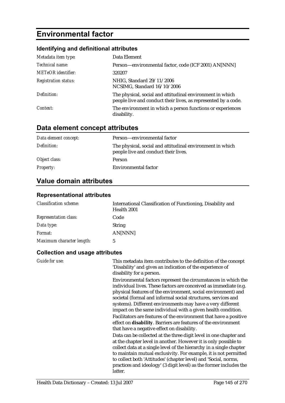# **Environmental factor**

# **Identifying and definitional attributes**

| Metadata item type:         | Data Element                                                                                                                |
|-----------------------------|-----------------------------------------------------------------------------------------------------------------------------|
| Technical name:             | Person-environmental factor, code (ICF 2001) AN[NNN]                                                                        |
| <b>METeOR</b> identifier:   | 320207                                                                                                                      |
| <b>Registration status:</b> | NHIG, Standard 29/11/2006<br>NCSIMG, Standard 16/10/2006                                                                    |
| Definition:                 | The physical, social and attitudinal environment in which<br>people live and conduct their lives, as represented by a code. |
| Context:                    | The environment in which a person functions or experiences<br>disability.                                                   |

# **Data element concept attributes**

| Data element concept: | Person—environmental factor                                                                       |
|-----------------------|---------------------------------------------------------------------------------------------------|
| Definition:           | The physical, social and attitudinal environment in which<br>people live and conduct their lives. |
| Object class:         | <b>Person</b>                                                                                     |
| <b>Property:</b>      | Environmental factor                                                                              |

# **Value domain attributes**

### **Representational attributes**

| <b>Classification scheme:</b> | International Classification of Functioning, Disability and<br>Health 2001 |
|-------------------------------|----------------------------------------------------------------------------|
| <b>Representation class:</b>  | Code                                                                       |
| Data type:                    | <b>String</b>                                                              |
| <i>Format:</i>                | AN[NNN]                                                                    |
| Maximum character length:     | 5                                                                          |

| Guide for use: | This metadata item contributes to the definition of the concept<br>'Disability' and gives an indication of the experience of<br>disability for a person.                                                                                                                                                                                                                                                                                                                                                                                  |
|----------------|-------------------------------------------------------------------------------------------------------------------------------------------------------------------------------------------------------------------------------------------------------------------------------------------------------------------------------------------------------------------------------------------------------------------------------------------------------------------------------------------------------------------------------------------|
|                | Environmental factors represent the circumstances in which the<br>individual lives. These factors are conceived as immediate (e.g.<br>physical features of the environment, social environment) and<br>societal (formal and informal social structures, services and<br>systems). Different environments may have a very different<br>impact on the same individual with a given health condition.<br>Facilitators are features of the environment that have a positive<br>effect on disability. Barriers are features of the environment |
|                | that have a negative effect on disability.                                                                                                                                                                                                                                                                                                                                                                                                                                                                                                |
|                | Data can be collected at the three digit level in one chapter and<br>at the chapter level in another. However it is only possible to<br>collect data at a single level of the hierarchy in a single chapter<br>to maintain mutual exclusivity. For example, it is not permitted<br>to collect both 'Attitudes' (chapter level) and 'Social, norms,                                                                                                                                                                                        |
|                | practices and ideology' (3 digit level) as the former includes the<br>latter.                                                                                                                                                                                                                                                                                                                                                                                                                                                             |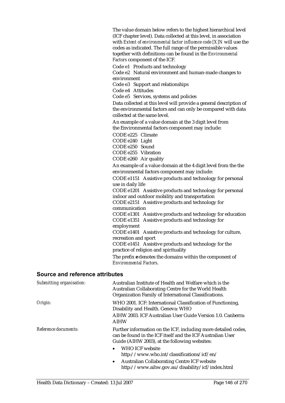The value domain below refers to the highest hierarchical level (ICF chapter level). Data collected at this level, in association with *Extent of environmental factor influence code [X]N* will use the codes as indicated. The full range of the permissible values together with definitions can be found in the *Environmental Factors* component of the ICF.

Code e1 Products and technology

Code e2 Natural environment and human-made changes to environment

Code e3 Support and relationships

Code e4 Attitudes

Code e5 Services, systems and policies

Data collected at this level will provide a general description of the environmental factors and can only be compared with data collected at the same level.

An example of a value domain at the 3 digit level from the Environmental factors component may include:

CODE e225 Climate

CODE e240 Light

CODE e250 Sound

CODE e255 Vibration

CODE e260 Air quality

An example of a value domain at the 4 digit level from the the environmental factors component may include:

CODE e1151 Assistive products and technology for personal use in daily life

CODE e1201 Assistive products and technology for personal indoor and outdoor mobility and transportation

CODE e2151 Assistive products and technology for communication

CODE e1301 Assistive products and technology for education CODE e1351 Assistive products and technology for employment

CODE e1401 Assistive products and technology for culture, recreation and sport

CODE e1451 Assistive products and technology for the practice of religion and spirituality

The prefix *e* denotes the domains within the component of *Environmental Factors*.

#### **Source and reference attributes**

| Submitting organisation: | Australian Institute of Health and Welfare which is the<br>Australian Collaborating Centre for the World Health<br>Organization Family of International Classifications.                                                                                           |
|--------------------------|--------------------------------------------------------------------------------------------------------------------------------------------------------------------------------------------------------------------------------------------------------------------|
| Origin:                  | WHO 2001. ICF: International Classification of Functioning,<br>Disability and Health. Geneva: WHO                                                                                                                                                                  |
|                          | AIHW 2003. ICF Australian User Guide Version 1.0. Canberra:<br><b>AIHW</b>                                                                                                                                                                                         |
| Reference documents:     | Further information on the ICF, including more detailed codes,<br>can be found in the ICF itself and the ICF Australian User<br>Guide (AIHW 2003), at the following websites:<br><b>WHO ICF website</b><br>$\bullet$<br>http://www.who.int/classifications/icf/en/ |
|                          | <b>Australian Collaborating Centre ICF website</b><br>$\bullet$<br>http://www.aihw.gov.au/disability/icf/index.html                                                                                                                                                |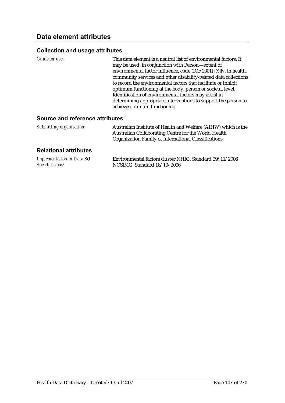### **Collection and usage attributes**

| Guide for use: | This data element is a neutral list of environmental factors. It |
|----------------|------------------------------------------------------------------|
|                | may be used, in conjunction with Person-extent of                |
|                | environmental factor influence, code (ICF 2001) [X]N, in health, |
|                | community services and other disability-related data collections |
|                | to record the environmental factors that facilitate or inhibit   |
|                | optimum functioning at the body, person or societal level.       |
|                | Identification of environmental factors may assist in            |
|                | determining appropriate interventions to support the person to   |
|                | achieve optimum functioning.                                     |

#### **Source and reference attributes**

| Submitting organisation: | Australian Institute of Health and Welfare (AIHW) which is the |
|--------------------------|----------------------------------------------------------------|
|                          | Australian Collaborating Centre for the World Health           |
|                          | Organization Family of International Classifications.          |

### **Relational attributes**

| <b>Implementation in Data Set</b> | Environmental factors cluster NHIG, Standard 29/11/2006 |
|-----------------------------------|---------------------------------------------------------|
| Specifications:                   | NCSIMG, Standard 16/10/2006                             |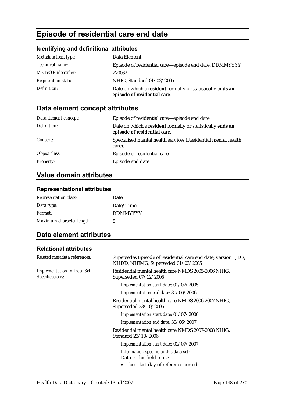# **Episode of residential care end date**

### **Identifying and definitional attributes**

| Metadata item type:         | Data Element                                                                               |
|-----------------------------|--------------------------------------------------------------------------------------------|
| Technical name:             | Episode of residential care—episode end date, DDMMYYYY                                     |
| <b>METeOR</b> identifier:   | 270062                                                                                     |
| <b>Registration status:</b> | NHIG, Standard 01/03/2005                                                                  |
| Definition:                 | Date on which a resident formally or statistically ends an<br>episode of residential care. |

# **Data element concept attributes**

| Data element concept: | Episode of residential care—episode end date                                               |
|-----------------------|--------------------------------------------------------------------------------------------|
| Definition:           | Date on which a resident formally or statistically ends an<br>episode of residential care. |
| Context:              | Specialised mental health services (Residential mental health<br>care).                    |
| Object class:         | Episode of residential care                                                                |
| <b>Property:</b>      | Episode end date                                                                           |

# **Value domain attributes**

### **Representational attributes**

| <b>Representation class:</b> | Date            |
|------------------------------|-----------------|
| Data type:                   | Date/Time       |
| Format:                      | <b>DDMMYYYY</b> |
| Maximum character length:    | 8               |

# **Data element attributes**

#### **Relational attributes**

| Related metadata references:                         | Supersedes Episode of residential care end date, version 1, DE,<br>NHDD, NHIMG, Superseded 01/03/2005 |
|------------------------------------------------------|-------------------------------------------------------------------------------------------------------|
| <b>Implementation in Data Set</b><br>Specifications: | Residential mental health care NMDS 2005-2006 NHIG,<br>Superseded 07/12/2005                          |
|                                                      | Implementation start date: 01/07/2005                                                                 |
|                                                      | Implementation end date: 30/06/2006                                                                   |
|                                                      | Residential mental health care NMDS 2006-2007 NHIG,<br>Superseded 23/10/2006                          |
|                                                      | Implementation start date: 01/07/2006                                                                 |
|                                                      | Implementation end date: 30/06/2007                                                                   |
|                                                      | Residential mental health care NMDS 2007-2008 NHIG,<br>Standard 23/10/2006                            |
|                                                      | Implementation start date: 01/07/2007                                                                 |
|                                                      | Information specific to this data set:<br>Data in this field must:                                    |
|                                                      | be last day of reference period                                                                       |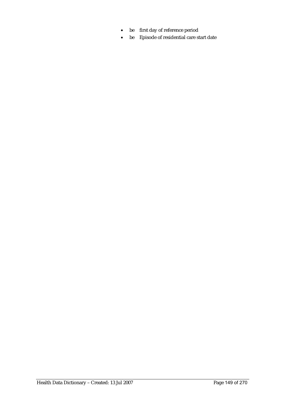- be first day of reference period
- be Episode of residential care start date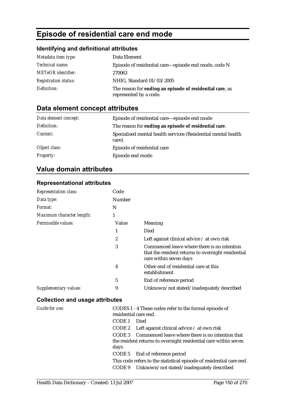# **Episode of residential care end mode**

### **Identifying and definitional attributes**

| Metadata item type:         | Data Element                                                                       |
|-----------------------------|------------------------------------------------------------------------------------|
| <i>Technical name:</i>      | Episode of residential care—episode end mode, code N                               |
| <b>METeOR</b> identifier:   | 270063                                                                             |
| <b>Registration status:</b> | NHIG, Standard 01/03/2005                                                          |
| Definition:                 | The reason for ending an episode of residential care, as<br>represented by a code. |

# **Data element concept attributes**

| Data element concept: | Episode of residential care—episode end mode                            |
|-----------------------|-------------------------------------------------------------------------|
| Definition:           | The reason for ending an episode of residential care.                   |
| Context:              | Specialised mental health services (Residential mental health<br>care). |
| Object class:         | Episode of residential care                                             |
| <b>Property:</b>      | Episode end mode                                                        |

# **Value domain attributes**

### **Representational attributes**

| <b>Representation class:</b> | Code   |                                                                                                                             |
|------------------------------|--------|-----------------------------------------------------------------------------------------------------------------------------|
| Data type:                   | Number |                                                                                                                             |
| <i>Format:</i>               | N      |                                                                                                                             |
| Maximum character length:    | 1      |                                                                                                                             |
| Permissible values:          | Value  | Meaning                                                                                                                     |
|                              | 1      | Died                                                                                                                        |
|                              | 2      | Left against clinical advice $\ell$ at own risk                                                                             |
|                              | 3      | Commenced leave where there is no intention<br>that the resident returns to overnight residential<br>care within seven days |
|                              | 4      | Other end of residential care at this<br>establishment                                                                      |
|                              | 5      | End of reference period                                                                                                     |
| Supplementary values:        | 9      | Unknown/not stated/inadequately described                                                                                   |

| <b>Guide for use:</b> | CODES 1 - 4 These codes refer to the formal episode of               |
|-----------------------|----------------------------------------------------------------------|
|                       | residential care end.                                                |
|                       | CODE 1<br>Died                                                       |
|                       | CODE 2 Left against clinical advice $\ell$ at own risk               |
|                       | CODE 3 Commenced leave where there is no intention that              |
|                       | the resident returns to overnight residential care within seven      |
|                       | days                                                                 |
|                       | CODE 5 End of reference period                                       |
|                       | This code refers to the statistical episode of residential care end. |
|                       | CODE 9 Unknown/not stated/inadequately described                     |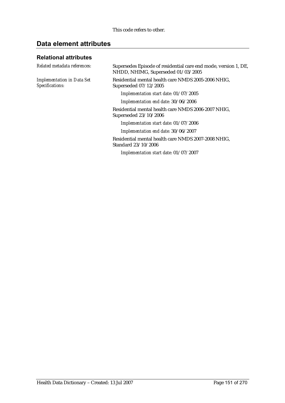# **Data element attributes**

### **Relational attributes**

| Related metadata references:                         | Supersedes Episode of residential care end mode, version 1, DE,<br>NHDD, NHIMG, Superseded 01/03/2005 |
|------------------------------------------------------|-------------------------------------------------------------------------------------------------------|
| <b>Implementation in Data Set</b><br>Specifications: | Residential mental health care NMDS 2005-2006 NHIG,<br>Superseded 07/12/2005                          |
|                                                      | Implementation start date: 01/07/2005                                                                 |
|                                                      | Implementation end date: 30/06/2006                                                                   |
|                                                      | Residential mental health care NMDS 2006-2007 NHIG,<br>Superseded 23/10/2006                          |
|                                                      | Implementation start date: 01/07/2006                                                                 |
|                                                      | Implementation end date: 30/06/2007                                                                   |
|                                                      | Residential mental health care NMDS 2007-2008 NHIG,<br>Standard 23/10/2006                            |
|                                                      | Implementation start date: 01/07/2007                                                                 |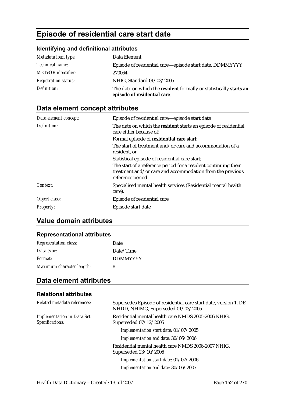# **Episode of residential care start date**

### **Identifying and definitional attributes**

| Metadata item type:         | Data Element                                                                                       |
|-----------------------------|----------------------------------------------------------------------------------------------------|
| Technical name:             | Episode of residential care—episode start date, DDMMYYYY                                           |
| <b>METeOR</b> identifier:   | 270064                                                                                             |
| <b>Registration status:</b> | NHIG, Standard 01/03/2005                                                                          |
| Definition:                 | The date on which the resident formally or statistically starts an<br>episode of residential care. |

# **Data element concept attributes**

| Data element concept: | Episode of residential care—episode start date                                                                                                    |
|-----------------------|---------------------------------------------------------------------------------------------------------------------------------------------------|
| Definition:           | The date on which the resident starts an episode of residential<br>care either because of:                                                        |
|                       | Formal episode of residential care start;                                                                                                         |
|                       | The start of treatment and/or care and accommodation of a<br>resident, or                                                                         |
|                       | Statistical episode of residential care start;                                                                                                    |
|                       | The start of a reference period for a resident continuing their<br>treatment and/or care and accommodation from the previous<br>reference period. |
| Context:              | Specialised mental health services (Residential mental health<br>care).                                                                           |
| Object class:         | Episode of residential care                                                                                                                       |
| <i>Property:</i>      | Episode start date                                                                                                                                |

# **Value domain attributes**

### **Representational attributes**

| <b>Representation class:</b> | Date            |
|------------------------------|-----------------|
| Data type:                   | Date/Time       |
| Format:                      | <b>DDMMYYYY</b> |
| Maximum character length:    | 8               |

### **Data element attributes**

#### **Relational attributes**

| Related metadata references:                         | Supersedes Episode of residential care start date, version 1, DE,<br>NHDD, NHIMG, Superseded 01/03/2005 |
|------------------------------------------------------|---------------------------------------------------------------------------------------------------------|
| <b>Implementation in Data Set</b><br>Specifications: | Residential mental health care NMDS 2005-2006 NHIG,<br>Superseded 07/12/2005                            |
|                                                      | Implementation start date: 01/07/2005                                                                   |
|                                                      | Implementation end date: 30/06/2006                                                                     |
|                                                      | Residential mental health care NMDS 2006-2007 NHIG,<br>Superseded 23/10/2006                            |
|                                                      | Implementation start date: 01/07/2006                                                                   |
|                                                      | Implementation end date: 30/06/2007                                                                     |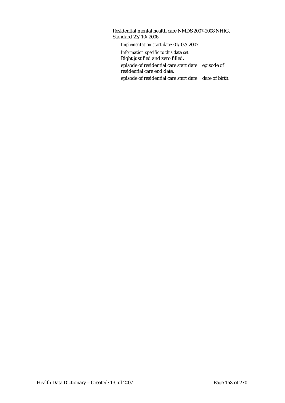Residential mental health care NMDS 2007-2008 NHIG, Standard 23/10/2006 *Implementation start date:* 01/07/2007 *Information specific to this data set:* Right justified and zero filled. episode of residential care start date episode of residential care end date. episode of residential care start date date of birth.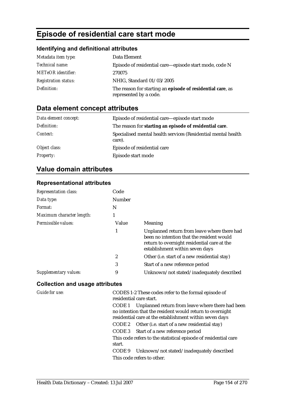# **Episode of residential care start mode**

# **Identifying and definitional attributes**

| Metadata item type:         | Data Element                                                                         |
|-----------------------------|--------------------------------------------------------------------------------------|
| <i>Technical name:</i>      | Episode of residential care—episode start mode, code N                               |
| <b>METeOR</b> identifier:   | 270075                                                                               |
| <b>Registration status:</b> | NHIG, Standard 01/03/2005                                                            |
| Definition:                 | The reason for starting an episode of residential care, as<br>represented by a code. |

# **Data element concept attributes**

| Data element concept: | Episode of residential care—episode start mode                          |
|-----------------------|-------------------------------------------------------------------------|
| Definition:           | The reason for starting an episode of residential care.                 |
| Context:              | Specialised mental health services (Residential mental health<br>care). |
| Object class:         | Episode of residential care                                             |
| <b>Property:</b>      | Episode start mode                                                      |

# **Value domain attributes**

### **Representational attributes**

| <b>Representation class:</b> | Code          |                                                                                                                                                                            |
|------------------------------|---------------|----------------------------------------------------------------------------------------------------------------------------------------------------------------------------|
| Data type:                   | <b>Number</b> |                                                                                                                                                                            |
| Format:                      | N             |                                                                                                                                                                            |
| Maximum character length:    |               |                                                                                                                                                                            |
| Permissible values:          | Value         | Meaning                                                                                                                                                                    |
|                              | 1             | Unplanned return from leave where there had<br>been no intention that the resident would<br>return to overnight residential care at the<br>establishment within seven days |
|                              | 2             | Other (i.e. start of a new residential stay)                                                                                                                               |
|                              | 3             | Start of a new reference period                                                                                                                                            |
| Supplementary values:        | 9             | Unknown/not stated/inadequately described                                                                                                                                  |

| Guide for use: |        | CODES 1-2 These codes refer to the formal episode of<br>residential care start.                                                                                                |
|----------------|--------|--------------------------------------------------------------------------------------------------------------------------------------------------------------------------------|
|                |        | CODE 1 Unplanned return from leave where there had been<br>no intention that the resident would return to overnight<br>residential care at the establishment within seven days |
|                |        | CODE 2 Other (i.e. start of a new residential stay)                                                                                                                            |
|                |        | CODE 3 Start of a new reference period                                                                                                                                         |
|                | start. | This code refers to the statistical episode of residential care                                                                                                                |
|                |        | CODE 9 Unknown/not stated/inadequately described                                                                                                                               |
|                |        | This code refers to other.                                                                                                                                                     |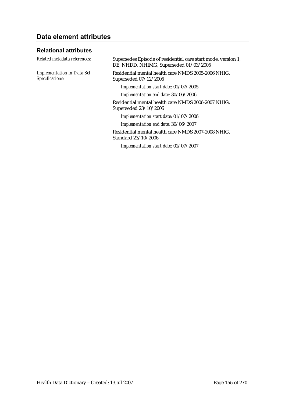# **Data element attributes**

### **Relational attributes**

*Implementation in Data Set Specifications:*

*Related metadata references:* Supersedes Episode of residential care start mode, version 1, DE, NHDD, NHIMG, Superseded 01/03/2005

> Residential mental health care NMDS 2005-2006 NHIG, Superseded 07/12/2005

*Implementation start date:* 01/07/2005

*Implementation end date:* 30/06/2006

Residential mental health care NMDS 2006-2007 NHIG, Superseded 23/10/2006

*Implementation start date:* 01/07/2006

*Implementation end date:* 30/06/2007

Residential mental health care NMDS 2007-2008 NHIG, Standard 23/10/2006

*Implementation start date:* 01/07/2007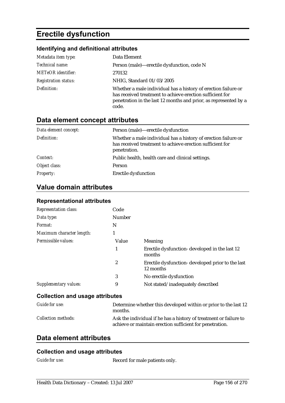# **Erectile dysfunction**

### **Identifying and definitional attributes**

| Metadata item type:         | Data Element                                                                                                                                                                                             |
|-----------------------------|----------------------------------------------------------------------------------------------------------------------------------------------------------------------------------------------------------|
| Technical name:             | Person (male)—erectile dysfunction, code N                                                                                                                                                               |
| <b>METeOR</b> identifier:   | 270132                                                                                                                                                                                                   |
| <b>Registration status:</b> | NHIG, Standard 01/03/2005                                                                                                                                                                                |
| Definition:                 | Whether a male individual has a history of erection failure or<br>has received treatment to achieve erection sufficient for<br>penetration in the last 12 months and prior, as represented by a<br>code. |

# **Data element concept attributes**

| Data element concept: | Person (male)—erectile dysfunction                                                                                                          |
|-----------------------|---------------------------------------------------------------------------------------------------------------------------------------------|
| Definition:           | Whether a male individual has a history of erection failure or<br>has received treatment to achieve erection sufficient for<br>penetration. |
| Context:              | Public health, health care and clinical settings.                                                                                           |
| Object class:         | Person                                                                                                                                      |
| <b>Property:</b>      | <b>Erectile dysfunction</b>                                                                                                                 |

# **Value domain attributes**

| <b>Representation class:</b> | Code          |                                                                |
|------------------------------|---------------|----------------------------------------------------------------|
| Data type:                   | <b>Number</b> |                                                                |
| Format:                      | N             |                                                                |
| Maximum character length:    | 1             |                                                                |
| Permissible values:          | Value         | <b>Meaning</b>                                                 |
|                              | 1             | Erectile dysfunction-developed in the last 12<br>months        |
|                              | 2             | Erectile dysfunction- developed prior to the last<br>12 months |
|                              | 3             | No erectile dysfunction                                        |
| Supplementary values:        | 9             | Not stated/inadequately described                              |
|                              |               |                                                                |

### **Representational attributes**

### **Collection and usage attributes**

| Guide for use:             | Determine whether this developed within or prior to the last 12<br>months.                                                    |
|----------------------------|-------------------------------------------------------------------------------------------------------------------------------|
| <i>Collection methods:</i> | Ask the individual if he has a history of treatment or failure to<br>achieve or maintain erection sufficient for penetration. |

# **Data element attributes**

### **Collection and usage attributes**

*Guide for use:* Record for male patients only.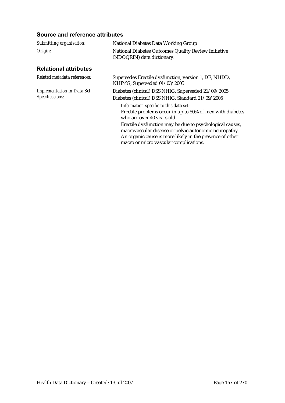### **Source and reference attributes**

| Submitting organisation:                             | <b>National Diabetes Data Working Group</b>                                                                                                                                                                             |
|------------------------------------------------------|-------------------------------------------------------------------------------------------------------------------------------------------------------------------------------------------------------------------------|
| Origin:                                              | National Diabetes Outcomes Quality Review Initiative<br>(NDOQRIN) data dictionary.                                                                                                                                      |
| <b>Relational attributes</b>                         |                                                                                                                                                                                                                         |
| Related metadata references:                         | Supersedes Erectile dysfunction, version 1, DE, NHDD,<br>NHIMG, Superseded 01/03/2005                                                                                                                                   |
| <b>Implementation in Data Set</b><br>Specifications: | Diabetes (clinical) DSS NHIG, Superseded 21/09/2005                                                                                                                                                                     |
|                                                      | Diabetes (clinical) DSS NHIG, Standard 21/09/2005                                                                                                                                                                       |
|                                                      | Information specific to this data set:<br>Erectile problems occur in up to 50% of men with diabetes<br>who are over 40 years old.                                                                                       |
|                                                      | Erectile dysfunction may be due to psychological causes,<br>macrovascular disease or pelvic autonomic neuropathy.<br>An organic cause is more likely in the presence of other<br>macro or micro vascular complications. |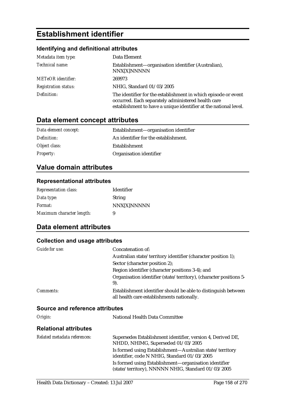# **Establishment identifier**

### **Identifying and definitional attributes**

| Metadata item type:         | Data Element                                                                                                                                                                             |
|-----------------------------|------------------------------------------------------------------------------------------------------------------------------------------------------------------------------------------|
| Technical name:             | Establishment—organisation identifier (Australian),<br>NNX[X]NNNNN                                                                                                                       |
| <b>METeOR</b> identifier:   | 269973                                                                                                                                                                                   |
| <b>Registration status:</b> | NHIG, Standard 01/03/2005                                                                                                                                                                |
| Definition:                 | The identifier for the establishment in which episode or event<br>occurred. Each separately administered health care<br>establishment to have a unique identifier at the national level. |

# **Data element concept attributes**

| Data element concept: | Establishment—organisation identifier |
|-----------------------|---------------------------------------|
| Definition:           | An identifier for the establishment.  |
| Object class:         | Establishment                         |
| <i>Property:</i>      | Organisation identifier               |

## **Value domain attributes**

### **Representational attributes**

| <b>Representation class:</b> | Identifier  |
|------------------------------|-------------|
| Data type:                   | String      |
| <i>Format:</i>               | NNX[X]NNNNN |
| Maximum character length:    | 9           |

# **Data element attributes**

#### **Collection and usage attributes**

| <i>Guide for use:</i> | Concatenation of:                                                                                            |
|-----------------------|--------------------------------------------------------------------------------------------------------------|
|                       | Australian state/territory identifier (character position 1);                                                |
|                       | Sector (character position 2);                                                                               |
|                       | Region identifier (character positions 3-4); and                                                             |
|                       | Organisation identifier (state/territory), (character positions 5-<br>9).                                    |
| <i>Comments:</i>      | Establishment identifier should be able to distinguish between<br>all health care establishments nationally. |

### **Source and reference attributes**

| Origin:                      | National Health Data Committee                                                                              |
|------------------------------|-------------------------------------------------------------------------------------------------------------|
| <b>Relational attributes</b> |                                                                                                             |
| Related metadata references: | Supersedes Establishment identifier, version 4, Derived DE,<br>NHDD, NHIMG, Superseded 01/03/2005           |
|                              | Is formed using Establishment—Australian state/territory<br>identifier, code N NHIG, Standard 01/03/2005    |
|                              | Is formed using Establishment-organisation identifier<br>(state/territory), NNNNN NHIG, Standard 01/03/2005 |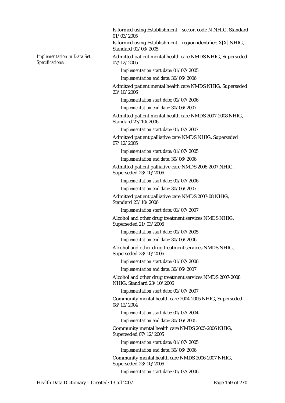Is formed using Establishment—sector, code N NHIG, Standard 01/03/2005

Is formed using Establishment—region identifier, X[X] NHIG, Standard 01/03/2005

Admitted patient mental health care NMDS NHIG, Superseded 07/12/2005

*Implementation start date:* 01/07/2005

*Implementation end date:* 30/06/2006

Admitted patient mental health care NMDS NHIG, Superseded 23/10/2006

*Implementation start date:* 01/07/2006

*Implementation end date:* 30/06/2007

Admitted patient mental health care NMDS 2007-2008 NHIG, Standard 23/10/2006

*Implementation start date:* 01/07/2007

Admitted patient palliative care NMDS NHIG, Superseded 07/12/2005

*Implementation start date:* 01/07/2005

*Implementation end date:* 30/06/2006

Admitted patient palliative care NMDS 2006-2007 NHIG, Superseded 23/10/2006

*Implementation start date:* 01/07/2006

*Implementation end date:* 30/06/2007

Admitted patient palliative care NMDS 2007-08 NHIG, Standard 23/10/2006

*Implementation start date:* 01/07/2007

Alcohol and other drug treatment services NMDS NHIG, Superseded 21/03/2006

*Implementation start date:* 01/07/2005

*Implementation end date:* 30/06/2006

Alcohol and other drug treatment services NMDS NHIG, Superseded 23/10/2006

*Implementation start date:* 01/07/2006

*Implementation end date:* 30/06/2007

Alcohol and other drug treatment services NMDS 2007-2008 NHIG, Standard 23/10/2006

*Implementation start date:* 01/07/2007

Community mental health care 2004-2005 NHIG, Superseded 08/12/2004

*Implementation start date:* 01/07/2004

*Implementation end date:* 30/06/2005

Community mental health care NMDS 2005-2006 NHIG, Superseded 07/12/2005

*Implementation start date:* 01/07/2005

*Implementation end date:* 30/06/2006

Community mental health care NMDS 2006-2007 NHIG, Superseded 23/10/2006

*Implementation start date:* 01/07/2006

*Implementation in Data Set* 

*Specifications:*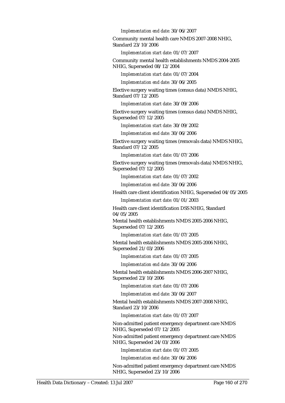*Implementation end date:* 30/06/2007

Community mental health care NMDS 2007-2008 NHIG, Standard 23/10/2006

*Implementation start date:* 01/07/2007

Community mental health establishments NMDS 2004-2005 NHIG, Superseded 08/12/2004

*Implementation start date:* 01/07/2004

*Implementation end date:* 30/06/2005

Elective surgery waiting times (census data) NMDS NHIG, Standard 07/12/2005

*Implementation start date:* 30/09/2006

Elective surgery waiting times (census data) NMDS NHIG, Superseded 07/12/2005

*Implementation start date:* 30/09/2002

*Implementation end date:* 30/06/2006

Elective surgery waiting times (removals data) NMDS NHIG, Standard 07/12/2005

*Implementation start date:* 01/07/2006

Elective surgery waiting times (removals data) NMDS NHIG, Superseded 07/12/2005

*Implementation start date:* 01/07/2002

*Implementation end date:* 30/06/2006

Health care client identification NHIG, Superseded 04/05/2005

*Implementation start date:* 01/01/2003

Health care client identification DSS NHIG, Standard 04/05/2005

Mental health establishments NMDS 2005-2006 NHIG, Superseded 07/12/2005

*Implementation start date:* 01/07/2005

Mental health establishments NMDS 2005-2006 NHIG, Superseded 21/03/2006

*Implementation start date:* 01/07/2005

*Implementation end date:* 30/06/2006

Mental health establishments NMDS 2006-2007 NHIG, Superseded 23/10/2006

*Implementation start date:* 01/07/2006

*Implementation end date:* 30/06/2007

Mental health establishments NMDS 2007-2008 NHIG, Standard 23/10/2006

*Implementation start date:* 01/07/2007

Non-admitted patient emergency department care NMDS NHIG, Superseded 07/12/2005

Non-admitted patient emergency department care NMDS NHIG, Superseded 24/03/2006

*Implementation start date:* 01/07/2005

*Implementation end date:* 30/06/2006

Non-admitted patient emergency department care NMDS NHIG, Superseded 23/10/2006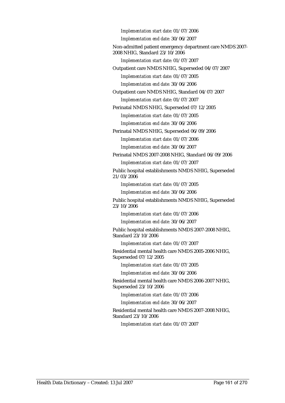*Implementation start date:* 01/07/2006 *Implementation end date:* 30/06/2007 Non-admitted patient emergency department care NMDS 2007- 2008 NHIG, Standard 23/10/2006 *Implementation start date:* 01/07/2007 Outpatient care NMDS NHIG, Superseded 04/07/2007 *Implementation start date:* 01/07/2005 *Implementation end date:* 30/06/2006 Outpatient care NMDS NHIG, Standard 04/07/2007 *Implementation start date:* 01/07/2007 Perinatal NMDS NHIG, Superseded 07/12/2005 *Implementation start date:* 01/07/2005 *Implementation end date:* 30/06/2006 Perinatal NMDS NHIG, Superseded 06/09/2006 *Implementation start date:* 01/07/2006 *Implementation end date:* 30/06/2007 Perinatal NMDS 2007-2008 NHIG, Standard 06/09/2006 *Implementation start date:* 01/07/2007 Public hospital establishments NMDS NHIG, Superseded 21/03/2006 *Implementation start date:* 01/07/2005 *Implementation end date:* 30/06/2006 Public hospital establishments NMDS NHIG, Superseded 23/10/2006 *Implementation start date:* 01/07/2006 *Implementation end date:* 30/06/2007 Public hospital establishments NMDS 2007-2008 NHIG, Standard 23/10/2006 *Implementation start date:* 01/07/2007 Residential mental health care NMDS 2005-2006 NHIG, Superseded 07/12/2005 *Implementation start date:* 01/07/2005 *Implementation end date:* 30/06/2006 Residential mental health care NMDS 2006-2007 NHIG, Superseded 23/10/2006 *Implementation start date:* 01/07/2006 *Implementation end date:* 30/06/2007

Residential mental health care NMDS 2007-2008 NHIG, Standard 23/10/2006

*Implementation start date:* 01/07/2007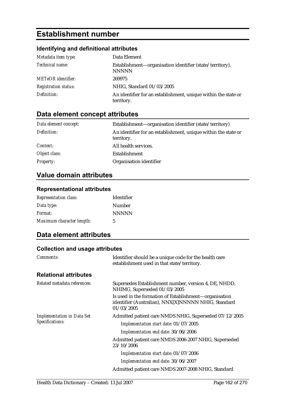# **Establishment number**

## **Identifying and definitional attributes**

| Metadata item type:         | Data Element                                                                 |
|-----------------------------|------------------------------------------------------------------------------|
| Technical name:             | Establishment—organisation identifier (state/territory),<br><b>NNNNN</b>     |
| <b>METeOR</b> identifier:   | 269975                                                                       |
| <b>Registration status:</b> | NHIG, Standard 01/03/2005                                                    |
| Definition:                 | An identifier for an establishment, unique within the state or<br>territory. |

# **Data element concept attributes**

| Data element concept: | Establishment—organisation identifier (state/territory)                      |
|-----------------------|------------------------------------------------------------------------------|
| Definition:           | An identifier for an establishment, unique within the state or<br>territory. |
| <i>Context:</i>       | All health services.                                                         |
| Object class:         | Establishment                                                                |
| <b>Property:</b>      | Organisation identifier                                                      |

## **Value domain attributes**

### **Representational attributes**

| <b>Representation class:</b> | <b>Identifier</b> |
|------------------------------|-------------------|
| Data type:                   | <b>Number</b>     |
| <i>Format:</i>               | <b>NNNNN</b>      |
| Maximum character length:    | 5                 |

# **Data element attributes**

| Comments:                                            | Identifier should be a unique code for the health care<br>establishment used in that state/territory.                       |
|------------------------------------------------------|-----------------------------------------------------------------------------------------------------------------------------|
| <b>Relational attributes</b>                         |                                                                                                                             |
| Related metadata references:                         | Supersedes Establishment number, version 4, DE, NHDD,<br>NHIMG, Superseded 01/03/2005                                       |
|                                                      | Is used in the formation of Establishment-organisation<br>identifier (Australian), NNX[X]NNNNN NHIG, Standard<br>01/03/2005 |
| <b>Implementation in Data Set</b><br>Specifications: | Admitted patient care NMDS NHIG, Superseded 07/12/2005                                                                      |
|                                                      | Implementation start date: 01/07/2005                                                                                       |
|                                                      | Implementation end date: 30/06/2006                                                                                         |
|                                                      | Admitted patient care NMDS 2006-2007 NHIG, Superseded<br>23/10/2006                                                         |
|                                                      | Implementation start date: 01/07/2006                                                                                       |
|                                                      | Implementation end date: 30/06/2007                                                                                         |
|                                                      | Admitted patient care NMDS 2007-2008 NHIG, Standard                                                                         |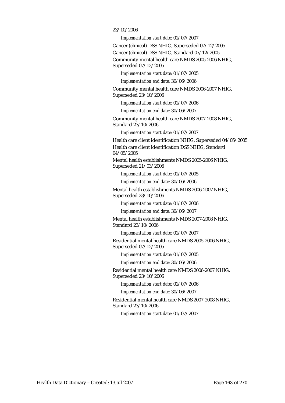#### 23/10/2006

*Implementation start date:* 01/07/2007

Cancer (clinical) DSS NHIG, Superseded 07/12/2005

Cancer (clinical) DSS NHIG, Standard 07/12/2005

Community mental health care NMDS 2005-2006 NHIG, Superseded 07/12/2005

*Implementation start date:* 01/07/2005

*Implementation end date:* 30/06/2006

Community mental health care NMDS 2006-2007 NHIG, Superseded 23/10/2006

*Implementation start date:* 01/07/2006

*Implementation end date:* 30/06/2007

Community mental health care NMDS 2007-2008 NHIG, Standard 23/10/2006

*Implementation start date:* 01/07/2007

Health care client identification NHIG, Superseded 04/05/2005 Health care client identification DSS NHIG, Standard 04/05/2005

Mental health establishments NMDS 2005-2006 NHIG, Superseded 21/03/2006

*Implementation start date:* 01/07/2005

*Implementation end date:* 30/06/2006

Mental health establishments NMDS 2006-2007 NHIG, Superseded 23/10/2006

*Implementation start date:* 01/07/2006

*Implementation end date:* 30/06/2007

Mental health establishments NMDS 2007-2008 NHIG, Standard 23/10/2006

*Implementation start date:* 01/07/2007

Residential mental health care NMDS 2005-2006 NHIG, Superseded 07/12/2005

*Implementation start date:* 01/07/2005

*Implementation end date:* 30/06/2006

Residential mental health care NMDS 2006-2007 NHIG, Superseded 23/10/2006

*Implementation start date:* 01/07/2006

*Implementation end date:* 30/06/2007

Residential mental health care NMDS 2007-2008 NHIG, Standard 23/10/2006

*Implementation start date:* 01/07/2007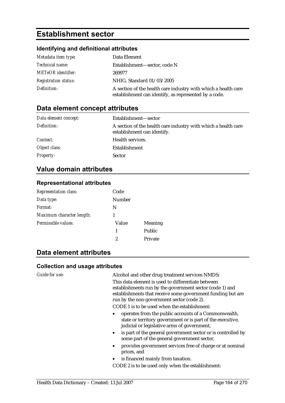# **Establishment sector**

### **Identifying and definitional attributes**

| Metadata item type:         | Data Element                                                                                                            |
|-----------------------------|-------------------------------------------------------------------------------------------------------------------------|
| <i>Technical name:</i>      | Establishment—sector, code N                                                                                            |
| <b>METeOR</b> identifier:   | 269977                                                                                                                  |
| <b>Registration status:</b> | NHIG, Standard 01/03/2005                                                                                               |
| Definition:                 | A section of the health care industry with which a health care<br>establishment can identify, as represented by a code. |

### **Data element concept attributes**

| Data element concept: | Establishment—sector                                                                          |
|-----------------------|-----------------------------------------------------------------------------------------------|
| Definition:           | A section of the health care industry with which a health care<br>establishment can identify. |
| Context:              | Health services.                                                                              |
| Object class:         | Establishment                                                                                 |
| <b>Property:</b>      | <b>Sector</b>                                                                                 |

### **Value domain attributes**

#### **Representational attributes**

| <b>Representation class:</b> | Code   |                |
|------------------------------|--------|----------------|
| Data type:                   | Number |                |
| Format:                      | N      |                |
| Maximum character length:    |        |                |
| Permissible values:          | Value  | <b>Meaning</b> |
|                              | 1      | Public         |
|                              | 2      | Private        |
|                              |        |                |

### **Data element attributes**

#### **Collection and usage attributes**

*Guide for use:* Alcohol and other drug treatment services NMDS: This data element is used to differentiate between establishments run by the government sector (code 1) and establishments that receive some government funding but are run by the non-government sector (code 2).

CODE 1 is to be used when the establishment:

- operates from the public accounts of a Commonwealth, state or territory government or is part of the executive, judicial or legislative arms of government,
- is part of the general government sector or is controlled by some part of the general government sector,
- provides government services free of charge or at nominal prices, and
- is financed mainly from taxation.

CODE 2 is to be used only when the establishment: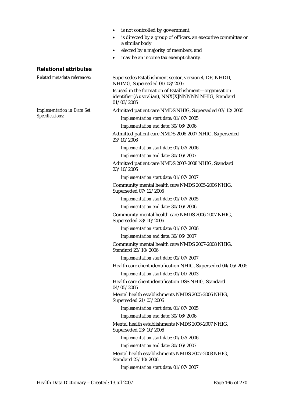- is not controlled by government,
- is directed by a group of officers, an executive committee or a similar body
- elected by a majority of members, and
- may be an income tax exempt charity.

#### **Relational attributes**

*Implementation in Data Set Specifications:*

*Related metadata references:* Supersedes Establishment sector, version 4, DE, NHDD, NHIMG, Superseded 01/03/2005 Is used in the formation of Establishment—organisation identifier (Australian), NNX[X]NNNNN NHIG, Standard 01/03/2005 Admitted patient care NMDS NHIG, Superseded 07/12/2005 *Implementation start date:* 01/07/2005 *Implementation end date:* 30/06/2006 Admitted patient care NMDS 2006-2007 NHIG, Superseded 23/10/2006 *Implementation start date:* 01/07/2006 *Implementation end date:* 30/06/2007 Admitted patient care NMDS 2007-2008 NHIG, Standard

23/10/2006

*Implementation start date:* 01/07/2007

Community mental health care NMDS 2005-2006 NHIG, Superseded 07/12/2005

*Implementation start date:* 01/07/2005

*Implementation end date:* 30/06/2006

Community mental health care NMDS 2006-2007 NHIG, Superseded 23/10/2006

*Implementation start date:* 01/07/2006

*Implementation end date:* 30/06/2007

Community mental health care NMDS 2007-2008 NHIG, Standard 23/10/2006

*Implementation start date:* 01/07/2007

Health care client identification NHIG, Superseded 04/05/2005

*Implementation start date:* 01/01/2003

Health care client identification DSS NHIG, Standard 04/05/2005

Mental health establishments NMDS 2005-2006 NHIG, Superseded 21/03/2006

*Implementation start date:* 01/07/2005

*Implementation end date:* 30/06/2006

Mental health establishments NMDS 2006-2007 NHIG, Superseded 23/10/2006

*Implementation start date:* 01/07/2006

*Implementation end date:* 30/06/2007

Mental health establishments NMDS 2007-2008 NHIG, Standard 23/10/2006

*Implementation start date:* 01/07/2007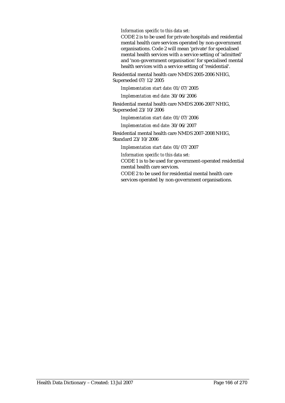*Information specific to this data set:*

CODE 2 is to be used for private hospitals and residential mental health care services operated by non-government organisations. Code 2 will mean 'private' for specialised mental health services with a service setting of 'admitted' and 'non-government organisation' for specialised mental health services with a service setting of 'residential'.

Residential mental health care NMDS 2005-2006 NHIG, Superseded 07/12/2005

*Implementation start date:* 01/07/2005

*Implementation end date:* 30/06/2006

Residential mental health care NMDS 2006-2007 NHIG, Superseded 23/10/2006

*Implementation start date:* 01/07/2006

*Implementation end date:* 30/06/2007

Residential mental health care NMDS 2007-2008 NHIG, Standard 23/10/2006

*Implementation start date:* 01/07/2007

*Information specific to this data set:*

CODE 1 is to be used for government-operated residential mental health care services.

CODE 2 to be used for residential mental health care services operated by non-government organisations.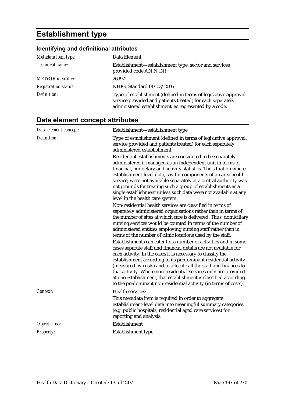# **Establishment type**

# **Identifying and definitional attributes**

| Metadata item type:         | Data Element                                                                                                                                                                            |
|-----------------------------|-----------------------------------------------------------------------------------------------------------------------------------------------------------------------------------------|
| Technical name:             | Establishment-establishment type, sector and services<br>provided code AN.N{.N}                                                                                                         |
| <b>METeOR</b> identifier:   | 269971                                                                                                                                                                                  |
| <b>Registration status:</b> | NHIG, Standard 01/03/2005                                                                                                                                                               |
| Definition:                 | Type of establishment (defined in terms of legislative approval,<br>service provided and patients treated) for each separately<br>administered establishment, as represented by a code. |

# **Data element concept attributes**

| Data element concept: | Establishment-establishment type                                                                                                                                                                                                                                                                                                                                                                                                                                                                                                                      |
|-----------------------|-------------------------------------------------------------------------------------------------------------------------------------------------------------------------------------------------------------------------------------------------------------------------------------------------------------------------------------------------------------------------------------------------------------------------------------------------------------------------------------------------------------------------------------------------------|
| Definition:           | Type of establishment (defined in terms of legislative approval,<br>service provided and patients treated) for each separately<br>administered establishment.                                                                                                                                                                                                                                                                                                                                                                                         |
|                       | Residential establishments are considered to be separately<br>administered if managed as an independent unit in terms of<br>financial, budgetary and activity statistics. The situation where<br>establishment-level data, say for components of an area health<br>service, were not available separately at a central authority was<br>not grounds for treating such a group of establishments as a<br>single establishment unless such data were not available at any<br>level in the health care system.                                           |
|                       | Non-residential health services are classified in terms of<br>separately administered organisations rather than in terms of<br>the number of sites at which care is delivered. Thus, domiciliary<br>nursing services would be counted in terms of the number of<br>administered entities employing nursing staff rather than in<br>terms of the number of clinic locations used by the staff.                                                                                                                                                         |
|                       | Establishments can cater for a number of activities and in some<br>cases separate staff and financial details are not available for<br>each activity. In the cases it is necessary to classify the<br>establishment according to its predominant residential activity<br>(measured by costs) and to allocate all the staff and finances to<br>that activity. Where non-residential services only are provided<br>at one establishment, that establishment is classified according<br>to the predominant non-residential activity (in terms of costs). |
| Context:              | Health services:<br>This metadata item is required in order to aggregate<br>establishment-level data into meaningful summary categories<br>(e.g. public hospitals, residential aged care services) for<br>reporting and analysis.                                                                                                                                                                                                                                                                                                                     |
| Object class:         | Establishment                                                                                                                                                                                                                                                                                                                                                                                                                                                                                                                                         |
| Property:             | Establishment type                                                                                                                                                                                                                                                                                                                                                                                                                                                                                                                                    |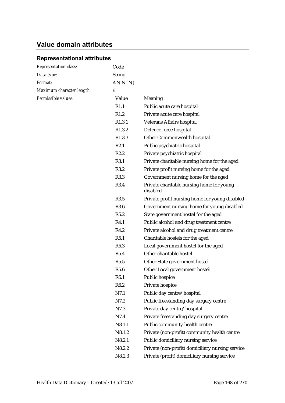# **Value domain attributes**

# **Representational attributes**

| <b>Representation class:</b> | Code             |                                                       |
|------------------------------|------------------|-------------------------------------------------------|
| Data type:                   | <b>String</b>    |                                                       |
| Format:                      | AN.N(N)          |                                                       |
| Maximum character length:    | 6                |                                                       |
| Permissible values:          | Value            | Meaning                                               |
|                              | R1.1             | Public acute care hospital                            |
|                              | R1.2             | Private acute care hospital                           |
|                              | R1.3.1           | Veterans Affairs hospital                             |
|                              | R1.3.2           | Defence force hospital                                |
|                              | R1.3.3           | Other Commonwealth hospital                           |
|                              | R2.1             | Public psychiatric hospital                           |
|                              | R2.2             | Private psychiatric hospital                          |
|                              | R3.1             | Private charitable nursing home for the aged          |
|                              | R3.2             | Private profit nursing home for the aged              |
|                              | R3.3             | Government nursing home for the aged                  |
|                              | R3.4             | Private charitable nursing home for young<br>disabled |
|                              | R3.5             | Private profit nursing home for young disabled        |
|                              | R3.6             | Government nursing home for young disabled            |
|                              | R5.2             | State government hostel for the aged                  |
|                              | R4.1             | Public alcohol and drug treatment centre              |
|                              | R4.2             | Private alcohol and drug treatment centre             |
|                              | R5.1             | Charitable hostels for the aged                       |
|                              | R5.3             | Local government hostel for the aged                  |
|                              | R5.4             | Other charitable hostel                               |
|                              | R5.5             | Other State government hostel                         |
|                              | R5.6             | Other Local government hostel                         |
|                              | R <sub>6.1</sub> | Public hospice                                        |
|                              | R6.2             | Private hospice                                       |
|                              | N7.1             | Public day centre/hospital                            |
|                              | N7.2             | Public freestanding day surgery centre                |
|                              | N7.3             | Private day centre/hospital                           |
|                              | N7.4             | Private freestanding day surgery centre               |
|                              | N8.1.1           | Public community health centre                        |
|                              | N8.1.2           | Private (non-profit) community health centre          |
|                              | N8.2.1           | Public domiciliary nursing service                    |
|                              | N8.2.2           | Private (non-profit) domiciliary nursing service      |
|                              | N8.2.3           | Private (profit) domiciliary nursing service          |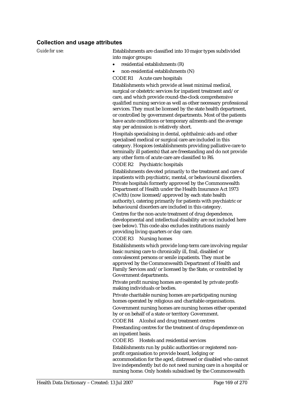#### **Collection and usage attributes**

*Guide for use:* Establishments are classified into 10 major types subdivided into major groups:

- residential establishments (R)
- non-residential establishments (N)

CODE R1 Acute care hospitals

Establishments which provide at least minimal medical, surgical or obstetric services for inpatient treatment and/or care, and which provide round-the-clock comprehensive qualified nursing service as well as other necessary professional services. They must be licensed by the state health department, or controlled by government departments. Most of the patients have acute conditions or temporary ailments and the average stay per admission is relatively short.

Hospitals specialising in dental, ophthalmic aids and other specialised medical or surgical care are included in this category. Hospices (establishments providing palliative care to terminally ill patients) that are freestanding and do not provide any other form of acute care are classified to R6.

CODE R2 Psychiatric hospitals

Establishments devoted primarily to the treatment and care of inpatients with psychiatric, mental, or behavioural disorders. Private hospitals formerly approved by the Commonwealth Department of Health under the Health Insurance Act 1973 (Cwlth) (now licensed/approved by each state health authority), catering primarily for patients with psychiatric or behavioural disorders are included in this category.

Centres for the non-acute treatment of drug dependence, developmental and intellectual disability are not included here (see below). This code also excludes institutions mainly providing living quarters or day care.

CODE R3 Nursing homes

Establishments which provide long-term care involving regular basic nursing care to chronically ill, frail, disabled or convalescent persons or senile inpatients. They must be approved by the Commonwealth Department of Health and Family Services and/or licensed by the State, or controlled by Government departments.

Private profit nursing homes are operated by private profitmaking individuals or bodies.

Private charitable nursing homes are participating nursing homes operated by religious and charitable organisations.

Government nursing homes are nursing homes either operated by or on behalf of a state or territory Government.

CODE R4 Alcohol and drug treatment centres

Freestanding centres for the treatment of drug dependence on an inpatient basis.

CODE R5 Hostels and residential services

Establishments run by public authorities or registered nonprofit organisation to provide board, lodging or

accommodation for the aged, distressed or disabled who cannot live independently but do not need nursing care in a hospital or nursing home. Only hostels subsidised by the Commonwealth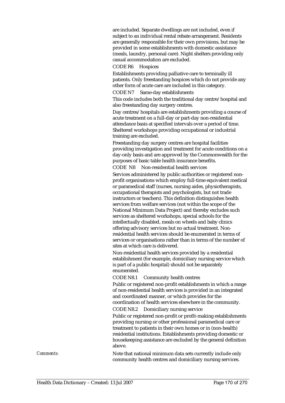are included. Separate dwellings are not included, even if subject to an individual rental rebate arrangement. Residents are generally responsible for their own provisions, but may be provided in some establishments with domestic assistance (meals, laundry, personal care). Night shelters providing only casual accommodation are excluded.

#### CODE R6 Hospices

Establishments providing palliative care to terminally ill patients. Only freestanding hospices which do not provide any other form of acute care are included in this category.

CODE N7 Same-day establishments

This code includes both the traditional day centre/hospital and also freestanding day surgery centres.

Day centres/hospitals are establishments providing a course of acute treatment on a full-day or part-day non-residential attendance basis at specified intervals over a period of time. Sheltered workshops providing occupational or industrial training are excluded.

Freestanding day surgery centres are hospital facilities providing investigation and treatment for acute conditions on a day-only basis and are approved by the Commonwealth for the purposes of basic table health insurance benefits.

CODE N8 Non-residential health services

Services administered by public authorities or registered nonprofit organisations which employ full-time equivalent medical or paramedical staff (nurses, nursing aides, physiotherapists, occupational therapists and psychologists, but not trade instructors or teachers). This definition distinguishes health services from welfare services (not within the scope of the National Minimum Data Project) and thereby excludes such services as sheltered workshops, special schools for the intellectually disabled, meals on wheels and baby clinics offering advisory services but no actual treatment. Nonresidential health services should be enumerated in terms of services or organisations rather than in terms of the number of sites at which care is delivered.

Non-residential health services provided by a residential establishment (for example, domiciliary nursing service which is part of a public hospital) should not be separately enumerated.

CODE N8.1 Community health centres

Public or registered non-profit establishments in which a range of non-residential health services is provided in an integrated and coordinated manner, or which provides for the coordination of health services elsewhere in the community. CODE N8.2 Domiciliary nursing service

Public or registered non-profit or profit-making establishments providing nursing or other professional paramedical care or treatment to patients in their own homes or in (non-health) residential institutions. Establishments providing domestic or housekeeping assistance are excluded by the general definition above.

*Comments:* Note that national minimum data sets currently include only community health centres and domiciliary nursing services.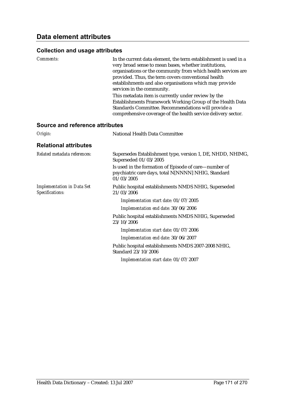| <b>Comments:</b>                                     | In the current data element, the term establishment is used in a<br>very broad sense to mean bases, whether institutions,<br>organisations or the community from which health services are<br>provided. Thus, the term covers conventional health<br>establishments and also organisations which may provide<br>services in the community. |
|------------------------------------------------------|--------------------------------------------------------------------------------------------------------------------------------------------------------------------------------------------------------------------------------------------------------------------------------------------------------------------------------------------|
|                                                      | This metadata item is currently under review by the<br>Establishments Framework Working Group of the Health Data<br>Standards Committee. Recommendations will provide a<br>comprehensive coverage of the health service delivery sector.                                                                                                   |
| <b>Source and reference attributes</b>               |                                                                                                                                                                                                                                                                                                                                            |
| Origin:                                              | National Health Data Committee                                                                                                                                                                                                                                                                                                             |
| <b>Relational attributes</b>                         |                                                                                                                                                                                                                                                                                                                                            |
| Related metadata references:                         | Supersedes Establishment type, version 1, DE, NHDD, NHIMG,<br>Superseded 01/03/2005                                                                                                                                                                                                                                                        |
|                                                      | Is used in the formation of Episode of care—number of<br>psychiatric care days, total N[NNNN] NHIG, Standard<br>01/03/2005                                                                                                                                                                                                                 |
| <b>Implementation in Data Set</b><br>Specifications: | Public hospital establishments NMDS NHIG, Superseded<br>21/03/2006                                                                                                                                                                                                                                                                         |
|                                                      | Implementation start date: 01/07/2005                                                                                                                                                                                                                                                                                                      |
|                                                      | Implementation end date: 30/06/2006                                                                                                                                                                                                                                                                                                        |
|                                                      | Public hospital establishments NMDS NHIG, Superseded<br>23/10/2006                                                                                                                                                                                                                                                                         |
|                                                      | Implementation start date: 01/07/2006                                                                                                                                                                                                                                                                                                      |
|                                                      | Implementation end date: 30/06/2007                                                                                                                                                                                                                                                                                                        |
|                                                      | Public hospital establishments NMDS 2007-2008 NHIG,<br>Standard 23/10/2006                                                                                                                                                                                                                                                                 |
|                                                      | Implementation start date: 01/07/2007                                                                                                                                                                                                                                                                                                      |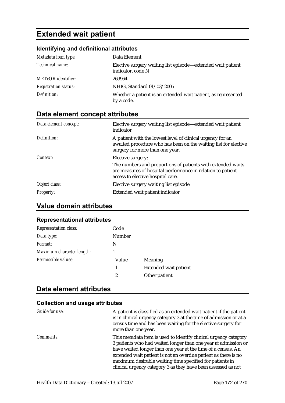# **Extended wait patient**

## **Identifying and definitional attributes**

| Metadata item type:         | Data Element                                                                     |
|-----------------------------|----------------------------------------------------------------------------------|
| Technical name:             | Elective surgery waiting list episode—extended wait patient<br>indicator, code N |
| <b>METeOR</b> identifier:   | 269964                                                                           |
| <b>Registration status:</b> | NHIG, Standard 01/03/2005                                                        |
| Definition:                 | Whether a patient is an extended wait patient, as represented<br>by a code.      |

# **Data element concept attributes**

| Data element concept: | Elective surgery waiting list episode—extended wait patient<br>indicator                                                                                         |
|-----------------------|------------------------------------------------------------------------------------------------------------------------------------------------------------------|
| Definition:           | A patient with the lowest level of clinical urgency for an<br>awaited procedure who has been on the waiting list for elective<br>surgery for more than one year. |
| Context:              | Elective surgery:                                                                                                                                                |
|                       | The numbers and proportions of patients with extended waits<br>are measures of hospital performance in relation to patient<br>access to elective hospital care.  |
| Object class:         | Elective surgery waiting list episode                                                                                                                            |
| <b>Property:</b>      | Extended wait patient indicator                                                                                                                                  |

# **Value domain attributes**

### **Representational attributes**

| <b>Representation class:</b> | Code          |                              |
|------------------------------|---------------|------------------------------|
| Data type:                   | <b>Number</b> |                              |
| Format:                      | N             |                              |
| Maximum character length:    |               |                              |
| Permissible values:          | Value         | Meaning                      |
|                              | 1             | <b>Extended wait patient</b> |
|                              | 2             | Other patient                |

## **Data element attributes**

| Guide for use:   | A patient is classified as an extended wait patient if the patient<br>is in clinical urgency category 3 at the time of admission or at a<br>census time and has been waiting for the elective surgery for<br>more than one year.                                                                                                                                                                  |
|------------------|---------------------------------------------------------------------------------------------------------------------------------------------------------------------------------------------------------------------------------------------------------------------------------------------------------------------------------------------------------------------------------------------------|
| <i>Comments:</i> | This metadata item is used to identify clinical urgency category<br>3 patients who had waited longer than one year at admission or<br>have waited longer than one year at the time of a census. An<br>extended wait patient is not an overdue patient as there is no<br>maximum desirable waiting time specified for patients in<br>clinical urgency category 3 as they have been assessed as not |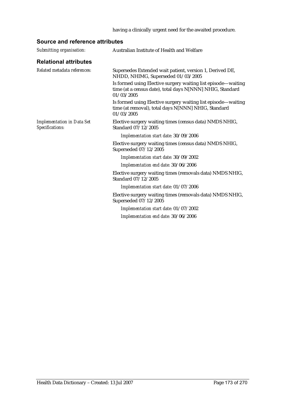```
having a clinically urgent need for the awaited procedure.
```
# **Source and reference attributes**

| <b>Relational attributes</b><br>Related metadata references:<br>Supersedes Extended wait patient, version 1, Derived DE,<br>NHDD, NHIMG, Superseded 01/03/2005<br>time (at a census date), total days N[NNN] NHIG, Standard<br>01/03/2005<br>time (at removal), total days N[NNN] NHIG, Standard<br>01/03/2005<br><b>Implementation in Data Set</b><br>Elective surgery waiting times (census data) NMDS NHIG,<br>Specifications:<br>Standard 07/12/2005<br>Implementation start date: 30/09/2006<br>Elective surgery waiting times (census data) NMDS NHIG,<br>Superseded 07/12/2005<br>Implementation start date: 30/09/2002<br>Implementation end date: 30/06/2006<br>Standard 07/12/2005<br>Implementation start date: 01/07/2006<br>Superseded 07/12/2005 | Submitting organisation: | Australian Institute of Health and Welfare                    |
|----------------------------------------------------------------------------------------------------------------------------------------------------------------------------------------------------------------------------------------------------------------------------------------------------------------------------------------------------------------------------------------------------------------------------------------------------------------------------------------------------------------------------------------------------------------------------------------------------------------------------------------------------------------------------------------------------------------------------------------------------------------|--------------------------|---------------------------------------------------------------|
|                                                                                                                                                                                                                                                                                                                                                                                                                                                                                                                                                                                                                                                                                                                                                                |                          |                                                               |
|                                                                                                                                                                                                                                                                                                                                                                                                                                                                                                                                                                                                                                                                                                                                                                |                          |                                                               |
|                                                                                                                                                                                                                                                                                                                                                                                                                                                                                                                                                                                                                                                                                                                                                                |                          | Is formed using Elective surgery waiting list episode-waiting |
|                                                                                                                                                                                                                                                                                                                                                                                                                                                                                                                                                                                                                                                                                                                                                                |                          | Is formed using Elective surgery waiting list episode—waiting |
|                                                                                                                                                                                                                                                                                                                                                                                                                                                                                                                                                                                                                                                                                                                                                                |                          |                                                               |
|                                                                                                                                                                                                                                                                                                                                                                                                                                                                                                                                                                                                                                                                                                                                                                |                          |                                                               |
|                                                                                                                                                                                                                                                                                                                                                                                                                                                                                                                                                                                                                                                                                                                                                                |                          |                                                               |
|                                                                                                                                                                                                                                                                                                                                                                                                                                                                                                                                                                                                                                                                                                                                                                |                          |                                                               |
|                                                                                                                                                                                                                                                                                                                                                                                                                                                                                                                                                                                                                                                                                                                                                                |                          |                                                               |
|                                                                                                                                                                                                                                                                                                                                                                                                                                                                                                                                                                                                                                                                                                                                                                |                          | Elective surgery waiting times (removals data) NMDS NHIG,     |
|                                                                                                                                                                                                                                                                                                                                                                                                                                                                                                                                                                                                                                                                                                                                                                |                          |                                                               |
|                                                                                                                                                                                                                                                                                                                                                                                                                                                                                                                                                                                                                                                                                                                                                                |                          | Elective surgery waiting times (removals data) NMDS NHIG,     |
| Implementation start date: 01/07/2002                                                                                                                                                                                                                                                                                                                                                                                                                                                                                                                                                                                                                                                                                                                          |                          |                                                               |
| Implementation end date: 30/06/2006                                                                                                                                                                                                                                                                                                                                                                                                                                                                                                                                                                                                                                                                                                                            |                          |                                                               |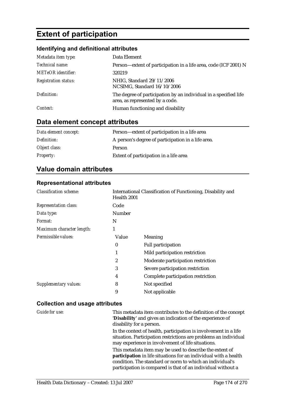# **Extent of participation**

# **Identifying and definitional attributes**

| Metadata item type:         | Data Element                                                                                        |
|-----------------------------|-----------------------------------------------------------------------------------------------------|
| Technical name:             | Person-extent of participation in a life area, code (ICF 2001) N                                    |
| <b>METeOR</b> identifier:   | 320219                                                                                              |
| <b>Registration status:</b> | NHIG, Standard 29/11/2006<br>NCSIMG, Standard 16/10/2006                                            |
| Definition:                 | The degree of participation by an individual in a specified life<br>area, as represented by a code. |
| Context:                    | Human functioning and disability                                                                    |

# **Data element concept attributes**

| Data element concept: | Person—extent of participation in a life area      |
|-----------------------|----------------------------------------------------|
| Definition:           | A person's degree of participation in a life area. |
| Object class:         | Person                                             |
| <i>Property:</i>      | Extent of participation in a life area             |

# **Value domain attributes**

### **Representational attributes**

| <b>Classification scheme:</b> | Health 2001      | International Classification of Functioning, Disability and |
|-------------------------------|------------------|-------------------------------------------------------------|
| <b>Representation class:</b>  | Code             |                                                             |
| Data type:                    | Number           |                                                             |
| <i>Format:</i>                | N                |                                                             |
| Maximum character length:     | 1                |                                                             |
| Permissible values:           | Value            | Meaning                                                     |
|                               | $\boldsymbol{0}$ | <b>Full participation</b>                                   |
|                               |                  | Mild participation restriction                              |
|                               | $\overline{2}$   | Moderate participation restriction                          |
|                               | 3                | Severe participation restriction                            |
|                               | 4                | Complete participation restriction                          |
| <b>Supplementary values:</b>  | 8                | Not specified                                               |
|                               | 9                | Not applicable                                              |

| Guide for use: | This metadata item contributes to the definition of the concept<br>'Disability' and gives an indication of the experience of<br>disability for a person.                                                                                                 |
|----------------|----------------------------------------------------------------------------------------------------------------------------------------------------------------------------------------------------------------------------------------------------------|
|                | In the context of health, participation is involvement in a life<br>situation. Participation restrictions are problems an individual<br>may experience in involvement of life situations.                                                                |
|                | This metadata item may be used to describe the extent of<br>participation in life situations for an individual with a health<br>condition. The standard or norm to which an individual's<br>participation is compared is that of an individual without a |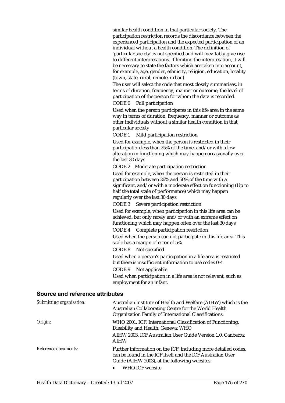similar health condition in that particular society. The participation restriction records the discordance between the experienced participation and the expected participation of an individual without a health condition. The definition of 'particular society' is not specified and will inevitably give rise to different interpretations. If limiting the interpretation, it will be necessary to state the factors which are taken into account, for example, age, gender, ethnicity, religion, education, locality (town, state, rural, remote, urban).

The user will select the code that most closely summarises, in terms of duration, frequency, manner or outcome, the level of participation of the person for whom the data is recorded.

CODE 0 Full participation

Used when the person participates in this life area in the same way in terms of duration, frequency, manner or outcome as other individuals without a similar health condition in that particular society

CODE 1 Mild participation restriction

Used for example, when the person is restricted in their participation less than 25% of the time, and/or with a low alteration in functioning which may happen occasionally over the last 30 days

CODE 2 Moderate participation restriction

Used for example, when the person is restricted in their participation between 26% and 50% of the time with a significant, and/or with a moderate effect on functioning (Up to half the total scale of performance) which may happen regularly over the last 30 days

CODE 3 Severe participation restriction

Used for example, when participation in this life area can be achieved, but only rarely and/or with an extreme effect on functioning which may happen often over the last 30 days

CODE 4 Complete participation restriction

Used when the person can not participate in this life area. This scale has a margin of error of 5%

CODE 8 Not specified

Used when a person's participation in a life area is restricted but there is insufficient information to use codes 0-4

CODE 9 Not applicable

Used when participation in a life area is not relevant, such as employment for an infant.

#### **Source and reference attributes**

| Submitting organisation: | Australian Institute of Health and Welfare (AIHW) which is the<br>Australian Collaborating Centre for the World Health<br>Organization Family of International Classifications.                               |
|--------------------------|---------------------------------------------------------------------------------------------------------------------------------------------------------------------------------------------------------------|
| Origin:                  | WHO 2001. ICF: International Classification of Functioning,<br>Disability and Health. Geneva: WHO<br>AIHW 2003. ICF Australian User Guide Version 1.0. Canberra:<br><b>AIHW</b>                               |
| Reference documents:     | Further information on the ICF, including more detailed codes,<br>can be found in the ICF itself and the ICF Australian User<br>Guide (AIHW 2003), at the following websites:<br>WHO ICF website<br>$\bullet$ |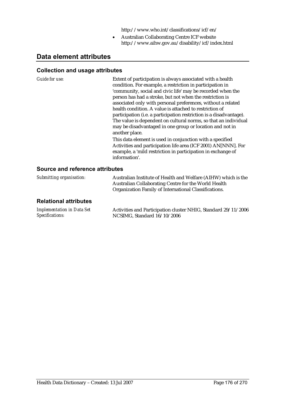http://www.who.int/classifications/icf/en/

• Australian Collaborating Centre ICF website http://www.aihw.gov.au/disability/icf/index.html

# **Data element attributes**

#### **Collection and usage attributes**

*Guide for use:* 

| Extent of participation is always associated with a health<br>condition. For example, a restriction in participation in |
|-------------------------------------------------------------------------------------------------------------------------|
| 'community, social and civic life' may be recorded when the                                                             |
| person has had a stroke, but not when the restriction is                                                                |
| associated only with personal preferences, without a related                                                            |
| health condition. A value is attached to restriction of                                                                 |
| participation (i.e. a participation restriction is a disadvantage).                                                     |
| The value is dependent on cultural norms, so that an individual                                                         |
| may be disadvantaged in one group or location and not in                                                                |
| another place.                                                                                                          |
| This data element is used in conjunction with a specified                                                               |
| Activities and participation life area (ICF 2001) AN[NNN]. For                                                          |
| example, a 'mild restriction in participation in exchange of                                                            |
| information'.                                                                                                           |
|                                                                                                                         |

### **Source and reference attributes**

| Submitting organisation:                             | Australian Institute of Health and Welfare (AIHW) which is the<br>Australian Collaborating Centre for the World Health<br>Organization Family of International Classifications. |
|------------------------------------------------------|---------------------------------------------------------------------------------------------------------------------------------------------------------------------------------|
| <b>Relational attributes</b>                         |                                                                                                                                                                                 |
| <b>Implementation in Data Set</b><br>Specifications: | Activities and Participation cluster NHIG, Standard 29/11/2006<br>NCSIMG, Standard 16/10/2006                                                                                   |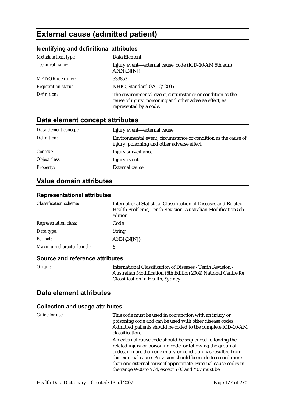# **External cause (admitted patient)**

### **Identifying and definitional attributes**

| Metadata item type:         | Data Element                                                                                                                                   |
|-----------------------------|------------------------------------------------------------------------------------------------------------------------------------------------|
| Technical name:             | Injury event-external cause, code (ICD-10-AM 5th edn)<br>$ANN\{N[N]\}$                                                                         |
| <b>METeOR</b> identifier:   | 333853                                                                                                                                         |
| <b>Registration status:</b> | NHIG, Standard 07/12/2005                                                                                                                      |
| Definition:                 | The environmental event, circumstance or condition as the<br>cause of injury, poisoning and other adverse effect, as<br>represented by a code. |

# **Data element concept attributes**

| Data element concept: | Injury event—external cause                                                                                   |
|-----------------------|---------------------------------------------------------------------------------------------------------------|
| Definition:           | Environmental event, circumstance or condition as the cause of<br>injury, poisoning and other adverse effect. |
| Context:              | Injury surveillance                                                                                           |
| Object class:         | Injury event                                                                                                  |
| <b>Property:</b>      | <b>External cause</b>                                                                                         |

## **Value domain attributes**

#### **Representational attributes**

| <b>Classification scheme:</b> | International Statistical Classification of Diseases and Related<br>Health Problems, Tenth Revision, Australian Modification 5th<br>edition |
|-------------------------------|---------------------------------------------------------------------------------------------------------------------------------------------|
| <b>Representation class:</b>  | Code                                                                                                                                        |
| Data type:                    | <b>String</b>                                                                                                                               |
| Format:                       | $ANN\{N[N]\}$                                                                                                                               |
| Maximum character length:     | 6                                                                                                                                           |

#### **Source and reference attributes**

| וט<br>п<br>r |
|--------------|
|--------------|

*Origin:* International Classification of Diseases - Tenth Revision - Australian Modification (5th Edition 2004) National Centre for Classification in Health, Sydney

## **Data element attributes**

| Guide for use: | This code must be used in conjunction with an injury or<br>poisoning code and can be used with other disease codes.<br>Admitted patients should be coded to the complete ICD-10-AM<br>classification.                                                                                                                                                                           |
|----------------|---------------------------------------------------------------------------------------------------------------------------------------------------------------------------------------------------------------------------------------------------------------------------------------------------------------------------------------------------------------------------------|
|                | An external cause code should be sequenced following the<br>related injury or poisoning code, or following the group of<br>codes, if more than one injury or condition has resulted from<br>this external cause. Provision should be made to record more<br>than one external cause if appropriate. External cause codes in<br>the range W00 to Y34, except Y06 and Y07 must be |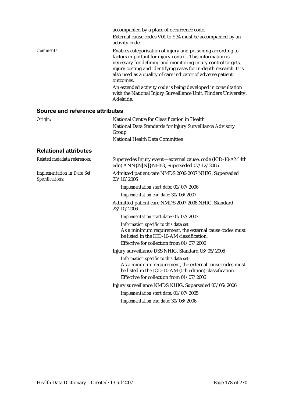|                                 | accompanied by a place of occurrence code.<br>External cause codes V01 to Y34 must be accompanied by an<br>activity code.                                                                                                                                                                                                                                                                                                                                                                   |
|---------------------------------|---------------------------------------------------------------------------------------------------------------------------------------------------------------------------------------------------------------------------------------------------------------------------------------------------------------------------------------------------------------------------------------------------------------------------------------------------------------------------------------------|
| Comments:                       | Enables categorisation of injury and poisoning according to<br>factors important for injury control. This information is<br>necessary for defining and monitoring injury control targets,<br>injury costing and identifying cases for in-depth research. It is<br>also used as a quality of care indicator of adverse patient<br>outcomes.<br>An extended activity code is being developed in consultation<br>with the National Injury Surveillance Unit, Flinders University,<br>Adelaide. |
| Source and reference attributes |                                                                                                                                                                                                                                                                                                                                                                                                                                                                                             |
| Origin:                         | National Centre for Classification in Health<br>National Data Standards for Injury Surveillance Advisory<br>Group<br>National Health Data Committee                                                                                                                                                                                                                                                                                                                                         |
| <b>Relational attributes</b>    |                                                                                                                                                                                                                                                                                                                                                                                                                                                                                             |

| Related metadata references:                         | Supersedes Injury event—external cause, code (ICD-10-AM 4th<br>edn) ANN{.N[N]} NHIG, Superseded 07/12/2005                                                                                  |
|------------------------------------------------------|---------------------------------------------------------------------------------------------------------------------------------------------------------------------------------------------|
| <b>Implementation in Data Set</b><br>Specifications: | Admitted patient care NMDS 2006-2007 NHIG, Superseded<br>23/10/2006                                                                                                                         |
|                                                      | Implementation start date: 01/07/2006                                                                                                                                                       |
|                                                      | Implementation end date: 30/06/2007                                                                                                                                                         |
|                                                      | Admitted patient care NMDS 2007-2008 NHIG, Standard<br>23/10/2006                                                                                                                           |
|                                                      | Implementation start date: 01/07/2007                                                                                                                                                       |
|                                                      | Information specific to this data set:<br>As a minimum requirement, the external cause codes must<br>be listed in the ICD-10-AM classification.<br>Effective for collection from 01/07/2006 |
|                                                      | Injury surveillance DSS NHIG, Standard 03/05/2006                                                                                                                                           |
|                                                      | Information specific to this data set:<br>As a minimum requirement, the external cause codes must<br>be listed in the ICD-10-AM (5th edition) classification.                               |
|                                                      | Effective for collection from 01/07/2006                                                                                                                                                    |
|                                                      | Injury surveillance NMDS NHIG, Superseded 03/05/2006                                                                                                                                        |
|                                                      | Implementation start date: 01/07/2005                                                                                                                                                       |
|                                                      | Implementation end date: 30/06/2006                                                                                                                                                         |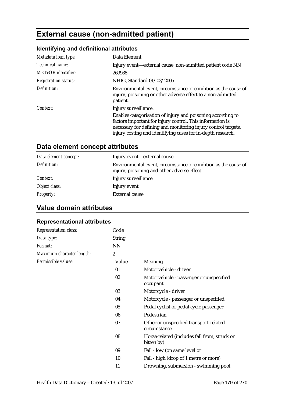# **External cause (non-admitted patient)**

# **Identifying and definitional attributes**

| Metadata item type:         | Data Element                                                                                                                                                                                                                                                                     |
|-----------------------------|----------------------------------------------------------------------------------------------------------------------------------------------------------------------------------------------------------------------------------------------------------------------------------|
| Technical name:             | Injury event—external cause, non-admitted patient code NN                                                                                                                                                                                                                        |
| <b>METeOR</b> identifier:   | 269988                                                                                                                                                                                                                                                                           |
| <b>Registration status:</b> | NHIG, Standard 01/03/2005                                                                                                                                                                                                                                                        |
| Definition:                 | Environmental event, circumstance or condition as the cause of<br>injury, poisoning or other adverse effect to a non-admitted<br>patient.                                                                                                                                        |
| Context:                    | Injury surveillance:<br>Enables categorisation of injury and poisoning according to<br>factors important for injury control. This information is<br>necessary for defining and monitoring injury control targets,<br>injury costing and identifying cases for in-depth research. |

# **Data element concept attributes**

| Data element concept: | Injury event—external cause                                                                                   |
|-----------------------|---------------------------------------------------------------------------------------------------------------|
| Definition:           | Environmental event, circumstance or condition as the cause of<br>injury, poisoning and other adverse effect. |
| Context:              | Injury surveillance                                                                                           |
| Object class:         | Injury event                                                                                                  |
| <b>Property:</b>      | <b>External cause</b>                                                                                         |

# **Value domain attributes**

### **Representational attributes**

| <b>Representation class:</b> | Code             |                                                            |
|------------------------------|------------------|------------------------------------------------------------|
| Data type:                   | <b>String</b>    |                                                            |
| Format:                      | <b>NN</b>        |                                                            |
| Maximum character length:    | $\boldsymbol{2}$ |                                                            |
| Permissible values:          | Value            | Meaning                                                    |
|                              | 01               | Motor vehicle - driver                                     |
|                              | 02               | Motor vehicle - passenger or unspecified<br>occupant       |
|                              | 03               | Motorcycle - driver                                        |
|                              | 04               | Motorcycle - passenger or unspecified                      |
|                              | 05               | Pedal cyclist or pedal cycle passenger                     |
|                              | 06               | Pedestrian                                                 |
|                              | 07               | Other or unspecified transport-related<br>circumstance     |
|                              | 08               | Horse-related (includes fall from, struck or<br>bitten by) |
|                              | 09               | Fall - low (on same level or                               |
|                              | 10               | Fall - high (drop of 1 metre or more)                      |
|                              | 11               | Drowning, submersion - swimming pool                       |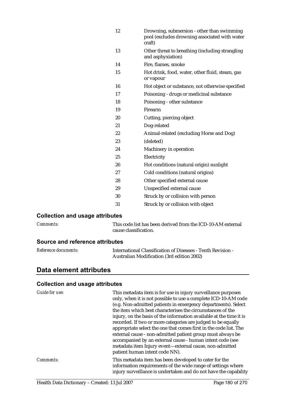| 12 | Drowning, submersion - other than swimming<br>pool (excludes drowning associated with water<br>craft) |
|----|-------------------------------------------------------------------------------------------------------|
| 13 | Other threat to breathing (including strangling<br>and asphyxiation)                                  |
| 14 | Fire, flames, smoke                                                                                   |
| 15 | Hot drink, food, water, other fluid, steam, gas<br>or vapour                                          |
| 16 | Hot object or substance, not otherwise specified                                                      |
| 17 | Poisoning - drugs or medicinal substance                                                              |
| 18 | Poisoning - other substance                                                                           |
| 19 | Firearm                                                                                               |
| 20 | Cutting, piercing object                                                                              |
| 21 | Dog-related                                                                                           |
| 22 | Animal-related (excluding Horse and Dog)                                                              |
| 23 | (deleted)                                                                                             |
| 24 | Machinery in operation                                                                                |
| 25 | Electricity                                                                                           |
| 26 | Hot conditions (natural origin) sunlight                                                              |
| 27 | Cold conditions (natural origins)                                                                     |
| 28 | Other specified external cause                                                                        |
| 29 | Unspecified external cause                                                                            |
| 30 | Struck by or collision with person                                                                    |
| 31 | Struck by or collision with object                                                                    |

### **Collection and usage attributes**

*Comments:* This code list has been derived from the ICD-10-AM external cause classification.

### **Source and reference attributes**

| <i>Reference documents:</i> | International Classification of Diseases - Tenth Revision - |
|-----------------------------|-------------------------------------------------------------|
|                             | Australian Modification (3rd edition 2002)                  |

# **Data element attributes**

| Guide for use: | This metadata item is for use in injury surveillance purposes<br>only, when it is not possible to use a complete ICD-10-AM code<br>(e.g. Non-admitted patients in emergency departments). Select<br>the item which best characterises the circumstances of the<br>injury, on the basis of the information available at the time it is<br>recorded. If two or more categories are judged to be equally<br>appropriate select the one that comes first in the code list. The<br>external cause - non-admitted patient group must always be<br>accompanied by an external cause - human intent code (see<br>metadata item Injury event-external cause, non-admitted<br>patient human intent code NN). |
|----------------|----------------------------------------------------------------------------------------------------------------------------------------------------------------------------------------------------------------------------------------------------------------------------------------------------------------------------------------------------------------------------------------------------------------------------------------------------------------------------------------------------------------------------------------------------------------------------------------------------------------------------------------------------------------------------------------------------|
| Comments:      | This metadata item has been developed to cater for the<br>information requirements of the wide range of settings where<br>injury surveillance is undertaken and do not have the capability                                                                                                                                                                                                                                                                                                                                                                                                                                                                                                         |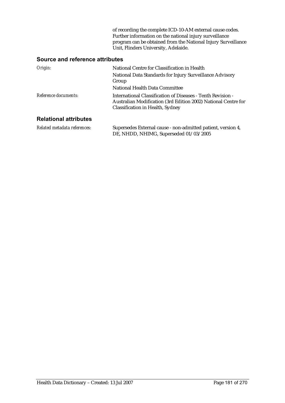of recording the complete ICD-10-AM external cause codes. Further information on the national injury surveillance program can be obtained from the National Injury Surveillance Unit, Flinders University, Adelaide.

| Origin:                      | National Centre for Classification in Health<br>National Data Standards for Injury Surveillance Advisory<br>Group<br>National Health Data Committee               |
|------------------------------|-------------------------------------------------------------------------------------------------------------------------------------------------------------------|
| Reference documents:         | International Classification of Diseases - Tenth Revision -<br>Australian Modification (3rd Edition 2002) National Centre for<br>Classification in Health, Sydney |
| <b>Relational attributes</b> |                                                                                                                                                                   |

| Related metadata references: | Supersedes External cause - non-admitted patient, version 4, |
|------------------------------|--------------------------------------------------------------|
|                              | DE, NHDD, NHIMG, Superseded 01/03/2005                       |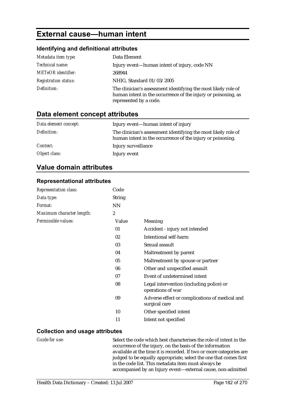# **External cause—human intent**

#### **Identifying and definitional attributes**

| Metadata item type:         | Data Element                                                                                                                                              |
|-----------------------------|-----------------------------------------------------------------------------------------------------------------------------------------------------------|
| Technical name:             | Injury event—human intent of injury, code NN                                                                                                              |
| <b>METeOR</b> identifier:   | 268944                                                                                                                                                    |
| <b>Registration status:</b> | NHIG, Standard 01/03/2005                                                                                                                                 |
| Definition:                 | The clinician's assessment identifying the most likely role of<br>human intent in the occurrence of the injury or poisoning, as<br>represented by a code. |

### **Data element concept attributes**

| Data element concept: | Injury event—human intent of injury                                                                                          |
|-----------------------|------------------------------------------------------------------------------------------------------------------------------|
| Definition:           | The clinician's assessment identifying the most likely role of<br>human intent in the occurrence of the injury or poisoning. |
| <i>Context:</i>       | Injury surveillance                                                                                                          |
| Object class:         | Injury event                                                                                                                 |

### **Value domain attributes**

#### **Representational attributes**

| <b>Representation class:</b> | Code             |                                                                 |
|------------------------------|------------------|-----------------------------------------------------------------|
| Data type:                   | <b>String</b>    |                                                                 |
| Format:                      | <b>NN</b>        |                                                                 |
| Maximum character length:    | $\boldsymbol{2}$ |                                                                 |
| Permissible values:          | Value            | <b>Meaning</b>                                                  |
|                              | 01               | Accident - injury not intended                                  |
|                              | 02               | Intentional self-harm                                           |
|                              | 03               | Sexual assault                                                  |
|                              | 04               | Maltreatment by parent                                          |
|                              | 05               | Maltreatment by spouse or partner                               |
|                              | 06               | Other and unspecified assault                                   |
|                              | 07               | Event of undetermined intent                                    |
|                              | 08               | Legal intervention (including police) or<br>operations of war   |
|                              | 09               | Adverse effect or complications of medical and<br>surgical care |
|                              | 10               | Other specified intent                                          |
|                              | 11               | Intent not specified                                            |

#### **Collection and usage attributes**

*Guide for use:* Select the code which best characterises the role of intent in the occurrence of the injury, on the basis of the information available at the time it is recorded. If two or more categories are judged to be equally appropriate, select the one that comes first in the code list. This metadata item must always be accompanied by an Injury event—external cause, non-admitted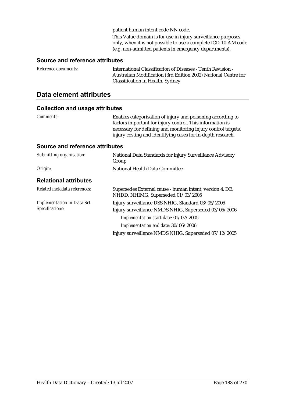patient human intent code NN code.

This Value domain is for use in injury surveillance purposes only, when it is not possible to use a complete ICD-10-AM code (e.g. non-admitted patients in emergency departments).

#### **Source and reference attributes**

| <i>Reference documents:</i> | International Classification of Diseases - Tenth Revision -    |
|-----------------------------|----------------------------------------------------------------|
|                             | Australian Modification (3rd Edition 2002) National Centre for |
|                             | Classification in Health, Sydney                               |

### **Data element attributes**

| Comments:                                            | Enables categorisation of injury and poisoning according to<br>factors important for injury control. This information is<br>necessary for defining and monitoring injury control targets,<br>injury costing and identifying cases for in-depth research. |
|------------------------------------------------------|----------------------------------------------------------------------------------------------------------------------------------------------------------------------------------------------------------------------------------------------------------|
| Source and reference attributes                      |                                                                                                                                                                                                                                                          |
| Submitting organisation:                             | National Data Standards for Injury Surveillance Advisory<br>Group                                                                                                                                                                                        |
| Origin:                                              | National Health Data Committee                                                                                                                                                                                                                           |
| <b>Relational attributes</b>                         |                                                                                                                                                                                                                                                          |
| Related metadata references:                         | Supersedes External cause - human intent, version 4, DE,<br>NHDD, NHIMG, Superseded 01/03/2005                                                                                                                                                           |
| <b>Implementation in Data Set</b><br>Specifications: | Injury surveillance DSS NHIG, Standard 03/05/2006<br>Injury surveillance NMDS NHIG, Superseded 03/05/2006                                                                                                                                                |
|                                                      | Implementation start date: 01/07/2005                                                                                                                                                                                                                    |
|                                                      | Implementation end date: 30/06/2006                                                                                                                                                                                                                      |
|                                                      | Injury surveillance NMDS NHIG, Superseded 07/12/2005                                                                                                                                                                                                     |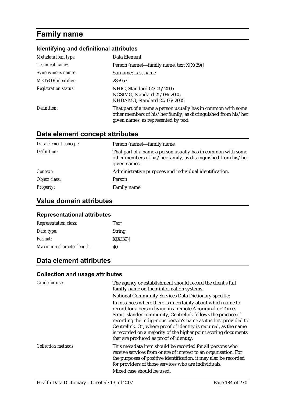# **Family name**

### **Identifying and definitional attributes**

| Metadata item type:         | Data Element                                                                                                                                                           |
|-----------------------------|------------------------------------------------------------------------------------------------------------------------------------------------------------------------|
| Technical name:             | Person (name)—family name, text $X[X(39)]$                                                                                                                             |
| Synonymous names:           | Surname; Last name                                                                                                                                                     |
| <b>METeOR</b> identifier:   | 286953                                                                                                                                                                 |
| <b>Registration status:</b> | NHIG, Standard 04/05/2005<br>NCSIMG, Standard 25/08/2005<br>NHDAMG, Standard 20/06/2005                                                                                |
| Definition:                 | That part of a name a person usually has in common with some<br>other members of his/her family, as distinguished from his/her<br>given names, as represented by text. |

### **Data element concept attributes**

| Data element concept: | Person (name)—family name                                                                                                                      |
|-----------------------|------------------------------------------------------------------------------------------------------------------------------------------------|
| Definition:           | That part of a name a person usually has in common with some<br>other members of his/her family, as distinguished from his/her<br>given names. |
| Context:              | Administrative purposes and individual identification.                                                                                         |
| Object class:         | Person                                                                                                                                         |
| <i>Property:</i>      | Family name                                                                                                                                    |

### **Value domain attributes**

#### **Representational attributes**

| <b>Representation class:</b> | <b>Text</b>   |
|------------------------------|---------------|
| Data type:                   | <b>String</b> |
| <i>Format:</i>               | X[X(39)]      |
| Maximum character length:    | 40            |

### **Data element attributes**

| Guide for use:             | The agency or establishment should record the client's full<br>family name on their information systems.                                                                                                                                                                                                                                                                                                                                           |
|----------------------------|----------------------------------------------------------------------------------------------------------------------------------------------------------------------------------------------------------------------------------------------------------------------------------------------------------------------------------------------------------------------------------------------------------------------------------------------------|
|                            | <b>National Community Services Data Dictionary specific:</b>                                                                                                                                                                                                                                                                                                                                                                                       |
|                            | In instances where there is uncertainty about which name to<br>record for a person living in a remote Aboriginal or Torres<br>Strait Islander community, Centrelink follows the practice of<br>recording the Indigenous person's name as it is first provided to<br>Centrelink. Or, where proof of identity is required, as the name<br>is recorded on a majority of the higher point scoring documents<br>that are produced as proof of identity. |
| <b>Collection methods:</b> | This metadata item should be recorded for all persons who<br>receive services from or are of interest to an organisation. For<br>the purposes of positive identification, it may also be recorded<br>for providers of those services who are individuals.<br>Mixed case should be used.                                                                                                                                                            |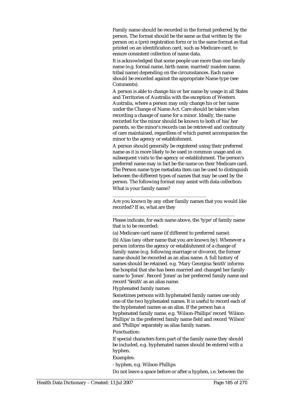Family name should be recorded in the format preferred by the person. The format should be the same as that written by the person on a (pre) registration form or in the same format as that printed on an identification card, such as Medicare card, to ensure consistent collection of name data.

It is acknowledged that some people use more than one family name (e.g. formal name, birth name, married/maiden name, tribal name) depending on the circumstances. Each name should be recorded against the appropriate Name type (see Comments).

A person is able to change his or her name by usage in all States and Territories of Australia with the exception of Western Australia, where a person may only change his or her name under the Change of Name Act. Care should be taken when recording a change of name for a minor. Ideally, the name recorded for the minor should be known to both of his/her parents, so the minor's records can be retrieved and continuity of care maintained, regardless of which parent accompanies the minor to the agency or establishment.

A person should generally be registered using their preferred name as it is more likely to be used in common usage and on subsequent visits to the agency or establishment. The person's preferred name may in fact be the name on their Medicare card. The Person name type metadata item can be used to distinguish between the different types of names that may be used by the person. The following format may assist with data collection: What is your family name?

Are you known by any other family names that you would like recorded? If so, what are they

Please indicate, for each name above, the 'type' of family name that is to be recorded:

\_\_\_\_\_\_\_\_\_\_\_\_\_\_\_\_\_\_\_\_\_\_\_\_\_\_\_\_\_\_\_\_\_\_\_\_\_\_\_\_\_\_\_\_\_\_\_\_\_\_\_

(a) Medicare card name (if different to preferred name).

\_\_\_\_\_\_\_\_\_\_\_\_\_\_\_\_\_\_\_\_\_\_\_\_\_\_\_\_\_\_\_\_\_\_\_\_\_\_\_

(b) Alias (any other name that you are known by). Whenever a person informs the agency or establishment of a change of family name (e.g. following marriage or divorce), the former name should be recorded as an alias name. A full history of names should be retained. e.g. 'Mary Georgina Smith' informs the hospital that she has been married and changed her family name to 'Jones'. Record 'Jones' as her preferred family name and record 'Smith' as an alias name.

Hyphenated family names:

Sometimes persons with hyphenated family names use only one of the two hyphenated names. It is useful to record each of the hyphenated names as an alias. If the person has a hyphenated family name, e.g. 'Wilson-Phillips' record 'Wilson-Phillips' in the preferred family name field and record 'Wilson' and 'Phillips' separately as alias family names.

Punctuation:

If special characters form part of the family name they should be included, e.g. hyphenated names should be entered with a hyphen.

#### Examples:

- hyphen, e.g. Wilson-Phillips

Do not leave a space before or after a hyphen, i.e. between the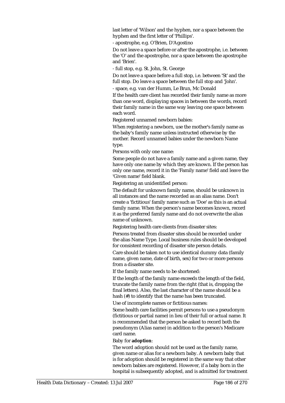last letter of 'Wilson' and the hyphen, nor a space between the hyphen and the first letter of 'Phillips'.

- apostrophe, e.g. O'Brien, D'Agostino

Do not leave a space before or after the apostrophe, i.e. between the 'O' and the apostrophe, nor a space between the apostrophe and 'Brien'.

- full stop, e.g. St. John, St. George

Do not leave a space before a full stop, i.e. between 'St' and the full stop. Do leave a space between the full stop and 'John'.

- space, e.g. van der Humm, Le Brun, Mc Donald

If the health care client has recorded their family name as more than one word, displaying spaces in between the words, record their family name in the same way leaving one space between each word.

Registered unnamed newborn babies:

When registering a newborn, use the mother's family name as the baby's family name unless instructed otherwise by the mother. Record unnamed babies under the newborn Name type.

Persons with only one name:

Some people do not have a family name and a given name, they have only one name by which they are known. If the person has only one name, record it in the 'Family name' field and leave the 'Given name' field blank.

Registering an unidentified person:

The default for unknown family name, should be unknown in all instances and the name recorded as an alias name. Don't create a 'fictitious' family name such as 'Doe' as this is an actual family name. When the person's name becomes known, record it as the preferred family name and do not overwrite the alias name of unknown.

Registering health care clients from disaster sites:

Persons treated from disaster sites should be recorded under the alias Name Type. Local business rules should be developed for consistent recording of disaster site person details.

Care should be taken not to use identical dummy data (family name, given name, date of birth, sex) for two or more persons from a disaster site.

If the family name needs to be shortened:

If the length of the family name exceeds the length of the field, truncate the family name from the right (that is, dropping the final letters). Also, the last character of the name should be a hash (#) to identify that the name has been truncated.

Use of incomplete names or fictitious names:

Some health care facilities permit persons to use a pseudonym (fictitious or partial name) in lieu of their full or actual name. It is recommended that the person be asked to record both the pseudonym (Alias name) in addition to the person's Medicare card name.

#### Baby for **adoption**:

The word adoption should not be used as the family name, given name or alias for a newborn baby. A newborn baby that is for adoption should be registered in the same way that other newborn babies are registered. However, if a baby born in the hospital is subsequently adopted, and is admitted for treatment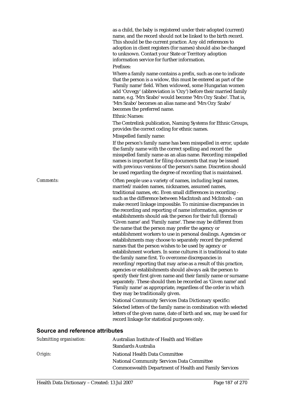as a child, the baby is registered under their adopted (current) name, and the record should not be linked to the birth record. This should be the current practice. Any old references to adoption in client registers (for names) should also be changed to unknown. Contact your State or Territory adoption information service for further information.

#### Prefixes:

Where a family name contains a prefix, such as one to indicate that the person is a widow, this must be entered as part of the 'Family name' field. When widowed, some Hungarian women add 'Ozvegy' (abbreviation is 'Ozy') before their married family name, e.g. 'Mrs Szabo' would become 'Mrs Ozy Szabo'. That is, 'Mrs Szabo' becomes an alias name and 'Mrs Ozy Szabo' becomes the preferred name.

#### Ethnic Names:

The Centrelink publication, Naming Systems for Ethnic Groups, provides the correct coding for ethnic names. Misspelled family name:

If the person's family name has been misspelled in error, update the family name with the correct spelling and record the misspelled family name as an alias name. Recording misspelled names is important for filing documents that may be issued with previous versions of the person's name. Discretion should be used regarding the degree of recording that is maintained.

*Comments:* Often people use a variety of names, including legal names, married/maiden names, nicknames, assumed names, traditional names, etc. Even small differences in recording such as the difference between MacIntosh and McIntosh - can make record linkage impossible. To minimise discrepancies in the recording and reporting of name information, agencies or establishments should ask the person for their full (formal) 'Given name' and 'Family name'. These may be different from the name that the person may prefer the agency or establishment workers to use in personal dealings. Agencies or establishments may choose to separately record the preferred names that the person wishes to be used by agency or establishment workers. In some cultures it is traditional to state the family name first. To overcome discrepancies in recording/reporting that may arise as a result of this practice, agencies or establishments should always ask the person to specify their first given name and their family name or surname separately. These should then be recorded as 'Given name' and 'Family name' as appropriate, regardless of the order in which they may be traditionally given.

> National Community Services Data Dictionary specific: Selected letters of the family name in combination with selected letters of the given name, date of birth and sex, may be used for record linkage for statistical purposes only.

| Submitting organisation: | Australian Institute of Health and Welfare                   |
|--------------------------|--------------------------------------------------------------|
|                          | Standards Australia                                          |
| Origin:                  | National Health Data Committee                               |
|                          | <b>National Community Services Data Committee</b>            |
|                          | <b>Commonwealth Department of Health and Family Services</b> |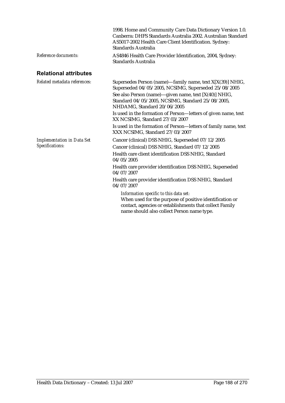|                                                      | 1998. Home and Community Care Data Dictionary Version 1.0.<br>Canberra: DHFS Standards Australia 2002. Australian Standard<br>AS5017-2002 Health Care Client Identification. Sydney:<br>Standards Australia                                                                                                                                                                                                                                                                                  |
|------------------------------------------------------|----------------------------------------------------------------------------------------------------------------------------------------------------------------------------------------------------------------------------------------------------------------------------------------------------------------------------------------------------------------------------------------------------------------------------------------------------------------------------------------------|
| Reference documents:                                 | AS4846 Health Care Provider Identification, 2004, Sydney:<br>Standards Australia                                                                                                                                                                                                                                                                                                                                                                                                             |
| <b>Relational attributes</b>                         |                                                                                                                                                                                                                                                                                                                                                                                                                                                                                              |
| Related metadata references:                         | Supersedes Person (name)—family name, text X[X(39)] NHIG,<br>Superseded 04/05/2005, NCSIMG, Superseded 25/08/2005<br>See also Person (name)—given name, text [X(40)] NHIG,<br>Standard 04/05/2005, NCSIMG, Standard 25/08/2005,<br>NHDAMG, Standard 20/06/2005<br>Is used in the formation of Person-letters of given name, text<br>XX NCSIMG, Standard 27/03/2007<br>Is used in the formation of Person-letters of family name, text<br>XXX NCSIMG, Standard 27/03/2007                     |
| <b>Implementation in Data Set</b><br>Specifications: | Cancer (clinical) DSS NHIG, Superseded 07/12/2005<br>Cancer (clinical) DSS NHIG, Standard 07/12/2005<br>Health care client identification DSS NHIG, Standard<br>04/05/2005<br>Health care provider identification DSS NHIG, Superseded<br>04/07/2007<br>Health care provider identification DSS NHIG, Standard<br>04/07/2007<br>Information specific to this data set:<br>When used for the purpose of positive identification or<br>contact, agencies or establishments that collect Family |

name should also collect Person name type.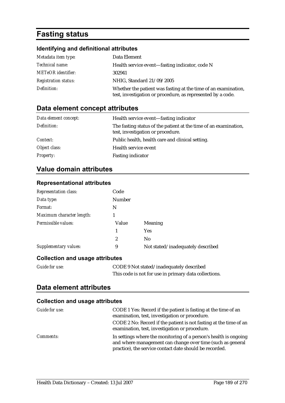# **Fasting status**

### **Identifying and definitional attributes**

| Metadata item type:         | Data Element                                                                                                                  |
|-----------------------------|-------------------------------------------------------------------------------------------------------------------------------|
| <i>Technical name:</i>      | Health service event—fasting indicator, code N                                                                                |
| <b>METeOR</b> identifier:   | 302941                                                                                                                        |
| <b>Registration status:</b> | NHIG, Standard 21/09/2005                                                                                                     |
| Definition:                 | Whether the patient was fasting at the time of an examination,<br>test, investigation or procedure, as represented by a code. |

### **Data element concept attributes**

| Data element concept: | Health service event—fasting indicator                                                                |
|-----------------------|-------------------------------------------------------------------------------------------------------|
| Definition:           | The fasting status of the patient at the time of an examination,<br>test, investigation or procedure. |
| Context:              | Public health, health care and clinical setting.                                                      |
| Object class:         | Health service event                                                                                  |
| <b>Property:</b>      | <b>Fasting indicator</b>                                                                              |

### **Value domain attributes**

#### **Representational attributes**

| <b>Representation class:</b> | Code          |                                   |
|------------------------------|---------------|-----------------------------------|
| Data type:                   | <b>Number</b> |                                   |
| Format:                      | N             |                                   |
| Maximum character length:    |               |                                   |
| Permissible values:          | Value         | Meaning                           |
|                              | 1             | <b>Yes</b>                        |
|                              | 2             | N <sub>0</sub>                    |
| Supplementary values:        | 9             | Not stated/inadequately described |

#### **Collection and usage attributes**

| <b>Guide for use:</b> | CODE 9 Not stated/inadequately described              |
|-----------------------|-------------------------------------------------------|
|                       | This code is not for use in primary data collections. |

#### **Data element attributes**

| Guide for use:   | CODE 1 Yes: Record if the patient is fasting at the time of an<br>examination, test, investigation or procedure.<br>CODE 2 No: Record if the patient is not fasting at the time of an<br>examination, test, investigation or procedure. |
|------------------|-----------------------------------------------------------------------------------------------------------------------------------------------------------------------------------------------------------------------------------------|
| <i>Comments:</i> | In settings where the monitoring of a person's health is ongoing<br>and where management can change over time (such as general<br>practice), the service contact date should be recorded.                                               |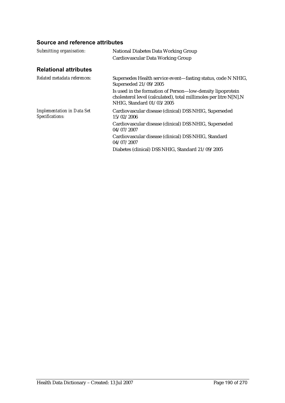| <b>National Diabetes Data Working Group</b>                                                                                                                  |
|--------------------------------------------------------------------------------------------------------------------------------------------------------------|
| Cardiovascular Data Working Group                                                                                                                            |
|                                                                                                                                                              |
| Supersedes Health service event—fasting status, code N NHIG,<br>Superseded 21/09/2005                                                                        |
| Is used in the formation of Person—low-density lipoprotein<br>cholesterol level (calculated), total millimoles per litre N[N].N<br>NHIG, Standard 01/03/2005 |
| Cardiovascular disease (clinical) DSS NHIG, Superseded<br>15/02/2006                                                                                         |
| Cardiovascular disease (clinical) DSS NHIG, Superseded<br>04/07/2007                                                                                         |
| Cardiovascular disease (clinical) DSS NHIG, Standard<br>04/07/2007                                                                                           |
| Diabetes (clinical) DSS NHIG, Standard 21/09/2005                                                                                                            |
|                                                                                                                                                              |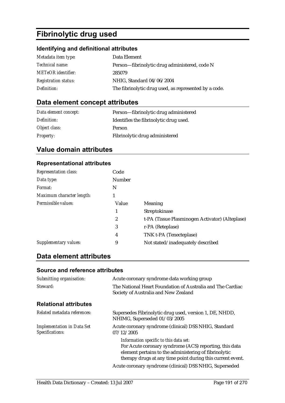# **Fibrinolytic drug used**

### **Identifying and definitional attributes**

| Metadata item type:         | Data Element                                          |
|-----------------------------|-------------------------------------------------------|
| <i>Technical name:</i>      | Person-fibrinolytic drug administered, code N         |
| <b>METeOR</b> identifier:   | 285079                                                |
| <b>Registration status:</b> | NHIG, Standard 04/06/2004                             |
| Definition:                 | The fibrinolytic drug used, as represented by a code. |

### **Data element concept attributes**

| Data element concept: | Person-fibrinolytic drug administered  |
|-----------------------|----------------------------------------|
| Definition:           | Identifies the fibrinolytic drug used. |
| Object class:         | <b>Person</b>                          |
| <b>Property:</b>      | Fibrinolytic drug administered         |

### **Value domain attributes**

#### **Representational attributes**

| <b>Representation class:</b> | Code          |                                                 |
|------------------------------|---------------|-------------------------------------------------|
| Data type:                   | <b>Number</b> |                                                 |
| Format:                      | N             |                                                 |
| Maximum character length:    |               |                                                 |
| Permissible values:          | Value         | Meaning                                         |
|                              | 1             | Streptokinase                                   |
|                              | 2             | t-PA (Tissue Plasminogen Activator) (Alteplase) |
|                              | 3             | r-PA (Reteplase)                                |
|                              | 4             | TNK t-PA (Tenecteplase)                         |
| Supplementary values:        | 9             | Not stated/inadequately described               |

### **Data element attributes**

| Submitting organisation:                             | Acute coronary syndrome data working group                                                                                                                                                                              |
|------------------------------------------------------|-------------------------------------------------------------------------------------------------------------------------------------------------------------------------------------------------------------------------|
| Steward:                                             | The National Heart Foundation of Australia and The Cardiac<br>Society of Australia and New Zealand                                                                                                                      |
| <b>Relational attributes</b>                         |                                                                                                                                                                                                                         |
| Related metadata references:                         | Supersedes Fibrinolytic drug used, version 1, DE, NHDD,<br>NHIMG, Superseded 01/03/2005                                                                                                                                 |
| <b>Implementation in Data Set</b><br>Specifications: | Acute coronary syndrome (clinical) DSS NHIG, Standard<br>07/12/2005                                                                                                                                                     |
|                                                      | Information specific to this data set:<br>For Acute coronary syndrome (ACS) reporting, this data<br>element pertains to the administering of fibrinolytic<br>therapy drugs at any time point during this current event. |
|                                                      | Acute coronary syndrome (clinical) DSS NHIG, Superseded                                                                                                                                                                 |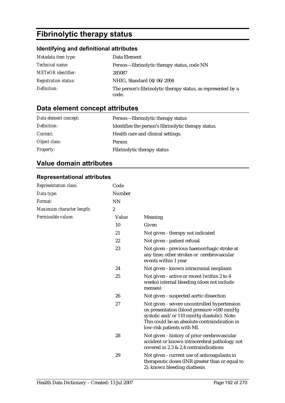# **Fibrinolytic therapy status**

### **Identifying and definitional attributes**

| Metadata item type:         | Data Element                                                           |
|-----------------------------|------------------------------------------------------------------------|
| <i>Technical name:</i>      | Person—fibrinolytic therapy status, code NN                            |
| <b>METeOR</b> identifier:   | 285087                                                                 |
| <b>Registration status:</b> | NHIG, Standard 04/06/2004                                              |
| Definition:                 | The person's fibrinolytic therapy status, as represented by a<br>code. |

## **Data element concept attributes**

| Data element concept: | Person—fibrinolytic therapy status                   |
|-----------------------|------------------------------------------------------|
| Definition:           | Identifies the person's fibrinolytic therapy status. |
| <i>Context:</i>       | Health care and clinical settings.                   |
| Object class:         | <b>Person</b>                                        |
| <b>Property:</b>      | Fibrinolytic therapy status                          |

### **Value domain attributes**

### **Representational attributes**

| Representation class:     | Code      |                                                                                                                                                                                                                        |
|---------------------------|-----------|------------------------------------------------------------------------------------------------------------------------------------------------------------------------------------------------------------------------|
| Data type:                | Number    |                                                                                                                                                                                                                        |
| Format:                   | <b>NN</b> |                                                                                                                                                                                                                        |
| Maximum character length: | 2         |                                                                                                                                                                                                                        |
| Permissible values:       | Value     | Meaning                                                                                                                                                                                                                |
|                           | 10        | Given                                                                                                                                                                                                                  |
|                           | 21        | Not given - therapy not indicated                                                                                                                                                                                      |
|                           | 22        | Not given - patient refusal                                                                                                                                                                                            |
|                           | 23        | Not given - previous haemorrhagic stroke at<br>any time; other strokes or cerebrovascular<br>events within 1 year                                                                                                      |
|                           | 24        | Not given - known intracranial neoplasm                                                                                                                                                                                |
|                           | 25        | Not given - active or recent (within 2 to 4<br>weeks) internal bleeding (does not include<br>menses)                                                                                                                   |
|                           | 26        | Not given - suspected aortic dissection                                                                                                                                                                                |
|                           | 27        | Not given - severe uncontrolled hypertension<br>on presentation (blood pressure >180 mmHg<br>systolic and/or 110 mmHg diastolic). Note:<br>This could be an absolute contraindication in<br>low-risk patients with MI. |
|                           | 28        | Not given - history of prior cerebrovascular<br>accident or known intracerebral pathology not<br>covered in 2.3 & 2.4 contraindications                                                                                |
|                           | 29        | Not given - current use of anticoagulants in<br>therapeutic doses (INR greater than or equal to<br>2); known bleeding diathesis                                                                                        |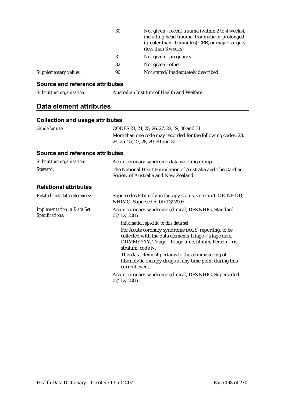|                              | 30 | Not given - recent trauma (within 2 to 4 weeks),<br>including head trauma, traumatic or prolonged<br>(greater than 10 minutes) CPR, or major surgery<br>(less than 3 weeks) |
|------------------------------|----|-----------------------------------------------------------------------------------------------------------------------------------------------------------------------------|
|                              | 31 | Not given - pregnancy                                                                                                                                                       |
|                              | 32 | Not given - other                                                                                                                                                           |
| <b>Supplementary values:</b> | 90 | Not stated/inadequately described                                                                                                                                           |

#### **Source and reference attributes**

*Submitting organisation:* Australian Institute of Health and Welfare

### **Data element attributes**

#### **Collection and usage attributes**

| Guide for use: | CODES 23, 24, 25, 26, 27, 28, 29, 30 and 31                                                        |
|----------------|----------------------------------------------------------------------------------------------------|
|                | More than one code may recorded for the following codes: 23,<br>24, 25, 26, 27, 28, 29, 30 and 31. |

| Submitting organisation:                             | Acute coronary syndrome data working group                                                                                                                                        |
|------------------------------------------------------|-----------------------------------------------------------------------------------------------------------------------------------------------------------------------------------|
| Steward:                                             | The National Heart Foundation of Australia and The Cardiac<br>Society of Australia and New Zealand                                                                                |
| <b>Relational attributes</b>                         |                                                                                                                                                                                   |
| Related metadata references:                         | Supersedes Fibrinolytic therapy status, version 1, DE, NHDD,<br>NHIMG, Superseded 01/03/2005                                                                                      |
| <b>Implementation in Data Set</b><br>Specifications: | Acute coronary syndrome (clinical) DSS NHIG, Standard<br>07/12/2005                                                                                                               |
|                                                      | Information specific to this data set:                                                                                                                                            |
|                                                      | For Acute coronary syndrome (ACS) reporting, to be<br>collected with the data elements Triage—triage date,<br>DDMMYYYY, Triage-triage time, hhmm, Person-risk<br>stratum, code N. |
|                                                      | This data element pertains to the administering of<br>fibrinolytic therapy drugs at any time point during this<br>current event.                                                  |
|                                                      | Acute coronary syndrome (clinical) DSS NHIG, Superseded<br>07/12/2005                                                                                                             |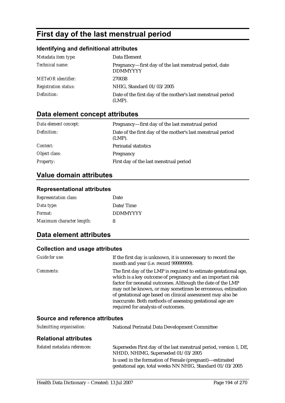# **First day of the last menstrual period**

### **Identifying and definitional attributes**

| Metadata item type:         | Data Element                                                              |
|-----------------------------|---------------------------------------------------------------------------|
| Technical name:             | Pregnancy—first day of the last menstrual period, date<br><b>DDMMYYYY</b> |
| <b>METeOR</b> identifier:   | 270038                                                                    |
| <i>Registration status:</i> | NHIG, Standard 01/03/2005                                                 |
| Definition:                 | Date of the first day of the mother's last menstrual period<br>$(LMP)$ .  |

## **Data element concept attributes**

| Data element concept: | Pregnancy—first day of the last menstrual period                         |
|-----------------------|--------------------------------------------------------------------------|
| Definition:           | Date of the first day of the mother's last menstrual period<br>$(LMP)$ . |
| <i>Context:</i>       | <b>Perinatal statistics</b>                                              |
| Object class:         | Pregnancy                                                                |
| <i>Property:</i>      | First day of the last menstrual period                                   |

### **Value domain attributes**

#### **Representational attributes**

| <b>Representation class:</b> | Date            |
|------------------------------|-----------------|
| Data type:                   | Date/Time       |
| Format:                      | <b>DDMMYYYY</b> |
| Maximum character length:    | 8               |

### **Data element attributes**

| Guide for use:                  | If the first day is unknown, it is unnecessary to record the<br>month and year (i.e. record 99999999).                                                                                                                                                                                                                                                                                                                        |
|---------------------------------|-------------------------------------------------------------------------------------------------------------------------------------------------------------------------------------------------------------------------------------------------------------------------------------------------------------------------------------------------------------------------------------------------------------------------------|
| <i>Comments:</i>                | The first day of the LMP is required to estimate gestational age,<br>which is a key outcome of pregnancy and an important risk<br>factor for neonatal outcomes. Although the date of the LMP<br>may not be known, or may sometimes be erroneous, estimation<br>of gestational age based on clinical assessment may also be<br>inaccurate. Both methods of assessing gestational age are<br>required for analysis of outcomes. |
| Source and reference attributes |                                                                                                                                                                                                                                                                                                                                                                                                                               |
| Submitting organisation:        | <b>National Perinatal Data Development Committee</b>                                                                                                                                                                                                                                                                                                                                                                          |
| <b>Relational attributes</b>    |                                                                                                                                                                                                                                                                                                                                                                                                                               |
| Related metadata references:    | Supersedes First day of the last menstrual period, version 1, DE,                                                                                                                                                                                                                                                                                                                                                             |

| etadata references. | Supersedes First day of the last mensional period, version 1, DE |
|---------------------|------------------------------------------------------------------|
|                     | NHDD, NHIMG, Superseded 01/03/2005                               |
|                     | Is used in the formation of Female (pregnant)—estimated          |
|                     | gestational age, total weeks NN NHIG, Standard 01/03/2005        |
|                     |                                                                  |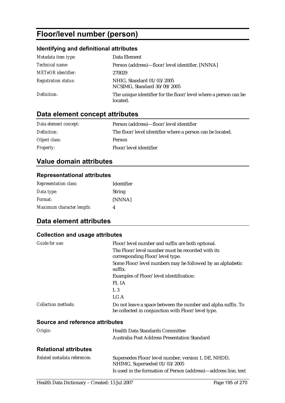# **Floor/level number (person)**

### **Identifying and definitional attributes**

| Metadata item type:         | Data Element                                                                |
|-----------------------------|-----------------------------------------------------------------------------|
| Technical name:             | Person (address)—floor/level identifier, [NNNA]                             |
| <b>METeOR</b> identifier:   | 270029                                                                      |
| <b>Registration status:</b> | NHIG, Standard 01/03/2005<br>NCSIMG, Standard 30/09/2005                    |
| Definition:                 | The unique identifier for the floor/level where a person can be<br>located. |

### **Data element concept attributes**

| Data element concept: | Person (address)—floor/level identifier                   |
|-----------------------|-----------------------------------------------------------|
| Definition:           | The floor/level identifier where a person can be located. |
| Object class:         | Person                                                    |
| <i>Property:</i>      | Floor/level identifier                                    |

### **Value domain attributes**

#### **Representational attributes**

| <b>Representation class:</b> | <b>Identifier</b> |
|------------------------------|-------------------|
| Data type:                   | String            |
| <i>Format:</i>               | [NNNA]            |
| Maximum character length:    | Λ                 |

### **Data element attributes**

#### **Collection and usage attributes**

| Guide for use:                  | Floor/level number and suffix are both optional.                                                                   |
|---------------------------------|--------------------------------------------------------------------------------------------------------------------|
|                                 | The Floor/level number must be recorded with its<br>corresponding Floor/level type.                                |
|                                 | Some Floor/level numbers may be followed by an alphabetic<br>suffix.                                               |
|                                 | Examples of Floor/level identification:                                                                            |
|                                 | FL <sub>1</sub> A                                                                                                  |
|                                 | L <sub>3</sub>                                                                                                     |
|                                 | LG A                                                                                                               |
| <b>Collection methods:</b>      | Do not leave a space between the number and alpha suffix. To<br>be collected in conjunction with Floor/level type. |
| Source and reference attributes |                                                                                                                    |
| Origin:                         | <b>Health Data Standards Committee</b>                                                                             |
|                                 | <b>Australia Post Address Presentation Standard</b>                                                                |
| <b>Relational attributes</b>    |                                                                                                                    |
| Related metadata references:    | Supersedes Floor/level number, version 1, DE, NHDD,<br>NHIMG, Superseded 01/03/2005                                |

Is used in the formation of Person (address)—address line, text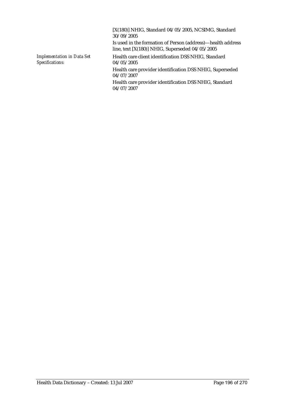[X(180)] NHIG, Standard 04/05/2005, NCSIMG, Standard 30/09/2005 Is used in the formation of Person (address)—health address line, text [X(180)] NHIG, Superseded 04/05/2005 *Implementation in Data Set Specifications:* Health care client identification DSS NHIG, Standard 04/05/2005 Health care provider identification DSS NHIG, Superseded 04/07/2007 Health care provider identification DSS NHIG, Standard 04/07/2007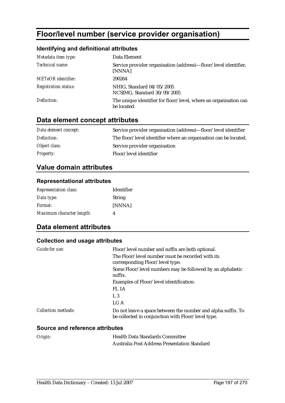# **Floor/level number (service provider organisation)**

### **Identifying and definitional attributes**

| Metadata item type:         | Data Element                                                                    |
|-----------------------------|---------------------------------------------------------------------------------|
| Technical name:             | Service provider organisation (address)—floor/level identifier,<br>[NNNA]       |
| <b>METeOR</b> identifier:   | 290264                                                                          |
| <b>Registration status:</b> | NHIG, Standard 04/05/2005<br>NCSIMG, Standard 30/09/2005                        |
| Definition:                 | The unique identifier for floor/level, where an organisation can<br>be located. |

### **Data element concept attributes**

| Data element concept: | Service provider organisation (address)—floor/level identifier   |
|-----------------------|------------------------------------------------------------------|
| Definition:           | The floor/level identifier where an organisation can be located. |
| Object class:         | Service provider organisation                                    |
| <i>Property:</i>      | Floor/level identifier                                           |

### **Value domain attributes**

#### **Representational attributes**

| <b>Representation class:</b> | <b>Identifier</b> |
|------------------------------|-------------------|
| Data type:                   | <b>String</b>     |
| <i>Format:</i>               | [NNNA]            |
| Maximum character length:    | 4                 |

### **Data element attributes**

#### **Collection and usage attributes**

| Guide for use:      | Floor/level number and suffix are both optional.                                                                   |
|---------------------|--------------------------------------------------------------------------------------------------------------------|
|                     | The Floor/level number must be recorded with its<br>corresponding Floor/level type.                                |
|                     | Some Floor/level numbers may be followed by an alphabetic<br>suffix.                                               |
|                     | Examples of Floor/level identification:                                                                            |
|                     | FL <sub>1</sub> A                                                                                                  |
|                     | L <sub>3</sub>                                                                                                     |
|                     | LG A                                                                                                               |
| Collection methods: | Do not leave a space between the number and alpha suffix. To<br>be collected in conjunction with Floor/level type. |

| Origin: | <b>Health Data Standards Committee</b>              |
|---------|-----------------------------------------------------|
|         | <b>Australia Post Address Presentation Standard</b> |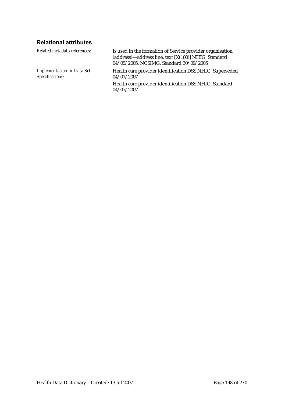### **Relational attributes**

| Related metadata references:                         | Is used in the formation of Service provider organisation<br>(address)—address line, text [X(180)] NHIG, Standard<br>04/05/2005, NCSIMG, Standard 30/09/2005 |
|------------------------------------------------------|--------------------------------------------------------------------------------------------------------------------------------------------------------------|
| <b>Implementation in Data Set</b><br>Specifications: | Health care provider identification DSS NHIG, Superseded<br>04/07/2007                                                                                       |
|                                                      | Health care provider identification DSS NHIG, Standard<br>04/07/2007                                                                                         |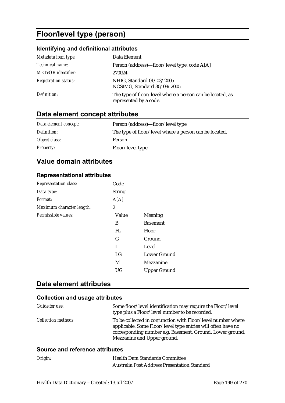# **Floor/level type (person)**

### **Identifying and definitional attributes**

| Metadata item type:         | Data Element                                                                        |
|-----------------------------|-------------------------------------------------------------------------------------|
| Technical name:             | Person (address)—floor/level type, code A[A]                                        |
| <b>METeOR</b> identifier:   | 270024                                                                              |
| <b>Registration status:</b> | NHIG, Standard 01/03/2005<br>NCSIMG, Standard 30/09/2005                            |
| Definition:                 | The type of floor/level where a person can be located, as<br>represented by a code. |

## **Data element concept attributes**

| Data element concept: | Person (address)—floor/level type                      |
|-----------------------|--------------------------------------------------------|
| Definition:           | The type of floor/level where a person can be located. |
| Object class:         | Person                                                 |
| <i>Property:</i>      | Floor/level type                                       |

### **Value domain attributes**

#### **Representational attributes**

| <b>Representation class:</b> | Code          |                     |
|------------------------------|---------------|---------------------|
| Data type:                   | <b>String</b> |                     |
| Format:                      | A[A]          |                     |
| Maximum character length:    | 2             |                     |
| Permissible values:          | Value         | Meaning             |
|                              | B             | <b>Basement</b>     |
|                              | FL            | <b>Floor</b>        |
|                              | G             | Ground              |
|                              | L             | Level               |
|                              | LG            | Lower Ground        |
|                              | M             | Mezzanine           |
|                              | UG            | <b>Upper Ground</b> |
|                              |               |                     |

## **Data element attributes**

#### **Collection and usage attributes**

| Guide for use:             | Some floor/level identification may require the Floor/level<br>type plus a Floor/level number to be recorded.                                                                                                            |
|----------------------------|--------------------------------------------------------------------------------------------------------------------------------------------------------------------------------------------------------------------------|
| <i>Collection methods:</i> | To be collected in conjunction with Floor/level number where<br>applicable. Some Floor/level type entries will often have no<br>corresponding number e.g. Basement, Ground, Lower ground,<br>Mezzanine and Upper ground. |

| Origin: | <b>Health Data Standards Committee</b>              |
|---------|-----------------------------------------------------|
|         | <b>Australia Post Address Presentation Standard</b> |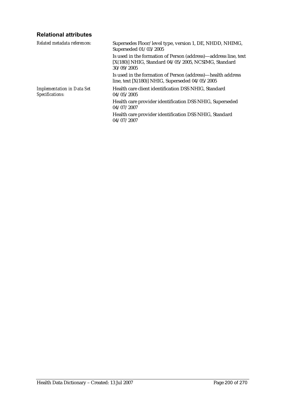### **Relational attributes**

| Supersedes Floor/level type, version 1, DE, NHDD, NHIMG,<br>Superseded 01/03/2005                                                     |
|---------------------------------------------------------------------------------------------------------------------------------------|
| Is used in the formation of Person (address)—address line, text<br>[X(180)] NHIG, Standard 04/05/2005, NCSIMG, Standard<br>30/09/2005 |
| Is used in the formation of Person (address)—health address<br>line, text $[X(180)]$ NHIG, Superseded 04/05/2005                      |
| Health care client identification DSS NHIG. Standard<br>04/05/2005                                                                    |
| Health care provider identification DSS NHIG, Superseded<br>04/07/2007                                                                |
| Health care provider identification DSS NHIG, Standard<br>04/07/2007                                                                  |
|                                                                                                                                       |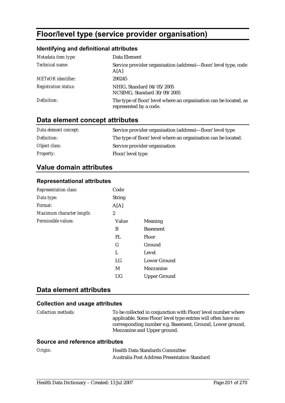# **Floor/level type (service provider organisation)**

### **Identifying and definitional attributes**

| Metadata item type:         | Data Element                                                                               |
|-----------------------------|--------------------------------------------------------------------------------------------|
| Technical name:             | Service provider organisation (address)—floor/level type, code<br>A[A]                     |
| <b>METeOR</b> identifier:   | 290245                                                                                     |
| <b>Registration status:</b> | NHIG, Standard 04/05/2005<br>NCSIMG, Standard 30/09/2005                                   |
| Definition:                 | The type of floor/level where an organisation can be located, as<br>represented by a code. |

### **Data element concept attributes**

| Data element concept: | Service provider organisation (address)—floor/level type      |
|-----------------------|---------------------------------------------------------------|
| Definition:           | The type of floor/level where an organisation can be located. |
| Object class:         | Service provider organisation                                 |
| <b>Property:</b>      | Floor/level type                                              |

### **Value domain attributes**

#### **Representational attributes**

| <b>Representation class:</b> | Code           |                     |
|------------------------------|----------------|---------------------|
| Data type:                   | <b>String</b>  |                     |
| Format:                      | A[A]           |                     |
| Maximum character length:    | $\overline{2}$ |                     |
| Permissible values:          | Value          | Meaning             |
|                              | B              | <b>Basement</b>     |
|                              | FL             | Floor               |
|                              | G              | Ground              |
|                              | L              | Level               |
|                              | LG             | Lower Ground        |
|                              | M              | Mezzanine           |
|                              | UG             | <b>Upper Ground</b> |

### **Data element attributes**

#### **Collection and usage attributes**

| <i>Collection methods:</i> | To be collected in conjunction with Floor/level number where |
|----------------------------|--------------------------------------------------------------|
|                            | applicable. Some Floor/level type entries will often have no |
|                            | corresponding number e.g. Basement, Ground, Lower ground,    |
|                            | Mezzanine and Upper ground.                                  |

| Origin: | <b>Health Data Standards Committee</b>              |
|---------|-----------------------------------------------------|
|         | <b>Australia Post Address Presentation Standard</b> |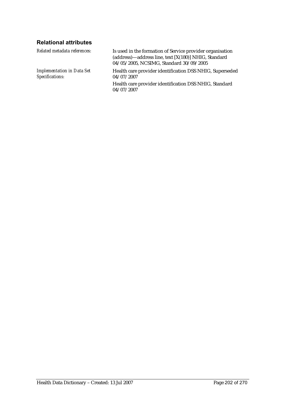### **Relational attributes**

| Related metadata references:                         | Is used in the formation of Service provider organisation<br>(address)—address line, text [X(180)] NHIG, Standard<br>04/05/2005, NCSIMG, Standard 30/09/2005 |
|------------------------------------------------------|--------------------------------------------------------------------------------------------------------------------------------------------------------------|
| <b>Implementation in Data Set</b><br>Specifications: | Health care provider identification DSS NHIG, Superseded<br>04/07/2007                                                                                       |
|                                                      | Health care provider identification DSS NHIG, Standard<br>04/07/2007                                                                                         |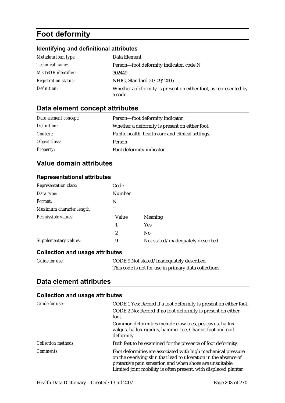# **Foot deformity**

### **Identifying and definitional attributes**

| Metadata item type:         | Data Element                                                                |
|-----------------------------|-----------------------------------------------------------------------------|
| Technical name:             | Person-foot deformity indicator, code N                                     |
| <b>METeOR</b> identifier:   | 302449                                                                      |
| <b>Registration status:</b> | NHIG, Standard 21/09/2005                                                   |
| Definition:                 | Whether a deformity is present on either foot, as represented by<br>a code. |

## **Data element concept attributes**

| Data element concept: | Person-foot deformity indicator                   |
|-----------------------|---------------------------------------------------|
| Definition:           | Whether a deformity is present on either foot.    |
| Context:              | Public health, health care and clinical settings. |
| Object class:         | <b>Person</b>                                     |
| <b>Property:</b>      | Foot deformity indicator                          |

### **Value domain attributes**

#### **Representational attributes**

| <b>Representation class:</b>           | Code          |                                   |
|----------------------------------------|---------------|-----------------------------------|
| Data type:                             | <b>Number</b> |                                   |
| Format:                                | N             |                                   |
| Maximum character length:              |               |                                   |
| Permissible values:                    | Value         | Meaning                           |
|                                        | 1             | <b>Yes</b>                        |
|                                        | 2             | N <sub>0</sub>                    |
| Supplementary values:                  | 9             | Not stated/inadequately described |
| <b>Collection and usage attributes</b> |               |                                   |

| <b>Guide for use:</b> | CODE 9 Not stated/inadequately described              |
|-----------------------|-------------------------------------------------------|
|                       | This code is not for use in primary data collections. |

### **Data element attributes**

| Guide for use:      | CODE 1 Yes: Record if a foot deformity is present on either foot.                                                                                                                                                                                               |
|---------------------|-----------------------------------------------------------------------------------------------------------------------------------------------------------------------------------------------------------------------------------------------------------------|
|                     | CODE 2 No: Record if no foot deformity is present on either<br>foot.                                                                                                                                                                                            |
|                     | Common deformities include claw toes, pes cavus, hallux<br>valgus, hallux rigidus, hammer toe, Charcot foot and nail<br>deformity.                                                                                                                              |
| Collection methods: | Both feet to be examined for the presence of foot deformity.                                                                                                                                                                                                    |
| Comments:           | Foot deformities are associated with high mechanical pressure<br>on the overlying skin that lead to ulceration in the absence of<br>protective pain sensation and when shoes are unsuitable.<br>Limited joint mobility is often present, with displaced plantar |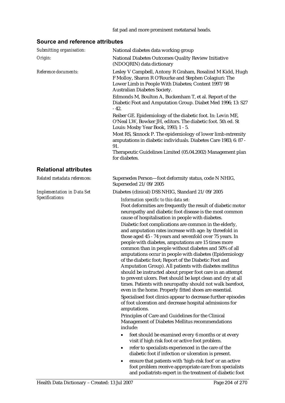| Submitting organisation:          | National diabetes data working group                                                                                                                                                                                                                                                                                                                                                                                                                                                                                                                                                                                                                                                                                                                                                                                                                                      |  |  |
|-----------------------------------|---------------------------------------------------------------------------------------------------------------------------------------------------------------------------------------------------------------------------------------------------------------------------------------------------------------------------------------------------------------------------------------------------------------------------------------------------------------------------------------------------------------------------------------------------------------------------------------------------------------------------------------------------------------------------------------------------------------------------------------------------------------------------------------------------------------------------------------------------------------------------|--|--|
| Origin:                           | National Diabetes Outcomes Quality Review Initiative<br>(NDOQRIN) data dictionary                                                                                                                                                                                                                                                                                                                                                                                                                                                                                                                                                                                                                                                                                                                                                                                         |  |  |
| Reference documents:              | Lesley V Campbell, Antony R Graham, Rosalind M Kidd, Hugh<br>F Molloy, Sharon R O'Rourke and Stephen Colagiuri: The<br>Lower Limb in People With Diabetes; Content 1997/98<br>Australian Diabetes Society.                                                                                                                                                                                                                                                                                                                                                                                                                                                                                                                                                                                                                                                                |  |  |
|                                   | Edmonds M, Boulton A, Buckenham T, et al. Report of the<br>Diabetic Foot and Amputation Group. Diabet Med 1996; 13: S27<br>$-42.$                                                                                                                                                                                                                                                                                                                                                                                                                                                                                                                                                                                                                                                                                                                                         |  |  |
|                                   | Reiber GE. Epidemiology of the diabetic foot. In: Levin ME,<br>O'Neal LW, Bowker JH, editors. The diabetic foot. 5th ed. St<br>Louis: Mosby Year Book, 1993; 1 - 5.                                                                                                                                                                                                                                                                                                                                                                                                                                                                                                                                                                                                                                                                                                       |  |  |
|                                   | Most RS, Sinnock P. The epidemiology of lower limb extremity<br>amputations in diabetic individuals. Diabetes Care 1983; 6: 87 -<br>91.                                                                                                                                                                                                                                                                                                                                                                                                                                                                                                                                                                                                                                                                                                                                   |  |  |
|                                   | Therapeutic Guidelines Limited (05.04.2002) Management plan<br>for diabetes.                                                                                                                                                                                                                                                                                                                                                                                                                                                                                                                                                                                                                                                                                                                                                                                              |  |  |
| <b>Relational attributes</b>      |                                                                                                                                                                                                                                                                                                                                                                                                                                                                                                                                                                                                                                                                                                                                                                                                                                                                           |  |  |
| Related metadata references:      | Supersedes Person-foot deformity status, code N NHIG,<br>Superseded 21/09/2005                                                                                                                                                                                                                                                                                                                                                                                                                                                                                                                                                                                                                                                                                                                                                                                            |  |  |
| <b>Implementation in Data Set</b> | Diabetes (clinical) DSS NHIG, Standard 21/09/2005                                                                                                                                                                                                                                                                                                                                                                                                                                                                                                                                                                                                                                                                                                                                                                                                                         |  |  |
| Specifications:                   | Information specific to this data set:<br>Foot deformities are frequently the result of diabetic motor<br>neuropathy and diabetic foot disease is the most common<br>cause of hospitalisation in people with diabetes.                                                                                                                                                                                                                                                                                                                                                                                                                                                                                                                                                                                                                                                    |  |  |
|                                   | Diabetic foot complications are common in the elderly,<br>and amputation rates increase with age: by threefold in<br>those aged 45 - 74 years and sevenfold over 75 years. In<br>people with diabetes, amputations are 15 times more<br>common than in people without diabetes and 50% of all<br>amputations occur in people with diabetes (Epidemiology<br>of the diabetic foot; Report of the Diabetic Foot and<br>Amputation Group). All patients with diabetes mellitus<br>should be instructed about proper foot care in an attempt<br>to prevent ulcers. Feet should be kept clean and dry at all<br>times. Patients with neuropathy should not walk barefoot,<br>even in the home. Properly fitted shoes are essential.<br>Specialised foot clinics appear to decrease further episodes<br>of foot ulceration and decrease hospital admissions for<br>amputations. |  |  |
|                                   | Principles of Care and Guidelines for the Clinical<br>Management of Diabetes Mellitus recommendations<br>include:                                                                                                                                                                                                                                                                                                                                                                                                                                                                                                                                                                                                                                                                                                                                                         |  |  |
|                                   | feet should be examined every 6 months or at every<br>visit if high risk foot or active foot problem.                                                                                                                                                                                                                                                                                                                                                                                                                                                                                                                                                                                                                                                                                                                                                                     |  |  |
|                                   | refer to specialists experienced in the care of the<br>$\bullet$<br>diabetic foot if infection or ulceration is present.                                                                                                                                                                                                                                                                                                                                                                                                                                                                                                                                                                                                                                                                                                                                                  |  |  |
|                                   | ensure that patients with 'high-risk foot' or an active<br>٠<br>foot problem receive appropriate care from specialists<br>and podiatrists expert in the treatment of diabetic foot                                                                                                                                                                                                                                                                                                                                                                                                                                                                                                                                                                                                                                                                                        |  |  |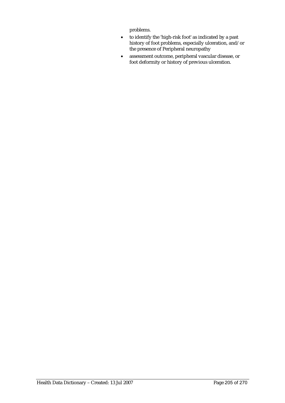problems.

- to identify the 'high-risk foot' as indicated by a past history of foot problems, especially ulceration, and/or the presence of Peripheral neuropathy
- assessment outcome, peripheral vascular disease, or foot deformity or history of previous ulceration.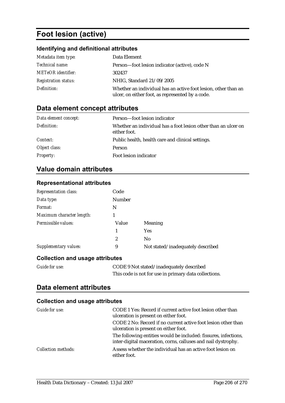# **Foot lesion (active)**

### **Identifying and definitional attributes**

| Metadata item type:         | Data Element                                                                                                       |
|-----------------------------|--------------------------------------------------------------------------------------------------------------------|
| <i>Technical name:</i>      | Person—foot lesion indicator (active), code N                                                                      |
| <b>METeOR</b> identifier:   | 302437                                                                                                             |
| <b>Registration status:</b> | NHIG, Standard 21/09/2005                                                                                          |
| Definition:                 | Whether an individual has an active foot lesion, other than an<br>ulcer, on either foot, as represented by a code. |

## **Data element concept attributes**

| Data element concept: | Person—foot lesion indicator                                                   |
|-----------------------|--------------------------------------------------------------------------------|
| Definition:           | Whether an individual has a foot lesion other than an ulcer on<br>either foot. |
| Context:              | Public health, health care and clinical settings.                              |
| Object class:         | <b>Person</b>                                                                  |
| <b>Property:</b>      | Foot lesion indicator                                                          |

### **Value domain attributes**

#### **Representational attributes**

| <b>Representation class:</b> | Code   |                                   |
|------------------------------|--------|-----------------------------------|
| Data type:                   | Number |                                   |
| Format:                      | N      |                                   |
| Maximum character length:    |        |                                   |
| Permissible values:          | Value  | Meaning                           |
|                              |        | <b>Yes</b>                        |
|                              | 2      | N <sub>0</sub>                    |
| Supplementary values:        | 9      | Not stated/inadequately described |

#### **Collection and usage attributes**

| <b>Guide for use:</b> | CODE 9 Not stated/inadequately described              |
|-----------------------|-------------------------------------------------------|
|                       | This code is not for use in primary data collections. |

### **Data element attributes**

| Guide for use:             | CODE 1 Yes: Record if current active foot lesion other than<br>ulceration is present on either foot.<br>CODE 2 No: Record if no current active foot lesion other than<br>ulceration is present on either foot. |
|----------------------------|----------------------------------------------------------------------------------------------------------------------------------------------------------------------------------------------------------------|
|                            | The following entities would be included: fissures, infections,<br>inter-digital maceration, corns, calluses and nail dystrophy.                                                                               |
| <b>Collection methods:</b> | Assess whether the individual has an active foot lesion on<br>either foot.                                                                                                                                     |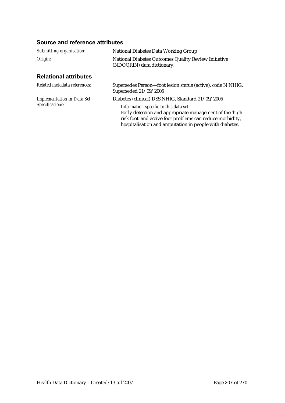| Submitting organisation:          | <b>National Diabetes Data Working Group</b>                                                                                                                                                                               |
|-----------------------------------|---------------------------------------------------------------------------------------------------------------------------------------------------------------------------------------------------------------------------|
| Origin:                           | National Diabetes Outcomes Quality Review Initiative<br>(NDOQRIN) data dictionary.                                                                                                                                        |
| <b>Relational attributes</b>      |                                                                                                                                                                                                                           |
| Related metadata references:      | Supersedes Person—foot lesion status (active), code N NHIG,<br>Superseded 21/09/2005                                                                                                                                      |
| <b>Implementation in Data Set</b> | Diabetes (clinical) DSS NHIG, Standard 21/09/2005                                                                                                                                                                         |
| Specifications:                   | Information specific to this data set:<br>Early detection and appropriate management of the 'high<br>risk foot' and active foot problems can reduce morbidity,<br>hospitalisation and amputation in people with diabetes. |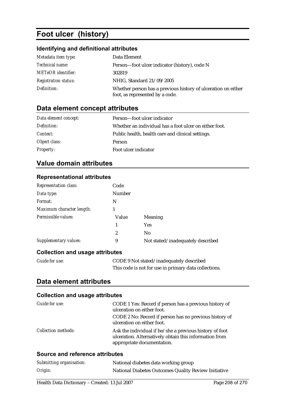# **Foot ulcer (history)**

### **Identifying and definitional attributes**

| Metadata item type:         | Data Element                                                                                     |
|-----------------------------|--------------------------------------------------------------------------------------------------|
| <i>Technical name:</i>      | Person-foot ulcer indicator (history), code N                                                    |
| <b>METeOR</b> identifier:   | 302819                                                                                           |
| <b>Registration status:</b> | NHIG, Standard 21/09/2005                                                                        |
| Definition:                 | Whether person has a previous history of ulceration on either<br>foot, as represented by a code. |

### **Data element concept attributes**

| Data element concept: | Person—foot ulcer indicator                            |
|-----------------------|--------------------------------------------------------|
| Definition:           | Whether an individual has a foot ulcer on either foot. |
| <i>Context:</i>       | Public health, health care and clinical settings.      |
| Object class:         | Person                                                 |
| <b>Property:</b>      | Foot ulcer indicator                                   |

### **Value domain attributes**

#### **Representational attributes**

| <b>Representation class:</b>           | Code          |                                   |
|----------------------------------------|---------------|-----------------------------------|
| Data type:                             | <b>Number</b> |                                   |
| Format:                                | N             |                                   |
| Maximum character length:              |               |                                   |
| Permissible values:                    | Value         | Meaning                           |
|                                        |               | <b>Yes</b>                        |
|                                        | 2             | N <sub>0</sub>                    |
| Supplementary values:                  | 9             | Not stated/inadequately described |
| <b>Collection and usage attributes</b> |               |                                   |

| <b>Guide for use:</b> | CODE 9 Not stated/inadequately described              |
|-----------------------|-------------------------------------------------------|
|                       | This code is not for use in primary data collections. |

### **Data element attributes**

#### **Collection and usage attributes**

| Guide for use:             | CODE 1 Yes: Record if person has a previous history of<br>ulceration on either foot.                                                            |
|----------------------------|-------------------------------------------------------------------------------------------------------------------------------------------------|
|                            | CODE 2 No: Record if person has no previous history of<br>ulceration on either foot.                                                            |
| <b>Collection methods:</b> | Ask the individual if he/she a previous history of foot<br>ulceration. Alternatively obtain this information from<br>appropriate documentation. |

| Submitting organisation: | National diabetes data working group                 |
|--------------------------|------------------------------------------------------|
| Origin:                  | National Diabetes Outcomes Quality Review Initiative |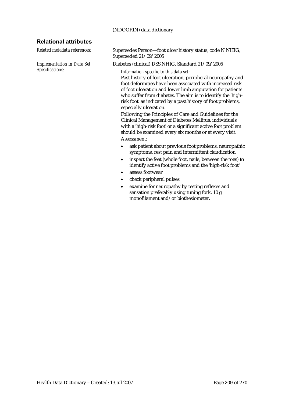#### (NDOQRIN) data dictionary

#### **Relational attributes**

*Implementation in Data Set Specifications:*

*Related metadata references:* Supersedes Person—foot ulcer history status, code N NHIG, Superseded 21/09/2005

Diabetes (clinical) DSS NHIG, Standard 21/09/2005

*Information specific to this data set:*

Past history of foot ulceration, peripheral neuropathy and foot deformities have been associated with increased risk of foot ulceration and lower limb amputation for patients who suffer from diabetes. The aim is to identify the 'highrisk foot' as indicated by a past history of foot problems, especially ulceration.

Following the Principles of Care and Guidelines for the Clinical Management of Diabetes Mellitus, individuals with a 'high-risk foot' or a significant active foot problem should be examined every six months or at every visit. Assessment:

- ask patient about previous foot problems, neuropathic symptoms, rest pain and intermittent claudication
- inspect the feet (whole foot, nails, between the toes) to identify active foot problems and the 'high-risk foot'
- assess footwear
- check peripheral pulses
- examine for neuropathy by testing reflexes and sensation preferably using tuning fork, 10 g monofilament and/or biothesiometer.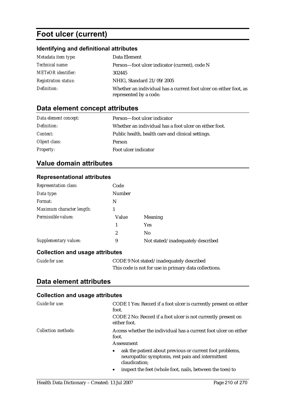# **Foot ulcer (current)**

### **Identifying and definitional attributes**

| Metadata item type:         | Data Element                                                                                |
|-----------------------------|---------------------------------------------------------------------------------------------|
| <i>Technical name:</i>      | Person-foot ulcer indicator (current), code N                                               |
| <b>METeOR</b> identifier:   | 302445                                                                                      |
| <b>Registration status:</b> | NHIG, Standard 21/09/2005                                                                   |
| Definition:                 | Whether an individual has a current foot ulcer on either foot, as<br>represented by a code. |

## **Data element concept attributes**

| Data element concept: | Person—foot ulcer indicator                            |
|-----------------------|--------------------------------------------------------|
| Definition:           | Whether an individual has a foot ulcer on either foot. |
| <i>Context:</i>       | Public health, health care and clinical settings.      |
| Object class:         | <b>Person</b>                                          |
| <b>Property:</b>      | Foot ulcer indicator                                   |

### **Value domain attributes**

#### **Representational attributes**

| <b>Representation class:</b>           | Code          |                                   |
|----------------------------------------|---------------|-----------------------------------|
| Data type:                             | <b>Number</b> |                                   |
| Format:                                | N             |                                   |
| Maximum character length:              | 1             |                                   |
| Permissible values:                    | Value         | Meaning                           |
|                                        | 1             | <b>Yes</b>                        |
|                                        | 2             | No                                |
| Supplementary values:                  | 9             | Not stated/inadequately described |
| <b>Collection and usage attributes</b> |               |                                   |

| Guide for use: | CODE 9 Not stated/inadequately described              |  |
|----------------|-------------------------------------------------------|--|
|                | This code is not for use in primary data collections. |  |

### **Data element attributes**

| Guide for use:             | CODE 1 Yes: Record if a foot ulcer is currently present on either<br>foot.<br>CODE 2 No: Record if a foot ulcer is not currently present on<br>either foot.                                                          |
|----------------------------|----------------------------------------------------------------------------------------------------------------------------------------------------------------------------------------------------------------------|
| <i>Collection methods:</i> | Access whether the individual has a current foot ulcer on either<br>foot.                                                                                                                                            |
|                            | Assessment                                                                                                                                                                                                           |
|                            | ask the patient about previous or current foot problems,<br>$\bullet$<br>neuropathic symptoms, rest pain and intermittent<br>claudication;<br>inspect the feet (whole foot, nails, between the toes) to<br>$\bullet$ |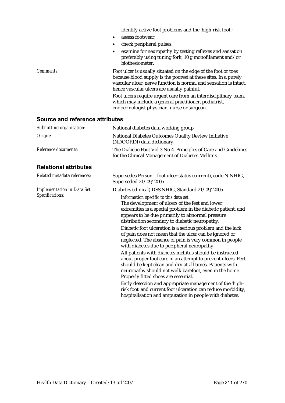|           | identify active foot problems and the 'high-risk foot';                                                                                                                                                                                              |
|-----------|------------------------------------------------------------------------------------------------------------------------------------------------------------------------------------------------------------------------------------------------------|
|           | assess footwear:<br>$\bullet$                                                                                                                                                                                                                        |
|           | check peripheral pulses;                                                                                                                                                                                                                             |
|           | examine for neuropathy by testing reflexes and sensation<br>٠<br>preferably using tuning fork, 10 g monofilament and/or<br>biothesiometer.                                                                                                           |
| Comments: | Foot ulcer is usually situated on the edge of the foot or toes<br>because blood supply is the poorest at these sites. In a purely<br>vascular ulcer, nerve function is normal and sensation is intact,<br>hence vascular ulcers are usually painful. |
|           | Foot ulcers require urgent care from an interdisciplinary team,<br>which may include a general practitioner, podiatrist,<br>endocrinologist physician, nurse or surgeon.                                                                             |
|           |                                                                                                                                                                                                                                                      |

| Submitting organisation:          | National diabetes data working group                                                                                                                                                                                                                                                                                                                                                                                                                                                                                                                                                                                                                                                                                                                                                                                                                                                                                                                                                |  |
|-----------------------------------|-------------------------------------------------------------------------------------------------------------------------------------------------------------------------------------------------------------------------------------------------------------------------------------------------------------------------------------------------------------------------------------------------------------------------------------------------------------------------------------------------------------------------------------------------------------------------------------------------------------------------------------------------------------------------------------------------------------------------------------------------------------------------------------------------------------------------------------------------------------------------------------------------------------------------------------------------------------------------------------|--|
| Origin:                           | National Diabetes Outcomes Quality Review Initiative<br>(NDOQRIN) data dictionary.                                                                                                                                                                                                                                                                                                                                                                                                                                                                                                                                                                                                                                                                                                                                                                                                                                                                                                  |  |
| Reference documents:              | The Diabetic Foot Vol 3 No 4. Principles of Care and Guidelines<br>for the Clinical Management of Diabetes Mellitus.                                                                                                                                                                                                                                                                                                                                                                                                                                                                                                                                                                                                                                                                                                                                                                                                                                                                |  |
| <b>Relational attributes</b>      |                                                                                                                                                                                                                                                                                                                                                                                                                                                                                                                                                                                                                                                                                                                                                                                                                                                                                                                                                                                     |  |
| Related metadata references:      | Supersedes Person-foot ulcer status (current), code N NHIG,<br>Superseded 21/09/2005                                                                                                                                                                                                                                                                                                                                                                                                                                                                                                                                                                                                                                                                                                                                                                                                                                                                                                |  |
| <b>Implementation in Data Set</b> | Diabetes (clinical) DSS NHIG, Standard 21/09/2005                                                                                                                                                                                                                                                                                                                                                                                                                                                                                                                                                                                                                                                                                                                                                                                                                                                                                                                                   |  |
| Specifications:                   | Information specific to this data set:<br>The development of ulcers of the feet and lower<br>extremities is a special problem in the diabetic patient, and<br>appears to be due primarily to abnormal pressure<br>distribution secondary to diabetic neuropathy.<br>Diabetic foot ulceration is a serious problem and the lack<br>of pain does not mean that the ulcer can be ignored or<br>neglected. The absence of pain is very common in people<br>with diabetes due to peripheral neuropathy.<br>All patients with diabetes mellitus should be instructed<br>about proper foot care in an attempt to prevent ulcers. Feet<br>should be kept clean and dry at all times. Patients with<br>neuropathy should not walk barefoot, even in the home.<br>Properly fitted shoes are essential.<br>Early detection and appropriate management of the 'high-<br>risk foot' and current foot ulceration can reduce morbidity,<br>hospitalisation and amputation in people with diabetes. |  |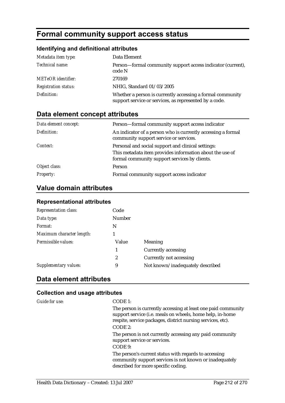# **Formal community support access status**

#### **Identifying and definitional attributes**

| Metadata item type:         | Data Element                                                                                                         |
|-----------------------------|----------------------------------------------------------------------------------------------------------------------|
| Technical name:             | Person—formal community support access indicator (current),<br>code N                                                |
| <b>METeOR</b> identifier:   | 270169                                                                                                               |
| <b>Registration status:</b> | NHIG, Standard 01/03/2005                                                                                            |
| Definition:                 | Whether a person is currently accessing a formal community<br>support service or services, as represented by a code. |

### **Data element concept attributes**

| Data element concept: | Person—formal community support access indicator                                                          |
|-----------------------|-----------------------------------------------------------------------------------------------------------|
| Definition:           | An indicator of a person who is currently accessing a formal<br>community support service or services.    |
| Context:              | Personal and social support and clinical settings:                                                        |
|                       | This metadata item provides information about the use of<br>formal community support services by clients. |
| Object class:         | Person                                                                                                    |
| <b>Property:</b>      | Formal community support access indicator                                                                 |

### **Value domain attributes**

| <b>Representation class:</b> | Code             |                                  |
|------------------------------|------------------|----------------------------------|
| Data type:                   | <b>Number</b>    |                                  |
| Format:                      | N                |                                  |
| Maximum character length:    |                  |                                  |
| Permissible values:          | Value            | Meaning                          |
|                              | 1                | <b>Currently accessing</b>       |
|                              | $\boldsymbol{2}$ | Currently not accessing          |
| Supplementary values:        | 9                | Not known/inadequately described |

#### **Representational attributes**

### **Data element attributes**

#### **Collection and usage attributes**

*Guide for use:* CODE 1:

The person is currently accessing at least one paid community support service (i.e. meals on wheels, home help, in-home respite, service packages, district nursing services, etc). CODE 2:

The person is not currently accessing any paid community support service or services.

#### CODE 9:

The person's current status with regards to accessing community support services is not known or inadequately described for more specific coding.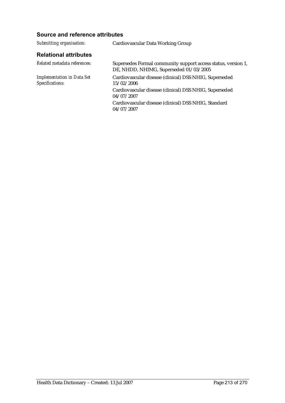| Cardiovascular Data Working Group                                                                       |
|---------------------------------------------------------------------------------------------------------|
|                                                                                                         |
| Supersedes Formal community support access status, version 1,<br>DE, NHDD, NHIMG, Superseded 01/03/2005 |
| Cardiovascular disease (clinical) DSS NHIG, Superseded<br>15/02/2006                                    |
| Cardiovascular disease (clinical) DSS NHIG, Superseded<br>04/07/2007                                    |
| Cardiovascular disease (clinical) DSS NHIG, Standard<br>04/07/2007                                      |
|                                                                                                         |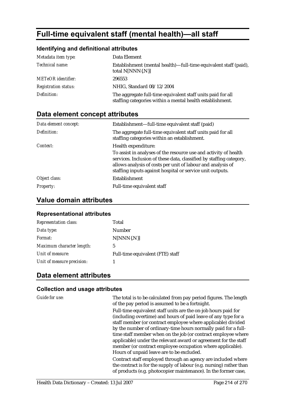# **Full-time equivalent staff (mental health)—all staff**

### **Identifying and definitional attributes**

| Metadata item type:         | Data Element                                                                                                             |
|-----------------------------|--------------------------------------------------------------------------------------------------------------------------|
| Technical name:             | Establishment (mental health)—full-time equivalent staff (paid),<br>total N[NNN{.N}]                                     |
| <b>METeOR</b> identifier:   | 296553                                                                                                                   |
| <b>Registration status:</b> | NHIG, Standard 08/12/2004                                                                                                |
| Definition:                 | The aggregate full-time equivalent staff units paid for all<br>staffing categories within a mental health establishment. |

### **Data element concept attributes**

| Data element concept: | Establishment—full-time equivalent staff (paid)                                                                                                                                                                                                                     |
|-----------------------|---------------------------------------------------------------------------------------------------------------------------------------------------------------------------------------------------------------------------------------------------------------------|
| Definition:           | The aggregate full-time equivalent staff units paid for all<br>staffing categories within an establishment.                                                                                                                                                         |
| Context:              | Health expenditure:                                                                                                                                                                                                                                                 |
|                       | To assist in analyses of the resource use and activity of health<br>services. Inclusion of these data, classified by staffing category,<br>allows analysis of costs per unit of labour and analysis of<br>staffing inputs against hospital or service unit outputs. |
| Object class:         | Establishment                                                                                                                                                                                                                                                       |
| <b>Property:</b>      | Full-time equivalent staff                                                                                                                                                                                                                                          |

### **Value domain attributes**

#### **Representational attributes**

| <b>Representation class:</b> | Total                            |
|------------------------------|----------------------------------|
| Data type:                   | Number                           |
| Format:                      | $N[NNN\{N\}]$                    |
| Maximum character length:    | 5                                |
| Unit of measure:             | Full-time equivalent (FTE) staff |
| Unit of measure precision:   |                                  |

### **Data element attributes**

| Guide for use: | The total is to be calculated from pay period figures. The length<br>of the pay period is assumed to be a fortnight.                                                                                                                                                                                                                                                                                                                                                                                              |
|----------------|-------------------------------------------------------------------------------------------------------------------------------------------------------------------------------------------------------------------------------------------------------------------------------------------------------------------------------------------------------------------------------------------------------------------------------------------------------------------------------------------------------------------|
|                | Full-time equivalent staff units are the on-job hours paid for<br>(including overtime) and hours of paid leave of any type for a<br>staff member (or contract employee where applicable) divided<br>by the number of ordinary-time hours normally paid for a full-<br>time staff member when on the job (or contract employee where<br>applicable) under the relevant award or agreement for the staff<br>member (or contract employee occupation where applicable).<br>Hours of unpaid leave are to be excluded. |
|                | Contract staff employed through an agency are included where<br>the contract is for the supply of labour (e.g. nursing) rather than<br>of products (e.g. photocopier maintenance). In the former case,                                                                                                                                                                                                                                                                                                            |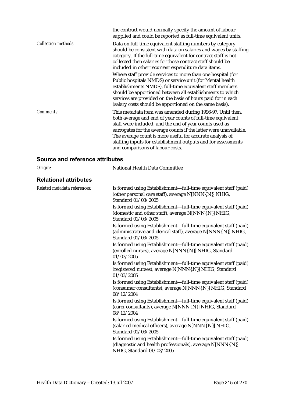|                            | the contract would normally specify the amount of labour<br>supplied and could be reported as full-time equivalent units.                                                                                                                                                                                                                                                                                                   |
|----------------------------|-----------------------------------------------------------------------------------------------------------------------------------------------------------------------------------------------------------------------------------------------------------------------------------------------------------------------------------------------------------------------------------------------------------------------------|
| <b>Collection methods:</b> | Data on full-time equivalent staffing numbers by category<br>should be consistent with data on salaries and wages by staffing<br>category. If the full-time equivalent for contract staff is not<br>collected then salaries for those contract staff should be<br>included in other recurrent expenditure data items.                                                                                                       |
|                            | Where staff provide services to more than one hospital (for<br>Public hospitals NMDS) or service unit (for Mental health<br>establishments NMDS), full-time equivalent staff members<br>should be apportioned between all establishments to which<br>services are provided on the basis of hours paid for in each<br>(salary costs should be apportioned on the same basis).                                                |
| Comments:                  | This metadata item was amended during 1996-97. Until then,<br>both average and end of year counts of full-time equivalent<br>staff were included, and the end of year counts used as<br>surrogates for the average counts if the latter were unavailable.<br>The average count is more useful for accurate analysis of<br>staffing inputs for establishment outputs and for assessments<br>and comparisons of labour costs. |

| Origin:                      | National Health Data Committee                                                                                                                            |
|------------------------------|-----------------------------------------------------------------------------------------------------------------------------------------------------------|
| <b>Relational attributes</b> |                                                                                                                                                           |
| Related metadata references: | Is formed using Establishment—full-time equivalent staff (paid)<br>(other personal care staff), average N[NNN{.N}] NHIG,<br>Standard 01/03/2005           |
|                              | Is formed using Establishment—full-time equivalent staff (paid)<br>(domestic and other staff), average N[NNN{.N}] NHIG,<br>Standard 01/03/2005            |
|                              | Is formed using Establishment—full-time equivalent staff (paid)<br>(administrative and clerical staff), average N[NNN{.N}] NHIG,<br>Standard 01/03/2005   |
|                              | Is formed using Establishment—full-time equivalent staff (paid)<br>(enrolled nurses), average N[NNN{.N}] NHIG, Standard<br>01/03/2005                     |
|                              | Is formed using Establishment—full-time equivalent staff (paid)<br>(registered nurses), average N[NNN{.N}] NHIG, Standard<br>01/03/2005                   |
|                              | Is formed using Establishment—full-time equivalent staff (paid)<br>(consumer consultants), average N[NNN{.N}] NHIG, Standard<br>08/12/2004                |
|                              | Is formed using Establishment—full-time equivalent staff (paid)<br>(carer consultants), average N[NNN{.N}] NHIG, Standard<br>08/12/2004                   |
|                              | Is formed using Establishment—full-time equivalent staff (paid)<br>(salaried medical officers), average N[NNN{.N}] NHIG,<br>Standard 01/03/2005           |
|                              | Is formed using Establishment—full-time equivalent staff (paid)<br>(diagnostic and health professionals), average N[NNN{.N}]<br>NHIG, Standard 01/03/2005 |
|                              |                                                                                                                                                           |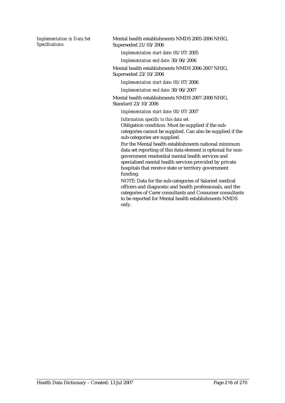*Implementation in Data Set Specifications:*

Mental health establishments NMDS 2005-2006 NHIG, Superseded 21/03/2006

*Implementation start date:* 01/07/2005

*Implementation end date:* 30/06/2006

Mental health establishments NMDS 2006-2007 NHIG, Superseded 23/10/2006

*Implementation start date:* 01/07/2006

*Implementation end date:* 30/06/2007

Mental health establishments NMDS 2007-2008 NHIG, Standard 23/10/2006

*Implementation start date:* 01/07/2007

*Information specific to this data set:*

Obligation condition: Must be supplied if the subcategories cannot be supplied. Can also be supplied if the sub-categories are supplied.

For the Mental health establishments national minimum data set reporting of this data element is optional for nongovernment residential mental health services and specialised mental health services provided by private hospitals that receive state or territory government funding.

NOTE: Data for the sub-categories of Salaried medical officers and diagnostic and health professionals, and the categories of Carer consultants and Consumer consultants to be reported for Mental health establishments NMDS only.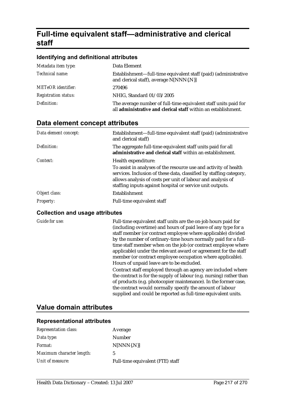# **Full-time equivalent staff—administrative and clerical staff**

#### **Identifying and definitional attributes**

| Metadata item type:         | Data Element                                                                                                                      |
|-----------------------------|-----------------------------------------------------------------------------------------------------------------------------------|
| Technical name:             | Establishment—full-time equivalent staff (paid) (administrative<br>and clerical staff), average N[NNN{.N}]                        |
| <b>METeOR</b> identifier:   | 270496                                                                                                                            |
| <b>Registration status:</b> | NHIG, Standard 01/03/2005                                                                                                         |
| Definition:                 | The average number of full-time equivalent staff units paid for<br>all administrative and clerical staff within an establishment. |

## **Data element concept attributes**

| Data element concept: | Establishment—full-time equivalent staff (paid) (administrative<br>and clerical staff)                                                                                                                                                                              |
|-----------------------|---------------------------------------------------------------------------------------------------------------------------------------------------------------------------------------------------------------------------------------------------------------------|
| Definition:           | The aggregate full-time equivalent staff units paid for all<br>administrative and clerical staff within an establishment.                                                                                                                                           |
| Context:              | Health expenditure:                                                                                                                                                                                                                                                 |
|                       | To assist in analyses of the resource use and activity of health<br>services. Inclusion of these data, classified by staffing category,<br>allows analysis of costs per unit of labour and analysis of<br>staffing inputs against hospital or service unit outputs. |
| Object class:         | Establishment                                                                                                                                                                                                                                                       |
| <b>Property:</b>      | Full-time equivalent staff                                                                                                                                                                                                                                          |

#### **Collection and usage attributes**

*Guide for use:* Full-time equivalent staff units are the on-job hours paid for (including overtime) and hours of paid leave of any type for a staff member (or contract employee where applicable) divided by the number of ordinary-time hours normally paid for a fulltime staff member when on the job (or contract employee where applicable) under the relevant award or agreement for the staff member (or contract employee occupation where applicable). Hours of unpaid leave are to be excluded.

> Contract staff employed through an agency are included where the contract is for the supply of labour (e.g. nursing) rather than of products (e.g. photocopier maintenance). In the former case, the contract would normally specify the amount of labour supplied and could be reported as full-time equivalent units.

### **Value domain attributes**

| Unit of measure:             | Full-time equivalent (FTE) staff |
|------------------------------|----------------------------------|
| Maximum character length:    | 5                                |
| <i>Format:</i>               | $N[NNN\{N\}]$                    |
| Data type:                   | Number                           |
| <b>Representation class:</b> | Average                          |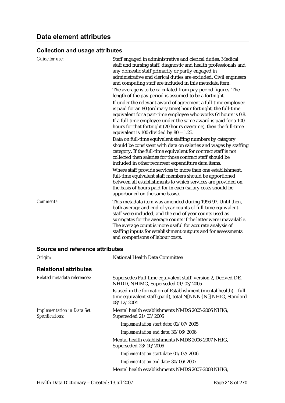| <b>Guide for use:</b>                  | Staff engaged in administrative and clerical duties. Medical<br>staff and nursing staff, diagnostic and health professionals and<br>any domestic staff primarily or partly engaged in<br>administrative and clerical duties are excluded. Civil engineers<br>and computing staff are included in this metadata item.<br>The average is to be calculated from pay period figures. The<br>length of the pay period is assumed to be a fortnight.<br>If under the relevant award of agreement a full-time employee<br>is paid for an 80 (ordinary time) hour fortnight, the full-time<br>equivalent for a part-time employee who works 64 hours is 0.8.<br>If a full-time employee under the same award is paid for a 100<br>hours for that fortnight (20 hours overtime), then the full-time<br>equivalent is 100 divided by $80 = 1.25$ .<br>Data on full-time equivalent staffing numbers by category<br>should be consistent with data on salaries and wages by staffing<br>category. If the full-time equivalent for contract staff is not<br>collected then salaries for those contract staff should be<br>included in other recurrent expenditure data items. |
|----------------------------------------|-------------------------------------------------------------------------------------------------------------------------------------------------------------------------------------------------------------------------------------------------------------------------------------------------------------------------------------------------------------------------------------------------------------------------------------------------------------------------------------------------------------------------------------------------------------------------------------------------------------------------------------------------------------------------------------------------------------------------------------------------------------------------------------------------------------------------------------------------------------------------------------------------------------------------------------------------------------------------------------------------------------------------------------------------------------------------------------------------------------------------------------------------------------------|
|                                        | Where staff provide services to more than one establishment,<br>full-time equivalent staff members should be apportioned<br>between all establishments to which services are provided on<br>the basis of hours paid for in each (salary costs should be<br>apportioned on the same basis).                                                                                                                                                                                                                                                                                                                                                                                                                                                                                                                                                                                                                                                                                                                                                                                                                                                                        |
| Comments:                              | This metadata item was amended during 1996-97. Until then,<br>both average and end of year counts of full-time equivalent<br>staff were included, and the end of year counts used as<br>surrogates for the average counts if the latter were unavailable.<br>The average count is more useful for accurate analysis of<br>staffing inputs for establishment outputs and for assessments<br>and comparisons of labour costs.                                                                                                                                                                                                                                                                                                                                                                                                                                                                                                                                                                                                                                                                                                                                       |
| <b>Source and reference attributes</b> |                                                                                                                                                                                                                                                                                                                                                                                                                                                                                                                                                                                                                                                                                                                                                                                                                                                                                                                                                                                                                                                                                                                                                                   |

| Origin:                                              | National Health Data Committee                                                                                                                 |  |  |  |
|------------------------------------------------------|------------------------------------------------------------------------------------------------------------------------------------------------|--|--|--|
| <b>Relational attributes</b>                         |                                                                                                                                                |  |  |  |
| Related metadata references:                         | Supersedes Full-time equivalent staff, version 2, Derived DE,<br>NHDD, NHIMG, Superseded 01/03/2005                                            |  |  |  |
|                                                      | Is used in the formation of Establishment (mental health)—full-<br>time equivalent staff (paid), total N[NNN{.N}] NHIG, Standard<br>08/12/2004 |  |  |  |
| <b>Implementation in Data Set</b><br>Specifications: | Mental health establishments NMDS 2005-2006 NHIG,<br>Superseded 21/03/2006                                                                     |  |  |  |
|                                                      | Implementation start date: 01/07/2005                                                                                                          |  |  |  |
|                                                      | Implementation end date: 30/06/2006                                                                                                            |  |  |  |
|                                                      | Mental health establishments NMDS 2006-2007 NHIG,<br>Superseded 23/10/2006                                                                     |  |  |  |
|                                                      | Implementation start date: 01/07/2006                                                                                                          |  |  |  |
|                                                      | Implementation end date: 30/06/2007                                                                                                            |  |  |  |
|                                                      | Mental health establishments NMDS 2007-2008 NHIG,                                                                                              |  |  |  |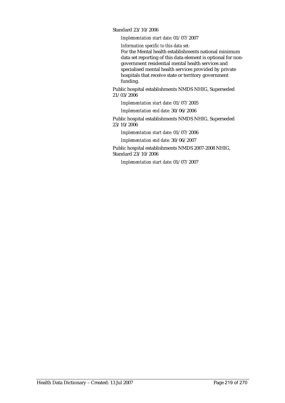Standard 23/10/2006

*Implementation start date:* 01/07/2007

*Information specific to this data set:*

For the Mental health establishments national minimum data set reporting of this data element is optional for nongovernment residential mental health services and specialised mental health services provided by private hospitals that receive state or territory government funding.

Public hospital establishments NMDS NHIG, Superseded 21/03/2006

*Implementation start date:* 01/07/2005

*Implementation end date:* 30/06/2006

Public hospital establishments NMDS NHIG, Superseded 23/10/2006

*Implementation start date:* 01/07/2006

*Implementation end date:* 30/06/2007

Public hospital establishments NMDS 2007-2008 NHIG, Standard 23/10/2006

*Implementation start date:* 01/07/2007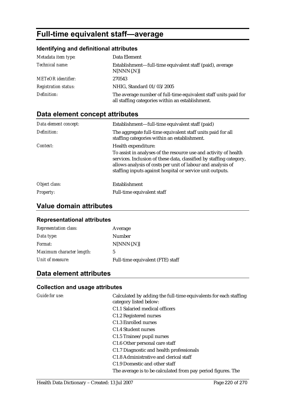# **Full-time equivalent staff—average**

## **Identifying and definitional attributes**

| Metadata item type:         | Data Element                                                                                                        |
|-----------------------------|---------------------------------------------------------------------------------------------------------------------|
| Technical name:             | Establishment—full-time equivalent staff (paid), average<br>$N[NNN\{N\}]$                                           |
| <b>METeOR</b> identifier:   | 270543                                                                                                              |
| <b>Registration status:</b> | NHIG, Standard 01/03/2005                                                                                           |
| Definition:                 | The average number of full-time equivalent staff units paid for<br>all staffing categories within an establishment. |

# **Data element concept attributes**

| Data element concept: | Establishment—full-time equivalent staff (paid)                                                                                                                                                                                                                     |  |  |  |  |
|-----------------------|---------------------------------------------------------------------------------------------------------------------------------------------------------------------------------------------------------------------------------------------------------------------|--|--|--|--|
| Definition:           | The aggregate full-time equivalent staff units paid for all<br>staffing categories within an establishment.                                                                                                                                                         |  |  |  |  |
| Context:              | Health expenditure:                                                                                                                                                                                                                                                 |  |  |  |  |
|                       | To assist in analyses of the resource use and activity of health<br>services. Inclusion of these data, classified by staffing category,<br>allows analysis of costs per unit of labour and analysis of<br>staffing inputs against hospital or service unit outputs. |  |  |  |  |
| Object class:         | Establishment                                                                                                                                                                                                                                                       |  |  |  |  |
| <b>Property:</b>      | Full-time equivalent staff                                                                                                                                                                                                                                          |  |  |  |  |

# **Value domain attributes**

### **Representational attributes**

| <b>Representation class:</b> | Average                          |
|------------------------------|----------------------------------|
| Data type:                   | Number                           |
| <i>Format:</i>               | $N[NNN\{N\}]$                    |
| Maximum character length:    | 5                                |
| Unit of measure:             | Full-time equivalent (FTE) staff |

# **Data element attributes**

## **Collection and usage attributes**

| <b>Guide for use:</b> | Calculated by adding the full-time equivalents for each staffing<br>category listed below: |
|-----------------------|--------------------------------------------------------------------------------------------|
|                       | C1.1 Salaried medical officers                                                             |
|                       | C1.2 Registered nurses                                                                     |
|                       | C <sub>1.3</sub> Enrolled nurses                                                           |
|                       | C <sub>1.4</sub> Student nurses                                                            |
|                       | C1.5 Trainee/pupil nurses                                                                  |
|                       | C1.6 Other personal care staff                                                             |
|                       | C1.7 Diagnostic and health professionals                                                   |
|                       | C1.8 Administrative and clerical staff                                                     |
|                       | C <sub>1.9</sub> Domestic and other staff                                                  |
|                       | The average is to be calculated from pay period figures. The                               |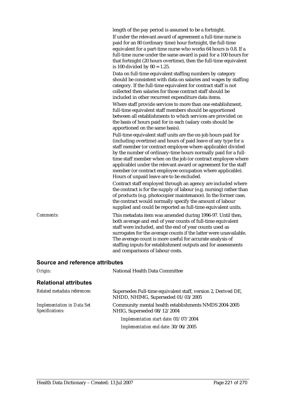|  |  |  |  | length of the pay period is assumed to be a fortnight. |
|--|--|--|--|--------------------------------------------------------|
|  |  |  |  |                                                        |
|  |  |  |  |                                                        |
|  |  |  |  |                                                        |

If under the relevant award of agreement a full-time nurse is paid for an 80 (ordinary time) hour fortnight, the full-time equivalent for a part-time nurse who works 64 hours is 0.8. If a full-time nurse under the same award is paid for a 100 hours for that fortnight (20 hours overtime), then the full-time equivalent is 100 divided by  $80 = 1.25$ .

Data on full-time equivalent staffing numbers by category should be consistent with data on salaries and wages by staffing category. If the full-time equivalent for contract staff is not collected then salaries for those contract staff should be included in other recurrent expenditure data items.

Where staff provide services to more than one establishment, full-time equivalent staff members should be apportioned between all establishments to which services are provided on the basis of hours paid for in each (salary costs should be apportioned on the same basis).

Full-time equivalent staff units are the on-job hours paid for (including overtime) and hours of paid leave of any type for a staff member (or contract employee where applicable) divided by the number of ordinary-time hours normally paid for a fulltime staff member when on the job (or contract employee where applicable) under the relevant award or agreement for the staff member (or contract employee occupation where applicable). Hours of unpaid leave are to be excluded.

Contract staff employed through an agency are included where the contract is for the supply of labour (e.g. nursing) rather than of products (e.g. photocopier maintenance). In the former case, the contract would normally specify the amount of labour supplied and could be reported as full-time equivalent units.

*Comments:* This metadata item was amended during 1996-97. Until then, both average and end of year counts of full-time equivalent staff were included, and the end of year counts used as surrogates for the average counts if the latter were unavailable. The average count is more useful for accurate analysis of staffing inputs for establishment outputs and for assessments and comparisons of labour costs.

#### **Source and reference attributes**

| Origin:                                              | <b>National Health Data Committee</b>                                                               |  |  |
|------------------------------------------------------|-----------------------------------------------------------------------------------------------------|--|--|
| <b>Relational attributes</b>                         |                                                                                                     |  |  |
| Related metadata references:                         | Supersedes Full-time equivalent staff, version 2, Derived DE,<br>NHDD, NHIMG, Superseded 01/03/2005 |  |  |
| <b>Implementation in Data Set</b><br>Specifications: | Community mental health establishments NMDS 2004-2005<br>NHIG, Superseded 08/12/2004                |  |  |
|                                                      | Implementation start date: 01/07/2004                                                               |  |  |
|                                                      | Implementation end date: 30/06/2005                                                                 |  |  |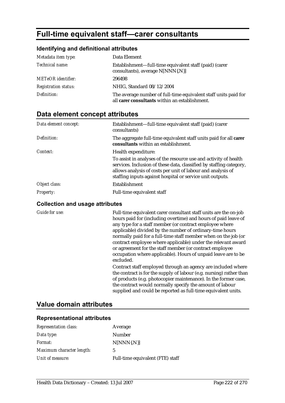# **Full-time equivalent staff—carer consultants**

#### **Identifying and definitional attributes**

| Metadata item type:         | Data Element                                                                                                      |
|-----------------------------|-------------------------------------------------------------------------------------------------------------------|
| Technical name:             | Establishment-full-time equivalent staff (paid) (carer<br>consultants), average N[NNN{.N}]                        |
| <b>METeOR</b> identifier:   | 296498                                                                                                            |
| <b>Registration status:</b> | NHIG, Standard 08/12/2004                                                                                         |
| Definition:                 | The average number of full-time equivalent staff units paid for<br>all carer consultants within an establishment. |

# **Data element concept attributes**

| Data element concept: | Establishment—full-time equivalent staff (paid) (carer<br>consultants)                                                                                                                                                                                              |
|-----------------------|---------------------------------------------------------------------------------------------------------------------------------------------------------------------------------------------------------------------------------------------------------------------|
| Definition:           | The aggregate full-time equivalent staff units paid for all carer<br>consultants within an establishment.                                                                                                                                                           |
| Context:              | Health expenditure:                                                                                                                                                                                                                                                 |
|                       | To assist in analyses of the resource use and activity of health<br>services. Inclusion of these data, classified by staffing category,<br>allows analysis of costs per unit of labour and analysis of<br>staffing inputs against hospital or service unit outputs. |
| Object class:         | Establishment                                                                                                                                                                                                                                                       |
| <i>Property:</i>      | Full-time equivalent staff                                                                                                                                                                                                                                          |

#### **Collection and usage attributes**

*Guide for use:* Full-time equivalent carer consultant staff units are the on-job hours paid for (including overtime) and hours of paid leave of any type for a staff member (or contract employee where applicable) divided by the number of ordinary-time hours normally paid for a full-time staff member when on the job (or contract employee where applicable) under the relevant award or agreement for the staff member (or contract employee occupation where applicable). Hours of unpaid leave are to be excluded.

> Contract staff employed through an agency are included where the contract is for the supply of labour (e.g. nursing) rather than of products (e.g. photocopier maintenance). In the former case, the contract would normally specify the amount of labour supplied and could be reported as full-time equivalent units.

## **Value domain attributes**

| <b>Representation class:</b> | Average                          |
|------------------------------|----------------------------------|
| Data type:                   | Number                           |
| <i>Format:</i>               | $N[NNN\{N\}]$                    |
| Maximum character length:    | 5                                |
| Unit of measure:             | Full-time equivalent (FTE) staff |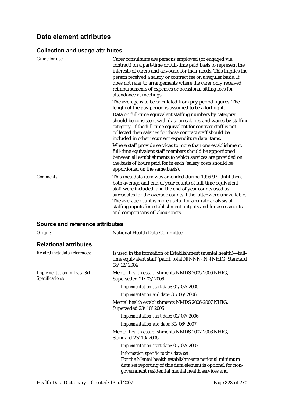| <b>Guide for use:</b>                  | Carer consultants are persons employed (or engaged via<br>contract) on a part-time or full-time paid basis to represent the<br>interests of carers and advocate for their needs. This implies the<br>person received a salary or contract fee on a regular basis. It<br>does not refer to arrangements where the carer only received<br>reimbursements of expenses or occasional sitting fees for<br>attendance at meetings.                                                                                                                                                                                        |
|----------------------------------------|---------------------------------------------------------------------------------------------------------------------------------------------------------------------------------------------------------------------------------------------------------------------------------------------------------------------------------------------------------------------------------------------------------------------------------------------------------------------------------------------------------------------------------------------------------------------------------------------------------------------|
|                                        | The average is to be calculated from pay period figures. The<br>length of the pay period is assumed to be a fortnight.                                                                                                                                                                                                                                                                                                                                                                                                                                                                                              |
|                                        | Data on full-time equivalent staffing numbers by category<br>should be consistent with data on salaries and wages by staffing<br>category. If the full-time equivalent for contract staff is not<br>collected then salaries for those contract staff should be<br>included in other recurrent expenditure data items.<br>Where staff provide services to more than one establishment,<br>full-time equivalent staff members should be apportioned<br>between all establishments to which services are provided on<br>the basis of hours paid for in each (salary costs should be<br>apportioned on the same basis). |
| Comments:                              | This metadata item was amended during 1996-97. Until then,<br>both average and end of year counts of full-time equivalent<br>staff were included, and the end of year counts used as<br>surrogates for the average counts if the latter were unavailable.<br>The average count is more useful for accurate analysis of<br>staffing inputs for establishment outputs and for assessments<br>and comparisons of labour costs.                                                                                                                                                                                         |
| <b>Source and reference attributes</b> |                                                                                                                                                                                                                                                                                                                                                                                                                                                                                                                                                                                                                     |
| Origin:                                | <b>National Health Data Committee</b>                                                                                                                                                                                                                                                                                                                                                                                                                                                                                                                                                                               |

# **Relational attributes**

| Related metadata references:                         | Is used in the formation of Establishment (mental health)—full-<br>time equivalent staff (paid), total N[NNN{.N}] NHIG, Standard<br>08/12/2004                                                                       |  |
|------------------------------------------------------|----------------------------------------------------------------------------------------------------------------------------------------------------------------------------------------------------------------------|--|
| <b>Implementation in Data Set</b><br>Specifications: | Mental health establishments NMDS 2005-2006 NHIG,<br>Superseded 21/03/2006                                                                                                                                           |  |
|                                                      | Implementation start date: 01/07/2005                                                                                                                                                                                |  |
|                                                      | Implementation end date: 30/06/2006                                                                                                                                                                                  |  |
|                                                      | Mental health establishments NMDS 2006-2007 NHIG,<br>Superseded 23/10/2006                                                                                                                                           |  |
|                                                      | Implementation start date: 01/07/2006                                                                                                                                                                                |  |
|                                                      | Implementation end date: 30/06/2007                                                                                                                                                                                  |  |
|                                                      | Mental health establishments NMDS 2007-2008 NHIG,<br>Standard 23/10/2006                                                                                                                                             |  |
|                                                      | Implementation start date: 01/07/2007                                                                                                                                                                                |  |
|                                                      | Information specific to this data set:<br>For the Mental health establishments national minimum<br>data set reporting of this data element is optional for non-<br>government residential mental health services and |  |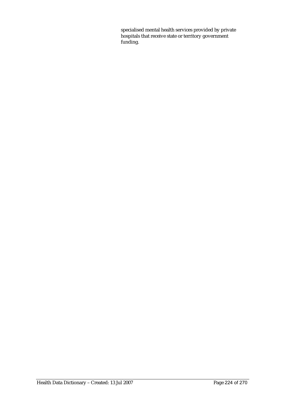specialised mental health services provided by private hospitals that receive state or territory government funding.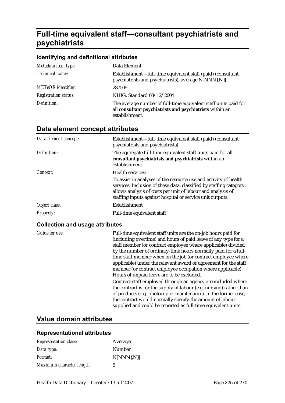# **Full-time equivalent staff—consultant psychiatrists and psychiatrists**

#### **Identifying and definitional attributes**

| Metadata item type:         | Data Element                                                                                                                                  |
|-----------------------------|-----------------------------------------------------------------------------------------------------------------------------------------------|
| Technical name:             | Establishment—full-time equivalent staff (paid) (consultant<br>psychiatrists and psychiatrists), average N[NNN{.N}]                           |
| <b>METeOR</b> identifier:   | 287509                                                                                                                                        |
| <b>Registration status:</b> | NHIG, Standard 08/12/2004                                                                                                                     |
| Definition:                 | The average number of full-time equivalent staff units paid for<br>all consultant psychiatrists and psychiatrists within an<br>establishment. |

## **Data element concept attributes**

| Data element concept: | Establishment—full-time equivalent staff (paid) (consultant<br>psychiatrists and psychiatrists)                                                                                                                                                                     |
|-----------------------|---------------------------------------------------------------------------------------------------------------------------------------------------------------------------------------------------------------------------------------------------------------------|
| Definition:           | The aggregate full-time equivalent staff units paid for all<br>consultant psychiatrists and psychiatrists within an<br>establishment.                                                                                                                               |
| Context:              | <b>Health services:</b>                                                                                                                                                                                                                                             |
|                       | To assist in analyses of the resource use and activity of health<br>services. Inclusion of these data, classified by staffing category,<br>allows analysis of costs per unit of labour and analysis of<br>staffing inputs against hospital or service unit outputs. |
| Object class:         | <b>Establishment</b>                                                                                                                                                                                                                                                |
| <b>Property:</b>      | Full-time equivalent staff                                                                                                                                                                                                                                          |

#### **Collection and usage attributes**

*Guide for use:* Full-time equivalent staff units are the on-job hours paid for (including overtime) and hours of paid leave of any type for a staff member (or contract employee where applicable) divided by the number of ordinary-time hours normally paid for a fulltime staff member when on the job (or contract employee where applicable) under the relevant award or agreement for the staff member (or contract employee occupation where applicable). Hours of unpaid leave are to be excluded. Contract staff employed through an agency are included where

the contract is for the supply of labour (e.g. nursing) rather than of products (e.g. photocopier maintenance). In the former case, the contract would normally specify the amount of labour supplied and could be reported as full-time equivalent units.

## **Value domain attributes**

| <b>Representation class:</b> | Average       |
|------------------------------|---------------|
| Data type:                   | Number        |
| Format:                      | $N[NNN\{N\}]$ |
| Maximum character length:    | 5             |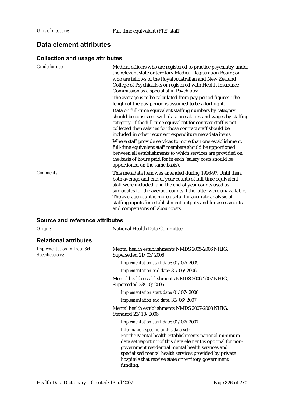## **Data element attributes**

## **Collection and usage attributes**

| <b>Guide for use:</b>           | Medical officers who are registered to practice psychiatry under<br>the relevant state or territory Medical Registration Board; or<br>who are fellows of the Royal Australian and New Zealand<br>College of Psychiatrists or registered with Health Insurance<br>Commission as a specialist in Psychiatry.                                                                                                                                                                                                                                                                                                              |
|---------------------------------|-------------------------------------------------------------------------------------------------------------------------------------------------------------------------------------------------------------------------------------------------------------------------------------------------------------------------------------------------------------------------------------------------------------------------------------------------------------------------------------------------------------------------------------------------------------------------------------------------------------------------|
|                                 | The average is to be calculated from pay period figures. The<br>length of the pay period is assumed to be a fortnight.                                                                                                                                                                                                                                                                                                                                                                                                                                                                                                  |
|                                 | Data on full-time equivalent staffing numbers by category<br>should be consistent with data on salaries and wages by staffing<br>category. If the full-time equivalent for contract staff is not<br>collected then salaries for those contract staff should be<br>included in other recurrent expenditure metadata items.<br>Where staff provide services to more than one establishment,<br>full-time equivalent staff members should be apportioned<br>between all establishments to which services are provided on<br>the basis of hours paid for in each (salary costs should be<br>apportioned on the same basis). |
| Comments:                       | This metadata item was amended during 1996-97. Until then,<br>both average and end of year counts of full-time equivalent<br>staff were included, and the end of year counts used as<br>surrogates for the average counts if the latter were unavailable.<br>The average count is more useful for accurate analysis of<br>staffing inputs for establishment outputs and for assessments<br>and comparisons of labour costs.                                                                                                                                                                                             |
| Source and reference attributes |                                                                                                                                                                                                                                                                                                                                                                                                                                                                                                                                                                                                                         |
| Origin:                         | <b>National Health Data Committee</b>                                                                                                                                                                                                                                                                                                                                                                                                                                                                                                                                                                                   |

## **Relational attributes**

| <b>Implementation in Data Set</b><br>Specifications: | Mental health establishments NMDS 2005-2006 NHIG,<br>Superseded 21/03/2006                                                                                                                                                                                                                                                                         |
|------------------------------------------------------|----------------------------------------------------------------------------------------------------------------------------------------------------------------------------------------------------------------------------------------------------------------------------------------------------------------------------------------------------|
|                                                      | Implementation start date: 01/07/2005                                                                                                                                                                                                                                                                                                              |
|                                                      | Implementation end date: 30/06/2006                                                                                                                                                                                                                                                                                                                |
|                                                      | Mental health establishments NMDS 2006-2007 NHIG,<br>Superseded 23/10/2006                                                                                                                                                                                                                                                                         |
|                                                      | Implementation start date: 01/07/2006                                                                                                                                                                                                                                                                                                              |
|                                                      | Implementation end date: 30/06/2007                                                                                                                                                                                                                                                                                                                |
|                                                      | Mental health establishments NMDS 2007-2008 NHIG,<br>Standard 23/10/2006                                                                                                                                                                                                                                                                           |
|                                                      | Implementation start date: 01/07/2007                                                                                                                                                                                                                                                                                                              |
|                                                      | Information specific to this data set:<br>For the Mental health establishments national minimum<br>data set reporting of this data element is optional for non-<br>government residential mental health services and<br>specialised mental health services provided by private<br>hospitals that receive state or territory government<br>funding. |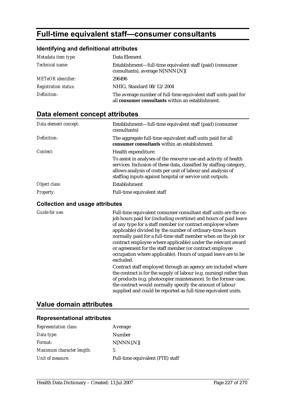# **Full-time equivalent staff—consumer consultants**

### **Identifying and definitional attributes**

| Metadata item type:         | Data Element                                                                                                         |
|-----------------------------|----------------------------------------------------------------------------------------------------------------------|
| Technical name:             | Establishment-full-time equivalent staff (paid) (consumer<br>consultants), average N[NNN{.N}]                        |
| <b>METeOR</b> identifier:   | 296496                                                                                                               |
| <b>Registration status:</b> | NHIG, Standard 08/12/2004                                                                                            |
| Definition:                 | The average number of full-time equivalent staff units paid for<br>all consumer consultants within an establishment. |

# **Data element concept attributes**

| Data element concept: | Establishment—full-time equivalent staff (paid) (consumer<br>consultants)                                                                                                                                                                                                                  |
|-----------------------|--------------------------------------------------------------------------------------------------------------------------------------------------------------------------------------------------------------------------------------------------------------------------------------------|
| Definition:           | The aggregate full-time equivalent staff units paid for all<br>consumer consultants within an establishment.                                                                                                                                                                               |
| Context:              | Health expenditure:<br>To assist in analyses of the resource use and activity of health<br>services. Inclusion of these data, classified by staffing category,<br>allows analysis of costs per unit of labour and analysis of<br>staffing inputs against hospital or service unit outputs. |
| Object class:         | Establishment                                                                                                                                                                                                                                                                              |
|                       |                                                                                                                                                                                                                                                                                            |
| <b>Property:</b>      | Full-time equivalent staff                                                                                                                                                                                                                                                                 |

#### **Collection and usage attributes**

*Guide for use:* Full-time equivalent consumer consultant staff units are the onjob hours paid for (including overtime) and hours of paid leave of any type for a staff member (or contract employee where applicable) divided by the number of ordinary-time hours normally paid for a full-time staff member when on the job (or contract employee where applicable) under the relevant award or agreement for the staff member (or contract employee occupation where applicable). Hours of unpaid leave are to be excluded.

> Contract staff employed through an agency are included where the contract is for the supply of labour (e.g. nursing) rather than of products (e.g. photocopier maintenance). In the former case, the contract would normally specify the amount of labour supplied and could be reported as full-time equivalent units.

## **Value domain attributes**

| <b>Representation class:</b> | Average                          |
|------------------------------|----------------------------------|
| Data type:                   | <b>Number</b>                    |
| <i>Format:</i>               | $N[NNN\{N\}]$                    |
| Maximum character length:    | 5                                |
| Unit of measure:             | Full-time equivalent (FTE) staff |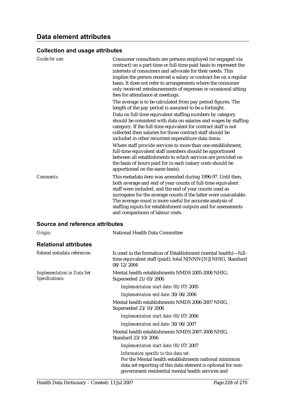| <b>Guide for use:</b>           | Consumer consultants are persons employed (or engaged via<br>contract) on a part-time or full-time paid basis to represent the<br>interests of consumers and advocate for their needs. This<br>implies the person received a salary or contract fee on a regular<br>basis. It does not refer to arrangements where the consumer<br>only received reimbursements of expenses or occasional sitting<br>fees for attendance at meetings.<br>The average is to be calculated from pay period figures. The<br>length of the pay period is assumed to be a fortnight.<br>Data on full-time equivalent staffing numbers by category<br>should be consistent with data on salaries and wages by staffing<br>category. If the full-time equivalent for contract staff is not<br>collected then salaries for those contract staff should be<br>included in other recurrent expenditure data items.<br>Where staff provide services to more than one establishment,<br>full-time equivalent staff members should be apportioned<br>between all establishments to which services are provided on<br>the basis of hours paid for in each (salary costs should be<br>apportioned on the same basis). |
|---------------------------------|----------------------------------------------------------------------------------------------------------------------------------------------------------------------------------------------------------------------------------------------------------------------------------------------------------------------------------------------------------------------------------------------------------------------------------------------------------------------------------------------------------------------------------------------------------------------------------------------------------------------------------------------------------------------------------------------------------------------------------------------------------------------------------------------------------------------------------------------------------------------------------------------------------------------------------------------------------------------------------------------------------------------------------------------------------------------------------------------------------------------------------------------------------------------------------------|
| Comments:                       | This metadata item was amended during 1996-97. Until then,<br>both average and end of year counts of full-time equivalent<br>staff were included, and the end of year counts used as<br>surrogates for the average counts if the latter were unavailable.<br>The average count is more useful for accurate analysis of<br>staffing inputs for establishment outputs and for assessments<br>and comparisons of labour costs.                                                                                                                                                                                                                                                                                                                                                                                                                                                                                                                                                                                                                                                                                                                                                            |
| Source and reference attributes |                                                                                                                                                                                                                                                                                                                                                                                                                                                                                                                                                                                                                                                                                                                                                                                                                                                                                                                                                                                                                                                                                                                                                                                        |
| Origin:                         | National Health Data Committee                                                                                                                                                                                                                                                                                                                                                                                                                                                                                                                                                                                                                                                                                                                                                                                                                                                                                                                                                                                                                                                                                                                                                         |

# **Relational attributes**

| Related metadata references:                         | Is used in the formation of Establishment (mental health)—full-<br>time equivalent staff (paid), total N[NNN{.N}] NHIG, Standard<br>08/12/2004                                                                       |
|------------------------------------------------------|----------------------------------------------------------------------------------------------------------------------------------------------------------------------------------------------------------------------|
| <b>Implementation in Data Set</b><br>Specifications: | Mental health establishments NMDS 2005-2006 NHIG,<br>Superseded 21/03/2006                                                                                                                                           |
|                                                      | Implementation start date: 01/07/2005                                                                                                                                                                                |
|                                                      | Implementation end date: 30/06/2006                                                                                                                                                                                  |
|                                                      | Mental health establishments NMDS 2006-2007 NHIG,<br>Superseded 23/10/2006                                                                                                                                           |
|                                                      | Implementation start date: 01/07/2006                                                                                                                                                                                |
|                                                      | Implementation end date: 30/06/2007                                                                                                                                                                                  |
|                                                      | Mental health establishments NMDS 2007-2008 NHIG,<br>Standard 23/10/2006                                                                                                                                             |
|                                                      | Implementation start date: 01/07/2007                                                                                                                                                                                |
|                                                      | Information specific to this data set:<br>For the Mental health establishments national minimum<br>data set reporting of this data element is optional for non-<br>government residential mental health services and |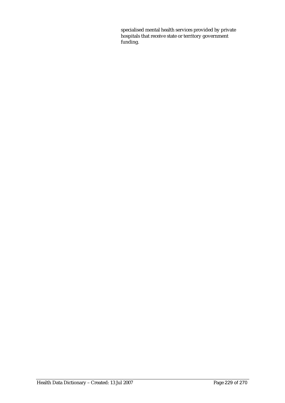specialised mental health services provided by private hospitals that receive state or territory government funding.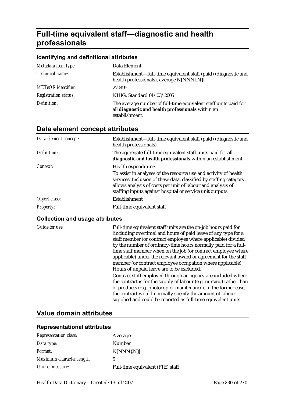# **Full-time equivalent staff—diagnostic and health professionals**

#### **Identifying and definitional attributes**

| Metadata item type:         | Data Element                                                                                                                           |
|-----------------------------|----------------------------------------------------------------------------------------------------------------------------------------|
| Technical name:             | Establishment—full-time equivalent staff (paid) (diagnostic and<br>health professionals), average N[NNN{.N}]                           |
| <b>METeOR</b> identifier:   | 270495                                                                                                                                 |
| <b>Registration status:</b> | NHIG, Standard 01/03/2005                                                                                                              |
| Definition:                 | The average number of full-time equivalent staff units paid for<br>all diagnostic and health professionals within an<br>establishment. |

### **Data element concept attributes**

| Data element concept: | Establishment-full-time equivalent staff (paid) (diagnostic and<br>health professionals)                                                                                                                                                                            |
|-----------------------|---------------------------------------------------------------------------------------------------------------------------------------------------------------------------------------------------------------------------------------------------------------------|
| Definition:           | The aggregate full-time equivalent staff units paid for all<br>diagnostic and health professionals within an establishment.                                                                                                                                         |
| Context:              | Health expenditure:                                                                                                                                                                                                                                                 |
|                       | To assist in analyses of the resource use and activity of health<br>services. Inclusion of these data, classified by staffing category,<br>allows analysis of costs per unit of labour and analysis of<br>staffing inputs against hospital or service unit outputs. |
| Object class:         | Establishment                                                                                                                                                                                                                                                       |
| <b>Property:</b>      | Full-time equivalent staff                                                                                                                                                                                                                                          |

#### **Collection and usage attributes**

*Guide for use:* Full-time equivalent staff units are the on-job hours paid for (including overtime) and hours of paid leave of any type for a staff member (or contract employee where applicable) divided by the number of ordinary-time hours normally paid for a fulltime staff member when on the job (or contract employee where applicable) under the relevant award or agreement for the staff member (or contract employee occupation where applicable). Hours of unpaid leave are to be excluded. Contract staff employed through an agency are included where the contract is for the supply of labour (e.g. nursing) rather than of products (e.g. photocopier maintenance). In the former case, the contract would normally specify the amount of labour supplied and could be reported as full-time equivalent units.

### **Value domain attributes**

| Representation class:     | Average                          |
|---------------------------|----------------------------------|
| Data type:                | Number                           |
| <i>Format:</i>            | $N[NNN\{N\}]$                    |
| Maximum character length: | 5                                |
| Unit of measure:          | Full-time equivalent (FTE) staff |
|                           |                                  |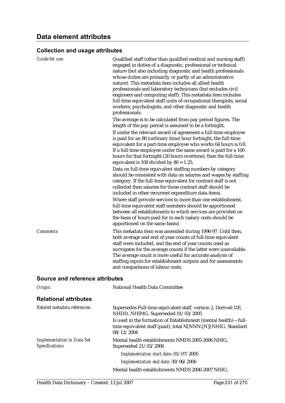| <b>Guide for use:</b> | Qualified staff (other than qualified medical and nursing staff)<br>engaged in duties of a diagnostic, professional or technical<br>nature (but also including diagnostic and health professionals<br>whose duties are primarily or partly of an administrative<br>nature). This metadata item includes all allied health<br>professionals and laboratory technicians (but excludes civil<br>engineers and computing staff). This metadata item includes<br>full-time equivalent staff units of occupational therapists, social<br>workers, psychologists, and other diagnostic and health<br>professionals. |
|-----------------------|--------------------------------------------------------------------------------------------------------------------------------------------------------------------------------------------------------------------------------------------------------------------------------------------------------------------------------------------------------------------------------------------------------------------------------------------------------------------------------------------------------------------------------------------------------------------------------------------------------------|
|                       | The average is to be calculated from pay period figures. The<br>length of the pay period is assumed to be a fortnight.                                                                                                                                                                                                                                                                                                                                                                                                                                                                                       |
|                       | If under the relevant award of agreement a full-time employee<br>is paid for an 80 (ordinary time) hour fortnight, the full-time<br>equivalent for a part-time employee who works 64 hours is 0.8.<br>If a full-time employee under the same award is paid for a 100<br>hours for that fortnight (20 hours overtime), then the full-time<br>equivalent is 100 divided by $80 = 1.25$ .                                                                                                                                                                                                                       |
|                       | Data on full-time equivalent staffing numbers by category<br>should be consistent with data on salaries and wages by staffing<br>category. If the full-time equivalent for contract staff is not<br>collected then salaries for those contract staff should be<br>included in other recurrent expenditure data items.                                                                                                                                                                                                                                                                                        |
|                       | Where staff provide services to more than one establishment,<br>full-time equivalent staff members should be apportioned<br>between all establishments to which services are provided on<br>the basis of hours paid for in each (salary costs should be<br>apportioned on the same basis).                                                                                                                                                                                                                                                                                                                   |
| <b>Comments:</b>      | This metadata item was amended during 1996-97. Until then,<br>both average and end of year counts of full-time equivalent<br>staff were included, and the end of year counts used as<br>surrogates for the average counts if the latter were unavailable.<br>The average count is more useful for accurate analysis of<br>staffing inputs for establishment outputs and for assessments<br>and comparisons of labour costs.                                                                                                                                                                                  |

### **Source and reference attributes**

| Origin:                                              | National Health Data Committee                                                                                                                 |
|------------------------------------------------------|------------------------------------------------------------------------------------------------------------------------------------------------|
| <b>Relational attributes</b>                         |                                                                                                                                                |
| Related metadata references:                         | Supersedes Full-time equivalent staff, version 2, Derived DE,<br>NHDD, NHIMG, Superseded 01/03/2005                                            |
|                                                      | Is used in the formation of Establishment (mental health)—full-<br>time equivalent staff (paid), total N[NNN{.N}] NHIG, Standard<br>08/12/2004 |
| <b>Implementation in Data Set</b><br>Specifications: | Mental health establishments NMDS 2005-2006 NHIG,<br>Superseded $21/03/2006$                                                                   |
|                                                      | Implementation start date: 01/07/2005                                                                                                          |
|                                                      | Implementation end date: 30/06/2006                                                                                                            |
|                                                      | Mental health establishments NMDS 2006-2007 NHIG,                                                                                              |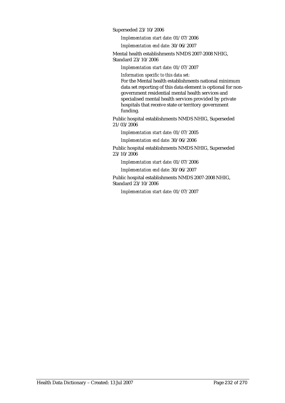Superseded 23/10/2006

*Implementation start date:* 01/07/2006

*Implementation end date:* 30/06/2007

Mental health establishments NMDS 2007-2008 NHIG, Standard 23/10/2006

*Implementation start date:* 01/07/2007

*Information specific to this data set:*

For the Mental health establishments national minimum data set reporting of this data element is optional for nongovernment residential mental health services and specialised mental health services provided by private hospitals that receive state or territory government funding.

Public hospital establishments NMDS NHIG, Superseded 21/03/2006

*Implementation start date:* 01/07/2005

*Implementation end date:* 30/06/2006

Public hospital establishments NMDS NHIG, Superseded 23/10/2006

*Implementation start date:* 01/07/2006

*Implementation end date:* 30/06/2007

Public hospital establishments NMDS 2007-2008 NHIG, Standard 23/10/2006

*Implementation start date:* 01/07/2007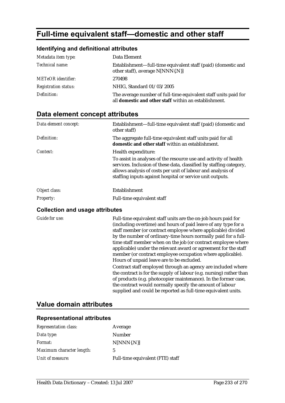# **Full-time equivalent staff—domestic and other staff**

#### **Identifying and definitional attributes**

| Metadata item type:         | Data Element                                                                                                                    |
|-----------------------------|---------------------------------------------------------------------------------------------------------------------------------|
| Technical name:             | Establishment—full-time equivalent staff (paid) (domestic and<br>other staff), average N[NNN{.N}]                               |
| <b>METeOR</b> identifier:   | 270498                                                                                                                          |
| <b>Registration status:</b> | NHIG, Standard 01/03/2005                                                                                                       |
| Definition:                 | The average number of full-time equivalent staff units paid for<br>all <b>domestic and other staff</b> within an establishment. |

# **Data element concept attributes**

| Data element concept:            | Establishment—full-time equivalent staff (paid) (domestic and<br>other staff)                                                                                                                                                                                                              |
|----------------------------------|--------------------------------------------------------------------------------------------------------------------------------------------------------------------------------------------------------------------------------------------------------------------------------------------|
| Definition:                      | The aggregate full-time equivalent staff units paid for all<br><b>domestic and other staff</b> within an establishment.                                                                                                                                                                    |
| Context:                         | Health expenditure:<br>To assist in analyses of the resource use and activity of health<br>services. Inclusion of these data, classified by staffing category,<br>allows analysis of costs per unit of labour and analysis of<br>staffing inputs against hospital or service unit outputs. |
| Object class:                    | Establishment                                                                                                                                                                                                                                                                              |
| <b>Property:</b>                 | Full-time equivalent staff                                                                                                                                                                                                                                                                 |
| Osllastian and usessa attuikutaa |                                                                                                                                                                                                                                                                                            |

#### **Collection and usage attributes**

*Guide for use:* Full-time equivalent staff units are the on-job hours paid for (including overtime) and hours of paid leave of any type for a staff member (or contract employee where applicable) divided by the number of ordinary-time hours normally paid for a fulltime staff member when on the job (or contract employee where applicable) under the relevant award or agreement for the staff member (or contract employee occupation where applicable). Hours of unpaid leave are to be excluded.

> Contract staff employed through an agency are included where the contract is for the supply of labour (e.g. nursing) rather than of products (e.g. photocopier maintenance). In the former case, the contract would normally specify the amount of labour supplied and could be reported as full-time equivalent units.

### **Value domain attributes**

| <b>Representation class:</b> | Average                          |
|------------------------------|----------------------------------|
| Data type:                   | Number                           |
| <i>Format:</i>               | $N[NNN\{N\}]$                    |
| Maximum character length:    | 5                                |
| Unit of measure:             | Full-time equivalent (FTE) staff |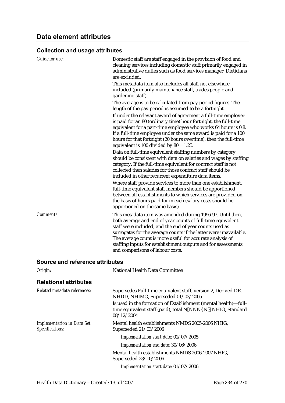| Guide for use:                  | Domestic staff are staff engaged in the provision of food and<br>cleaning services including domestic staff primarily engaged in<br>administrative duties such as food services manager. Dieticians<br>are excluded.                                                                                                                                                                                                        |
|---------------------------------|-----------------------------------------------------------------------------------------------------------------------------------------------------------------------------------------------------------------------------------------------------------------------------------------------------------------------------------------------------------------------------------------------------------------------------|
|                                 | This metadata item also includes all staff not elsewhere<br>included (primarily maintenance staff, trades people and<br>gardening staff).                                                                                                                                                                                                                                                                                   |
|                                 | The average is to be calculated from pay period figures. The<br>length of the pay period is assumed to be a fortnight.                                                                                                                                                                                                                                                                                                      |
|                                 | If under the relevant award of agreement a full-time employee<br>is paid for an 80 (ordinary time) hour fortnight, the full-time<br>equivalent for a part-time employee who works 64 hours is 0.8.<br>If a full-time employee under the same award is paid for a 100<br>hours for that fortnight (20 hours overtime), then the full-time<br>equivalent is 100 divided by $80 = 1.25$ .                                      |
|                                 | Data on full-time equivalent staffing numbers by category<br>should be consistent with data on salaries and wages by staffing<br>category. If the full-time equivalent for contract staff is not<br>collected then salaries for those contract staff should be<br>included in other recurrent expenditure data items.                                                                                                       |
|                                 | Where staff provide services to more than one establishment,<br>full-time equivalent staff members should be apportioned<br>between all establishments to which services are provided on<br>the basis of hours paid for in each (salary costs should be<br>apportioned on the same basis).                                                                                                                                  |
| <b>Comments:</b>                | This metadata item was amended during 1996-97. Until then,<br>both average and end of year counts of full-time equivalent<br>staff were included, and the end of year counts used as<br>surrogates for the average counts if the latter were unavailable.<br>The average count is more useful for accurate analysis of<br>staffing inputs for establishment outputs and for assessments<br>and comparisons of labour costs. |
| Source and reference attributes |                                                                                                                                                                                                                                                                                                                                                                                                                             |

| Origin:                                              | National Health Data Committee                                                                                                                 |
|------------------------------------------------------|------------------------------------------------------------------------------------------------------------------------------------------------|
| <b>Relational attributes</b>                         |                                                                                                                                                |
| Related metadata references:                         | Supersedes Full-time equivalent staff, version 2, Derived DE,<br>NHDD, NHIMG, Superseded 01/03/2005                                            |
|                                                      | Is used in the formation of Establishment (mental health)—full-<br>time equivalent staff (paid), total N[NNN{.N}] NHIG, Standard<br>08/12/2004 |
| <b>Implementation in Data Set</b><br>Specifications: | Mental health establishments NMDS 2005-2006 NHIG,<br>Superseded 21/03/2006                                                                     |
|                                                      | Implementation start date: 01/07/2005                                                                                                          |
|                                                      | Implementation end date: 30/06/2006                                                                                                            |
|                                                      | Mental health establishments NMDS 2006-2007 NHIG,<br>Superseded 23/10/2006                                                                     |
|                                                      | Implementation start date: 01/07/2006                                                                                                          |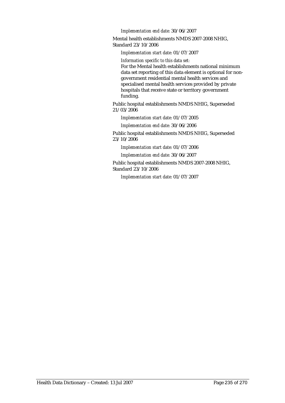*Implementation end date:* 30/06/2007

Mental health establishments NMDS 2007-2008 NHIG, Standard 23/10/2006

*Implementation start date:* 01/07/2007

*Information specific to this data set:*

For the Mental health establishments national minimum data set reporting of this data element is optional for nongovernment residential mental health services and specialised mental health services provided by private hospitals that receive state or territory government funding.

Public hospital establishments NMDS NHIG, Superseded 21/03/2006

*Implementation start date:* 01/07/2005 *Implementation end date:* 30/06/2006

Public hospital establishments NMDS NHIG, Superseded 23/10/2006

*Implementation start date:* 01/07/2006

*Implementation end date:* 30/06/2007

Public hospital establishments NMDS 2007-2008 NHIG, Standard 23/10/2006

*Implementation start date:* 01/07/2007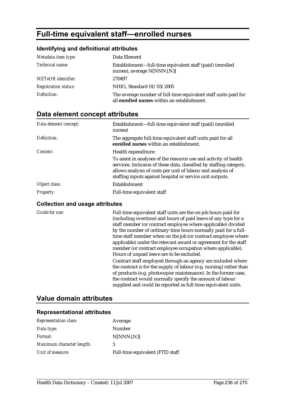# **Full-time equivalent staff—enrolled nurses**

### **Identifying and definitional attributes**

| Metadata item type:         | Data Element                                                                                                    |
|-----------------------------|-----------------------------------------------------------------------------------------------------------------|
| Technical name:             | Establishment—full-time equivalent staff (paid) (enrolled<br>nurses), average N[NNN{.N}]                        |
| <b>METeOR</b> identifier:   | 270497                                                                                                          |
| <b>Registration status:</b> | NHIG, Standard 01/03/2005                                                                                       |
| Definition:                 | The average number of full-time equivalent staff units paid for<br>all enrolled nurses within an establishment. |

# **Data element concept attributes**

| Establishment-full-time equivalent staff (paid) (enrolled<br>nurses)                                                                                                                                                                                                |
|---------------------------------------------------------------------------------------------------------------------------------------------------------------------------------------------------------------------------------------------------------------------|
| The aggregate full-time equivalent staff units paid for all<br>enrolled nurses within an establishment.                                                                                                                                                             |
| Health expenditure:                                                                                                                                                                                                                                                 |
| To assist in analyses of the resource use and activity of health<br>services. Inclusion of these data, classified by staffing category,<br>allows analysis of costs per unit of labour and analysis of<br>staffing inputs against hospital or service unit outputs. |
| Establishment                                                                                                                                                                                                                                                       |
| Full-time equivalent staff                                                                                                                                                                                                                                          |
|                                                                                                                                                                                                                                                                     |

#### **Collection and usage attributes**

*Guide for use:* Full-time equivalent staff units are the on-job hours paid for (including overtime) and hours of paid leave of any type for a staff member (or contract employee where applicable) divided by the number of ordinary-time hours normally paid for a fulltime staff member when on the job (or contract employee where applicable) under the relevant award or agreement for the staff member (or contract employee occupation where applicable). Hours of unpaid leave are to be excluded. Contract staff employed through an agency are included where the contract is for the supply of labour (e.g. nursing) rather than of products (e.g. photocopier maintenance). In the former case, the contract would normally specify the amount of labour supplied and could be reported as full-time equivalent units.

## **Value domain attributes**

| <b>Representation class:</b> | Average                          |
|------------------------------|----------------------------------|
| Data type:                   | <b>Number</b>                    |
| <i>Format:</i>               | $N[NNN\{N\}]$                    |
| Maximum character length:    | 5                                |
| Unit of measure:             | Full-time equivalent (FTE) staff |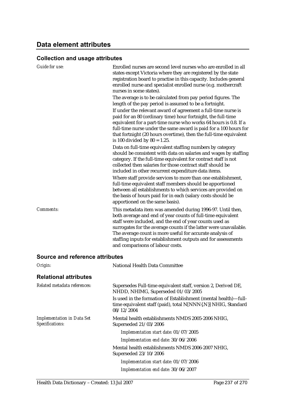| <b>Guide for use:</b>                  | Enrolled nurses are second level nurses who are enrolled in all<br>states except Victoria where they are registered by the state<br>registration board to practise in this capacity. Includes general<br>enrolled nurse and specialist enrolled nurse (e.g. mothercraft<br>nurses in some states).                                                                                                                          |
|----------------------------------------|-----------------------------------------------------------------------------------------------------------------------------------------------------------------------------------------------------------------------------------------------------------------------------------------------------------------------------------------------------------------------------------------------------------------------------|
|                                        | The average is to be calculated from pay period figures. The<br>length of the pay period is assumed to be a fortnight.                                                                                                                                                                                                                                                                                                      |
|                                        | If under the relevant award of agreement a full-time nurse is<br>paid for an 80 (ordinary time) hour fortnight, the full-time<br>equivalent for a part-time nurse who works 64 hours is 0.8. If a<br>full-time nurse under the same award is paid for a 100 hours for<br>that fortnight (20 hours overtime), then the full-time equivalent<br>is 100 divided by $80 = 1.25$ .                                               |
|                                        | Data on full-time equivalent staffing numbers by category<br>should be consistent with data on salaries and wages by staffing<br>category. If the full-time equivalent for contract staff is not<br>collected then salaries for those contract staff should be<br>included in other recurrent expenditure data items.                                                                                                       |
|                                        | Where staff provide services to more than one establishment,<br>full-time equivalent staff members should be apportioned<br>between all establishments to which services are provided on<br>the basis of hours paid for in each (salary costs should be<br>apportioned on the same basis).                                                                                                                                  |
| Comments:                              | This metadata item was amended during 1996-97. Until then,<br>both average and end of year counts of full-time equivalent<br>staff were included, and the end of year counts used as<br>surrogates for the average counts if the latter were unavailable.<br>The average count is more useful for accurate analysis of<br>staffing inputs for establishment outputs and for assessments<br>and comparisons of labour costs. |
| <b>Source and reference attributes</b> |                                                                                                                                                                                                                                                                                                                                                                                                                             |
| Origin:                                | National Health Data Committee                                                                                                                                                                                                                                                                                                                                                                                              |
| <b>Relational attributes</b>           |                                                                                                                                                                                                                                                                                                                                                                                                                             |
| Related metadata references:           | Supersedes Full-time equivalent staff, version 2, Derived DE,<br>NHDD, NHIMG, Superseded 01/03/2005                                                                                                                                                                                                                                                                                                                         |

time equivalent staff (paid), total N[NNN{.N}] NHIG, Standard 08/12/2004 *Implementation in Data Set Specifications:* Mental health establishments NMDS 2005-2006 NHIG,

Superseded 21/03/2006 *Implementation start date:* 01/07/2005

*Implementation end date:* 30/06/2006

Mental health establishments NMDS 2006-2007 NHIG, Superseded 23/10/2006

Is used in the formation of Establishment (mental health)—full-

*Implementation start date:* 01/07/2006 *Implementation end date:* 30/06/2007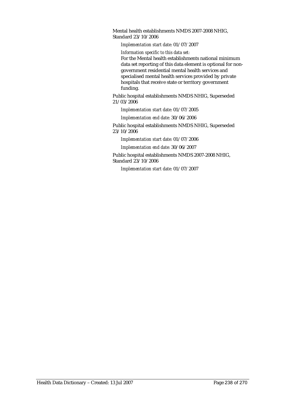Mental health establishments NMDS 2007-2008 NHIG, Standard 23/10/2006

*Implementation start date:* 01/07/2007

*Information specific to this data set:*

For the Mental health establishments national minimum data set reporting of this data element is optional for nongovernment residential mental health services and specialised mental health services provided by private hospitals that receive state or territory government funding.

Public hospital establishments NMDS NHIG, Superseded 21/03/2006

*Implementation start date:* 01/07/2005

*Implementation end date:* 30/06/2006

Public hospital establishments NMDS NHIG, Superseded 23/10/2006

*Implementation start date:* 01/07/2006

*Implementation end date:* 30/06/2007

Public hospital establishments NMDS 2007-2008 NHIG, Standard 23/10/2006

*Implementation start date:* 01/07/2007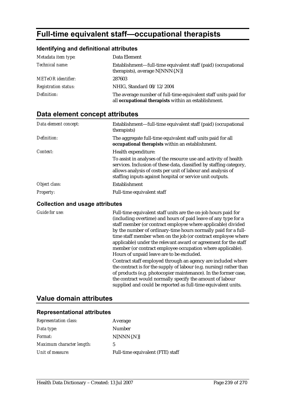# **Full-time equivalent staff—occupational therapists**

#### **Identifying and definitional attributes**

| Metadata item type:         | Data Element                                                                                                            |
|-----------------------------|-------------------------------------------------------------------------------------------------------------------------|
| Technical name:             | Establishment—full-time equivalent staff (paid) (occupational<br>therapists), average N[NNN{.N}]                        |
| <b>METeOR</b> identifier:   | 287603                                                                                                                  |
| <b>Registration status:</b> | NHIG, Standard 08/12/2004                                                                                               |
| Definition:                 | The average number of full-time equivalent staff units paid for<br>all occupational therapists within an establishment. |

# **Data element concept attributes**

| Data element concept: | Establishment—full-time equivalent staff (paid) (occupational<br>therapists)                                                                                                                                                                                        |
|-----------------------|---------------------------------------------------------------------------------------------------------------------------------------------------------------------------------------------------------------------------------------------------------------------|
| Definition:           | The aggregate full-time equivalent staff units paid for all<br>occupational therapists within an establishment.                                                                                                                                                     |
| Context:              | Health expenditure:                                                                                                                                                                                                                                                 |
|                       | To assist in analyses of the resource use and activity of health<br>services. Inclusion of these data, classified by staffing category,<br>allows analysis of costs per unit of labour and analysis of<br>staffing inputs against hospital or service unit outputs. |
| Object class:         | Establishment                                                                                                                                                                                                                                                       |
| <i>Property:</i>      | Full-time equivalent staff                                                                                                                                                                                                                                          |

#### **Collection and usage attributes**

*Guide for use:* Full-time equivalent staff units are the on-job hours paid for (including overtime) and hours of paid leave of any type for a staff member (or contract employee where applicable) divided by the number of ordinary-time hours normally paid for a fulltime staff member when on the job (or contract employee where applicable) under the relevant award or agreement for the staff member (or contract employee occupation where applicable). Hours of unpaid leave are to be excluded. Contract staff employed through an agency are included where the contract is for the supply of labour (e.g. nursing) rather than of products (e.g. photocopier maintenance). In the former case, the contract would normally specify the amount of labour supplied and could be reported as full-time equivalent units.

### **Value domain attributes**

| <b>Representation class:</b> | Average                          |
|------------------------------|----------------------------------|
| Data type:                   | Number                           |
| <i>Format:</i>               | $N[NNN\{N\}]$                    |
| Maximum character length:    | 5                                |
| Unit of measure:             | Full-time equivalent (FTE) staff |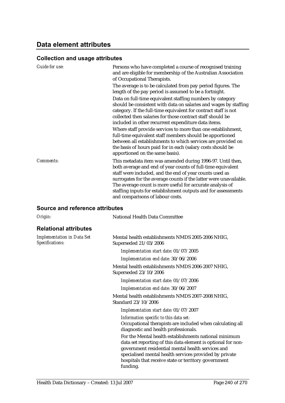# **Data element attributes**

# **Collection and usage attributes**

| <b>Guide for use:</b> | Persons who have completed a course of recognised training<br>and are eligible for membership of the Australian Association<br>of Occupational Therapists.                                                                                                                                                                                                                                                                                                                                                                                                                       |
|-----------------------|----------------------------------------------------------------------------------------------------------------------------------------------------------------------------------------------------------------------------------------------------------------------------------------------------------------------------------------------------------------------------------------------------------------------------------------------------------------------------------------------------------------------------------------------------------------------------------|
|                       | The average is to be calculated from pay period figures. The<br>length of the pay period is assumed to be a fortnight.                                                                                                                                                                                                                                                                                                                                                                                                                                                           |
|                       | Data on full-time equivalent staffing numbers by category<br>should be consistent with data on salaries and wages by staffing<br>category. If the full-time equivalent for contract staff is not<br>collected then salaries for those contract staff should be<br>included in other recurrent expenditure data items.<br>Where staff provide services to more than one establishment,<br>full-time equivalent staff members should be apportioned<br>between all establishments to which services are provided on<br>the basis of hours paid for in each (salary costs should be |
|                       | apportioned on the same basis).                                                                                                                                                                                                                                                                                                                                                                                                                                                                                                                                                  |
| Comments:             | This metadata item was amended during 1996-97. Until then,<br>both average and end of year counts of full-time equivalent<br>staff were included, and the end of year counts used as<br>surrogates for the average counts if the latter were unavailable.<br>The average count is more useful for accurate analysis of<br>staffing inputs for establishment outputs and for assessments<br>and comparisons of labour costs.                                                                                                                                                      |

# **Source and reference attributes**

| Origin:                                              | National Health Data Committee                                                                                                                                                                                                                                                                           |
|------------------------------------------------------|----------------------------------------------------------------------------------------------------------------------------------------------------------------------------------------------------------------------------------------------------------------------------------------------------------|
| <b>Relational attributes</b>                         |                                                                                                                                                                                                                                                                                                          |
| <b>Implementation in Data Set</b><br>Specifications: | Mental health establishments NMDS 2005-2006 NHIG,<br>Superseded 21/03/2006                                                                                                                                                                                                                               |
|                                                      | Implementation start date: 01/07/2005                                                                                                                                                                                                                                                                    |
|                                                      | Implementation end date: 30/06/2006                                                                                                                                                                                                                                                                      |
|                                                      | Mental health establishments NMDS 2006-2007 NHIG,<br>Superseded 23/10/2006                                                                                                                                                                                                                               |
|                                                      | Implementation start date: 01/07/2006                                                                                                                                                                                                                                                                    |
|                                                      | Implementation end date: 30/06/2007                                                                                                                                                                                                                                                                      |
|                                                      | Mental health establishments NMDS 2007-2008 NHIG,<br>Standard 23/10/2006                                                                                                                                                                                                                                 |
|                                                      | Implementation start date: 01/07/2007                                                                                                                                                                                                                                                                    |
|                                                      | Information specific to this data set:<br>Occupational therapists are included when calculating all<br>diagnostic and health professionals.                                                                                                                                                              |
|                                                      | For the Mental health establishments national minimum<br>data set reporting of this data element is optional for non-<br>government residential mental health services and<br>specialised mental health services provided by private<br>hospitals that receive state or territory government<br>funding. |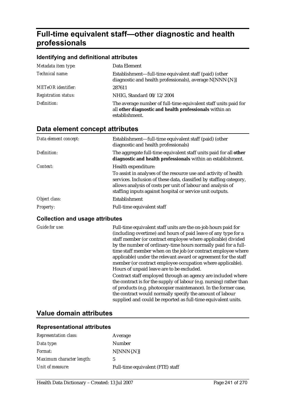# **Full-time equivalent staff—other diagnostic and health professionals**

#### **Identifying and definitional attributes**

| Metadata item type:         | Data Element                                                                                                                                 |
|-----------------------------|----------------------------------------------------------------------------------------------------------------------------------------------|
| Technical name:             | Establishment—full-time equivalent staff (paid) (other<br>diagnostic and health professionals), average N[NNN{.N}]                           |
| <b>METeOR</b> identifier:   | 287611                                                                                                                                       |
| <b>Registration status:</b> | NHIG, Standard 08/12/2004                                                                                                                    |
| Definition:                 | The average number of full-time equivalent staff units paid for<br>all other diagnostic and health professionals within an<br>establishment. |

### **Data element concept attributes**

| Data element concept: | Establishment-full-time equivalent staff (paid) (other<br>diagnostic and health professionals)                                                                                                                                                                      |
|-----------------------|---------------------------------------------------------------------------------------------------------------------------------------------------------------------------------------------------------------------------------------------------------------------|
| Definition:           | The aggregate full-time equivalent staff units paid for all other<br>diagnostic and health professionals within an establishment.                                                                                                                                   |
| Context:              | Health expenditure:                                                                                                                                                                                                                                                 |
|                       | To assist in analyses of the resource use and activity of health<br>services. Inclusion of these data, classified by staffing category,<br>allows analysis of costs per unit of labour and analysis of<br>staffing inputs against hospital or service unit outputs. |
| Object class:         | Establishment                                                                                                                                                                                                                                                       |
| <b>Property:</b>      | Full-time equivalent staff                                                                                                                                                                                                                                          |

#### **Collection and usage attributes**

*Guide for use:* Full-time equivalent staff units are the on-job hours paid for (including overtime) and hours of paid leave of any type for a staff member (or contract employee where applicable) divided by the number of ordinary-time hours normally paid for a fulltime staff member when on the job (or contract employee where applicable) under the relevant award or agreement for the staff member (or contract employee occupation where applicable). Hours of unpaid leave are to be excluded. Contract staff employed through an agency are included where the contract is for the supply of labour (e.g. nursing) rather than of products (e.g. photocopier maintenance). In the former case, the contract would normally specify the amount of labour supplied and could be reported as full-time equivalent units.

### **Value domain attributes**

| Representation class:     | Average                          |
|---------------------------|----------------------------------|
| Data type:                | Number                           |
| <i>Format:</i>            | $N[NNN\{N\}]$                    |
| Maximum character length: | 5                                |
| Unit of measure:          | Full-time equivalent (FTE) staff |
|                           |                                  |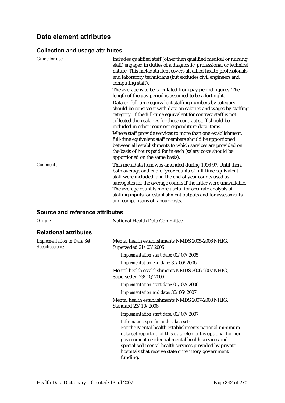| Guide for use: | Includes qualified staff (other than qualified medical or nursing<br>staff) engaged in duties of a diagnostic, professional or technical<br>nature. This metadata item covers all allied health professionals<br>and laboratory technicians (but excludes civil engineers and<br>computing staff).                                                                                                                          |
|----------------|-----------------------------------------------------------------------------------------------------------------------------------------------------------------------------------------------------------------------------------------------------------------------------------------------------------------------------------------------------------------------------------------------------------------------------|
|                | The average is to be calculated from pay period figures. The<br>length of the pay period is assumed to be a fortnight.                                                                                                                                                                                                                                                                                                      |
|                | Data on full-time equivalent staffing numbers by category<br>should be consistent with data on salaries and wages by staffing<br>category. If the full-time equivalent for contract staff is not<br>collected then salaries for those contract staff should be<br>included in other recurrent expenditure data items.                                                                                                       |
|                | Where staff provide services to more than one establishment,<br>full-time equivalent staff members should be apportioned<br>between all establishments to which services are provided on<br>the basis of hours paid for in each (salary costs should be<br>apportioned on the same basis).                                                                                                                                  |
| Comments:      | This metadata item was amended during 1996-97. Until then,<br>both average and end of year counts of full-time equivalent<br>staff were included, and the end of year counts used as<br>surrogates for the average counts if the latter were unavailable.<br>The average count is more useful for accurate analysis of<br>staffing inputs for establishment outputs and for assessments<br>and comparisons of labour costs. |

#### **Source and reference attributes**

| National Health Data Committee                                                                                                                                                                                                                                                                                                                     |
|----------------------------------------------------------------------------------------------------------------------------------------------------------------------------------------------------------------------------------------------------------------------------------------------------------------------------------------------------|
|                                                                                                                                                                                                                                                                                                                                                    |
| Mental health establishments NMDS 2005-2006 NHIG,<br>Superseded 21/03/2006                                                                                                                                                                                                                                                                         |
| Implementation start date: 01/07/2005                                                                                                                                                                                                                                                                                                              |
| Implementation end date: 30/06/2006                                                                                                                                                                                                                                                                                                                |
| Mental health establishments NMDS 2006-2007 NHIG,<br>Superseded 23/10/2006                                                                                                                                                                                                                                                                         |
| Implementation start date: 01/07/2006                                                                                                                                                                                                                                                                                                              |
| Implementation end date: 30/06/2007                                                                                                                                                                                                                                                                                                                |
| Mental health establishments NMDS 2007-2008 NHIG,<br>Standard 23/10/2006                                                                                                                                                                                                                                                                           |
| Implementation start date: 01/07/2007                                                                                                                                                                                                                                                                                                              |
| Information specific to this data set:<br>For the Mental health establishments national minimum<br>data set reporting of this data element is optional for non-<br>government residential mental health services and<br>specialised mental health services provided by private<br>hospitals that receive state or territory government<br>funding. |
|                                                                                                                                                                                                                                                                                                                                                    |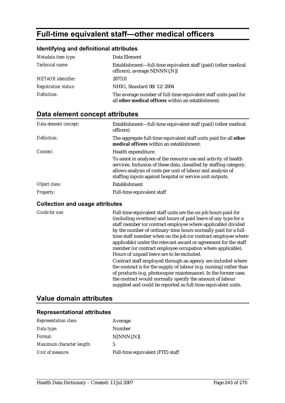# **Full-time equivalent staff—other medical officers**

### **Identifying and definitional attributes**

| Metadata item type:         | Data Element                                                                                                           |
|-----------------------------|------------------------------------------------------------------------------------------------------------------------|
| Technical name:             | Establishment—full-time equivalent staff (paid) (other medical<br>officers), average N[NNN{.N}]                        |
| <b>METeOR</b> identifier:   | 287531                                                                                                                 |
| <b>Registration status:</b> | NHIG, Standard 08/12/2004                                                                                              |
| Definition:                 | The average number of full-time equivalent staff units paid for<br>all other medical officers within an establishment. |

# **Data element concept attributes**

| Data element concept: | Establishment—full-time equivalent staff (paid) (other medical<br>officers)                                                                                                                                                                                         |
|-----------------------|---------------------------------------------------------------------------------------------------------------------------------------------------------------------------------------------------------------------------------------------------------------------|
| Definition:           | The aggregate full-time equivalent staff units paid for all other<br>medical officers within an establishment.                                                                                                                                                      |
| Context:              | Health expenditure:                                                                                                                                                                                                                                                 |
|                       | To assist in analyses of the resource use and activity of health<br>services. Inclusion of these data, classified by staffing category,<br>allows analysis of costs per unit of labour and analysis of<br>staffing inputs against hospital or service unit outputs. |
| Object class:         | Establishment                                                                                                                                                                                                                                                       |
| <b>Property:</b>      | Full-time equivalent staff                                                                                                                                                                                                                                          |

#### **Collection and usage attributes**

*Guide for use:* Full-time equivalent staff units are the on-job hours paid for (including overtime) and hours of paid leave of any type for a staff member (or contract employee where applicable) divided by the number of ordinary-time hours normally paid for a fulltime staff member when on the job (or contract employee where applicable) under the relevant award or agreement for the staff member (or contract employee occupation where applicable). Hours of unpaid leave are to be excluded. Contract staff employed through an agency are included where the contract is for the supply of labour (e.g. nursing) rather than of products (e.g. photocopier maintenance). In the former case, the contract would normally specify the amount of labour supplied and could be reported as full-time equivalent units.

## **Value domain attributes**

| <b>Representation class:</b> | Average                          |
|------------------------------|----------------------------------|
| Data type:                   | Number                           |
| <i>Format:</i>               | $N[NNN\{N\}]$                    |
| Maximum character length:    | 5                                |
| Unit of measure:             | Full-time equivalent (FTE) staff |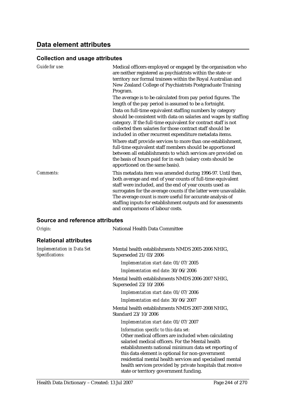## **Data element attributes**

#### **Collection and usage attributes**

| Guide for use:                                       | Medical officers employed or engaged by the organisation who                                                                                                                                                                                                                                                                                                                                                                |
|------------------------------------------------------|-----------------------------------------------------------------------------------------------------------------------------------------------------------------------------------------------------------------------------------------------------------------------------------------------------------------------------------------------------------------------------------------------------------------------------|
|                                                      | are neither registered as psychiatrists within the state or                                                                                                                                                                                                                                                                                                                                                                 |
|                                                      | territory nor formal trainees within the Royal Australian and                                                                                                                                                                                                                                                                                                                                                               |
|                                                      | New Zealand College of Psychiatrists Postgraduate Training                                                                                                                                                                                                                                                                                                                                                                  |
|                                                      | Program.                                                                                                                                                                                                                                                                                                                                                                                                                    |
|                                                      | The average is to be calculated from pay period figures. The<br>length of the pay period is assumed to be a fortnight.                                                                                                                                                                                                                                                                                                      |
|                                                      | Data on full-time equivalent staffing numbers by category<br>should be consistent with data on salaries and wages by staffing<br>category. If the full-time equivalent for contract staff is not<br>collected then salaries for those contract staff should be<br>included in other recurrent expenditure metadata items.                                                                                                   |
|                                                      | Where staff provide services to more than one establishment,<br>full-time equivalent staff members should be apportioned<br>between all establishments to which services are provided on<br>the basis of hours paid for in each (salary costs should be<br>apportioned on the same basis).                                                                                                                                  |
| Comments:                                            | This metadata item was amended during 1996-97. Until then,<br>both average and end of year counts of full-time equivalent<br>staff were included, and the end of year counts used as<br>surrogates for the average counts if the latter were unavailable.<br>The average count is more useful for accurate analysis of<br>staffing inputs for establishment outputs and for assessments<br>and comparisons of labour costs. |
| <b>Source and reference attributes</b>               |                                                                                                                                                                                                                                                                                                                                                                                                                             |
| Origin:                                              | <b>National Health Data Committee</b>                                                                                                                                                                                                                                                                                                                                                                                       |
| <b>Relational attributes</b>                         |                                                                                                                                                                                                                                                                                                                                                                                                                             |
| <b>Implementation in Data Set</b><br>Specifications: | Mental health establishments NMDS 2005-2006 NHIG,<br>Superseded 21/03/2006                                                                                                                                                                                                                                                                                                                                                  |
|                                                      | Implementation start date: 01/07/2005                                                                                                                                                                                                                                                                                                                                                                                       |
|                                                      | Implementation end date: 30/06/2006                                                                                                                                                                                                                                                                                                                                                                                         |
|                                                      | Mental health establishments NMDS 2006-2007 NHIG,<br>Superseded 23/10/2006                                                                                                                                                                                                                                                                                                                                                  |
|                                                      | Implementation start date: 01/07/2006                                                                                                                                                                                                                                                                                                                                                                                       |
|                                                      | Implementation end date: 30/06/2007                                                                                                                                                                                                                                                                                                                                                                                         |
|                                                      | $M_{\text{out}}$ l $L_{\text{out}}$ l $L_{\text{out}}$ l $L_{\text{in}}$ $L_{\text{out}}$ and $N_{\text{in}}$ and $N_{\text{out}}$ and $N_{\text{out}}$                                                                                                                                                                                                                                                                     |

Mental health establishments NMDS 2007-2008 NHIG, Standard 23/10/2006

*Implementation start date:* 01/07/2007

*Information specific to this data set:* Other medical officers are included when calculating salaried medical officers. For the Mental health establishments national minimum data set reporting of this data element is optional for non-government residential mental health services and specialised mental health services provided by private hospitals that receive state or territory government funding.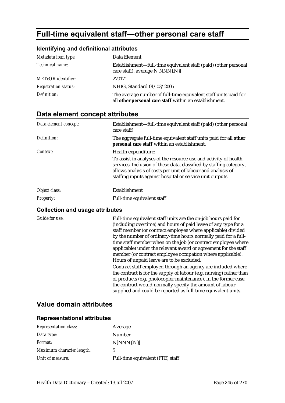# **Full-time equivalent staff—other personal care staff**

### **Identifying and definitional attributes**

| Metadata item type:         | Data Element                                                                                                              |
|-----------------------------|---------------------------------------------------------------------------------------------------------------------------|
| Technical name:             | Establishment—full-time equivalent staff (paid) (other personal<br>care staff), average N[NNN{.N}]                        |
| <b>METeOR</b> identifier:   | 270171                                                                                                                    |
| <b>Registration status:</b> | NHIG, Standard 01/03/2005                                                                                                 |
| Definition:                 | The average number of full-time equivalent staff units paid for<br>all other personal care staff within an establishment. |

# **Data element concept attributes**

| Data element concept:                  | Establishment—full-time equivalent staff (paid) (other personal<br>care staff)                                                                                                                                                                                      |
|----------------------------------------|---------------------------------------------------------------------------------------------------------------------------------------------------------------------------------------------------------------------------------------------------------------------|
| Definition:                            | The aggregate full-time equivalent staff units paid for all other<br>personal care staff within an establishment.                                                                                                                                                   |
| Context:                               | Health expenditure:                                                                                                                                                                                                                                                 |
|                                        | To assist in analyses of the resource use and activity of health<br>services. Inclusion of these data, classified by staffing category,<br>allows analysis of costs per unit of labour and analysis of<br>staffing inputs against hospital or service unit outputs. |
| Object class:                          | Establishment                                                                                                                                                                                                                                                       |
| <b>Property:</b>                       | Full-time equivalent staff                                                                                                                                                                                                                                          |
| <b>Collection and usage attributes</b> |                                                                                                                                                                                                                                                                     |

*Guide for use:* Full-time equivalent staff units are the on-job hours paid for (including overtime) and hours of paid leave of any type for a staff member (or contract employee where applicable) divided by the number of ordinary-time hours normally paid for a fulltime staff member when on the job (or contract employee where applicable) under the relevant award or agreement for the staff member (or contract employee occupation where applicable). Hours of unpaid leave are to be excluded. Contract staff employed through an agency are included where the contract is for the supply of labour (e.g. nursing) rather than

of products (e.g. photocopier maintenance). In the former case, the contract would normally specify the amount of labour supplied and could be reported as full-time equivalent units.

## **Value domain attributes**

| <b>Representation class:</b> | Average                          |
|------------------------------|----------------------------------|
| Data type:                   | Number                           |
| <i>Format:</i>               | $N[NNN\{N\}]$                    |
| Maximum character length:    | 5                                |
| Unit of measure:             | Full-time equivalent (FTE) staff |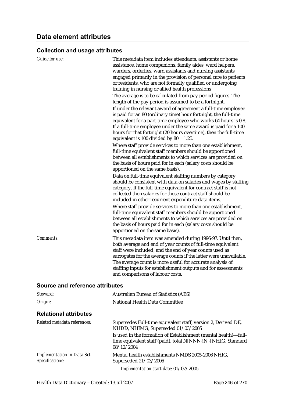| Guide for use:                  | This metadata item includes attendants, assistants or home<br>assistance, home companions, family aides, ward helpers,<br>warders, orderlies, ward assistants and nursing assistants<br>engaged primarily in the provision of personal care to patients<br>or residents, who are not formally qualified or undergoing<br>training in nursing or allied health professions<br>The average is to be calculated from pay period figures. The<br>length of the pay period is assumed to be a fortnight.<br>If under the relevant award of agreement a full-time employee<br>is paid for an 80 (ordinary time) hour fortnight, the full-time<br>equivalent for a part-time employee who works 64 hours is 0.8.<br>If a full-time employee under the same award is paid for a 100<br>hours for that fortnight (20 hours overtime), then the full-time<br>equivalent is 100 divided by $80 = 1.25$ .<br>Where staff provide services to more than one establishment,<br>full-time equivalent staff members should be apportioned<br>between all establishments to which services are provided on<br>the basis of hours paid for in each (salary costs should be |
|---------------------------------|----------------------------------------------------------------------------------------------------------------------------------------------------------------------------------------------------------------------------------------------------------------------------------------------------------------------------------------------------------------------------------------------------------------------------------------------------------------------------------------------------------------------------------------------------------------------------------------------------------------------------------------------------------------------------------------------------------------------------------------------------------------------------------------------------------------------------------------------------------------------------------------------------------------------------------------------------------------------------------------------------------------------------------------------------------------------------------------------------------------------------------------------------------|
|                                 | apportioned on the same basis).<br>Data on full-time equivalent staffing numbers by category<br>should be consistent with data on salaries and wages by staffing<br>category. If the full-time equivalent for contract staff is not<br>collected then salaries for those contract staff should be<br>included in other recurrent expenditure data items.<br>Where staff provide services to more than one establishment,<br>full-time equivalent staff members should be apportioned<br>between all establishments to which services are provided on                                                                                                                                                                                                                                                                                                                                                                                                                                                                                                                                                                                                     |
|                                 | the basis of hours paid for in each (salary costs should be<br>apportioned on the same basis).                                                                                                                                                                                                                                                                                                                                                                                                                                                                                                                                                                                                                                                                                                                                                                                                                                                                                                                                                                                                                                                           |
| <b>Comments:</b>                | This metadata item was amended during 1996-97. Until then,<br>both average and end of year counts of full-time equivalent<br>staff were included, and the end of year counts used as<br>surrogates for the average counts if the latter were unavailable.<br>The average count is more useful for accurate analysis of<br>staffing inputs for establishment outputs and for assessments<br>and comparisons of labour costs.                                                                                                                                                                                                                                                                                                                                                                                                                                                                                                                                                                                                                                                                                                                              |
| Source and reference attributes |                                                                                                                                                                                                                                                                                                                                                                                                                                                                                                                                                                                                                                                                                                                                                                                                                                                                                                                                                                                                                                                                                                                                                          |
| Steward:                        | <b>Australian Bureau of Statistics (ABS)</b>                                                                                                                                                                                                                                                                                                                                                                                                                                                                                                                                                                                                                                                                                                                                                                                                                                                                                                                                                                                                                                                                                                             |
| Origin:                         | National Health Data Committee                                                                                                                                                                                                                                                                                                                                                                                                                                                                                                                                                                                                                                                                                                                                                                                                                                                                                                                                                                                                                                                                                                                           |

## **Relational attributes**

| Related metadata references:                         | Supersedes Full-time equivalent staff, version 2, Derived DE,<br>NHDD, NHIMG, Superseded 01/03/2005                                                                                                                                                                                                                                                                                                                |
|------------------------------------------------------|--------------------------------------------------------------------------------------------------------------------------------------------------------------------------------------------------------------------------------------------------------------------------------------------------------------------------------------------------------------------------------------------------------------------|
|                                                      | Is used in the formation of Establishment (mental health)—full-<br>time equivalent staff (paid), total N[NNN{.N}] NHIG, Standard<br>08/12/2004                                                                                                                                                                                                                                                                     |
| <b>Implementation in Data Set</b><br>Specifications: | Mental health establishments NMDS 2005-2006 NHIG,<br>Superseded 21/03/2006<br>$\mathbf{r}$ $\mathbf{l}$ $\mathbf{r}$ $\mathbf{l}$ $\mathbf{r}$ $\mathbf{r}$ $\mathbf{r}$ $\mathbf{r}$ $\mathbf{r}$ $\mathbf{r}$ $\mathbf{r}$ $\mathbf{r}$ $\mathbf{r}$ $\mathbf{r}$ $\mathbf{r}$ $\mathbf{r}$ $\mathbf{r}$ $\mathbf{r}$ $\mathbf{r}$ $\mathbf{r}$ $\mathbf{r}$ $\mathbf{r}$ $\mathbf{r}$ $\mathbf{r}$ $\mathbf{r}$ |

*Implementation start date:* 01/07/2005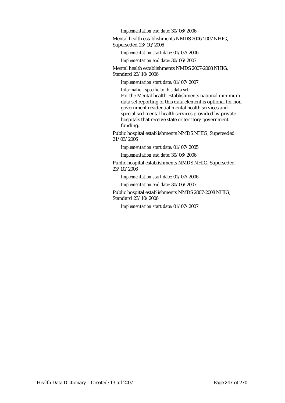*Implementation end date:* 30/06/2006

Mental health establishments NMDS 2006-2007 NHIG, Superseded 23/10/2006

*Implementation start date:* 01/07/2006

*Implementation end date:* 30/06/2007

Mental health establishments NMDS 2007-2008 NHIG, Standard 23/10/2006

*Implementation start date:* 01/07/2007

*Information specific to this data set:*

For the Mental health establishments national minimum data set reporting of this data element is optional for nongovernment residential mental health services and specialised mental health services provided by private hospitals that receive state or territory government funding.

Public hospital establishments NMDS NHIG, Superseded 21/03/2006

*Implementation start date:* 01/07/2005

*Implementation end date:* 30/06/2006

Public hospital establishments NMDS NHIG, Superseded 23/10/2006

*Implementation start date:* 01/07/2006

*Implementation end date:* 30/06/2007

Public hospital establishments NMDS 2007-2008 NHIG, Standard 23/10/2006

*Implementation start date:* 01/07/2007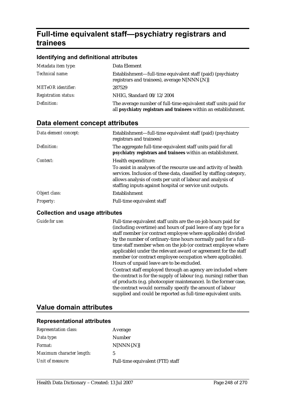# **Full-time equivalent staff—psychiatry registrars and trainees**

#### **Identifying and definitional attributes**

| Metadata item type:         | Data Element                                                                                                                       |
|-----------------------------|------------------------------------------------------------------------------------------------------------------------------------|
| Technical name:             | Establishment—full-time equivalent staff (paid) (psychiatry<br>registrars and trainees), average N[NNN{.N}]                        |
| <b>METeOR</b> identifier:   | 287529                                                                                                                             |
| <b>Registration status:</b> | NHIG, Standard 08/12/2004                                                                                                          |
| Definition:                 | The average number of full-time equivalent staff units paid for<br>all psychiatry registrars and trainees within an establishment. |

## **Data element concept attributes**

| Data element concept: | Establishment—full-time equivalent staff (paid) (psychiatry<br>registrars and trainees)                                                                                                                                                                             |
|-----------------------|---------------------------------------------------------------------------------------------------------------------------------------------------------------------------------------------------------------------------------------------------------------------|
| Definition:           | The aggregate full-time equivalent staff units paid for all<br>psychiatry registrars and trainees within an establishment.                                                                                                                                          |
| Context:              | Health expenditure:                                                                                                                                                                                                                                                 |
|                       | To assist in analyses of the resource use and activity of health<br>services. Inclusion of these data, classified by staffing category,<br>allows analysis of costs per unit of labour and analysis of<br>staffing inputs against hospital or service unit outputs. |
| Object class:         | Establishment                                                                                                                                                                                                                                                       |
| <b>Property:</b>      | Full-time equivalent staff                                                                                                                                                                                                                                          |

#### **Collection and usage attributes**

*Guide for use:* Full-time equivalent staff units are the on-job hours paid for (including overtime) and hours of paid leave of any type for a staff member (or contract employee where applicable) divided by the number of ordinary-time hours normally paid for a fulltime staff member when on the job (or contract employee where applicable) under the relevant award or agreement for the staff member (or contract employee occupation where applicable). Hours of unpaid leave are to be excluded.

> Contract staff employed through an agency are included where the contract is for the supply of labour (e.g. nursing) rather than of products (e.g. photocopier maintenance). In the former case, the contract would normally specify the amount of labour supplied and could be reported as full-time equivalent units.

### **Value domain attributes**

| <b>Representation class:</b> | Average                          |
|------------------------------|----------------------------------|
| Data type:                   | Number                           |
| <i>Format:</i>               | $N[NNN\{N\}]$                    |
| Maximum character length:    | 5                                |
| Unit of measure:             | Full-time equivalent (FTE) staff |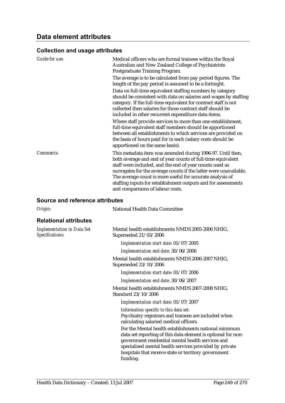| <b>Guide for use:</b> | Medical officers who are formal trainees within the Royal<br>Australian and New Zealand College of Psychiatrists<br>Postgraduate Training Program.                                                                                                                                                                                                                                                                          |
|-----------------------|-----------------------------------------------------------------------------------------------------------------------------------------------------------------------------------------------------------------------------------------------------------------------------------------------------------------------------------------------------------------------------------------------------------------------------|
|                       | The average is to be calculated from pay period figures. The<br>length of the pay period is assumed to be a fortnight.                                                                                                                                                                                                                                                                                                      |
|                       | Data on full-time equivalent staffing numbers by category<br>should be consistent with data on salaries and wages by staffing<br>category. If the full-time equivalent for contract staff is not<br>collected then salaries for those contract staff should be<br>included in other recurrent expenditure data items.                                                                                                       |
|                       | Where staff provide services to more than one establishment,<br>full-time equivalent staff members should be apportioned<br>between all establishments to which services are provided on<br>the basis of hours paid for in each (salary costs should be<br>apportioned on the same basis).                                                                                                                                  |
| Comments:             | This metadata item was amended during 1996-97. Until then,<br>both average and end of year counts of full-time equivalent<br>staff were included, and the end of year counts used as<br>surrogates for the average counts if the latter were unavailable.<br>The average count is more useful for accurate analysis of<br>staffing inputs for establishment outputs and for assessments<br>and comparisons of labour costs. |

### **Source and reference attributes**

| Origin:                                              | <b>National Health Data Committee</b>                                                                                                                                                                                                |
|------------------------------------------------------|--------------------------------------------------------------------------------------------------------------------------------------------------------------------------------------------------------------------------------------|
| <b>Relational attributes</b>                         |                                                                                                                                                                                                                                      |
| <b>Implementation in Data Set</b><br>Specifications: | Mental health establishments NMDS 2005-2006 NHIG,<br>Superseded 21/03/2006                                                                                                                                                           |
|                                                      | Implementation start date: 01/07/2005                                                                                                                                                                                                |
|                                                      | Implementation end date: 30/06/2006                                                                                                                                                                                                  |
|                                                      | Mental health establishments NMDS 2006-2007 NHIG,<br>Superseded 23/10/2006                                                                                                                                                           |
|                                                      | Implementation start date: 01/07/2006                                                                                                                                                                                                |
|                                                      | Implementation end date: 30/06/2007                                                                                                                                                                                                  |
|                                                      | Mental health establishments NMDS 2007-2008 NHIG,<br>Standard 23/10/2006                                                                                                                                                             |
|                                                      | Implementation start date: 01/07/2007                                                                                                                                                                                                |
|                                                      | Information specific to this data set:<br>Psychiatry registrars and trainees are included when<br>calculating salaried medical officers.                                                                                             |
|                                                      | For the Mental health establishments national minimum<br>data set reporting of this data element is optional for non-<br>government residential mental health services and<br>specialised mental health services provided by private |
|                                                      | hospitals that receive state or territory government<br>funding.                                                                                                                                                                     |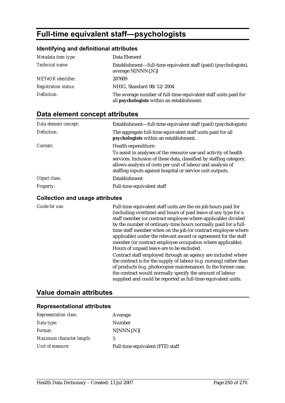# **Full-time equivalent staff—psychologists**

### **Identifying and definitional attributes**

| Metadata item type:         | Data Element                                                                                                  |
|-----------------------------|---------------------------------------------------------------------------------------------------------------|
| Technical name:             | Establishment—full-time equivalent staff (paid) (psychologists),<br>average N[NNN{.N}]                        |
| <b>METeOR</b> identifier:   | 287609                                                                                                        |
| <b>Registration status:</b> | NHIG, Standard 08/12/2004                                                                                     |
| Definition:                 | The average number of full-time equivalent staff units paid for<br>all psychologists within an establishment. |

# **Data element concept attributes**

| Data element concept: | Establishment—full-time equivalent staff (paid) (psychologists)                                                                                                                                                                                                     |
|-----------------------|---------------------------------------------------------------------------------------------------------------------------------------------------------------------------------------------------------------------------------------------------------------------|
| Definition:           | The aggregate full-time equivalent staff units paid for all<br>psychologists within an establishment.                                                                                                                                                               |
| Context:              | Health expenditure:                                                                                                                                                                                                                                                 |
|                       | To assist in analyses of the resource use and activity of health<br>services. Inclusion of these data, classified by staffing category,<br>allows analysis of costs per unit of labour and analysis of<br>staffing inputs against hospital or service unit outputs. |
| Object class:         | Establishment                                                                                                                                                                                                                                                       |
| <b>Property:</b>      | Full-time equivalent staff                                                                                                                                                                                                                                          |

#### **Collection and usage attributes**

*Guide for use:* Full-time equivalent staff units are the on-job hours paid for (including overtime) and hours of paid leave of any type for a staff member (or contract employee where applicable) divided by the number of ordinary-time hours normally paid for a fulltime staff member when on the job (or contract employee where applicable) under the relevant award or agreement for the staff member (or contract employee occupation where applicable). Hours of unpaid leave are to be excluded.

> Contract staff employed through an agency are included where the contract is for the supply of labour (e.g. nursing) rather than of products (e.g. photocopier maintenance). In the former case, the contract would normally specify the amount of labour supplied and could be reported as full-time equivalent units.

## **Value domain attributes**

| <b>Representation class:</b> | Average                          |
|------------------------------|----------------------------------|
| Data type:                   | Number                           |
| <i>Format:</i>               | $N[NNN\{N\}]$                    |
| Maximum character length:    | 5                                |
| Unit of measure:             | Full-time equivalent (FTE) staff |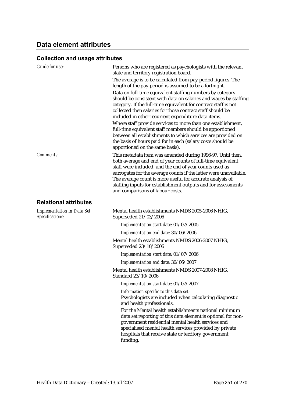# **Data element attributes**

## **Collection and usage attributes**

| <b>Guide for use:</b>                                | Persons who are registered as psychologists with the relevant<br>state and territory registration board.<br>The average is to be calculated from pay period figures. The<br>length of the pay period is assumed to be a fortnight.<br>Data on full-time equivalent staffing numbers by category<br>should be consistent with data on salaries and wages by staffing<br>category. If the full-time equivalent for contract staff is not<br>collected then salaries for those contract staff should be<br>included in other recurrent expenditure data items.<br>Where staff provide services to more than one establishment,<br>full-time equivalent staff members should be apportioned<br>between all establishments to which services are provided on<br>the basis of hours paid for in each (salary costs should be<br>apportioned on the same basis). |
|------------------------------------------------------|-----------------------------------------------------------------------------------------------------------------------------------------------------------------------------------------------------------------------------------------------------------------------------------------------------------------------------------------------------------------------------------------------------------------------------------------------------------------------------------------------------------------------------------------------------------------------------------------------------------------------------------------------------------------------------------------------------------------------------------------------------------------------------------------------------------------------------------------------------------|
| Comments:                                            | This metadata item was amended during 1996-97. Until then,<br>both average and end of year counts of full-time equivalent<br>staff were included, and the end of year counts used as<br>surrogates for the average counts if the latter were unavailable.<br>The average count is more useful for accurate analysis of<br>staffing inputs for establishment outputs and for assessments<br>and comparisons of labour costs.                                                                                                                                                                                                                                                                                                                                                                                                                               |
| <b>Relational attributes</b>                         |                                                                                                                                                                                                                                                                                                                                                                                                                                                                                                                                                                                                                                                                                                                                                                                                                                                           |
| <b>Implementation in Data Set</b><br>Specifications: | Mental health establishments NMDS 2005-2006 NHIG,<br>Superseded 21/03/2006                                                                                                                                                                                                                                                                                                                                                                                                                                                                                                                                                                                                                                                                                                                                                                                |
|                                                      | Implementation start date: 01/07/2005                                                                                                                                                                                                                                                                                                                                                                                                                                                                                                                                                                                                                                                                                                                                                                                                                     |
|                                                      | Implementation end date: 30/06/2006                                                                                                                                                                                                                                                                                                                                                                                                                                                                                                                                                                                                                                                                                                                                                                                                                       |
|                                                      | Mental health establishments NMDS 2006-2007 NHIG,<br>Superseded 23/10/2006                                                                                                                                                                                                                                                                                                                                                                                                                                                                                                                                                                                                                                                                                                                                                                                |
|                                                      | Implementation start date: 01/07/2006                                                                                                                                                                                                                                                                                                                                                                                                                                                                                                                                                                                                                                                                                                                                                                                                                     |
|                                                      | Implementation end date: 30/06/2007                                                                                                                                                                                                                                                                                                                                                                                                                                                                                                                                                                                                                                                                                                                                                                                                                       |
|                                                      | Mental health establishments NMDS 2007-2008 NHIG,<br>Standard 23/10/2006                                                                                                                                                                                                                                                                                                                                                                                                                                                                                                                                                                                                                                                                                                                                                                                  |
|                                                      | Implementation start date: 01/07/2007                                                                                                                                                                                                                                                                                                                                                                                                                                                                                                                                                                                                                                                                                                                                                                                                                     |
|                                                      | Information specific to this data set:<br>Psychologists are included when calculating diagnostic<br>and health professionals.                                                                                                                                                                                                                                                                                                                                                                                                                                                                                                                                                                                                                                                                                                                             |
|                                                      | For the Mental health establishments national minimum<br>data set reporting of this data element is optional for non-<br>government residential mental health services and<br>specialised mental health services provided by private<br>hospitals that receive state or territory government<br>funding.                                                                                                                                                                                                                                                                                                                                                                                                                                                                                                                                                  |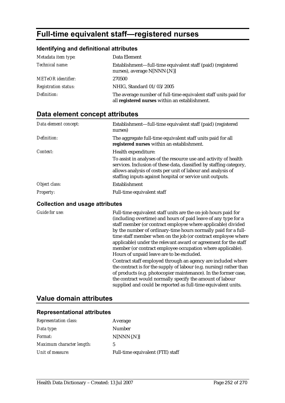# **Full-time equivalent staff—registered nurses**

### **Identifying and definitional attributes**

| Metadata item type:         | Data Element                                                                                                      |
|-----------------------------|-------------------------------------------------------------------------------------------------------------------|
| <i>Technical name:</i>      | Establishment—full-time equivalent staff (paid) (registered<br>nurses), average N[NNN{.N}]                        |
| <b>METeOR</b> identifier:   | 270500                                                                                                            |
| <b>Registration status:</b> | NHIG, Standard 01/03/2005                                                                                         |
| Definition:                 | The average number of full-time equivalent staff units paid for<br>all registered nurses within an establishment. |

# **Data element concept attributes**

| Data element concept: | Establishment-full-time equivalent staff (paid) (registered<br>nurses)                                                                                                                                                                                              |
|-----------------------|---------------------------------------------------------------------------------------------------------------------------------------------------------------------------------------------------------------------------------------------------------------------|
| Definition:           | The aggregate full-time equivalent staff units paid for all<br>registered nurses within an establishment.                                                                                                                                                           |
| Context:              | Health expenditure:                                                                                                                                                                                                                                                 |
|                       | To assist in analyses of the resource use and activity of health<br>services. Inclusion of these data, classified by staffing category,<br>allows analysis of costs per unit of labour and analysis of<br>staffing inputs against hospital or service unit outputs. |
| Object class:         | Establishment                                                                                                                                                                                                                                                       |
| <i>Property:</i>      | Full-time equivalent staff                                                                                                                                                                                                                                          |

#### **Collection and usage attributes**

*Guide for use:* Full-time equivalent staff units are the on-job hours paid for (including overtime) and hours of paid leave of any type for a staff member (or contract employee where applicable) divided by the number of ordinary-time hours normally paid for a fulltime staff member when on the job (or contract employee where applicable) under the relevant award or agreement for the staff member (or contract employee occupation where applicable). Hours of unpaid leave are to be excluded. Contract staff employed through an agency are included where the contract is for the supply of labour (e.g. nursing) rather than of products (e.g. photocopier maintenance). In the former case, the contract would normally specify the amount of labour supplied and could be reported as full-time equivalent units.

## **Value domain attributes**

| <b>Representation class:</b> | Average                          |
|------------------------------|----------------------------------|
| Data type:                   | Number                           |
| <i>Format:</i>               | $N[NNN\{N\}]$                    |
| Maximum character length:    | 5                                |
| Unit of measure:             | Full-time equivalent (FTE) staff |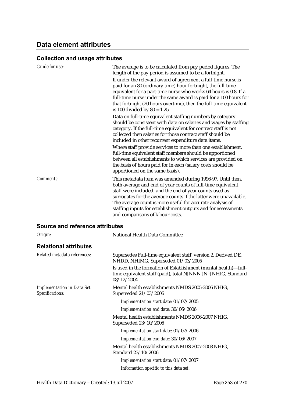### **Data element attributes**

#### **Collection and usage attributes**

| Guide for use:                                       | The average is to be calculated from pay period figures. The<br>length of the pay period is assumed to be a fortnight.                                                                                                                                                                                                                                                                                                      |
|------------------------------------------------------|-----------------------------------------------------------------------------------------------------------------------------------------------------------------------------------------------------------------------------------------------------------------------------------------------------------------------------------------------------------------------------------------------------------------------------|
|                                                      | If under the relevant award of agreement a full-time nurse is<br>paid for an 80 (ordinary time) hour fortnight, the full-time<br>equivalent for a part-time nurse who works 64 hours is 0.8. If a<br>full-time nurse under the same award is paid for a 100 hours for<br>that fortnight (20 hours overtime), then the full-time equivalent<br>is 100 divided by $80 = 1.25$ .                                               |
|                                                      | Data on full-time equivalent staffing numbers by category<br>should be consistent with data on salaries and wages by staffing<br>category. If the full-time equivalent for contract staff is not<br>collected then salaries for those contract staff should be<br>included in other recurrent expenditure data items.                                                                                                       |
|                                                      | Where staff provide services to more than one establishment,<br>full-time equivalent staff members should be apportioned<br>between all establishments to which services are provided on<br>the basis of hours paid for in each (salary costs should be<br>apportioned on the same basis).                                                                                                                                  |
| <b>Comments:</b>                                     | This metadata item was amended during 1996-97. Until then,<br>both average and end of year counts of full-time equivalent<br>staff were included, and the end of year counts used as<br>surrogates for the average counts if the latter were unavailable.<br>The average count is more useful for accurate analysis of<br>staffing inputs for establishment outputs and for assessments<br>and comparisons of labour costs. |
| <b>Source and reference attributes</b>               |                                                                                                                                                                                                                                                                                                                                                                                                                             |
| Origin:                                              | National Health Data Committee                                                                                                                                                                                                                                                                                                                                                                                              |
| <b>Relational attributes</b>                         |                                                                                                                                                                                                                                                                                                                                                                                                                             |
| Related metadata references:                         | Supersedes Full-time equivalent staff, version 2, Derived DE,<br>NHDD, NHIMG, Superseded 01/03/2005                                                                                                                                                                                                                                                                                                                         |
|                                                      | Is used in the formation of Establishment (mental health)-full-<br>time equivalent staff (paid), total N[NNN{.N}] NHIG, Standard<br>08/12/2004                                                                                                                                                                                                                                                                              |
| <b>Implementation in Data Set</b><br>Specifications: | Mental health establishments NMDS 2005-2006 NHIG,<br>Superseded 21/03/2006                                                                                                                                                                                                                                                                                                                                                  |
|                                                      | Implementation start date: 01/07/2005                                                                                                                                                                                                                                                                                                                                                                                       |
|                                                      | Implementation end date: 30/06/2006                                                                                                                                                                                                                                                                                                                                                                                         |
|                                                      | Mental health establishments NMDS 2006-2007 NHIG,<br>Superseded 23/10/2006                                                                                                                                                                                                                                                                                                                                                  |
|                                                      | Implementation start date: 01/07/2006                                                                                                                                                                                                                                                                                                                                                                                       |
|                                                      | Implementation end date: 30/06/2007                                                                                                                                                                                                                                                                                                                                                                                         |
|                                                      | Mental health establishments NMDS 2007-2008 NHIG,<br>Standard 23/10/2006                                                                                                                                                                                                                                                                                                                                                    |
|                                                      | Implementation start date: 01/07/2007                                                                                                                                                                                                                                                                                                                                                                                       |

*Information specific to this data set:*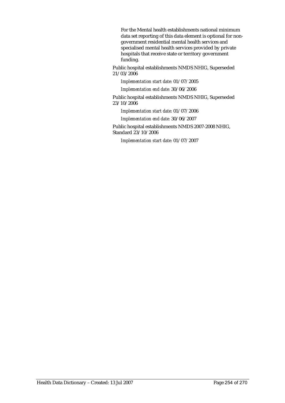For the Mental health establishments national minimum data set reporting of this data element is optional for nongovernment residential mental health services and specialised mental health services provided by private hospitals that receive state or territory government funding.

Public hospital establishments NMDS NHIG, Superseded 21/03/2006

*Implementation start date:* 01/07/2005

*Implementation end date:* 30/06/2006

Public hospital establishments NMDS NHIG, Superseded 23/10/2006

*Implementation start date:* 01/07/2006

*Implementation end date:* 30/06/2007

Public hospital establishments NMDS 2007-2008 NHIG, Standard 23/10/2006

*Implementation start date:* 01/07/2007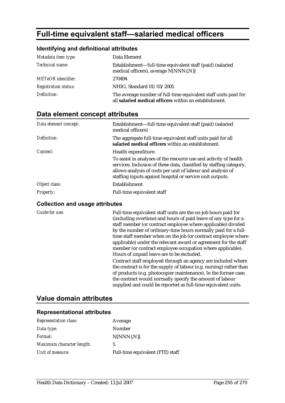# **Full-time equivalent staff—salaried medical officers**

#### **Identifying and definitional attributes**

| Metadata item type:         | Data Element                                                                                                              |
|-----------------------------|---------------------------------------------------------------------------------------------------------------------------|
| Technical name:             | Establishment—full-time equivalent staff (paid) (salaried<br>medical officers), average N[NNN{.N}]                        |
| <b>METeOR</b> identifier:   | 270494                                                                                                                    |
| <b>Registration status:</b> | NHIG, Standard 01/03/2005                                                                                                 |
| Definition:                 | The average number of full-time equivalent staff units paid for<br>all salaried medical officers within an establishment. |

### **Data element concept attributes**

| Data element concept: | Establishment-full-time equivalent staff (paid) (salaried<br>medical officers)                                                                                                                                                                                      |
|-----------------------|---------------------------------------------------------------------------------------------------------------------------------------------------------------------------------------------------------------------------------------------------------------------|
| Definition:           | The aggregate full-time equivalent staff units paid for all<br>salaried medical officers within an establishment.                                                                                                                                                   |
| Context:              | Health expenditure:                                                                                                                                                                                                                                                 |
|                       | To assist in analyses of the resource use and activity of health<br>services. Inclusion of these data, classified by staffing category,<br>allows analysis of costs per unit of labour and analysis of<br>staffing inputs against hospital or service unit outputs. |
| Object class:         | Establishment                                                                                                                                                                                                                                                       |
| <i>Property:</i>      | Full-time equivalent staff                                                                                                                                                                                                                                          |

#### **Collection and usage attributes**

*Guide for use:* Full-time equivalent staff units are the on-job hours paid for (including overtime) and hours of paid leave of any type for a staff member (or contract employee where applicable) divided by the number of ordinary-time hours normally paid for a fulltime staff member when on the job (or contract employee where applicable) under the relevant award or agreement for the staff member (or contract employee occupation where applicable). Hours of unpaid leave are to be excluded. Contract staff employed through an agency are included where the contract is for the supply of labour (e.g. nursing) rather than of products (e.g. photocopier maintenance). In the former case, the contract would normally specify the amount of labour supplied and could be reported as full-time equivalent units.

#### **Value domain attributes**

#### **Representational attributes**

| <b>Representation class:</b> | Average                          |
|------------------------------|----------------------------------|
| Data type:                   | Number                           |
| <i>Format:</i>               | $N[NNN\{N\}]$                    |
| Maximum character length:    | 5                                |
| Unit of measure:             | Full-time equivalent (FTE) staff |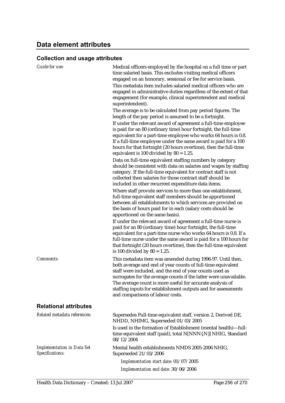| <b>Guide for use:</b>                                | Medical officers employed by the hospital on a full time or part<br>time salaried basis. This excludes visiting medical officers<br>engaged on an honorary, sessional or fee for service basis.<br>This metadata item includes salaried medical officers who are<br>engaged in administrative duties regardless of the extent of that<br>engagement (for example, clinical superintendent and medical<br>superintendent).<br>The average is to be calculated from pay period figures. The<br>length of the pay period is assumed to be a fortnight.<br>If under the relevant award of agreement a full-time employee<br>is paid for an 80 (ordinary time) hour fortnight, the full-time<br>equivalent for a part-time employee who works 64 hours is 0.8.<br>If a full-time employee under the same award is paid for a 100<br>hours for that fortnight (20 hours overtime), then the full-time<br>equivalent is 100 divided by $80 = 1.25$ .<br>Data on full-time equivalent staffing numbers by category<br>should be consistent with data on salaries and wages by staffing<br>category. If the full-time equivalent for contract staff is not<br>collected then salaries for those contract staff should be<br>included in other recurrent expenditure data items.<br>Where staff provide services to more than one establishment,<br>full-time equivalent staff members should be apportioned<br>between all establishments to which services are provided on<br>the basis of hours paid for in each (salary costs should be<br>apportioned on the same basis). |
|------------------------------------------------------|----------------------------------------------------------------------------------------------------------------------------------------------------------------------------------------------------------------------------------------------------------------------------------------------------------------------------------------------------------------------------------------------------------------------------------------------------------------------------------------------------------------------------------------------------------------------------------------------------------------------------------------------------------------------------------------------------------------------------------------------------------------------------------------------------------------------------------------------------------------------------------------------------------------------------------------------------------------------------------------------------------------------------------------------------------------------------------------------------------------------------------------------------------------------------------------------------------------------------------------------------------------------------------------------------------------------------------------------------------------------------------------------------------------------------------------------------------------------------------------------------------------------------------------------------------------------|
|                                                      | If under the relevant award of agreement a full-time nurse is<br>paid for an 80 (ordinary time) hour fortnight, the full-time<br>equivalent for a part-time nurse who works 64 hours is 0.8. If a<br>full-time nurse under the same award is paid for a 100 hours for<br>that fortnight (20 hours overtime), then the full-time equivalent<br>is 100 divided by $80 = 1.25$ .                                                                                                                                                                                                                                                                                                                                                                                                                                                                                                                                                                                                                                                                                                                                                                                                                                                                                                                                                                                                                                                                                                                                                                                        |
| Comments:                                            | This metadata item was amended during 1996-97. Until then,<br>both average and end of year counts of full-time equivalent<br>staff were included, and the end of year counts used as<br>surrogates for the average counts if the latter were unavailable.<br>The average count is more useful for accurate analysis of<br>staffing inputs for establishment outputs and for assessments<br>and comparisons of labour costs.                                                                                                                                                                                                                                                                                                                                                                                                                                                                                                                                                                                                                                                                                                                                                                                                                                                                                                                                                                                                                                                                                                                                          |
| <b>Relational attributes</b>                         |                                                                                                                                                                                                                                                                                                                                                                                                                                                                                                                                                                                                                                                                                                                                                                                                                                                                                                                                                                                                                                                                                                                                                                                                                                                                                                                                                                                                                                                                                                                                                                      |
| Related metadata references:                         | Supersedes Full-time equivalent staff, version 2, Derived DE,<br>NHDD, NHIMG, Superseded 01/03/2005                                                                                                                                                                                                                                                                                                                                                                                                                                                                                                                                                                                                                                                                                                                                                                                                                                                                                                                                                                                                                                                                                                                                                                                                                                                                                                                                                                                                                                                                  |
|                                                      | Is used in the formation of Establishment (mental health)-full-<br>time equivalent staff (paid), total N[NNN{.N}] NHIG, Standard<br>08/12/2004                                                                                                                                                                                                                                                                                                                                                                                                                                                                                                                                                                                                                                                                                                                                                                                                                                                                                                                                                                                                                                                                                                                                                                                                                                                                                                                                                                                                                       |
| <b>Implementation in Data Set</b><br>Specifications: | Mental health establishments NMDS 2005-2006 NHIG,<br>Superseded 21/03/2006                                                                                                                                                                                                                                                                                                                                                                                                                                                                                                                                                                                                                                                                                                                                                                                                                                                                                                                                                                                                                                                                                                                                                                                                                                                                                                                                                                                                                                                                                           |
|                                                      | Implementation start date: 01/07/2005                                                                                                                                                                                                                                                                                                                                                                                                                                                                                                                                                                                                                                                                                                                                                                                                                                                                                                                                                                                                                                                                                                                                                                                                                                                                                                                                                                                                                                                                                                                                |
|                                                      | Implementation end date: 30/06/2006                                                                                                                                                                                                                                                                                                                                                                                                                                                                                                                                                                                                                                                                                                                                                                                                                                                                                                                                                                                                                                                                                                                                                                                                                                                                                                                                                                                                                                                                                                                                  |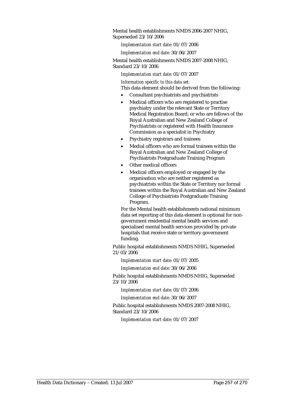Mental health establishments NMDS 2006-2007 NHIG, Superseded 23/10/2006

*Implementation start date:* 01/07/2006

*Implementation end date:* 30/06/2007

Mental health establishments NMDS 2007-2008 NHIG, Standard 23/10/2006

*Implementation start date:* 01/07/2007

*Information specific to this data set:*

This data element should be derived from the following:

- Consultant psychiatrists and psychiatrists
- Medical officers who are registered to practise psychiatry under the relevant State or Territory Medical Registration Board; or who are fellows of the Royal Australian and New Zealand College of Psychiatrists or registered with Health Insurance Commission as a specialist in Psychiatry
- Psychiatry registrars and trainees
- Medial officers who are formal trainees within the Royal Australian and New Zealand College of Psychiatrists Postgraduate Training Program
- Other medical officers
- Medical officers employed or engaged by the organisation who are neither registered as psychiatrists within the State or Territory nor formal trainees within the Royal Australian and New Zealand College of Psychiatrists Postgraduate Training Program.

For the Mental health establishments national minimum data set reporting of this data element is optional for nongovernment residential mental health services and specialised mental health services provided by private hospitals that receive state or territory government funding.

Public hospital establishments NMDS NHIG, Superseded 21/03/2006

*Implementation start date:* 01/07/2005

*Implementation end date:* 30/06/2006

Public hospital establishments NMDS NHIG, Superseded 23/10/2006

*Implementation start date:* 01/07/2006

*Implementation end date:* 30/06/2007

Public hospital establishments NMDS 2007-2008 NHIG, Standard 23/10/2006

*Implementation start date:* 01/07/2007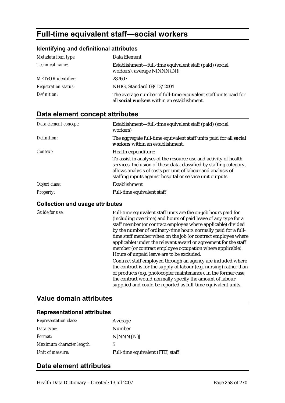# **Full-time equivalent staff—social workers**

#### **Identifying and definitional attributes**

| Metadata item type:         | Data Element                                                                                                   |
|-----------------------------|----------------------------------------------------------------------------------------------------------------|
| Technical name:             | Establishment—full-time equivalent staff (paid) (social<br>workers), average N[NNN{.N}]                        |
| <b>METeOR</b> identifier:   | 287607                                                                                                         |
| <b>Registration status:</b> | NHIG, Standard 08/12/2004                                                                                      |
| Definition:                 | The average number of full-time equivalent staff units paid for<br>all social workers within an establishment. |

### **Data element concept attributes**

| Data element concept: | Establishment-full-time equivalent staff (paid) (social<br>workers)                                                                                                                                                                                                 |
|-----------------------|---------------------------------------------------------------------------------------------------------------------------------------------------------------------------------------------------------------------------------------------------------------------|
| Definition:           | The aggregate full-time equivalent staff units paid for all <b>social</b><br>workers within an establishment.                                                                                                                                                       |
| Context:              | Health expenditure:                                                                                                                                                                                                                                                 |
|                       | To assist in analyses of the resource use and activity of health<br>services. Inclusion of these data, classified by staffing category,<br>allows analysis of costs per unit of labour and analysis of<br>staffing inputs against hospital or service unit outputs. |
| Object class:         | Establishment                                                                                                                                                                                                                                                       |
| <b>Property:</b>      | Full-time equivalent staff                                                                                                                                                                                                                                          |

#### **Collection and usage attributes**

*Guide for use:* Full-time equivalent staff units are the on-job hours paid for (including overtime) and hours of paid leave of any type for a staff member (or contract employee where applicable) divided by the number of ordinary-time hours normally paid for a fulltime staff member when on the job (or contract employee where applicable) under the relevant award or agreement for the staff member (or contract employee occupation where applicable). Hours of unpaid leave are to be excluded. Contract staff employed through an agency are included where the contract is for the supply of labour (e.g. nursing) rather than of products (e.g. photocopier maintenance). In the former case, the contract would normally specify the amount of labour supplied and could be reported as full-time equivalent units.

### **Value domain attributes**

#### **Representational attributes**

| <b>Representation class:</b> | Average                          |
|------------------------------|----------------------------------|
| Data type:                   | Number                           |
| <i>Format:</i>               | $N[NNN\{N\}]$                    |
| Maximum character length:    | 5                                |
| Unit of measure:             | Full-time equivalent (FTE) staff |

### **Data element attributes**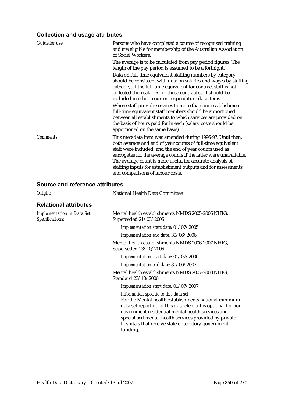| Guide for use: | Persons who have completed a course of recognised training<br>and are eligible for membership of the Australian Association<br>of Social Workers.                                                                                                                                                                                                                                                                           |
|----------------|-----------------------------------------------------------------------------------------------------------------------------------------------------------------------------------------------------------------------------------------------------------------------------------------------------------------------------------------------------------------------------------------------------------------------------|
|                | The average is to be calculated from pay period figures. The<br>length of the pay period is assumed to be a fortnight.                                                                                                                                                                                                                                                                                                      |
|                | Data on full-time equivalent staffing numbers by category<br>should be consistent with data on salaries and wages by staffing<br>category. If the full-time equivalent for contract staff is not<br>collected then salaries for those contract staff should be<br>included in other recurrent expenditure data items.                                                                                                       |
|                | Where staff provide services to more than one establishment,<br>full-time equivalent staff members should be apportioned<br>between all establishments to which services are provided on<br>the basis of hours paid for in each (salary costs should be<br>apportioned on the same basis).                                                                                                                                  |
| Comments:      | This metadata item was amended during 1996-97. Until then,<br>both average and end of year counts of full-time equivalent<br>staff were included, and the end of year counts used as<br>surrogates for the average counts if the latter were unavailable.<br>The average count is more useful for accurate analysis of<br>staffing inputs for establishment outputs and for assessments<br>and comparisons of labour costs. |

| Origin:                                              | National Health Data Committee                                                                                                                                                                                                                                                                                                                     |
|------------------------------------------------------|----------------------------------------------------------------------------------------------------------------------------------------------------------------------------------------------------------------------------------------------------------------------------------------------------------------------------------------------------|
| <b>Relational attributes</b>                         |                                                                                                                                                                                                                                                                                                                                                    |
| <b>Implementation in Data Set</b><br>Specifications: | Mental health establishments NMDS 2005-2006 NHIG,<br>Superseded 21/03/2006                                                                                                                                                                                                                                                                         |
|                                                      | Implementation start date: 01/07/2005                                                                                                                                                                                                                                                                                                              |
|                                                      | Implementation end date: 30/06/2006                                                                                                                                                                                                                                                                                                                |
|                                                      | Mental health establishments NMDS 2006-2007 NHIG,<br>Superseded 23/10/2006                                                                                                                                                                                                                                                                         |
|                                                      | Implementation start date: 01/07/2006                                                                                                                                                                                                                                                                                                              |
|                                                      | Implementation end date: 30/06/2007                                                                                                                                                                                                                                                                                                                |
|                                                      | Mental health establishments NMDS 2007-2008 NHIG,<br>Standard 23/10/2006                                                                                                                                                                                                                                                                           |
|                                                      | Implementation start date: 01/07/2007                                                                                                                                                                                                                                                                                                              |
|                                                      | Information specific to this data set:<br>For the Mental health establishments national minimum<br>data set reporting of this data element is optional for non-<br>government residential mental health services and<br>specialised mental health services provided by private<br>hospitals that receive state or territory government<br>funding. |
|                                                      |                                                                                                                                                                                                                                                                                                                                                    |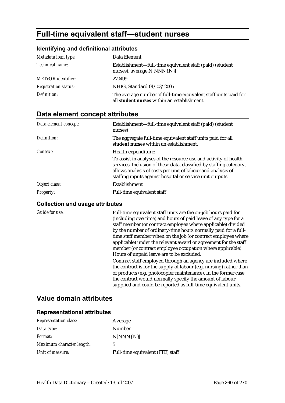# **Full-time equivalent staff—student nurses**

#### **Identifying and definitional attributes**

| Metadata item type:         | Data Element                                                                                                   |
|-----------------------------|----------------------------------------------------------------------------------------------------------------|
| Technical name:             | Establishment—full-time equivalent staff (paid) (student<br>nurses), average N[NNN{.N}]                        |
| <b>METeOR</b> identifier:   | 270499                                                                                                         |
| <b>Registration status:</b> | NHIG, Standard 01/03/2005                                                                                      |
| Definition:                 | The average number of full-time equivalent staff units paid for<br>all student nurses within an establishment. |

### **Data element concept attributes**

| Data element concept: | Establishment-full-time equivalent staff (paid) (student<br>nurses)                                                                                                                                                                                                 |
|-----------------------|---------------------------------------------------------------------------------------------------------------------------------------------------------------------------------------------------------------------------------------------------------------------|
| Definition:           | The aggregate full-time equivalent staff units paid for all<br>student nurses within an establishment.                                                                                                                                                              |
| Context:              | Health expenditure:                                                                                                                                                                                                                                                 |
|                       | To assist in analyses of the resource use and activity of health<br>services. Inclusion of these data, classified by staffing category,<br>allows analysis of costs per unit of labour and analysis of<br>staffing inputs against hospital or service unit outputs. |
| Object class:         | Establishment                                                                                                                                                                                                                                                       |
| <b>Property:</b>      | Full-time equivalent staff                                                                                                                                                                                                                                          |

#### **Collection and usage attributes**

*Guide for use:* Full-time equivalent staff units are the on-job hours paid for (including overtime) and hours of paid leave of any type for a staff member (or contract employee where applicable) divided by the number of ordinary-time hours normally paid for a fulltime staff member when on the job (or contract employee where applicable) under the relevant award or agreement for the staff member (or contract employee occupation where applicable). Hours of unpaid leave are to be excluded. Contract staff employed through an agency are included where the contract is for the supply of labour (e.g. nursing) rather than of products (e.g. photocopier maintenance). In the former case, the contract would normally specify the amount of labour supplied and could be reported as full-time equivalent units.

### **Value domain attributes**

#### **Representational attributes**

| <b>Representation class:</b> | Average                          |
|------------------------------|----------------------------------|
| Data type:                   | Number                           |
| <i>Format:</i>               | $N[NNN\{N\}]$                    |
| Maximum character length:    | 5                                |
| Unit of measure:             | Full-time equivalent (FTE) staff |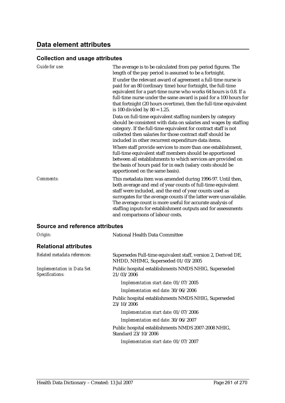### **Data element attributes**

#### **Collection and usage attributes**

| Guide for use:                                       | The average is to be calculated from pay period figures. The<br>length of the pay period is assumed to be a fortnight.<br>If under the relevant award of agreement a full-time nurse is<br>paid for an 80 (ordinary time) hour fortnight, the full-time<br>equivalent for a part-time nurse who works 64 hours is 0.8. If a<br>full-time nurse under the same award is paid for a 100 hours for<br>that fortnight (20 hours overtime), then the full-time equivalent<br>is 100 divided by $80 = 1.25$ .<br>Data on full-time equivalent staffing numbers by category<br>should be consistent with data on salaries and wages by staffing<br>category. If the full-time equivalent for contract staff is not<br>collected then salaries for those contract staff should be<br>included in other recurrent expenditure data items.<br>Where staff provide services to more than one establishment,<br>full-time equivalent staff members should be apportioned<br>between all establishments to which services are provided on |
|------------------------------------------------------|------------------------------------------------------------------------------------------------------------------------------------------------------------------------------------------------------------------------------------------------------------------------------------------------------------------------------------------------------------------------------------------------------------------------------------------------------------------------------------------------------------------------------------------------------------------------------------------------------------------------------------------------------------------------------------------------------------------------------------------------------------------------------------------------------------------------------------------------------------------------------------------------------------------------------------------------------------------------------------------------------------------------------|
| <b>Comments:</b>                                     | the basis of hours paid for in each (salary costs should be<br>apportioned on the same basis).<br>This metadata item was amended during 1996-97. Until then,<br>both average and end of year counts of full-time equivalent<br>staff were included, and the end of year counts used as<br>surrogates for the average counts if the latter were unavailable.<br>The average count is more useful for accurate analysis of<br>staffing inputs for establishment outputs and for assessments<br>and comparisons of labour costs.                                                                                                                                                                                                                                                                                                                                                                                                                                                                                                |
| Source and reference attributes                      |                                                                                                                                                                                                                                                                                                                                                                                                                                                                                                                                                                                                                                                                                                                                                                                                                                                                                                                                                                                                                              |
| Origin:                                              | National Health Data Committee                                                                                                                                                                                                                                                                                                                                                                                                                                                                                                                                                                                                                                                                                                                                                                                                                                                                                                                                                                                               |
| <b>Relational attributes</b>                         |                                                                                                                                                                                                                                                                                                                                                                                                                                                                                                                                                                                                                                                                                                                                                                                                                                                                                                                                                                                                                              |
| Related metadata references:                         | Supersedes Full-time equivalent staff, version 2, Derived DE,<br>NHDD, NHIMG, Superseded 01/03/2005                                                                                                                                                                                                                                                                                                                                                                                                                                                                                                                                                                                                                                                                                                                                                                                                                                                                                                                          |
| <b>Implementation in Data Set</b><br>Specifications: | Public hospital establishments NMDS NHIG, Superseded<br>21/03/2006                                                                                                                                                                                                                                                                                                                                                                                                                                                                                                                                                                                                                                                                                                                                                                                                                                                                                                                                                           |

*Implementation start date:* 01/07/2005

*Implementation end date:* 30/06/2006

Public hospital establishments NMDS NHIG, Superseded 23/10/2006

*Implementation start date:* 01/07/2006

*Implementation end date:* 30/06/2007

Public hospital establishments NMDS 2007-2008 NHIG, Standard 23/10/2006

*Implementation start date:* 01/07/2007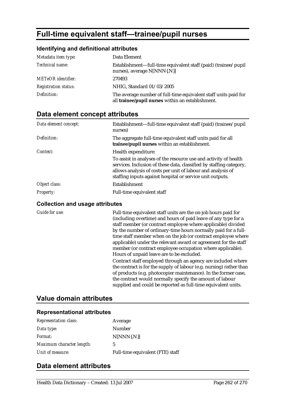# **Full-time equivalent staff—trainee/pupil nurses**

#### **Identifying and definitional attributes**

| Metadata item type:         | Data Element                                                                                                         |
|-----------------------------|----------------------------------------------------------------------------------------------------------------------|
| Technical name:             | Establishment—full-time equivalent staff (paid) (trainee/pupil<br>nurses), average N[NNN{.N}]                        |
| <b>METeOR</b> identifier:   | 270493                                                                                                               |
| <b>Registration status:</b> | NHIG, Standard 01/03/2005                                                                                            |
| Definition:                 | The average number of full-time equivalent staff units paid for<br>all trainee/pupil nurses within an establishment. |

### **Data element concept attributes**

| Data element concept: | Establishment—full-time equivalent staff (paid) (trainee/pupil<br>nurses)                                                                                                                                                                                           |
|-----------------------|---------------------------------------------------------------------------------------------------------------------------------------------------------------------------------------------------------------------------------------------------------------------|
| Definition:           | The aggregate full-time equivalent staff units paid for all<br>trainee/pupil nurses within an establishment.                                                                                                                                                        |
| Context:              | Health expenditure:                                                                                                                                                                                                                                                 |
|                       | To assist in analyses of the resource use and activity of health<br>services. Inclusion of these data, classified by staffing category,<br>allows analysis of costs per unit of labour and analysis of<br>staffing inputs against hospital or service unit outputs. |
| Object class:         | Establishment                                                                                                                                                                                                                                                       |
| <i>Property:</i>      | Full-time equivalent staff                                                                                                                                                                                                                                          |

#### **Collection and usage attributes**

*Guide for use:* Full-time equivalent staff units are the on-job hours paid for (including overtime) and hours of paid leave of any type for a staff member (or contract employee where applicable) divided by the number of ordinary-time hours normally paid for a fulltime staff member when on the job (or contract employee where applicable) under the relevant award or agreement for the staff member (or contract employee occupation where applicable). Hours of unpaid leave are to be excluded. Contract staff employed through an agency are included where the contract is for the supply of labour (e.g. nursing) rather than of products (e.g. photocopier maintenance). In the former case, the contract would normally specify the amount of labour supplied and could be reported as full-time equivalent units.

### **Value domain attributes**

#### **Representational attributes**

| <b>Representation class:</b> | Average                          |
|------------------------------|----------------------------------|
| Data type:                   | Number                           |
| <i>Format:</i>               | $N[NNN\{N\}]$                    |
| Maximum character length:    | 5                                |
| Unit of measure:             | Full-time equivalent (FTE) staff |

### **Data element attributes**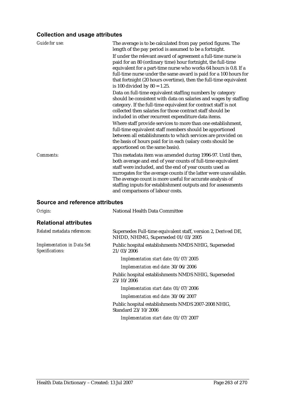| <b>Guide for use:</b> | The average is to be calculated from pay period figures. The<br>length of the pay period is assumed to be a fortnight.<br>If under the relevant award of agreement a full-time nurse is<br>paid for an 80 (ordinary time) hour fortnight, the full-time<br>equivalent for a part-time nurse who works 64 hours is 0.8. If a<br>full-time nurse under the same award is paid for a 100 hours for<br>that fortnight (20 hours overtime), then the full-time equivalent<br>is 100 divided by $80 = 1.25$ . |
|-----------------------|---------------------------------------------------------------------------------------------------------------------------------------------------------------------------------------------------------------------------------------------------------------------------------------------------------------------------------------------------------------------------------------------------------------------------------------------------------------------------------------------------------|
|                       | Data on full-time equivalent staffing numbers by category<br>should be consistent with data on salaries and wages by staffing<br>category. If the full-time equivalent for contract staff is not<br>collected then salaries for those contract staff should be<br>included in other recurrent expenditure data items.                                                                                                                                                                                   |
|                       | Where staff provide services to more than one establishment,<br>full-time equivalent staff members should be apportioned<br>between all establishments to which services are provided on<br>the basis of hours paid for in each (salary costs should be<br>apportioned on the same basis).                                                                                                                                                                                                              |
| Comments:             | This metadata item was amended during 1996-97. Until then,<br>both average and end of year counts of full-time equivalent<br>staff were included, and the end of year counts used as<br>surrogates for the average counts if the latter were unavailable.<br>The average count is more useful for accurate analysis of<br>staffing inputs for establishment outputs and for assessments<br>and comparisons of labour costs.                                                                             |

| Origin:                                              | <b>National Health Data Committee</b>                                                               |
|------------------------------------------------------|-----------------------------------------------------------------------------------------------------|
| <b>Relational attributes</b>                         |                                                                                                     |
| Related metadata references:                         | Supersedes Full-time equivalent staff, version 2, Derived DE,<br>NHDD, NHIMG, Superseded 01/03/2005 |
| <b>Implementation in Data Set</b><br>Specifications: | Public hospital establishments NMDS NHIG, Superseded<br>21/03/2006                                  |
|                                                      | Implementation start date: 01/07/2005                                                               |
|                                                      | Implementation end date: 30/06/2006                                                                 |
|                                                      | Public hospital establishments NMDS NHIG, Superseded<br>23/10/2006                                  |
|                                                      | Implementation start date: 01/07/2006                                                               |
|                                                      | Implementation end date: 30/06/2007                                                                 |
|                                                      | Public hospital establishments NMDS 2007-2008 NHIG,<br>Standard 23/10/2006                          |
|                                                      | Implementation start date: 01/07/2007                                                               |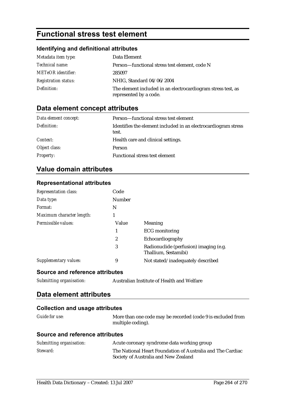# **Functional stress test element**

#### **Identifying and definitional attributes**

| Metadata item type:         | Data Element                                                                           |
|-----------------------------|----------------------------------------------------------------------------------------|
| <i>Technical name:</i>      | Person—functional stress test element, code N                                          |
| <b>METeOR</b> identifier:   | 285097                                                                                 |
| <b>Registration status:</b> | NHIG, Standard 04/06/2004                                                              |
| Definition:                 | The element included in an electrocardiogram stress test, as<br>represented by a code. |

### **Data element concept attributes**

| Data element concept: | Person—functional stress test element                                   |
|-----------------------|-------------------------------------------------------------------------|
| Definition:           | Identifies the element included in an electrocardiogram stress<br>test. |
| Context:              | Health care and clinical settings.                                      |
| Object class:         | <b>Person</b>                                                           |
| <b>Property:</b>      | <b>Functional stress test element</b>                                   |

### **Value domain attributes**

#### **Representational attributes**

| <b>Representation class:</b>    | Code   |                                                                |
|---------------------------------|--------|----------------------------------------------------------------|
| Data type:                      | Number |                                                                |
| Format:                         | N      |                                                                |
| Maximum character length:       |        |                                                                |
| Permissible values:             | Value  | Meaning                                                        |
|                                 | 1      | <b>ECG</b> monitoring                                          |
|                                 | 2      | Echocardiography                                               |
|                                 | 3      | Radionuclide (perfusion) imaging (e.g.<br>Thallium, Sestamibi) |
| Supplementary values:           | 9      | Not stated/inadequately described                              |
| Source and reference attributes |        |                                                                |

*Submitting organisation:* Australian Institute of Health and Welfare

### **Data element attributes**

#### **Collection and usage attributes**

*Guide for use:* More than one code may be recorded (code 9 is excluded from multiple coding).

| Submitting organisation: | Acute coronary syndrome data working group                                                         |
|--------------------------|----------------------------------------------------------------------------------------------------|
| Steward:                 | The National Heart Foundation of Australia and The Cardiac<br>Society of Australia and New Zealand |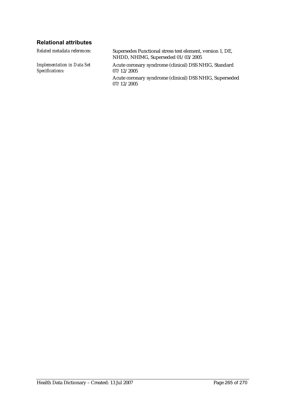### **Relational attributes**

*Related metadata references:* Supersedes Functional stress test element, version 1, DE, NHDD, NHIMG, Superseded 01/03/2005 *Implementation in Data Set Specifications:* Acute coronary syndrome (clinical) DSS NHIG, Standard 07/12/2005 Acute coronary syndrome (clinical) DSS NHIG, Superseded

07/12/2005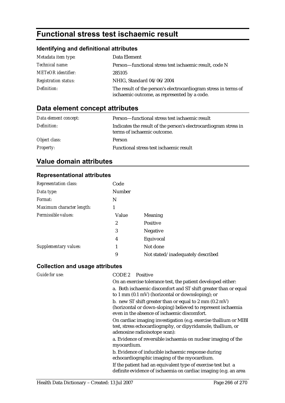# **Functional stress test ischaemic result**

### **Identifying and definitional attributes**

| Metadata item type:         | Data Element                                                                                                    |
|-----------------------------|-----------------------------------------------------------------------------------------------------------------|
| Technical name:             | Person-functional stress test is chaemic result, code N                                                         |
| <b>METeOR</b> identifier:   | 285105                                                                                                          |
| <b>Registration status:</b> | NHIG, Standard 04/06/2004                                                                                       |
| Definition:                 | The result of the person's electrocardiogram stress in terms of<br>ischaemic outcome, as represented by a code. |

## **Data element concept attributes**

| Data element concept: | Person—functional stress test ischaemic result                                                  |
|-----------------------|-------------------------------------------------------------------------------------------------|
| Definition:           | Indicates the result of the person's electrocardiogram stress in<br>terms of ischaemic outcome. |
| Object class:         | <b>Person</b>                                                                                   |
| <b>Property:</b>      | Functional stress test ischaemic result                                                         |

### **Value domain attributes**

#### **Representational attributes**

| <b>Representation class:</b> | Code          |                                   |
|------------------------------|---------------|-----------------------------------|
| Data type:                   | <b>Number</b> |                                   |
| Format:                      | N             |                                   |
| Maximum character length:    | 1             |                                   |
| Permissible values:          | Value         | <b>Meaning</b>                    |
|                              | 2             | <b>Positive</b>                   |
|                              | 3             | <b>Negative</b>                   |
|                              | 4             | Equivocal                         |
| Supplementary values:        |               | Not done                          |
|                              | 9             | Not stated/inadequately described |

#### **Collection and usage attributes**

| Guide for use: | CODE 2<br>Positive                                                                                                                                                               |
|----------------|----------------------------------------------------------------------------------------------------------------------------------------------------------------------------------|
|                | On an exercise tolerance test, the patient developed either:                                                                                                                     |
|                | a. Both ischaemic discomfort and ST shift greater than or equal<br>to 1 mm $(0.1 \text{ mV})$ (horizontal or downsloping); or                                                    |
|                | b. new ST shift greater than or equal to 2 mm $(0.2 \text{ mV})$<br>(horizontal or down-sloping) believed to represent ischaemia<br>even in the absence of ischaemic discomfort. |
|                | On cardiac imaging investigation (e.g. exercise thallium or MIBI<br>test, stress echocardiography, or dipyridamole, thallium, or<br>adenosine radioisotope scan):                |
|                | a. Evidence of reversible ischaemia on nuclear imaging of the<br>myocardium.                                                                                                     |
|                | b. Evidence of inducible ischaemic response during<br>echocardiographic imaging of the myocardium.                                                                               |
|                | If the patient had an equivalent type of exercise test but a<br>definite evidence of ischaemia on cardiac imaging (e.g. an area                                                  |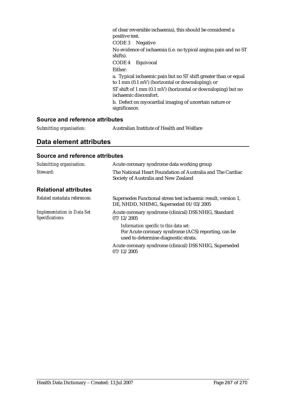of clear reversible ischaemia), this should be considered a positive test.

CODE 3 Negative

No evidence of ischaemia (i.e. no typical angina pain and no ST shifts).

CODE 4 Equivocal

Either:

a. Typical ischaemic pain but no ST shift greater than or equal to 1 mm (0.1 mV) (horizontal or downsloping); or

ST shift of 1 mm (0.1 mV) (horizontal or downsloping) but no ischaemic discomfort.

b. Defect on myocardial imaging of uncertain nature or significance.

#### **Source and reference attributes**

| Submitting organisation: | Australian Institute of Health and Welfare |
|--------------------------|--------------------------------------------|
|                          |                                            |

#### **Data element attributes**

| Submitting organisation:                             | Acute coronary syndrome data working group                                                                                            |
|------------------------------------------------------|---------------------------------------------------------------------------------------------------------------------------------------|
| Steward:                                             | The National Heart Foundation of Australia and The Cardiac<br>Society of Australia and New Zealand                                    |
| <b>Relational attributes</b>                         |                                                                                                                                       |
| Related metadata references:                         | Supersedes Functional stress test ischaemic result, version 1,<br>DE, NHDD, NHIMG, Superseded 01/03/2005                              |
| <b>Implementation in Data Set</b><br>Specifications: | Acute coronary syndrome (clinical) DSS NHIG, Standard<br>07/12/2005                                                                   |
|                                                      | Information specific to this data set:<br>For Acute coronary syndrome (ACS) reporting, can be<br>used to determine diagnostic strata. |
|                                                      | Acute coronary syndrome (clinical) DSS NHIG, Superseded<br>07/12/2005                                                                 |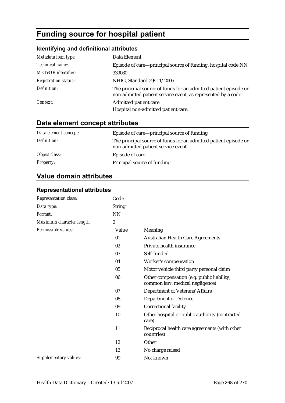# **Funding source for hospital patient**

### **Identifying and definitional attributes**

| Metadata item type:         | Data Element                                                                                                                      |
|-----------------------------|-----------------------------------------------------------------------------------------------------------------------------------|
| Technical name:             | Episode of care—principal source of funding, hospital code NN                                                                     |
| <b>METeOR</b> identifier:   | 339080                                                                                                                            |
| <b>Registration status:</b> | NHIG, Standard 29/11/2006                                                                                                         |
| Definition:                 | The principal source of funds for an admitted patient episode or<br>non-admitted patient service event, as represented by a code. |
| Context:                    | Admitted patient care.                                                                                                            |
|                             | Hospital non-admitted patient care.                                                                                               |

# **Data element concept attributes**

| Data element concept: | Episode of care—principal source of funding                                                             |
|-----------------------|---------------------------------------------------------------------------------------------------------|
| Definition:           | The principal source of funds for an admitted patient episode or<br>non-admitted patient service event. |
| Object class:         | Episode of care                                                                                         |
| <b>Property:</b>      | Principal source of funding                                                                             |

### **Value domain attributes**

| Code             |                                                                               |
|------------------|-------------------------------------------------------------------------------|
| <b>String</b>    |                                                                               |
| <b>NN</b>        |                                                                               |
| $\boldsymbol{2}$ |                                                                               |
| Value            | Meaning                                                                       |
| 01               | <b>Australian Health Care Agreements</b>                                      |
| 02               | Private health insurance                                                      |
| 03               | Self-funded                                                                   |
| 04               | Worker's compensation                                                         |
| 05               | Motor vehicle third party personal claim                                      |
| 06               | Other compensation (e.g. public liability,<br>common law, medical negligence) |
| 07               | <b>Department of Veterans' Affairs</b>                                        |
| 08               | <b>Department of Defence</b>                                                  |
| 09               | <b>Correctional facility</b>                                                  |
| 10               | Other hospital or public authority (contracted<br>care)                       |
| 11               | Reciprocal health care agreements (with other<br>countries)                   |
| 12               | Other                                                                         |
| 13               | No charge raised                                                              |
| 99               | Not known                                                                     |
|                  |                                                                               |

#### **Representational attributes**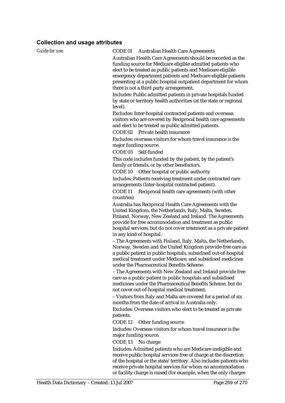| Guide for use: | CODE 01<br><b>Australian Health Care Agreements</b>                                                                                                                                                                                                                                                                                                                    |
|----------------|------------------------------------------------------------------------------------------------------------------------------------------------------------------------------------------------------------------------------------------------------------------------------------------------------------------------------------------------------------------------|
|                | Australian Health Care Agreements should be recorded as the<br>funding source for Medicare eligible admitted patients who<br>elect to be treated as public patients and Medicare eligible<br>emergency department patients and Medicare eligible patients<br>presenting at a public hospital outpatient department for whom<br>there is not a third party arrangement. |
|                | Includes: Public admitted patients in private hospitals funded<br>by state or territory health authorities (at the state or regional                                                                                                                                                                                                                                   |
|                | level).<br>Excludes: Inter-hospital contracted patients and overseas<br>visitors who are covered by Reciprocal health care agreements<br>and elect to be treated as public admitted patients.<br>Private health insurance<br>CODE <sub>02</sub>                                                                                                                        |
|                | Excludes: overseas visitors for whom travel insurance is the<br>major funding source.<br>CODE <sub>03</sub><br>Self-funded                                                                                                                                                                                                                                             |
|                | This code includes funded by the patient, by the patient's<br>family or friends, or by other benefactors.                                                                                                                                                                                                                                                              |
|                | Other hospital or public authority<br>CODE 10<br>Includes: Patients receiving treatment under contracted care<br>arrangements (Inter-hospital contracted patient).                                                                                                                                                                                                     |
|                | CODE <sub>11</sub><br>Reciprocal health care agreements (with other<br>countries)                                                                                                                                                                                                                                                                                      |
|                | Australia has Reciprocal Health Care Agreements with the<br>United Kingdom, the Netherlands, Italy, Malta, Sweden,<br>Finland, Norway, New Zealand and Ireland. The Agreements<br>provide for free accommodation and treatment as public<br>hospital services, but do not cover treatment as a private patient<br>in any kind of hospital.                             |
|                | - The Agreements with Finland, Italy, Malta, the Netherlands,<br>Norway, Sweden and the United Kingdom provide free care as<br>a public patient in public hospitals, subsidised out-of-hospital<br>medical treatment under Medicare, and subsidised medicines<br>under the Pharmaceutical Benefits Scheme.                                                             |
|                | - The Agreements with New Zealand and Ireland provide free<br>care as a public patient in public hospitals and subsidised<br>medicines under the Pharmaceutical Benefits Scheme, but do<br>not cover out-of-hospital medical treatment.                                                                                                                                |
|                | - Visitors from Italy and Malta are covered for a period of six<br>months from the date of arrival in Australia only.                                                                                                                                                                                                                                                  |
|                | Excludes: Overseas visitors who elect to be treated as private<br>patients.<br>CODE 12<br>Other funding source                                                                                                                                                                                                                                                         |
|                | Includes: Overseas visitors for whom travel insurance is the<br>major funding source.                                                                                                                                                                                                                                                                                  |
|                | CODE 13<br>No charge<br>Includes: Admitted patients who are Medicare ineligible and<br>receive public hospital services free of charge at the discretion<br>of the hospital or the state/territory. Also includes patients who<br>receive private hospital services for whom no accommodation                                                                          |

or facility charge is raised (for example, when the only charges